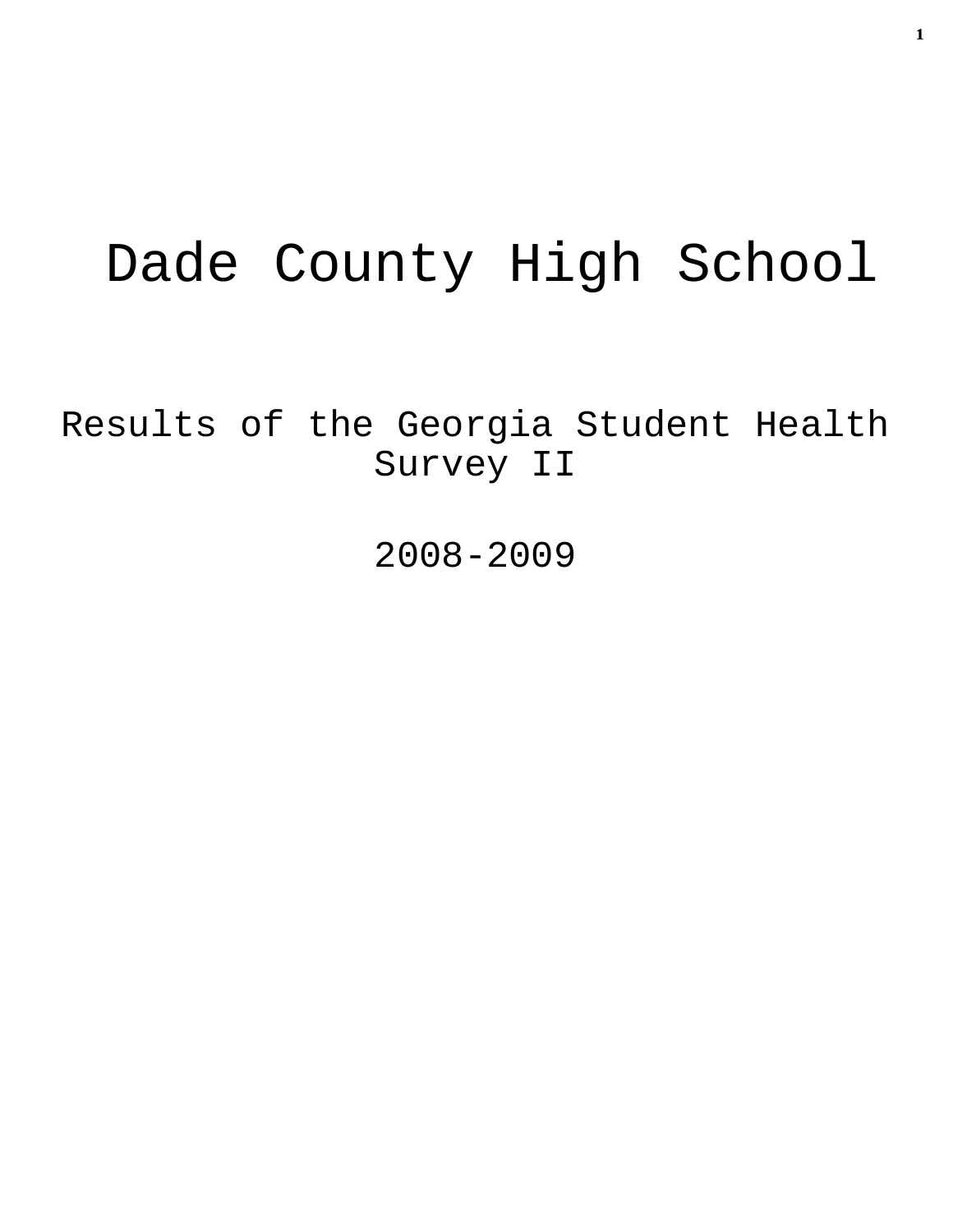# Dade County High School

Results of the Georgia Student Health Survey II

2008-2009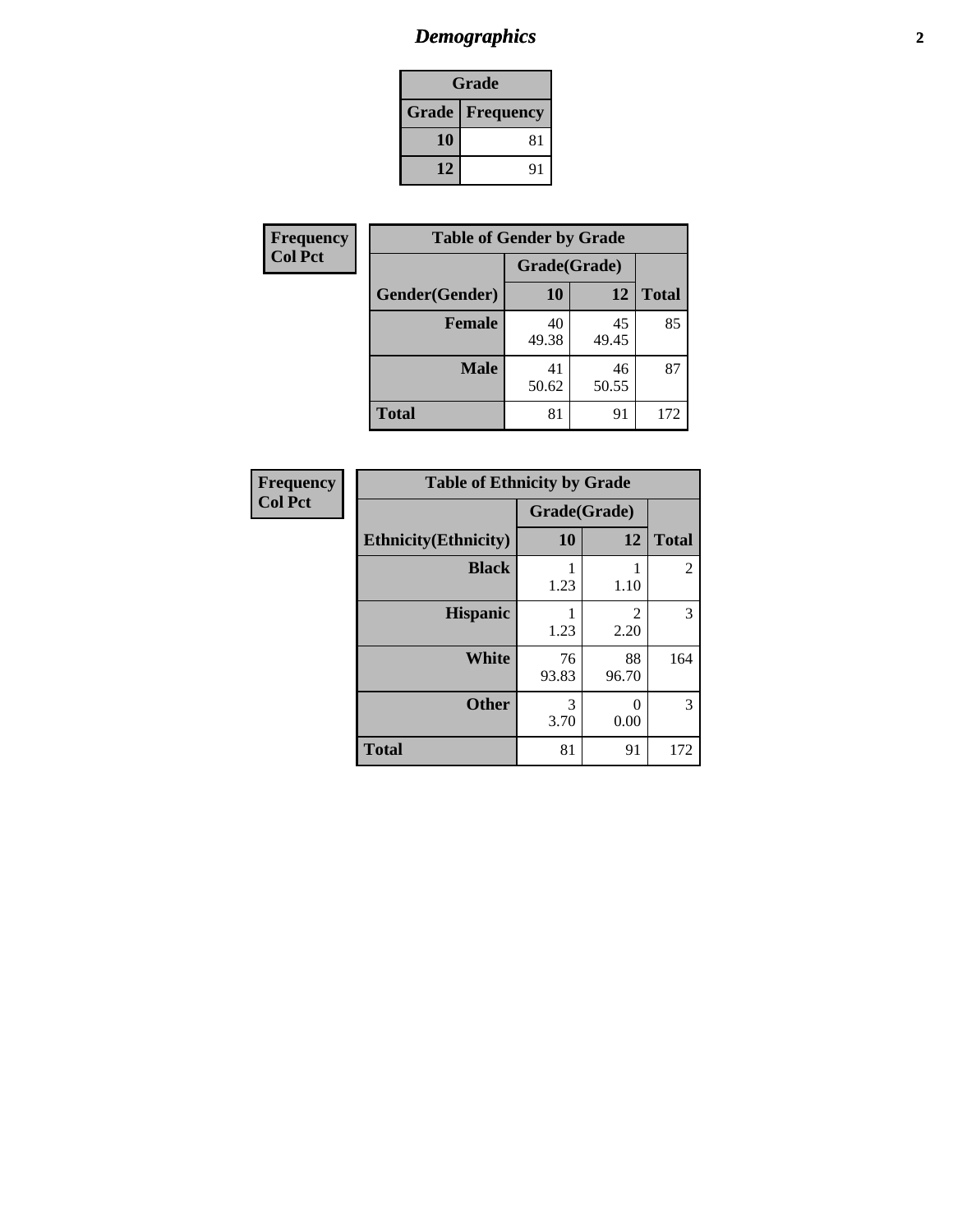# *Demographics* **2**

| <b>Grade</b>             |    |  |  |  |
|--------------------------|----|--|--|--|
| <b>Grade   Frequency</b> |    |  |  |  |
| 10                       | 81 |  |  |  |
| 12                       | 91 |  |  |  |

| Frequency      | <b>Table of Gender by Grade</b> |              |             |              |  |  |
|----------------|---------------------------------|--------------|-------------|--------------|--|--|
| <b>Col Pct</b> |                                 | Grade(Grade) |             |              |  |  |
|                | Gender(Gender)                  | 10           | 12          | <b>Total</b> |  |  |
|                | <b>Female</b>                   | 40<br>49.38  | 45<br>49.45 | 85           |  |  |
|                | <b>Male</b>                     | 41<br>50.62  | 46<br>50.55 | 87           |  |  |
|                | <b>Total</b>                    | 81           | 91          | 172          |  |  |

| <b>Frequency</b><br>Col Pct |
|-----------------------------|
|-----------------------------|

| <b>Table of Ethnicity by Grade</b> |              |                        |                |  |  |
|------------------------------------|--------------|------------------------|----------------|--|--|
|                                    | Grade(Grade) |                        |                |  |  |
| <b>Ethnicity</b> (Ethnicity)       | 10           | 12                     | <b>Total</b>   |  |  |
| <b>Black</b>                       | 1.23         | 1.10                   | $\mathfrak{D}$ |  |  |
| <b>Hispanic</b>                    | 1.23         | $\mathfrak{D}$<br>2.20 | 3              |  |  |
| <b>White</b>                       | 76<br>93.83  | 88<br>96.70            | 164            |  |  |
| <b>Other</b>                       | 3<br>3.70    | 0<br>0.00              | 3              |  |  |
| <b>Total</b>                       | 81           | 91                     | 172            |  |  |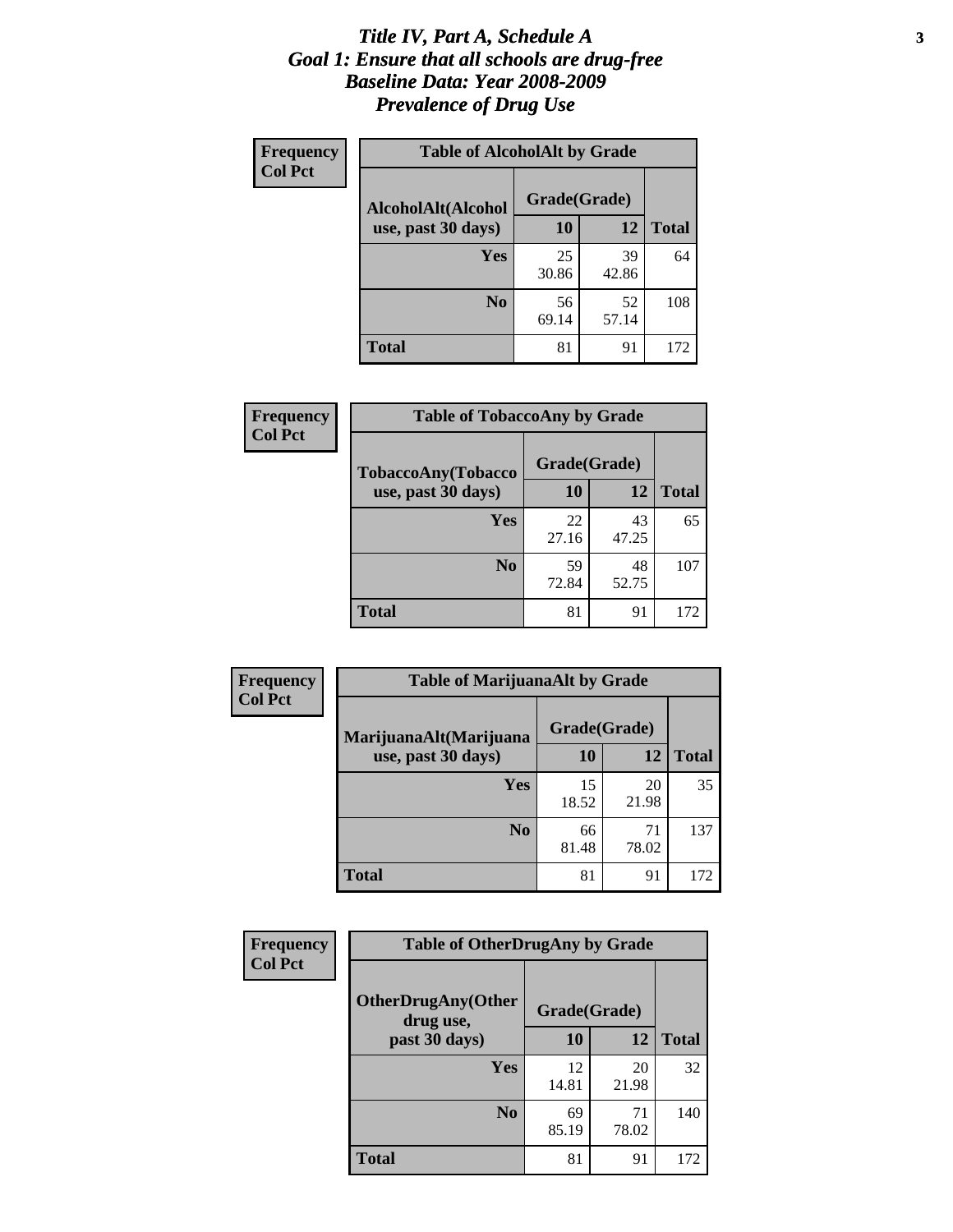### *Title IV, Part A, Schedule A* **3** *Goal 1: Ensure that all schools are drug-free Baseline Data: Year 2008-2009 Prevalence of Drug Use*

| Frequency<br><b>Col Pct</b> | <b>Table of AlcoholAlt by Grade</b> |              |             |              |  |
|-----------------------------|-------------------------------------|--------------|-------------|--------------|--|
|                             | AlcoholAlt(Alcohol                  | Grade(Grade) |             |              |  |
|                             | use, past 30 days)                  | 10           | 12          | <b>Total</b> |  |
|                             | Yes                                 | 25<br>30.86  | 39<br>42.86 | 64           |  |
|                             | N <sub>0</sub>                      | 56<br>69.14  | 52<br>57.14 | 108          |  |
|                             | <b>Total</b>                        | 81           | 91          | 172          |  |

| <b>Frequency</b> | <b>Table of TobaccoAny by Grade</b> |              |             |              |  |
|------------------|-------------------------------------|--------------|-------------|--------------|--|
| <b>Col Pct</b>   | TobaccoAny(Tobacco                  | Grade(Grade) |             |              |  |
|                  | use, past 30 days)                  | 10           | 12          | <b>Total</b> |  |
|                  | Yes                                 | 22<br>27.16  | 43<br>47.25 | 65           |  |
|                  | N <sub>0</sub>                      | 59<br>72.84  | 48<br>52.75 | 107          |  |
|                  | Total                               | 81           | 91          | 172          |  |

| Frequency      | <b>Table of MarijuanaAlt by Grade</b> |              |             |              |  |
|----------------|---------------------------------------|--------------|-------------|--------------|--|
| <b>Col Pct</b> | MarijuanaAlt(Marijuana                | Grade(Grade) |             |              |  |
|                | use, past 30 days)                    | 10           | 12          | <b>Total</b> |  |
|                | Yes                                   | 15<br>18.52  | 20<br>21.98 | 35           |  |
|                | N <sub>0</sub>                        | 66<br>81.48  | 71<br>78.02 | 137          |  |
|                | <b>Total</b>                          | 81           | 91          | 172          |  |

| Frequency<br><b>Col Pct</b> | <b>Table of OtherDrugAny by Grade</b>  |              |             |              |  |
|-----------------------------|----------------------------------------|--------------|-------------|--------------|--|
|                             | <b>OtherDrugAny(Other</b><br>drug use, | Grade(Grade) |             |              |  |
|                             | past 30 days)                          | 10           | 12          | <b>Total</b> |  |
|                             | Yes                                    | 12<br>14.81  | 20<br>21.98 | 32           |  |
|                             | N <sub>0</sub>                         | 69<br>85.19  | 71<br>78.02 | 140          |  |
|                             | <b>Total</b>                           | 81           | 91          | 172          |  |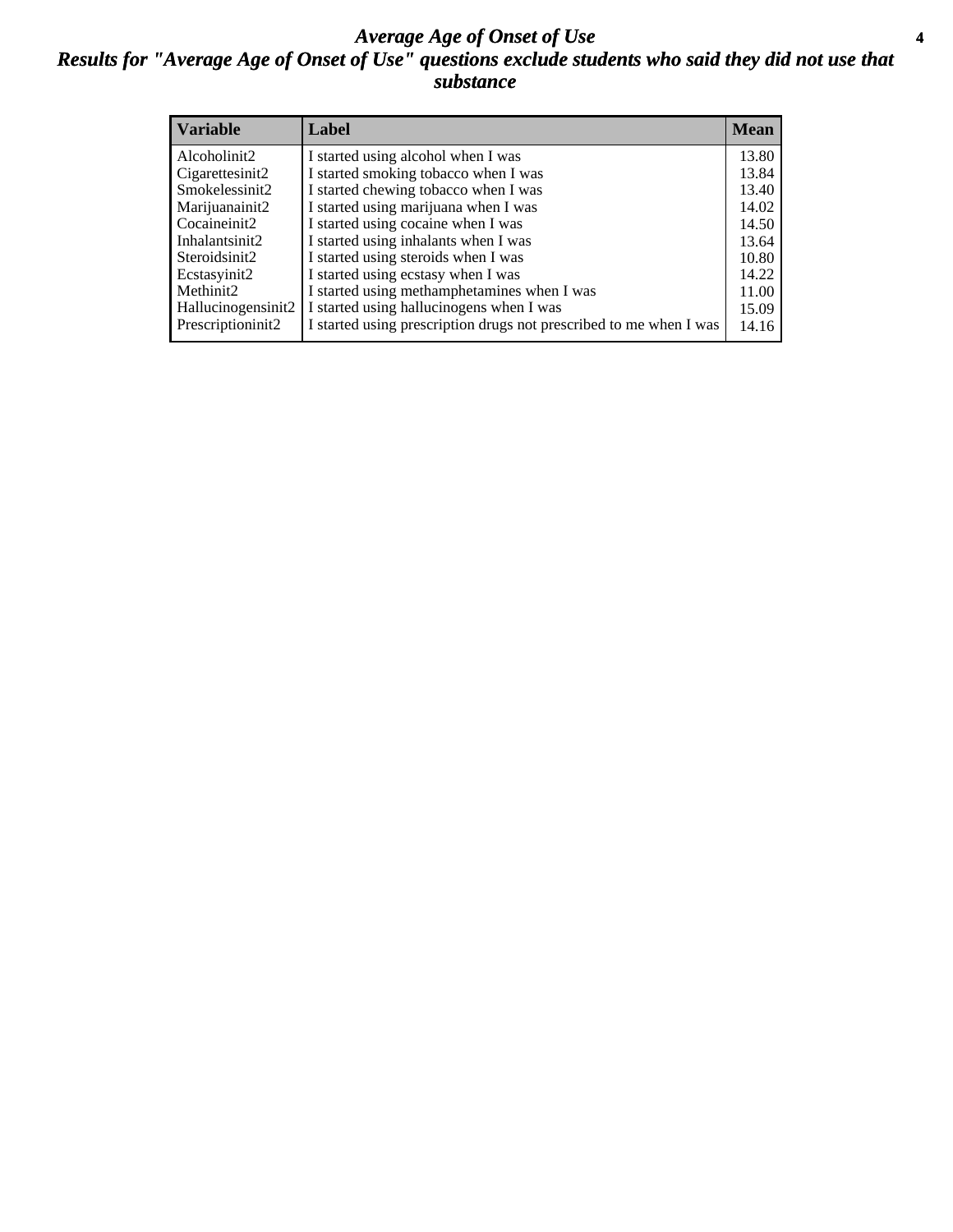### *Average Age of Onset of Use* **4** *Results for "Average Age of Onset of Use" questions exclude students who said they did not use that substance*

| <b>Variable</b>    | Label                                                              | <b>Mean</b> |
|--------------------|--------------------------------------------------------------------|-------------|
| Alcoholinit2       | I started using alcohol when I was                                 | 13.80       |
| Cigarettesinit2    | I started smoking tobacco when I was                               | 13.84       |
| Smokelessinit2     | I started chewing tobacco when I was                               | 13.40       |
| Marijuanainit2     | I started using marijuana when I was                               | 14.02       |
| Cocaineinit2       | I started using cocaine when I was                                 | 14.50       |
| Inhalantsinit2     | I started using inhalants when I was                               | 13.64       |
| Steroidsinit2      | I started using steroids when I was                                | 10.80       |
| Ecstasyinit2       | I started using ecstasy when I was                                 | 14.22       |
| Methinit2          | I started using methamphetamines when I was                        | 11.00       |
| Hallucinogensinit2 | I started using hallucinogens when I was                           | 15.09       |
| Prescriptioninit2  | I started using prescription drugs not prescribed to me when I was | 14.16       |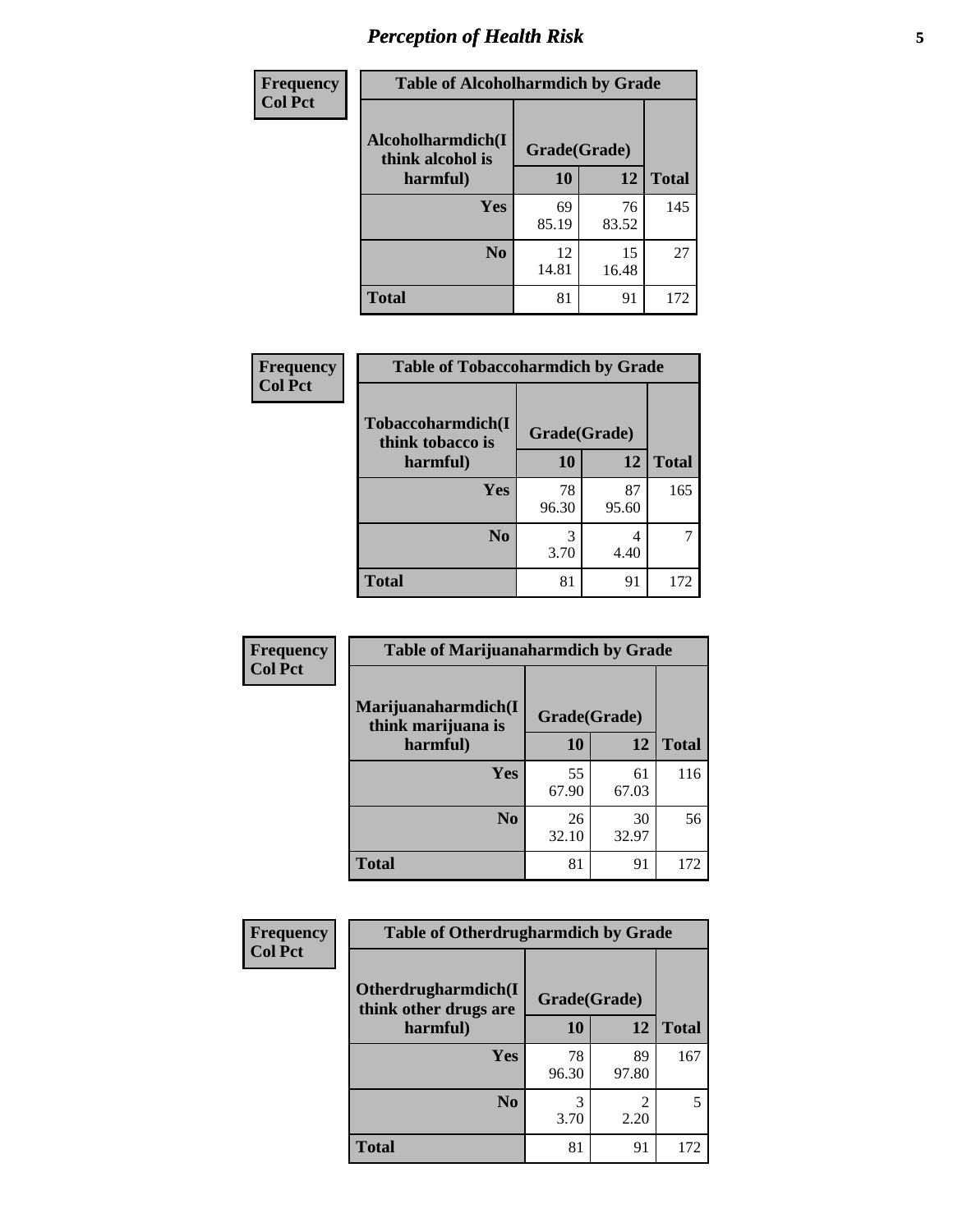# *Perception of Health Risk* **5**

| <b>Frequency</b> | <b>Table of Alcoholharmdich by Grade</b> |              |             |              |  |
|------------------|------------------------------------------|--------------|-------------|--------------|--|
| <b>Col Pct</b>   | Alcoholharmdich(I<br>think alcohol is    | Grade(Grade) |             |              |  |
|                  | harmful)                                 | 10           | 12          | <b>Total</b> |  |
|                  | <b>Yes</b>                               | 69<br>85.19  | 76<br>83.52 | 145          |  |
|                  | N <sub>0</sub>                           | 12<br>14.81  | 15<br>16.48 | 27           |  |
|                  | <b>Total</b>                             | 81           | 91          | 172          |  |

| <b>Table of Tobaccoharmdich by Grade</b> |              |             |              |
|------------------------------------------|--------------|-------------|--------------|
| Tobaccoharmdich(I<br>think tobacco is    | Grade(Grade) |             |              |
| harmful)                                 | 10           | 12          | <b>Total</b> |
| <b>Yes</b>                               | 78<br>96.30  | 87<br>95.60 | 165          |
| N <sub>0</sub>                           | 3.70         | 4<br>4.40   |              |
| <b>Total</b>                             | 81           | 91          | 172          |
|                                          |              |             |              |

| <b>Frequency</b> | <b>Table of Marijuanaharmdich by Grade</b> |              |             |              |  |
|------------------|--------------------------------------------|--------------|-------------|--------------|--|
| <b>Col Pct</b>   | Marijuanaharmdich(I<br>think marijuana is  | Grade(Grade) |             |              |  |
|                  | harmful)                                   | 10           | 12          | <b>Total</b> |  |
|                  | <b>Yes</b>                                 | 55<br>67.90  | 61<br>67.03 | 116          |  |
|                  | N <sub>0</sub>                             | 26<br>32.10  | 30<br>32.97 | 56           |  |
|                  | <b>Total</b>                               | 81           | 91          | 172          |  |

| Frequency      | <b>Table of Otherdrugharmdich by Grade</b>   |              |             |              |  |  |
|----------------|----------------------------------------------|--------------|-------------|--------------|--|--|
| <b>Col Pct</b> | Otherdrugharmdich(I<br>think other drugs are | Grade(Grade) |             |              |  |  |
|                | harmful)                                     | <b>10</b>    | 12          | <b>Total</b> |  |  |
|                | <b>Yes</b>                                   | 78<br>96.30  | 89<br>97.80 | 167          |  |  |
|                | N <sub>0</sub>                               | 3.70         | 2.20        | 5            |  |  |
|                | <b>Total</b>                                 | 81           | 91          | 172          |  |  |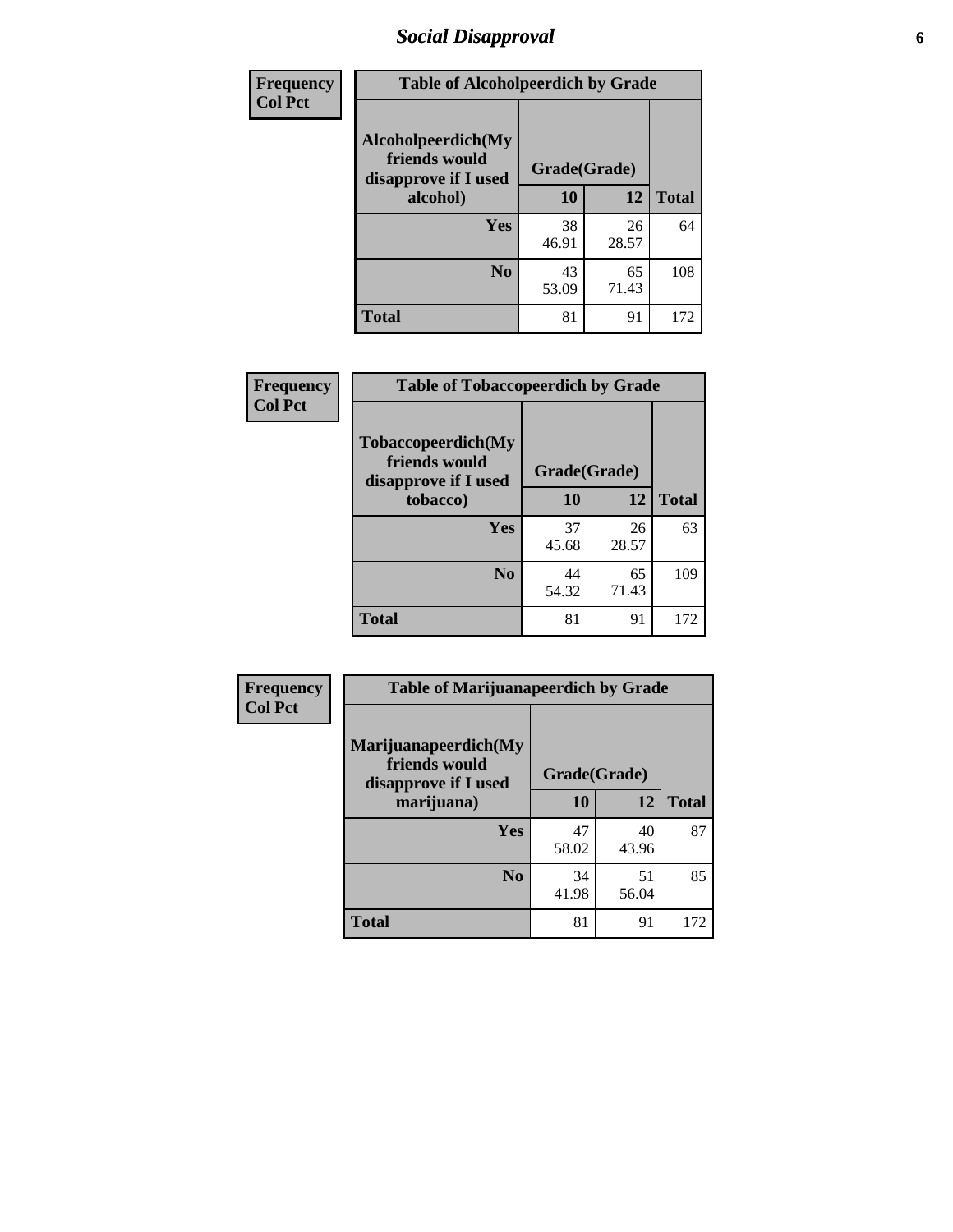# *Social Disapproval* **6**

| Frequency      | <b>Table of Alcoholpeerdich by Grade</b>                    |              |             |              |  |  |
|----------------|-------------------------------------------------------------|--------------|-------------|--------------|--|--|
| <b>Col Pct</b> | Alcoholpeerdich(My<br>friends would<br>disapprove if I used | Grade(Grade) |             |              |  |  |
|                | alcohol)                                                    | 10           | 12          | <b>Total</b> |  |  |
|                | <b>Yes</b>                                                  | 38<br>46.91  | 26<br>28.57 | 64           |  |  |
|                | N <sub>0</sub>                                              | 43<br>53.09  | 65<br>71.43 | 108          |  |  |
|                | <b>Total</b>                                                | 81           | 91          | 172          |  |  |

| <b>Frequency</b> |
|------------------|
| <b>Col Pct</b>   |

| <b>Table of Tobaccopeerdich by Grade</b>                    |              |             |              |  |  |
|-------------------------------------------------------------|--------------|-------------|--------------|--|--|
| Tobaccopeerdich(My<br>friends would<br>disapprove if I used | Grade(Grade) |             |              |  |  |
| tobacco)                                                    | 12<br>10     |             | <b>Total</b> |  |  |
| Yes                                                         | 37<br>45.68  | 26<br>28.57 | 63           |  |  |
| N <sub>0</sub>                                              | 44<br>54.32  | 65<br>71.43 | 109          |  |  |
| <b>Total</b>                                                | 81           | 91          | 172          |  |  |

| Frequency      | <b>Table of Marijuanapeerdich by Grade</b>                    |              |             |              |  |  |
|----------------|---------------------------------------------------------------|--------------|-------------|--------------|--|--|
| <b>Col Pct</b> | Marijuanapeerdich(My<br>friends would<br>disapprove if I used | Grade(Grade) |             |              |  |  |
|                | marijuana)                                                    | 10           | 12          | <b>Total</b> |  |  |
|                | <b>Yes</b>                                                    | 47<br>58.02  | 40<br>43.96 | 87           |  |  |
|                | N <sub>0</sub>                                                | 34<br>41.98  | 51<br>56.04 | 85           |  |  |
|                | <b>Total</b>                                                  | 81           | 91          | 172          |  |  |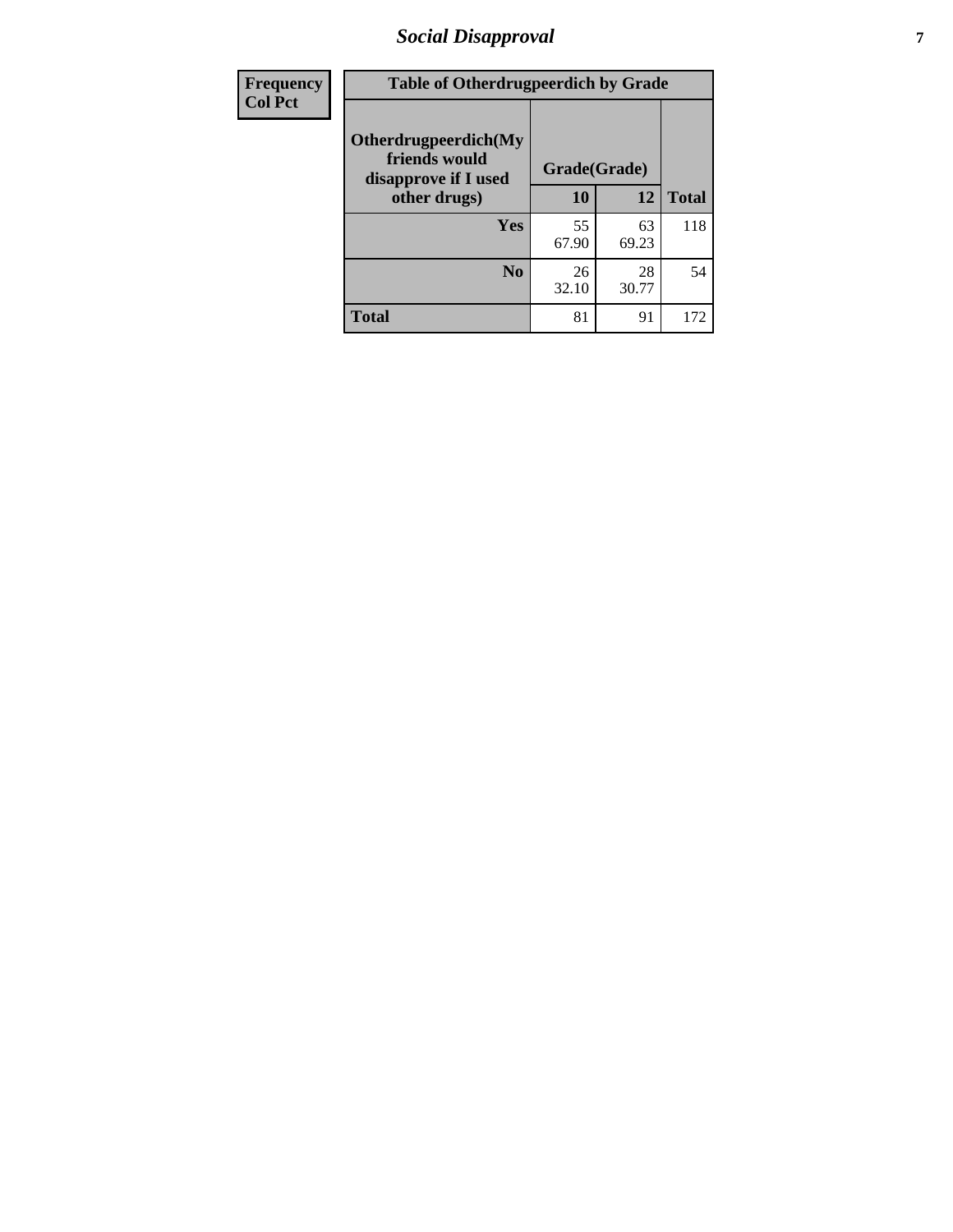# *Social Disapproval* **7**

| Frequency      | <b>Table of Otherdrugpeerdich by Grade</b>                    |              |             |              |  |  |
|----------------|---------------------------------------------------------------|--------------|-------------|--------------|--|--|
| <b>Col Pct</b> | Otherdrugpeerdich(My<br>friends would<br>disapprove if I used | Grade(Grade) |             |              |  |  |
|                | other drugs)                                                  | 10           | 12          | <b>Total</b> |  |  |
|                | Yes                                                           | 55<br>67.90  | 63<br>69.23 | 118          |  |  |
|                | N <sub>0</sub>                                                | 26<br>32.10  | 28<br>30.77 | 54           |  |  |
|                | <b>Total</b>                                                  | 81           | 91          | 172          |  |  |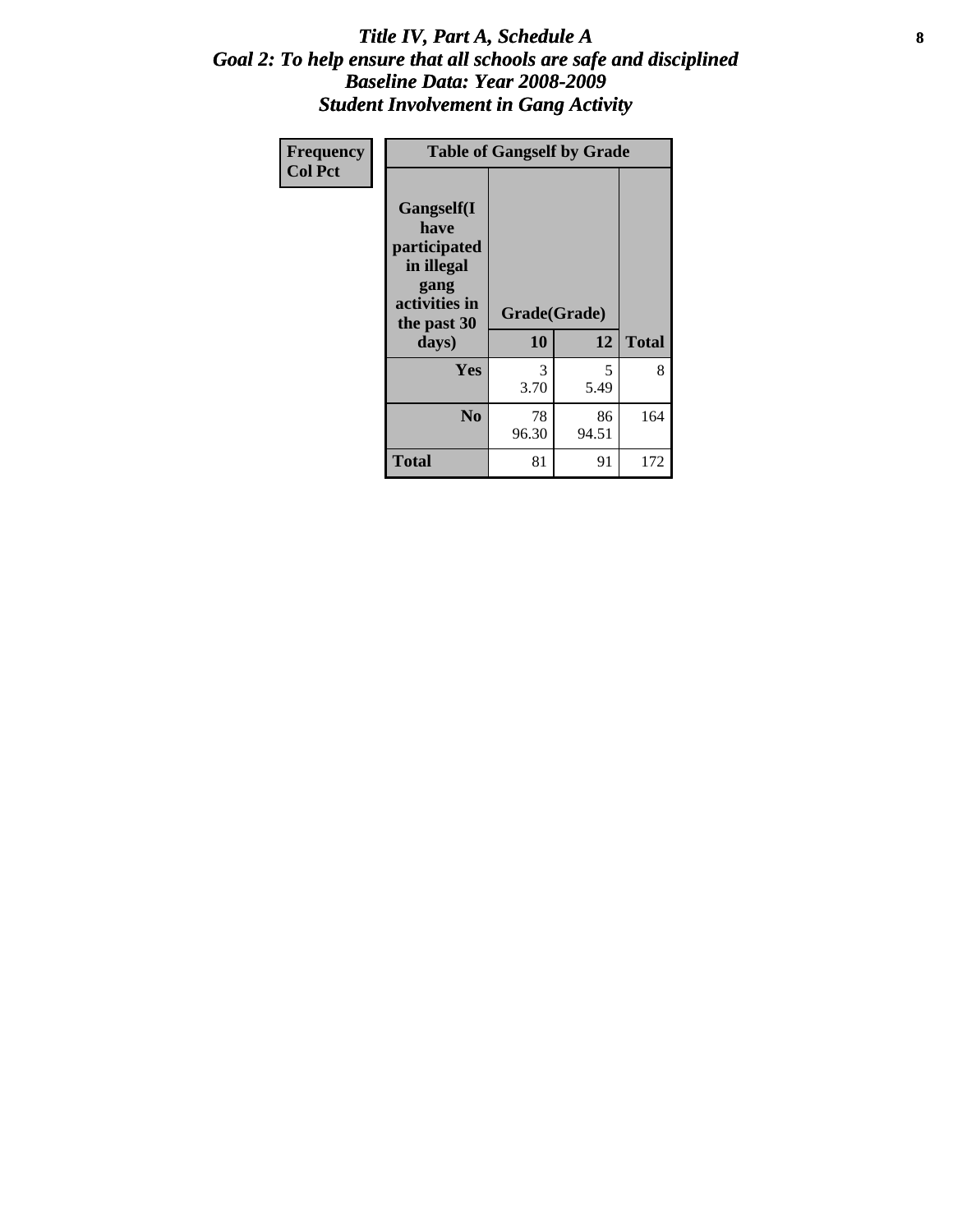### Title IV, Part A, Schedule A **8** *Goal 2: To help ensure that all schools are safe and disciplined Baseline Data: Year 2008-2009 Student Involvement in Gang Activity*

| Frequency      |                                                                                                   | <b>Table of Gangself by Grade</b> |             |              |
|----------------|---------------------------------------------------------------------------------------------------|-----------------------------------|-------------|--------------|
| <b>Col Pct</b> | Gangself(I<br>have<br>participated<br>in illegal<br>gang<br>activities in<br>the past 30<br>days) | Grade(Grade)<br>10                | 12          | <b>Total</b> |
|                | Yes                                                                                               | 3<br>3.70                         | 5<br>5.49   | 8            |
|                | N <sub>0</sub>                                                                                    | 78<br>96.30                       | 86<br>94.51 | 164          |
|                | <b>Total</b>                                                                                      | 81                                | 91          | 172          |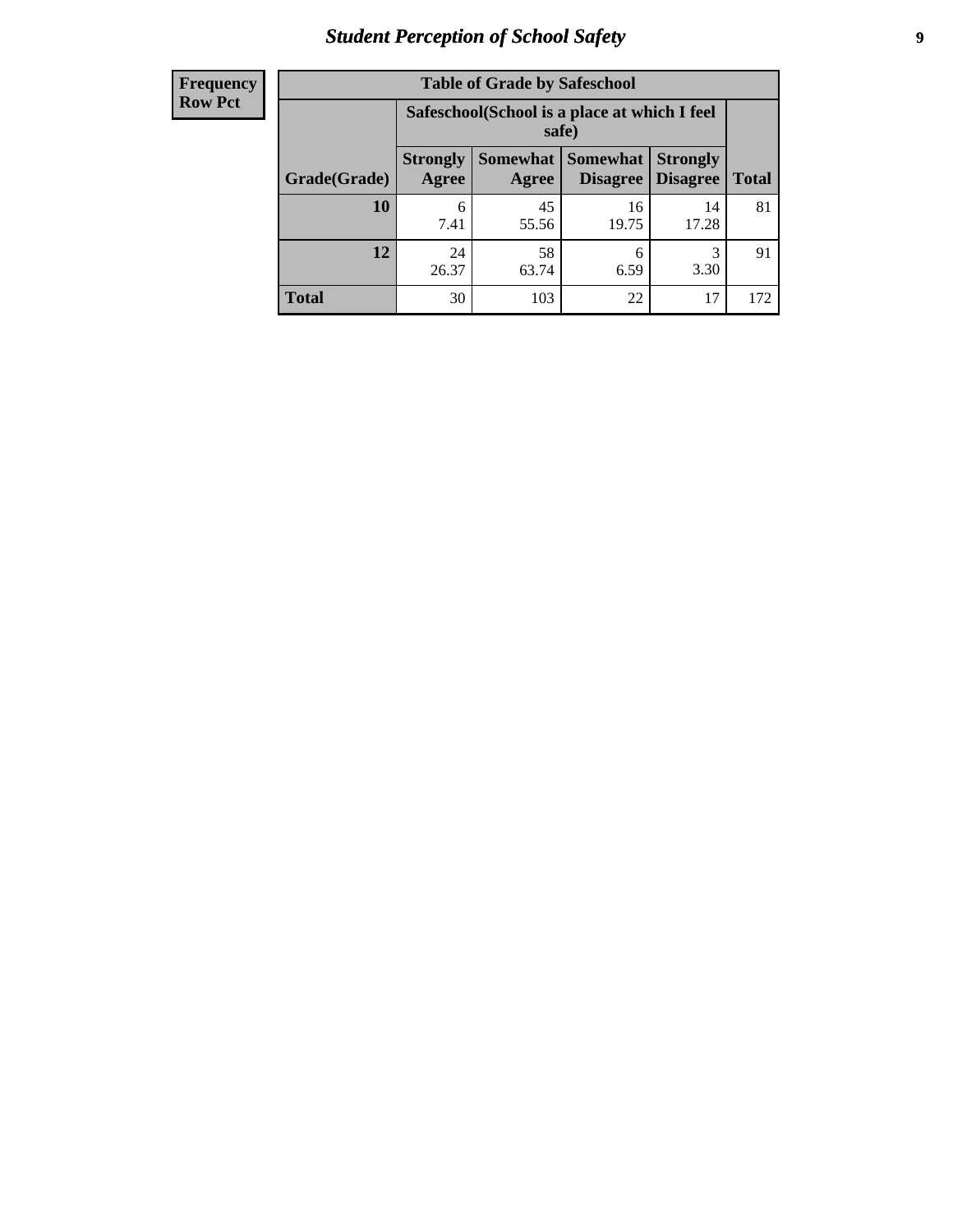# *Student Perception of School Safety* **9**

| <b>Frequency</b><br>Row Pct |
|-----------------------------|
|                             |

| <b>Table of Grade by Safeschool</b> |                                                                                                                          |                                                        |             |             |     |  |
|-------------------------------------|--------------------------------------------------------------------------------------------------------------------------|--------------------------------------------------------|-------------|-------------|-----|--|
|                                     |                                                                                                                          | Safeschool (School is a place at which I feel<br>safe) |             |             |     |  |
| Grade(Grade)                        | Somewhat Somewhat<br><b>Strongly</b><br><b>Strongly</b><br><b>Disagree</b><br>Agree<br>Disagree<br><b>Total</b><br>Agree |                                                        |             |             |     |  |
| 10                                  | 6<br>7.41                                                                                                                | 45<br>55.56                                            | 16<br>19.75 | 14<br>17.28 | 81  |  |
| 12                                  | 24<br>26.37                                                                                                              | 58<br>63.74                                            | 6<br>6.59   | 3<br>3.30   | 91  |  |
| <b>Total</b>                        | 30                                                                                                                       | 103                                                    | 22          | 17          | 172 |  |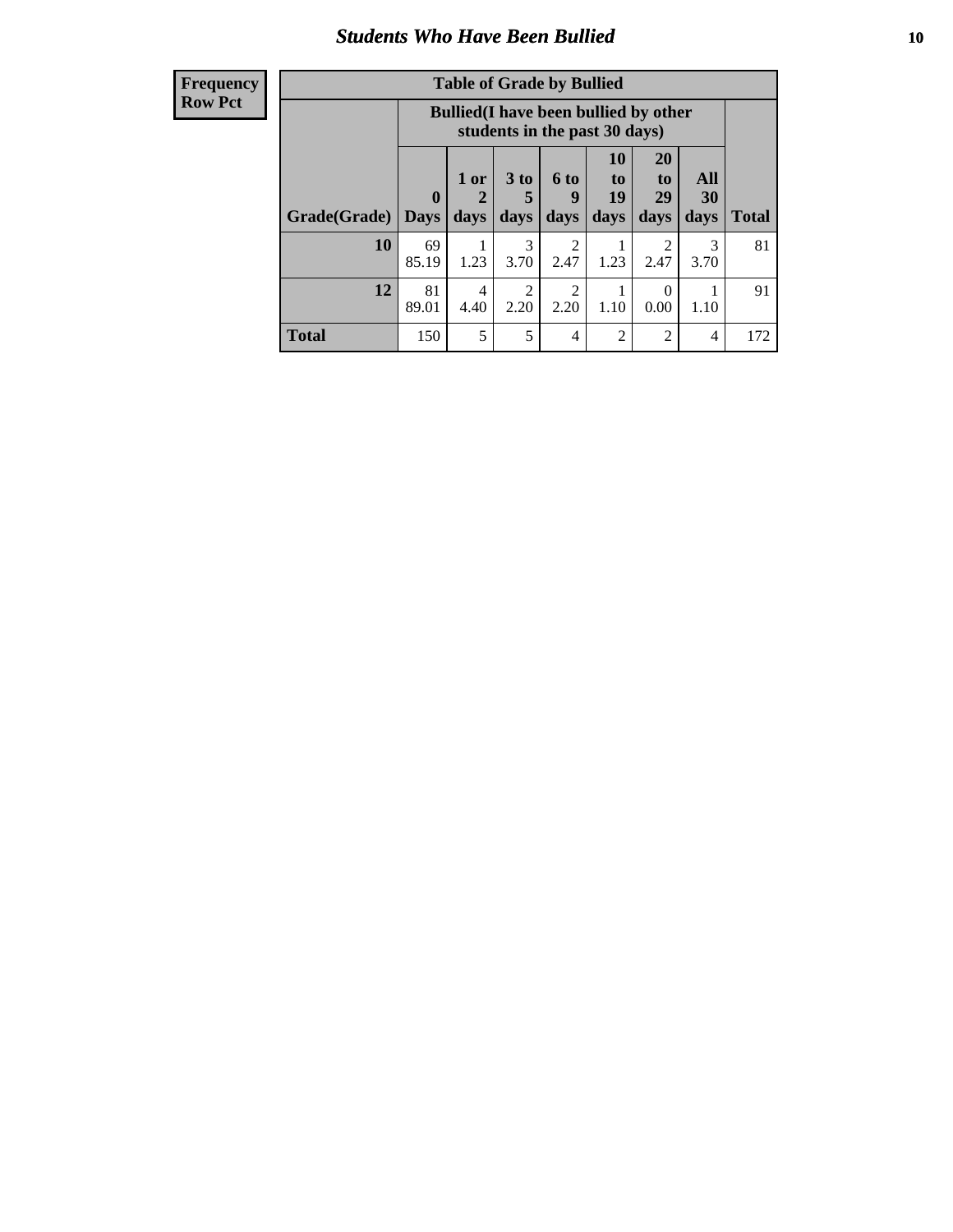### *Students Who Have Been Bullied* **10**

#### **Frequency Row Pct**

| <b>Table of Grade by Bullied</b> |                  |                                                                               |                              |                        |                        |                        |                   |              |
|----------------------------------|------------------|-------------------------------------------------------------------------------|------------------------------|------------------------|------------------------|------------------------|-------------------|--------------|
|                                  |                  | <b>Bullied</b> (I have been bullied by other<br>students in the past 30 days) |                              |                        |                        |                        |                   |              |
| Grade(Grade)                     | 0<br><b>Days</b> | 1 or<br>days                                                                  | 3 <sub>to</sub><br>5<br>days | 6 to<br>9<br>days      | 10<br>to<br>19<br>days | 20<br>to<br>29<br>days | All<br>30<br>days | <b>Total</b> |
| 10                               | 69<br>85.19      | 1.23                                                                          | 3<br>3.70                    | 2<br>2.47              | 1.23                   | $\overline{2}$<br>2.47 | 3<br>3.70         | 81           |
| 12                               | 81<br>89.01      | 4<br>4.40                                                                     | 2<br>2.20                    | $\overline{2}$<br>2.20 | 1.10                   | 0<br>0.00              | 1.10              | 91           |
| <b>Total</b>                     | 150              | 5                                                                             | 5                            | $\overline{4}$         | 2                      | $\overline{2}$         | 4                 | 172          |

 $\blacksquare$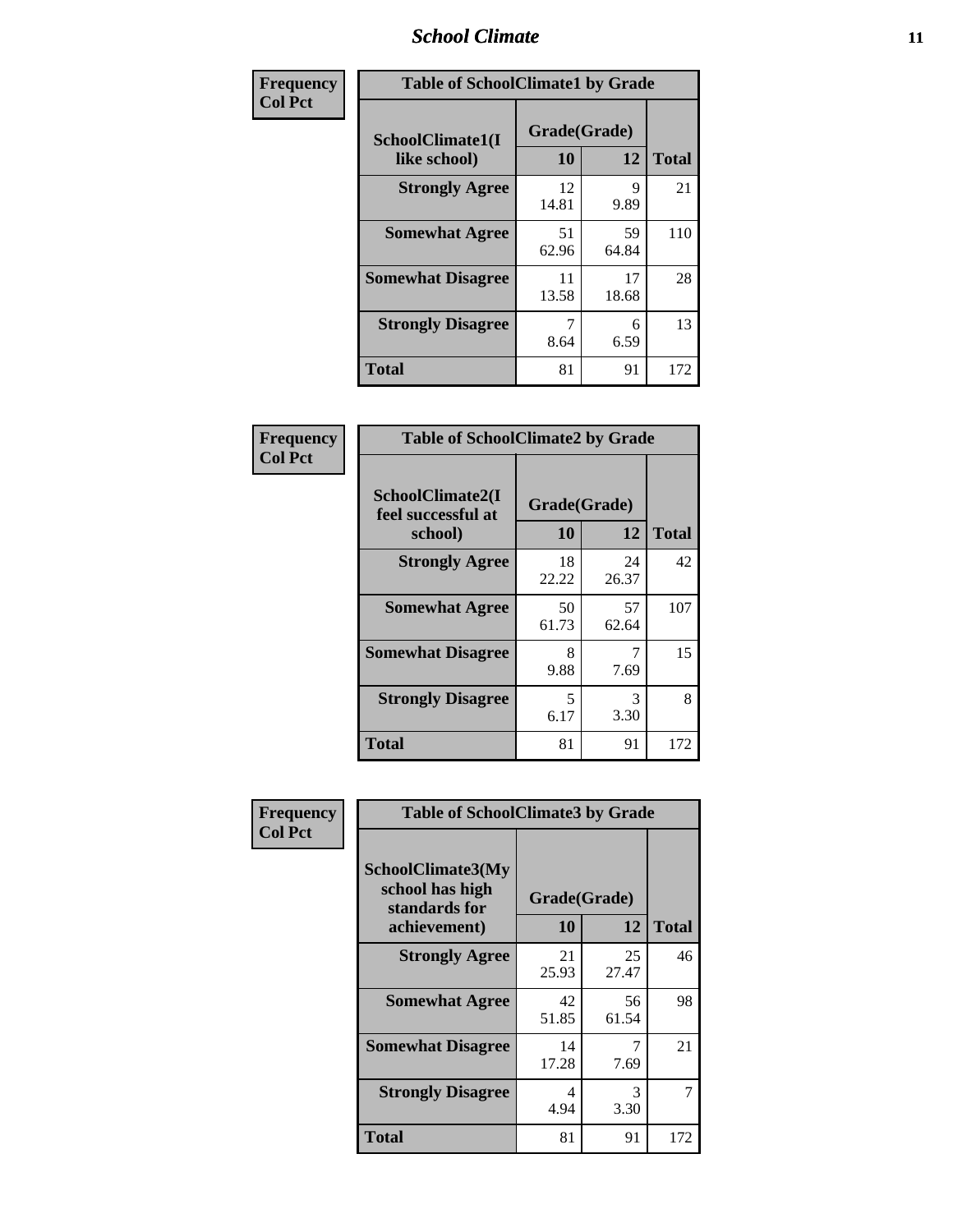### *School Climate* **11**

| Frequency      | <b>Table of SchoolClimate1 by Grade</b> |                    |             |              |  |
|----------------|-----------------------------------------|--------------------|-------------|--------------|--|
| <b>Col Pct</b> | SchoolClimate1(I<br>like school)        | Grade(Grade)<br>10 | 12          | <b>Total</b> |  |
|                | <b>Strongly Agree</b>                   | 12<br>14.81        | 9<br>9.89   | 21           |  |
|                | <b>Somewhat Agree</b>                   | 51<br>62.96        | 59<br>64.84 | 110          |  |
|                | <b>Somewhat Disagree</b>                | 11<br>13.58        | 17<br>18.68 | 28           |  |
|                | <b>Strongly Disagree</b>                | 8.64               | 6<br>6.59   | 13           |  |
|                | <b>Total</b>                            | 81                 | 91          | 172          |  |

| Frequency<br>Col Pct |
|----------------------|

| <b>Table of SchoolClimate2 by Grade</b>           |                    |             |              |  |
|---------------------------------------------------|--------------------|-------------|--------------|--|
| SchoolClimate2(I<br>feel successful at<br>school) | Grade(Grade)<br>10 | 12          | <b>Total</b> |  |
| <b>Strongly Agree</b>                             | 18<br>22.22        | 24<br>26.37 | 42           |  |
| <b>Somewhat Agree</b>                             | 50<br>61.73        | 57<br>62.64 | 107          |  |
| <b>Somewhat Disagree</b>                          | 8<br>9.88          | 7.69        | 15           |  |
| <b>Strongly Disagree</b>                          | 5<br>6.17          | 3<br>3.30   | 8            |  |
| <b>Total</b>                                      | 81                 | 91          | 172          |  |

| Frequency      | <b>Table of SchoolClimate3 by Grade</b>                                      |                           |             |              |
|----------------|------------------------------------------------------------------------------|---------------------------|-------------|--------------|
| <b>Col Pct</b> | <b>SchoolClimate3(My</b><br>school has high<br>standards for<br>achievement) | Grade(Grade)<br><b>10</b> | 12          | <b>Total</b> |
|                | <b>Strongly Agree</b>                                                        | 21                        | 25          | 46           |
|                |                                                                              | 25.93                     | 27.47       |              |
|                | <b>Somewhat Agree</b>                                                        | 42<br>51.85               | 56<br>61.54 | 98           |
|                | <b>Somewhat Disagree</b>                                                     | 14<br>17.28               | 7<br>7.69   | 21           |
|                | <b>Strongly Disagree</b>                                                     | 4<br>4.94                 | 3<br>3.30   |              |
|                | Total                                                                        | 81                        | 91          | 172          |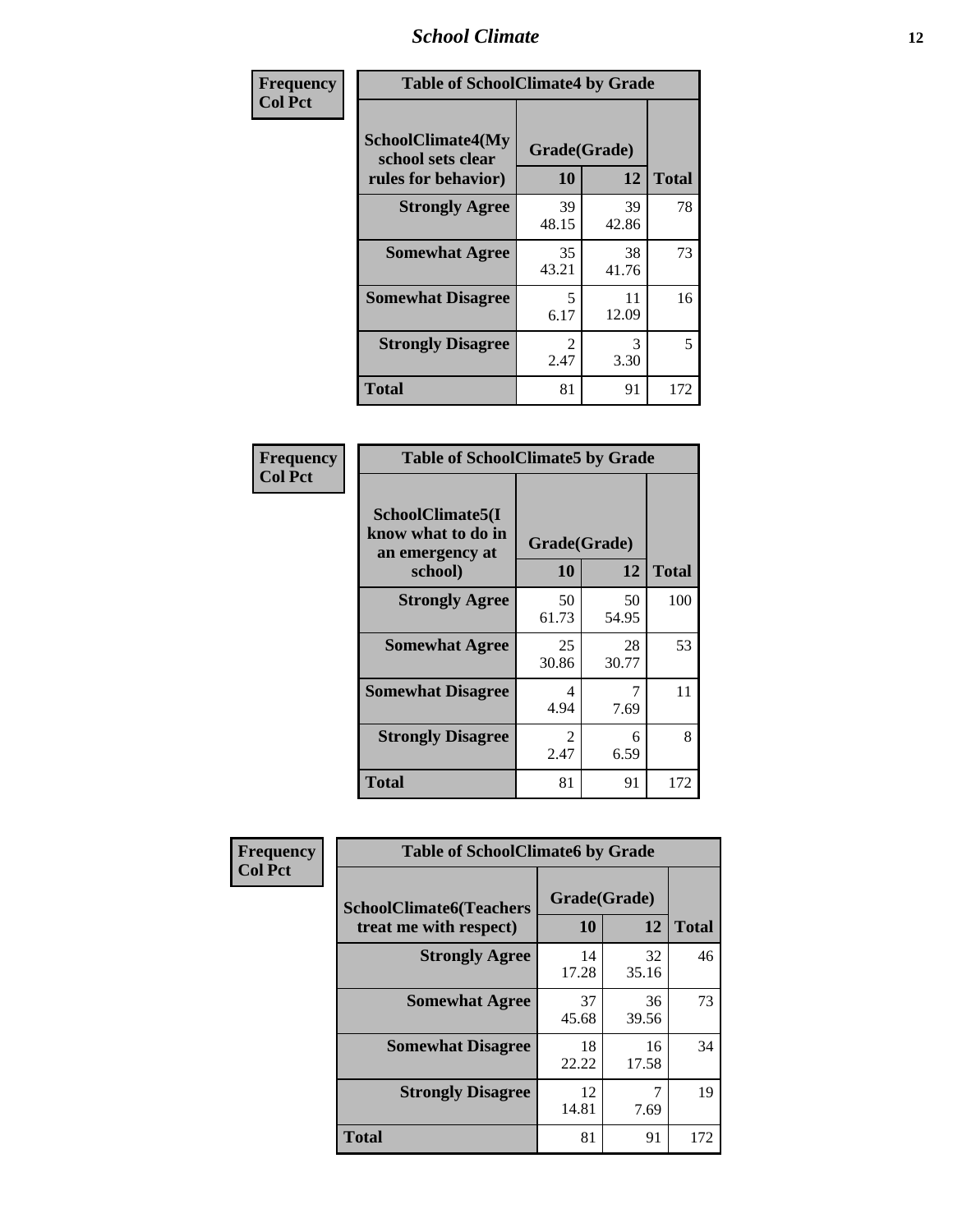### *School Climate* **12**

| Frequency      | <b>Table of SchoolClimate4 by Grade</b>                       |                        |             |              |
|----------------|---------------------------------------------------------------|------------------------|-------------|--------------|
| <b>Col Pct</b> | SchoolClimate4(My<br>school sets clear<br>rules for behavior) | Grade(Grade)<br>10     | 12          | <b>Total</b> |
|                | <b>Strongly Agree</b>                                         | 39<br>48.15            | 39<br>42.86 | 78           |
|                | <b>Somewhat Agree</b>                                         | 35<br>43.21            | 38<br>41.76 | 73           |
|                | <b>Somewhat Disagree</b>                                      | 5<br>6.17              | 11<br>12.09 | 16           |
|                | <b>Strongly Disagree</b>                                      | $\mathfrak{D}$<br>2.47 | 3<br>3.30   | 5            |
|                | Total                                                         | 81                     | 91          | 172          |

| <b>Table of SchoolClimate5 by Grade</b>                   |                    |             |              |  |  |
|-----------------------------------------------------------|--------------------|-------------|--------------|--|--|
| SchoolClimate5(I<br>know what to do in<br>an emergency at | Grade(Grade)<br>10 | 12          | <b>Total</b> |  |  |
| school)                                                   |                    |             |              |  |  |
| <b>Strongly Agree</b>                                     | 50<br>61.73        | 50<br>54.95 | 100          |  |  |
| <b>Somewhat Agree</b>                                     | 25<br>30.86        | 28<br>30.77 | 53           |  |  |
| <b>Somewhat Disagree</b>                                  | 4<br>4.94          | 7<br>7.69   | 11           |  |  |
| <b>Strongly Disagree</b>                                  | 2<br>2.47          | 6<br>6.59   | 8            |  |  |
| <b>Total</b>                                              | 81                 | 91          | 172          |  |  |

| Frequency      | <b>Table of SchoolClimate6 by Grade</b>                  |                    |             |              |
|----------------|----------------------------------------------------------|--------------------|-------------|--------------|
| <b>Col Pct</b> | <b>SchoolClimate6(Teachers</b><br>treat me with respect) | Grade(Grade)<br>10 | 12          | <b>Total</b> |
|                | <b>Strongly Agree</b>                                    | 14<br>17.28        | 32<br>35.16 | 46           |
|                | <b>Somewhat Agree</b>                                    | 37<br>45.68        | 36<br>39.56 | 73           |
|                | <b>Somewhat Disagree</b>                                 | 18<br>22.22        | 16<br>17.58 | 34           |
|                | <b>Strongly Disagree</b>                                 | 12<br>14.81        | 7.69        | 19           |
|                | <b>Total</b>                                             | 81                 | 91          | 172          |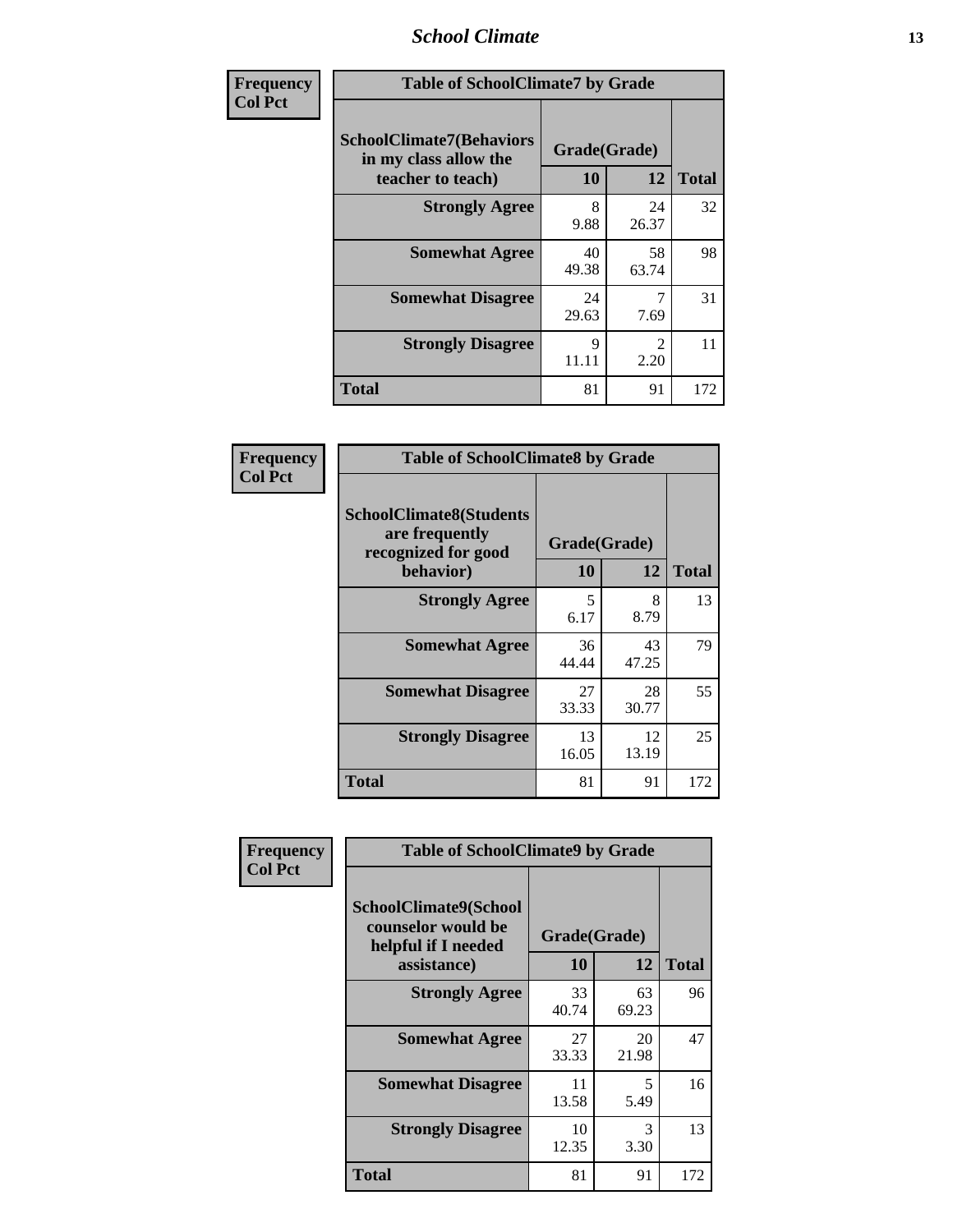### *School Climate* **13**

| Frequency      | <b>Table of SchoolClimate7 by Grade</b>                                       |                           |                        |              |
|----------------|-------------------------------------------------------------------------------|---------------------------|------------------------|--------------|
| <b>Col Pct</b> | <b>SchoolClimate7(Behaviors</b><br>in my class allow the<br>teacher to teach) | Grade(Grade)<br><b>10</b> | 12                     | <b>Total</b> |
|                | <b>Strongly Agree</b>                                                         | 8<br>9.88                 | 24<br>26.37            | 32           |
|                | <b>Somewhat Agree</b>                                                         | 40<br>49.38               | 58<br>63.74            | 98           |
|                | <b>Somewhat Disagree</b>                                                      | 24<br>29.63               | 7<br>7.69              | 31           |
|                | <b>Strongly Disagree</b>                                                      | $\mathbf Q$<br>11.11      | $\mathfrak{D}$<br>2.20 | 11           |
|                | <b>Total</b>                                                                  | 81                        | 91                     | 172          |

| Frequency      | <b>Table of SchoolClimate8 by Grade</b>                                              |                    |             |              |
|----------------|--------------------------------------------------------------------------------------|--------------------|-------------|--------------|
| <b>Col Pct</b> | <b>SchoolClimate8(Students</b><br>are frequently<br>recognized for good<br>behavior) | Grade(Grade)<br>10 | 12          | <b>Total</b> |
|                | <b>Strongly Agree</b>                                                                | 5<br>6.17          | 8<br>8.79   | 13           |
|                | <b>Somewhat Agree</b>                                                                | 36<br>44.44        | 43<br>47.25 | 79           |
|                | <b>Somewhat Disagree</b>                                                             | 27<br>33.33        | 28<br>30.77 | 55           |
|                | <b>Strongly Disagree</b>                                                             | 13<br>16.05        | 12<br>13.19 | 25           |
|                | <b>Total</b>                                                                         | 81                 | 91          | 172          |

| Frequency      | <b>Table of SchoolClimate9 by Grade</b>                                                  |                    |             |              |
|----------------|------------------------------------------------------------------------------------------|--------------------|-------------|--------------|
| <b>Col Pct</b> | <b>SchoolClimate9(School</b><br>counselor would be<br>helpful if I needed<br>assistance) | Grade(Grade)<br>10 | 12          | <b>Total</b> |
|                | <b>Strongly Agree</b>                                                                    | 33<br>40.74        | 63<br>69.23 | 96           |
|                | <b>Somewhat Agree</b>                                                                    | 27<br>33.33        | 20<br>21.98 | 47           |
|                | <b>Somewhat Disagree</b>                                                                 | 11<br>13.58        | 5<br>5.49   | 16           |
|                | <b>Strongly Disagree</b>                                                                 | 10<br>12.35        | 3<br>3.30   | 13           |
|                | Total                                                                                    | 81                 | 91          | 172          |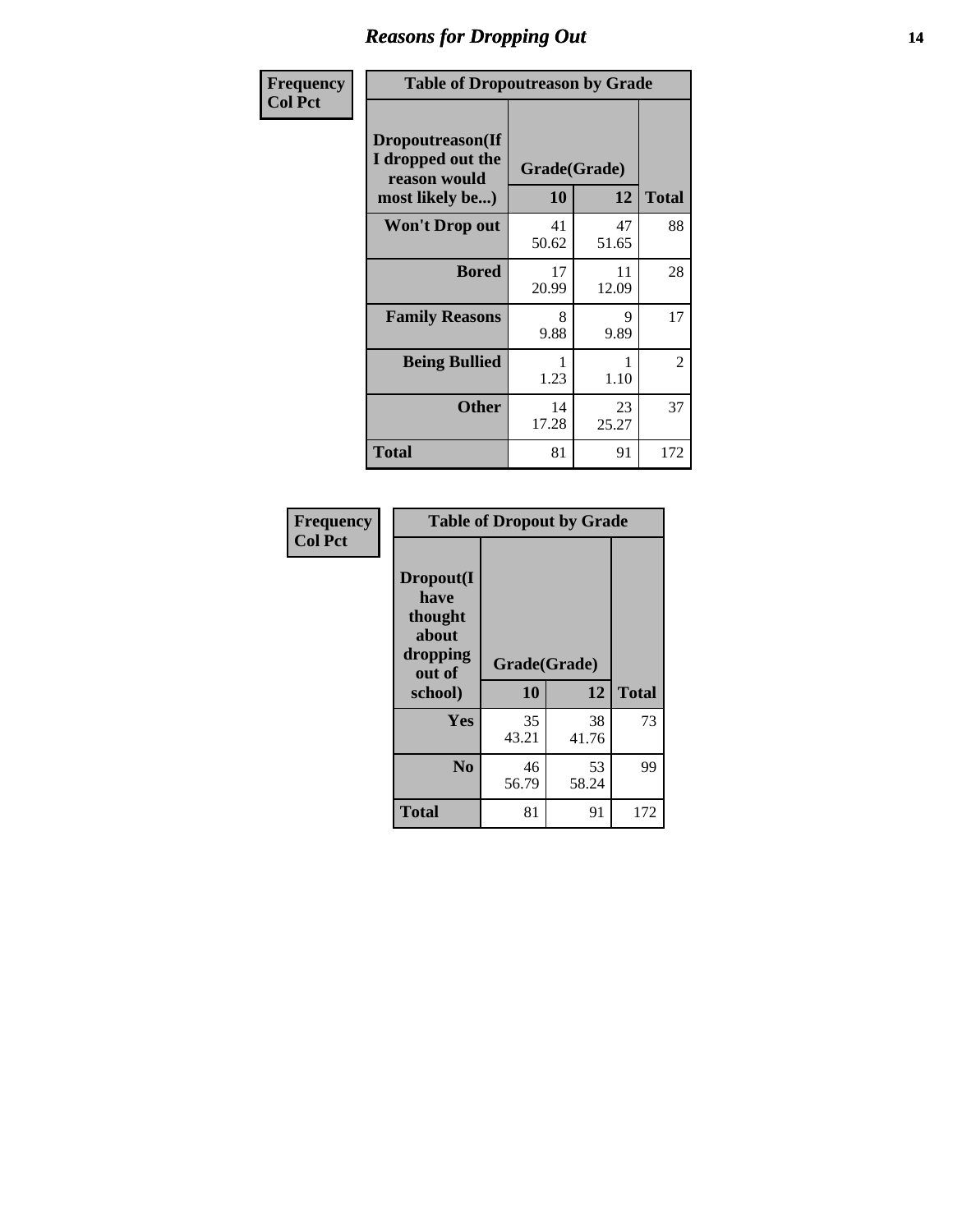### *Reasons for Dropping Out* **14**

| Frequency      | <b>Table of Dropoutreason by Grade</b>                                   |                    |             |              |
|----------------|--------------------------------------------------------------------------|--------------------|-------------|--------------|
| <b>Col Pct</b> | Dropoutreason(If<br>I dropped out the<br>reason would<br>most likely be) | Grade(Grade)<br>10 | 12          | <b>Total</b> |
|                | <b>Won't Drop out</b>                                                    | 41<br>50.62        | 47<br>51.65 | 88           |
|                | <b>Bored</b>                                                             | 17<br>20.99        | 11<br>12.09 | 28           |
|                | <b>Family Reasons</b>                                                    | 8<br>9.88          | 9<br>9.89   | 17           |
|                | <b>Being Bullied</b>                                                     | 1.23               | 1.10        | 2            |
|                | <b>Other</b>                                                             | 14<br>17.28        | 23<br>25.27 | 37           |
|                | <b>Total</b>                                                             | 81                 | 91          | 172          |

| Frequency<br><b>Col Pct</b> | <b>Table of Dropout by Grade</b>                                       |                    |              |     |  |
|-----------------------------|------------------------------------------------------------------------|--------------------|--------------|-----|--|
|                             | Dropout(I<br>have<br>thought<br>about<br>dropping<br>out of<br>school) | Grade(Grade)<br>10 | <b>Total</b> |     |  |
|                             |                                                                        |                    | 12           |     |  |
|                             | Yes                                                                    | 35<br>43.21        | 38<br>41.76  | 73  |  |
|                             | N <sub>0</sub>                                                         | 46<br>56.79        | 53<br>58.24  | 99  |  |
|                             | <b>Total</b>                                                           |                    | 91           | 172 |  |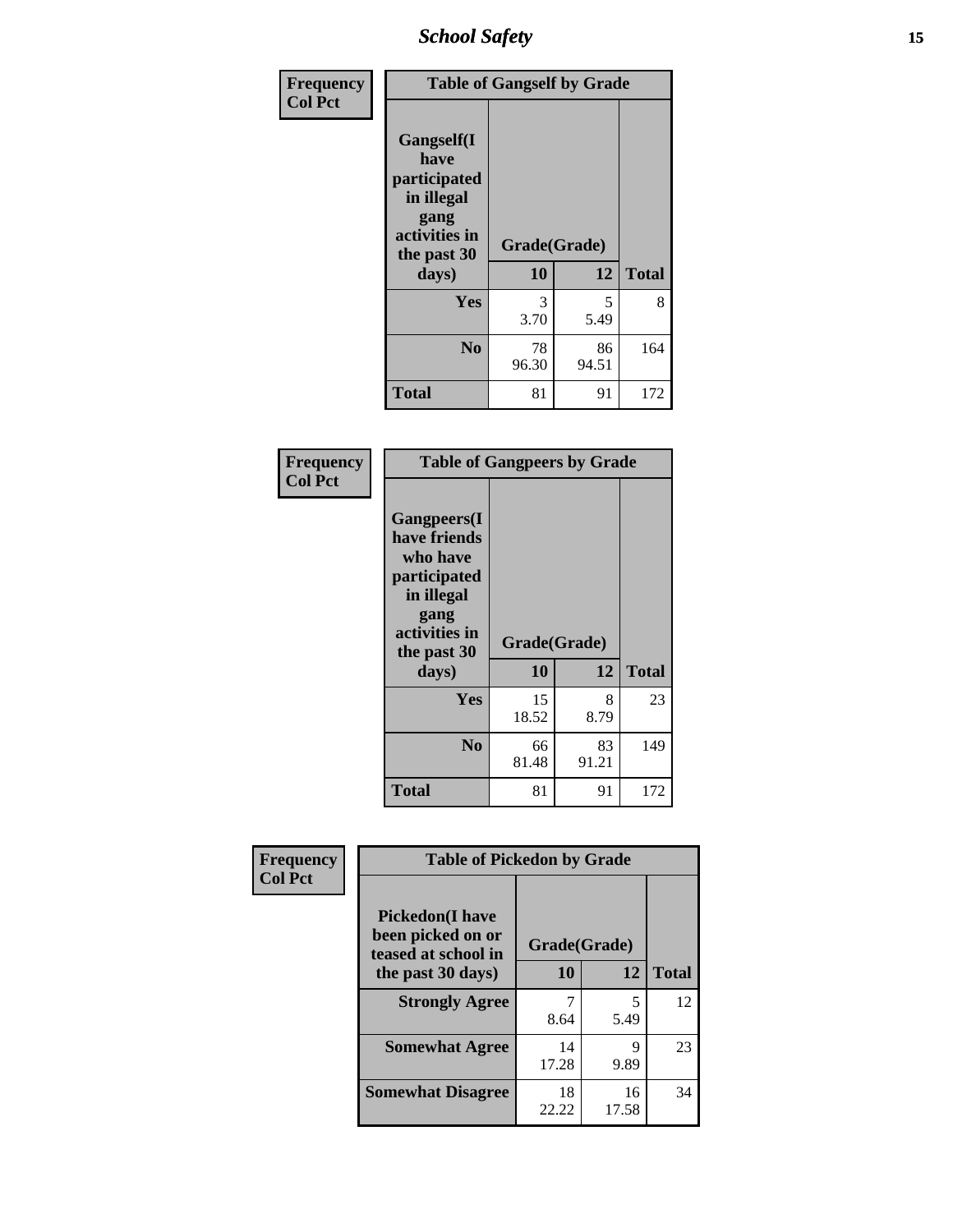*School Safety* **15**

| Frequency      | <b>Table of Gangself by Grade</b>                                                                 |                    |             |              |
|----------------|---------------------------------------------------------------------------------------------------|--------------------|-------------|--------------|
| <b>Col Pct</b> | Gangself(I<br>have<br>participated<br>in illegal<br>gang<br>activities in<br>the past 30<br>days) | Grade(Grade)<br>10 | 12          | <b>Total</b> |
|                | Yes                                                                                               | 3<br>3.70          | 5<br>5.49   | 8            |
|                | N <sub>0</sub>                                                                                    | 78<br>96.30        | 86<br>94.51 | 164          |
|                | <b>Total</b>                                                                                      | 81                 | 91          | 172          |

| Frequency<br><b>Col Pct</b> | <b>Table of Gangpeers by Grade</b>                                                                                             |                    |             |              |
|-----------------------------|--------------------------------------------------------------------------------------------------------------------------------|--------------------|-------------|--------------|
|                             | <b>Gangpeers</b> (I<br>have friends<br>who have<br>participated<br>in illegal<br>gang<br>activities in<br>the past 30<br>days) | Grade(Grade)<br>10 | 12          | <b>Total</b> |
|                             | Yes                                                                                                                            | 15<br>18.52        | 8<br>8.79   | 23           |
|                             | N <sub>0</sub>                                                                                                                 | 66<br>81.48        | 83<br>91.21 | 149          |
|                             | <b>Total</b>                                                                                                                   | 81                 | 91          | 172          |

| Frequency      |                                                                    | <b>Table of Pickedon by Grade</b> |             |              |  |  |  |  |  |  |
|----------------|--------------------------------------------------------------------|-----------------------------------|-------------|--------------|--|--|--|--|--|--|
| <b>Col Pct</b> | <b>Pickedon(I have</b><br>been picked on or<br>teased at school in | Grade(Grade)                      |             |              |  |  |  |  |  |  |
|                | the past 30 days)                                                  | <b>10</b>                         | 12          | <b>Total</b> |  |  |  |  |  |  |
|                | <b>Strongly Agree</b>                                              | 8.64                              | 5<br>5.49   | 12           |  |  |  |  |  |  |
|                | <b>Somewhat Agree</b>                                              | 14<br>17.28                       | 9<br>9.89   | 23           |  |  |  |  |  |  |
|                | <b>Somewhat Disagree</b>                                           | 18<br>22.22                       | 16<br>17.58 | 34           |  |  |  |  |  |  |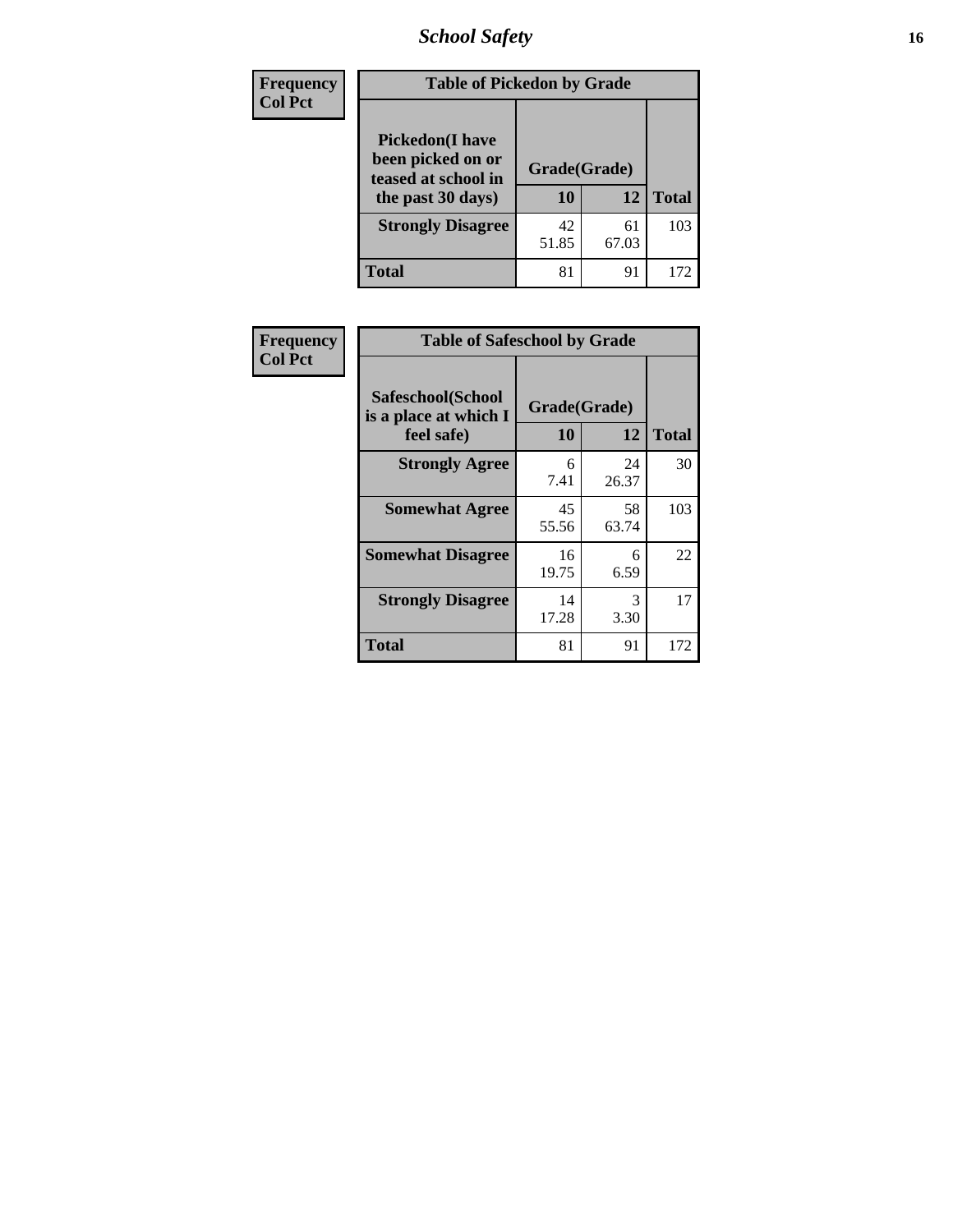*School Safety* **16**

| <b>Frequency</b> | <b>Table of Pickedon by Grade</b>                                                        |                    |             |              |
|------------------|------------------------------------------------------------------------------------------|--------------------|-------------|--------------|
| <b>Col Pct</b>   | <b>Pickedon</b> (I have<br>been picked on or<br>teased at school in<br>the past 30 days) | Grade(Grade)<br>10 | 12          | <b>Total</b> |
|                  | <b>Strongly Disagree</b>                                                                 | 42<br>51.85        | 61<br>67.03 | 103          |
|                  | <b>Total</b>                                                                             | 81                 | 91          | 172          |

| <b>Frequency</b> | <b>Table of Safeschool by Grade</b>        |              |             |              |
|------------------|--------------------------------------------|--------------|-------------|--------------|
| <b>Col Pct</b>   | Safeschool(School<br>is a place at which I | Grade(Grade) |             |              |
|                  | feel safe)                                 | 10           | 12          | <b>Total</b> |
|                  | <b>Strongly Agree</b>                      | 6<br>7.41    | 24<br>26.37 | 30           |
|                  | <b>Somewhat Agree</b>                      | 45<br>55.56  | 58<br>63.74 | 103          |
|                  | <b>Somewhat Disagree</b>                   | 16<br>19.75  | 6<br>6.59   | 22           |
|                  | <b>Strongly Disagree</b>                   | 14<br>17.28  | 3<br>3.30   | 17           |
|                  | <b>Total</b>                               | 81           | 91          | 172          |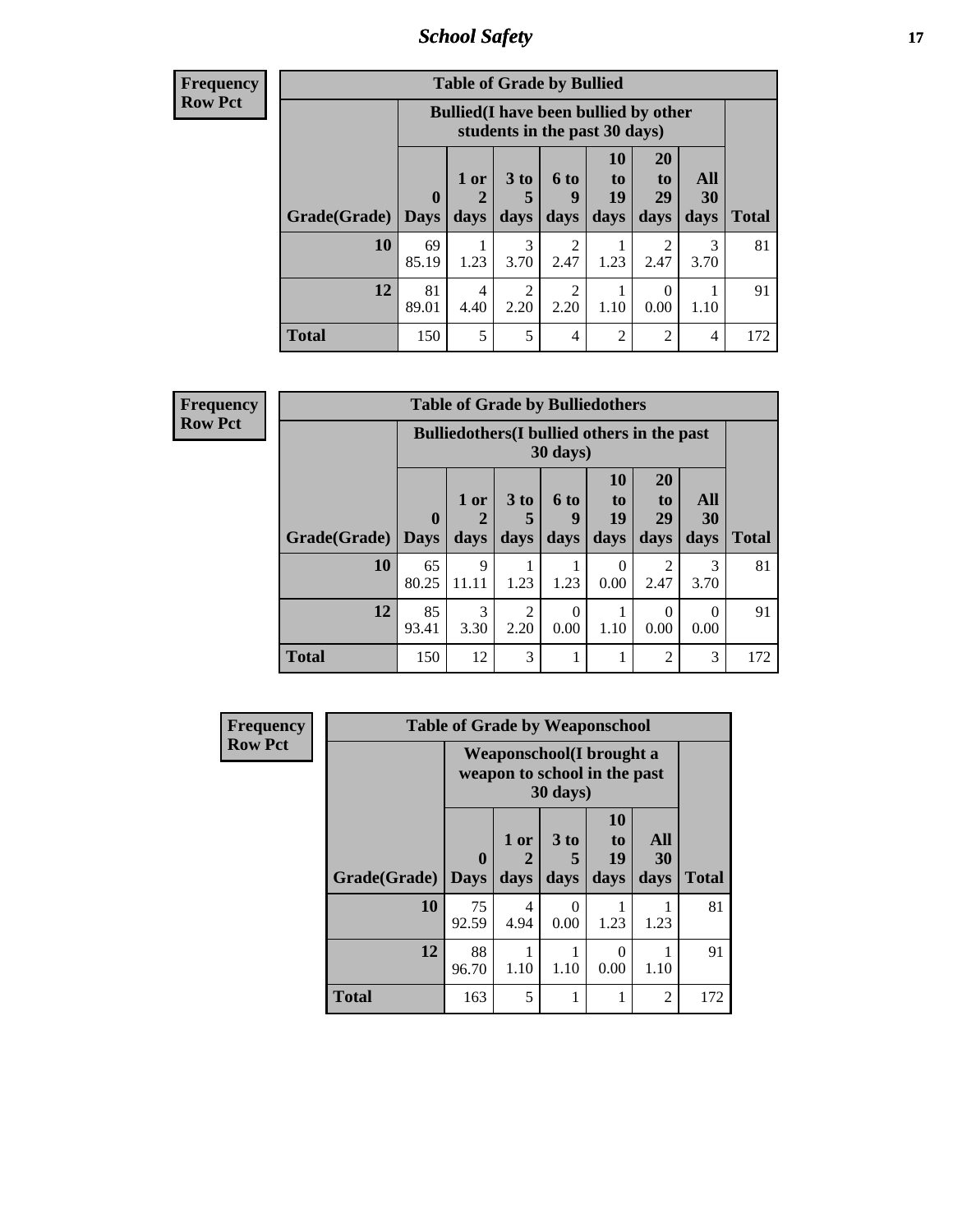*School Safety* **17**

**Frequency Row Pct**

| <b>Table of Grade by Bullied</b> |              |                                                                               |              |                          |                        |                               |                   |              |  |  |
|----------------------------------|--------------|-------------------------------------------------------------------------------|--------------|--------------------------|------------------------|-------------------------------|-------------------|--------------|--|--|
|                                  |              | <b>Bullied</b> (I have been bullied by other<br>students in the past 30 days) |              |                          |                        |                               |                   |              |  |  |
| <b>Grade</b> (Grade)   Days      | $\mathbf{0}$ | 1 or<br>$\overline{2}$<br>days                                                | 3 to<br>days | <b>6 to</b><br>9<br>days | 10<br>to<br>19<br>days | <b>20</b><br>to<br>29<br>days | All<br>30<br>days | <b>Total</b> |  |  |
| 10                               | 69<br>85.19  | 1.23                                                                          | 3<br>3.70    | 2.47                     | 1.23                   | $\mathfrak{D}$<br>2.47        | 3<br>3.70         | 81           |  |  |
| 12                               | 81<br>89.01  | 4<br>4.40                                                                     | 2<br>2.20    | $\mathfrak{D}$<br>2.20   | 1.10                   | $\left($<br>0.00              | 1.10              | 91           |  |  |
| <b>Total</b>                     | 150          | 5                                                                             | 5            | 4                        | $\overline{2}$         | $\overline{2}$                | 4                 | 172          |  |  |

| <b>Table of Grade by Bulliedothers</b> |                                                                |                   |                        |                   |                        |                        |                   |              |  |  |  |
|----------------------------------------|----------------------------------------------------------------|-------------------|------------------------|-------------------|------------------------|------------------------|-------------------|--------------|--|--|--|
|                                        | <b>Bulliedothers</b> (I bullied others in the past<br>30 days) |                   |                        |                   |                        |                        |                   |              |  |  |  |
| <b>Grade</b> (Grade)   Days            | $\mathbf{0}$                                                   | 1 or<br>2<br>days | 3 to<br>5<br>days      | 6 to<br>q<br>days | 10<br>to<br>19<br>days | 20<br>to<br>29<br>days | All<br>30<br>days | <b>Total</b> |  |  |  |
| 10                                     | 65<br>80.25                                                    | 9<br>11.11        | 1.23                   | 1.23              | $\Omega$<br>0.00       | 2<br>2.47              | 3<br>3.70         | 81           |  |  |  |
| 12                                     | 85<br>93.41                                                    | 3<br>3.30         | $\overline{2}$<br>2.20 | 0<br>0.00         | 1.10                   | $\Omega$<br>0.00       | 0.00              | 91           |  |  |  |
| <b>Total</b>                           | 150                                                            | 12                | 3                      |                   | 1                      | $\overline{c}$         | 3                 | 172          |  |  |  |

| <b>Frequency</b> |              | <b>Table of Grade by Weaponschool</b>                            |              |                              |                                    |                          |              |
|------------------|--------------|------------------------------------------------------------------|--------------|------------------------------|------------------------------------|--------------------------|--------------|
| <b>Row Pct</b>   |              | <b>Weaponschool</b> (I brought a<br>weapon to school in the past |              |                              |                                    |                          |              |
|                  | Grade(Grade) | 0<br>  Days                                                      | 1 or<br>days | 3 <sub>to</sub><br>5<br>days | 10<br>t <sub>0</sub><br>19<br>days | All<br><b>30</b><br>days | <b>Total</b> |
|                  | 10           | 75<br>92.59                                                      | 4<br>4.94    | $\Omega$<br>0.00             | 1.23                               | 1.23                     | 81           |
|                  | 12           | 88<br>96.70                                                      | 1.10         | 1.10                         | 0.00                               | 1.10                     | 91           |
|                  | <b>Total</b> | 163                                                              | 5            | 1                            |                                    | $\overline{2}$           | 172          |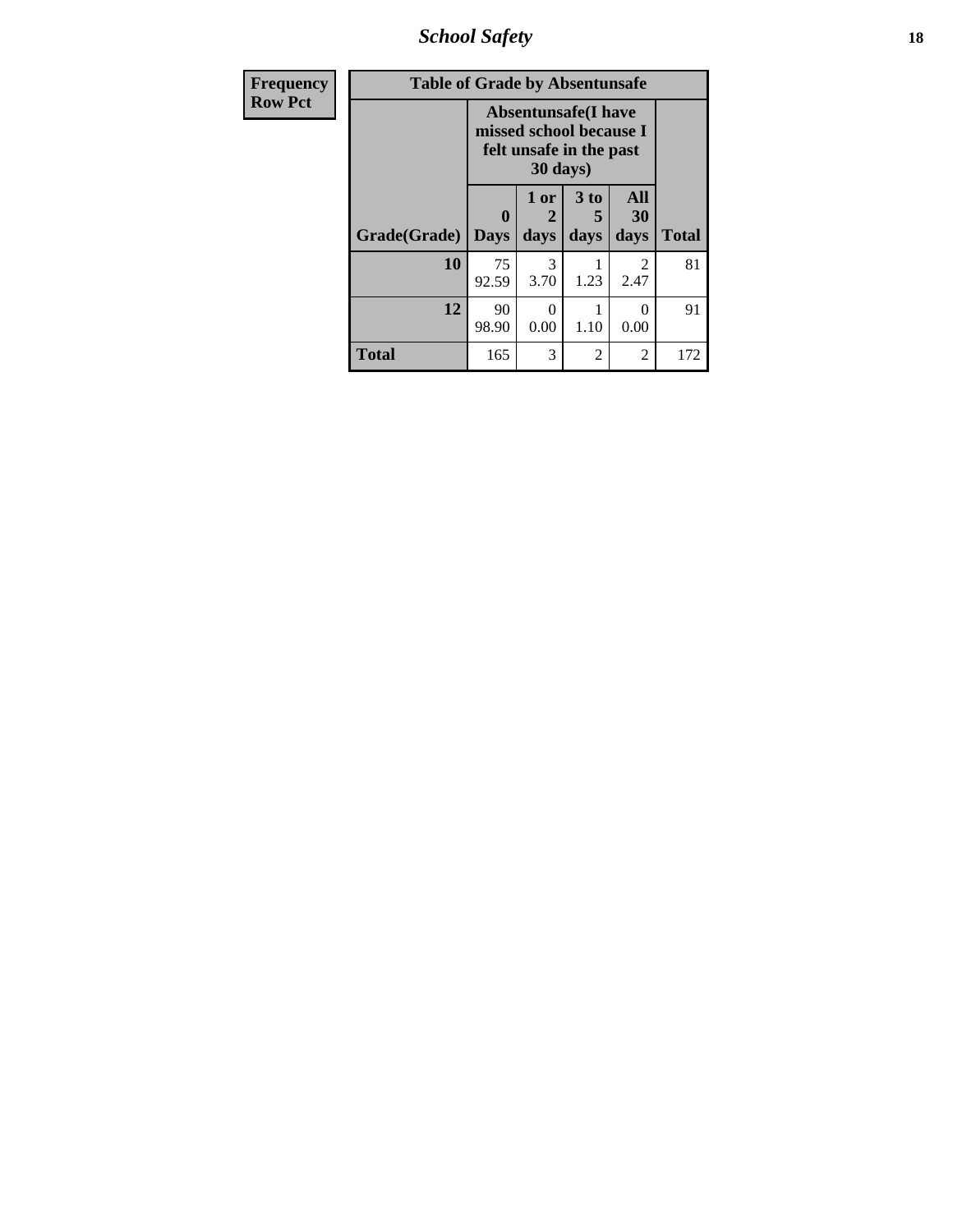*School Safety* **18**

| <b>Frequency</b> | <b>Table of Grade by Absentunsafe</b> |                                                                                  |                   |                              |                       |              |  |  |  |  |
|------------------|---------------------------------------|----------------------------------------------------------------------------------|-------------------|------------------------------|-----------------------|--------------|--|--|--|--|
| <b>Row Pct</b>   |                                       | <b>Absentunsafe(I have</b><br>missed school because I<br>felt unsafe in the past |                   |                              |                       |              |  |  |  |  |
|                  | Grade(Grade)                          | 0<br><b>Days</b>                                                                 | 1 or<br>2<br>days | 3 <sub>to</sub><br>5<br>days | All<br>30<br>days     | <b>Total</b> |  |  |  |  |
|                  | 10                                    | 75<br>92.59                                                                      | 3<br>3.70         | 1.23                         | $\mathcal{L}$<br>2.47 | 81           |  |  |  |  |
|                  | 12                                    | 90<br>98.90                                                                      | 0<br>0.00         | 1.10                         | $\Omega$<br>0.00      | 91           |  |  |  |  |
|                  | <b>Total</b>                          | 165                                                                              | 3                 | 2                            | 2                     | 172          |  |  |  |  |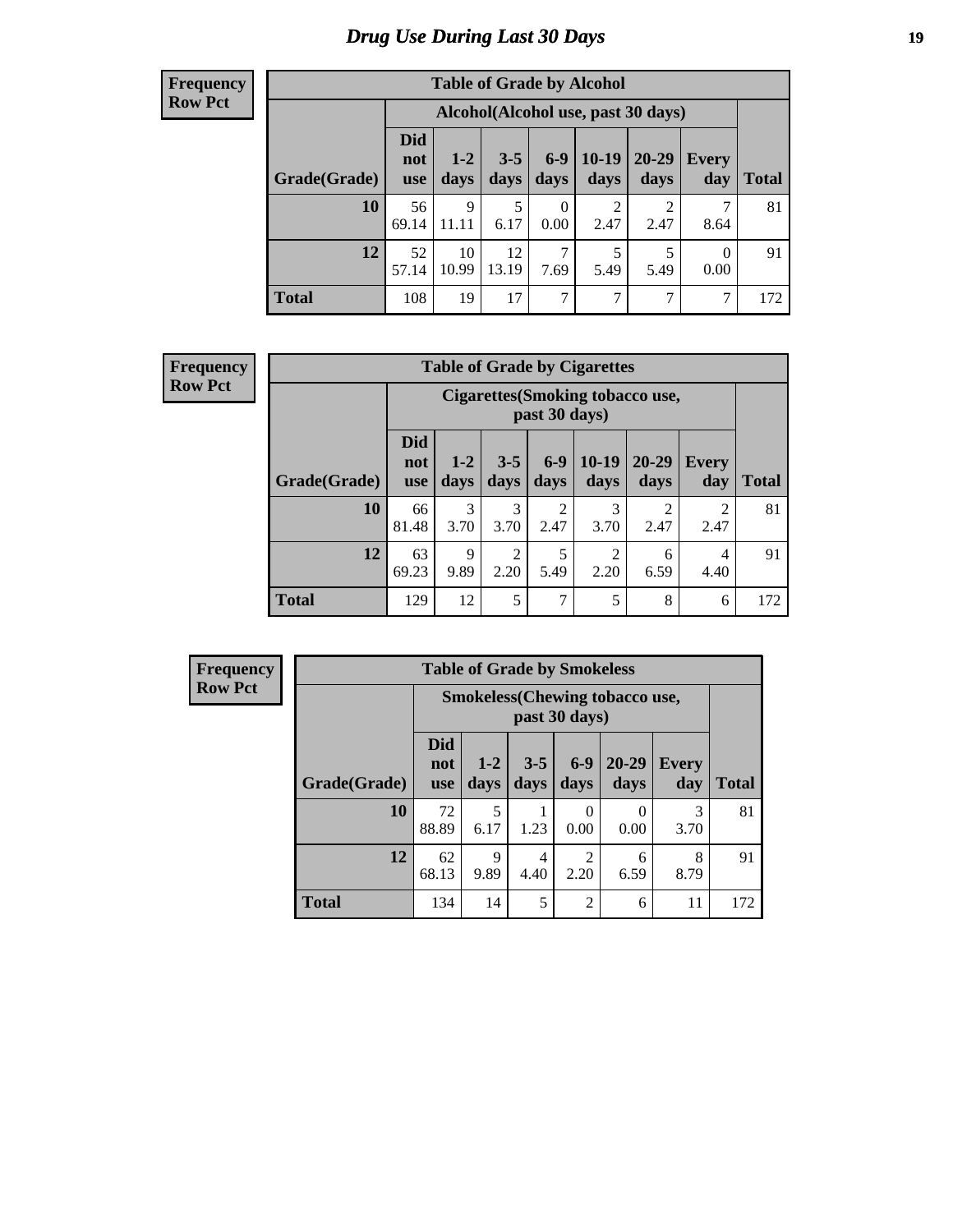# *Drug Use During Last 30 Days* **19**

#### **Frequency Row Pct**

| <b>Table of Grade by Alcohol</b> |                                 |                                    |                 |                  |                 |                   |                  |              |  |  |  |  |
|----------------------------------|---------------------------------|------------------------------------|-----------------|------------------|-----------------|-------------------|------------------|--------------|--|--|--|--|
|                                  |                                 | Alcohol(Alcohol use, past 30 days) |                 |                  |                 |                   |                  |              |  |  |  |  |
| Grade(Grade)                     | <b>Did</b><br>not<br><b>use</b> | $1-2$<br>days                      | $3 - 5$<br>days | $6-9$<br>days    | $10-19$<br>days | $20 - 29$<br>days | Every<br>day     | <b>Total</b> |  |  |  |  |
| 10                               | 56<br>69.14                     | 9<br>11.11                         | 5<br>6.17       | $\Omega$<br>0.00 | 2<br>2.47       | 2<br>2.47         | 7<br>8.64        | 81           |  |  |  |  |
| 12                               | 52<br>57.14                     | 10<br>10.99                        | 12<br>13.19     | 7<br>7.69        | 5<br>5.49       | 5<br>5.49         | $\Omega$<br>0.00 | 91           |  |  |  |  |
| <b>Total</b>                     | 108                             | 19                                 | 17              | 7                | 7               | 7                 | 7                | 172          |  |  |  |  |

#### **Frequency Row Pct**

| <b>Table of Grade by Cigarettes</b> |                                 |                                                          |                 |                        |                 |                        |                     |              |  |  |  |  |
|-------------------------------------|---------------------------------|----------------------------------------------------------|-----------------|------------------------|-----------------|------------------------|---------------------|--------------|--|--|--|--|
|                                     |                                 | <b>Cigarettes (Smoking tobacco use,</b><br>past 30 days) |                 |                        |                 |                        |                     |              |  |  |  |  |
| Grade(Grade)                        | <b>Did</b><br>not<br><b>use</b> | $1 - 2$<br>days                                          | $3 - 5$<br>days | $6 - 9$<br>days        | $10-19$<br>days | $20 - 29$<br>days      | <b>Every</b><br>day | <b>Total</b> |  |  |  |  |
| 10                                  | 66<br>81.48                     | 3<br>3.70                                                | 3<br>3.70       | $\overline{2}$<br>2.47 | 3<br>3.70       | $\overline{2}$<br>2.47 | 2<br>2.47           | 81           |  |  |  |  |
| 12                                  | 63<br>69.23                     | $\mathbf Q$<br>9.89                                      | 2<br>2.20       | 5<br>5.49              | 2<br>2.20       | 6<br>6.59              | 4<br>4.40           | 91           |  |  |  |  |
| <b>Total</b>                        | 129                             | 12                                                       | 5               | 7                      | 5               | 8                      | 6                   | 172          |  |  |  |  |

| <b>Table of Grade by Smokeless</b> |                                 |                                                         |                 |                        |                           |                     |              |  |  |  |  |
|------------------------------------|---------------------------------|---------------------------------------------------------|-----------------|------------------------|---------------------------|---------------------|--------------|--|--|--|--|
|                                    |                                 | <b>Smokeless</b> (Chewing tobacco use,<br>past 30 days) |                 |                        |                           |                     |              |  |  |  |  |
| Grade(Grade)                       | <b>Did</b><br>not<br><b>use</b> | $1 - 2$<br>days                                         | $3 - 5$<br>days | $6 - 9$<br>days        | $20 - 29$<br>days         | <b>Every</b><br>day | <b>Total</b> |  |  |  |  |
| 10                                 | 72<br>88.89                     | 5<br>6.17                                               | 1.23            | 0<br>0.00              | $\mathbf{\Omega}$<br>0.00 | 3<br>3.70           | 81           |  |  |  |  |
| 12                                 | 62<br>68.13                     | $\mathbf Q$<br>9.89                                     | 4<br>4.40       | $\overline{2}$<br>2.20 | 6<br>6.59                 | 8<br>8.79           | 91           |  |  |  |  |
| <b>Total</b>                       | 134                             | 14                                                      | 5               | 2                      | 6                         | 11                  | 172          |  |  |  |  |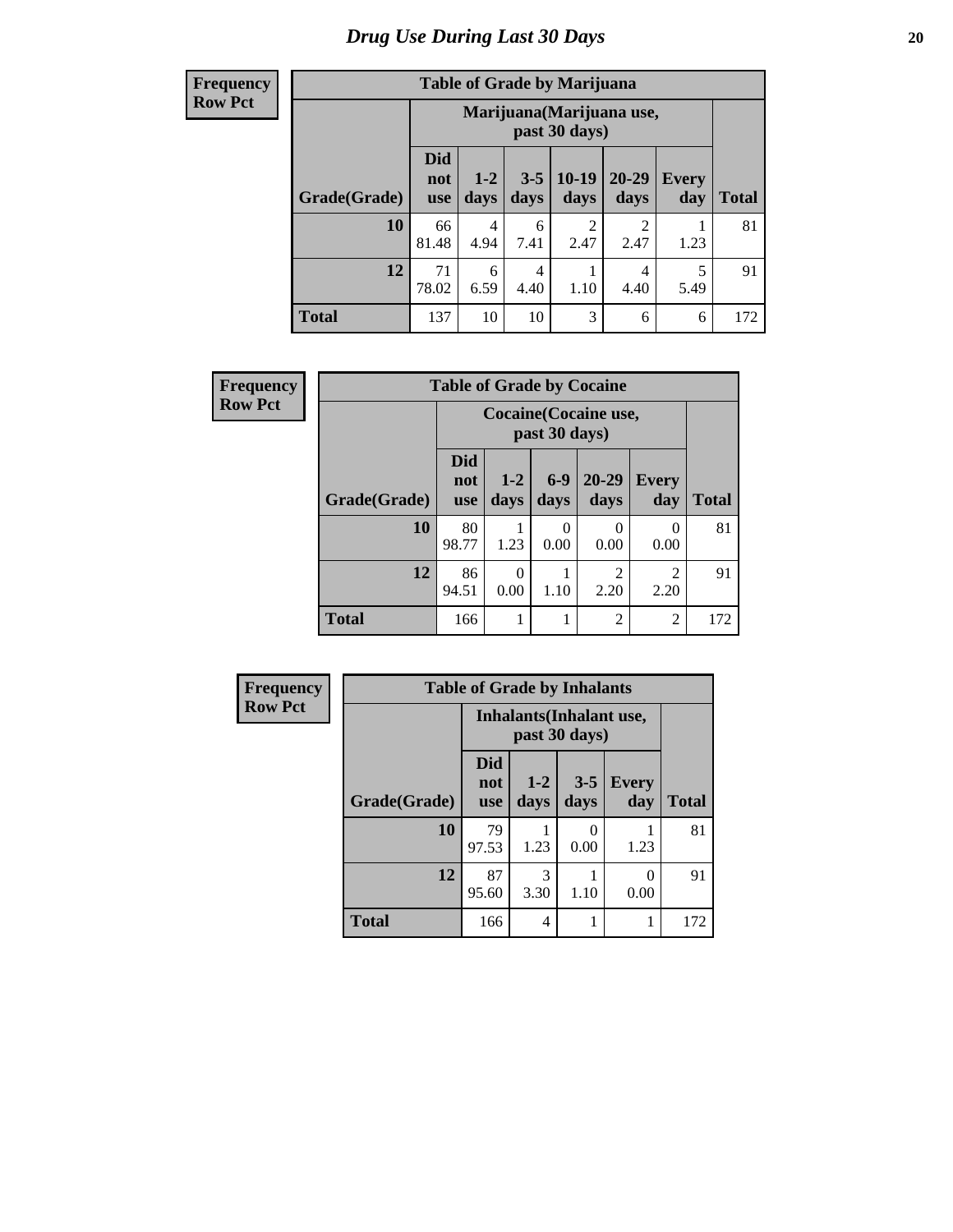| <b>Table of Grade by Marijuana</b> |                                 |                                            |                 |                 |               |                     |       |  |  |  |  |  |
|------------------------------------|---------------------------------|--------------------------------------------|-----------------|-----------------|---------------|---------------------|-------|--|--|--|--|--|
|                                    |                                 | Marijuana (Marijuana use,<br>past 30 days) |                 |                 |               |                     |       |  |  |  |  |  |
| Grade(Grade)                       | <b>Did</b><br>not<br><b>use</b> | $1-2$<br>days                              | $3 - 5$<br>days | $10-19$<br>days | 20-29<br>days | <b>Every</b><br>day | Total |  |  |  |  |  |
| 10                                 | 66<br>81.48                     | 4<br>4.94                                  | 6<br>7.41       | 2<br>2.47       | 2<br>2.47     | 1.23                | 81    |  |  |  |  |  |
| 12                                 | 71<br>78.02                     | 6<br>6.59                                  | 4<br>4.40       | 1.10            | 4<br>4.40     | 5<br>5.49           | 91    |  |  |  |  |  |
| <b>Total</b>                       | 137                             | 10                                         | 10              | 3               | 6             | 6                   | 172   |  |  |  |  |  |

| Frequency      |              | <b>Table of Grade by Cocaine</b> |                  |               |                       |                        |              |  |  |  |
|----------------|--------------|----------------------------------|------------------|---------------|-----------------------|------------------------|--------------|--|--|--|
| <b>Row Pct</b> |              |                                  |                  | past 30 days) | Cocaine (Cocaine use, |                        |              |  |  |  |
|                | Grade(Grade) | <b>Did</b><br>not<br><b>use</b>  | $1-2$<br>days    | $6-9$<br>days | $20 - 29$<br>days     | <b>Every</b><br>day    | <b>Total</b> |  |  |  |
|                | 10           | 80<br>98.77                      | 1.23             | 0<br>0.00     | 0.00                  | 0<br>0.00              | 81           |  |  |  |
|                | 12           | 86<br>94.51                      | $\Omega$<br>0.00 | 1.10          | 2<br>2.20             | $\overline{2}$<br>2.20 | 91           |  |  |  |
|                | <b>Total</b> | 166                              |                  |               | $\overline{c}$        | $\overline{2}$         | 172          |  |  |  |

| <b>Frequency</b> | <b>Table of Grade by Inhalants</b> |                                                  |                |                 |                     |              |  |
|------------------|------------------------------------|--------------------------------------------------|----------------|-----------------|---------------------|--------------|--|
| <b>Row Pct</b>   |                                    | <b>Inhalants</b> (Inhalant use,<br>past 30 days) |                |                 |                     |              |  |
|                  | Grade(Grade)                       | <b>Did</b><br>not<br><b>use</b>                  | $1-2$<br>days  | $3 - 5$<br>days | <b>Every</b><br>day | <b>Total</b> |  |
|                  | 10                                 | 79<br>97.53                                      | 1.23           | 0<br>0.00       | 1.23                | 81           |  |
|                  | 12                                 | 87<br>95.60                                      | 3<br>3.30      | 1.10            | 0<br>0.00           | 91           |  |
|                  | <b>Total</b>                       | 166                                              | $\overline{4}$ |                 | 1                   | 172          |  |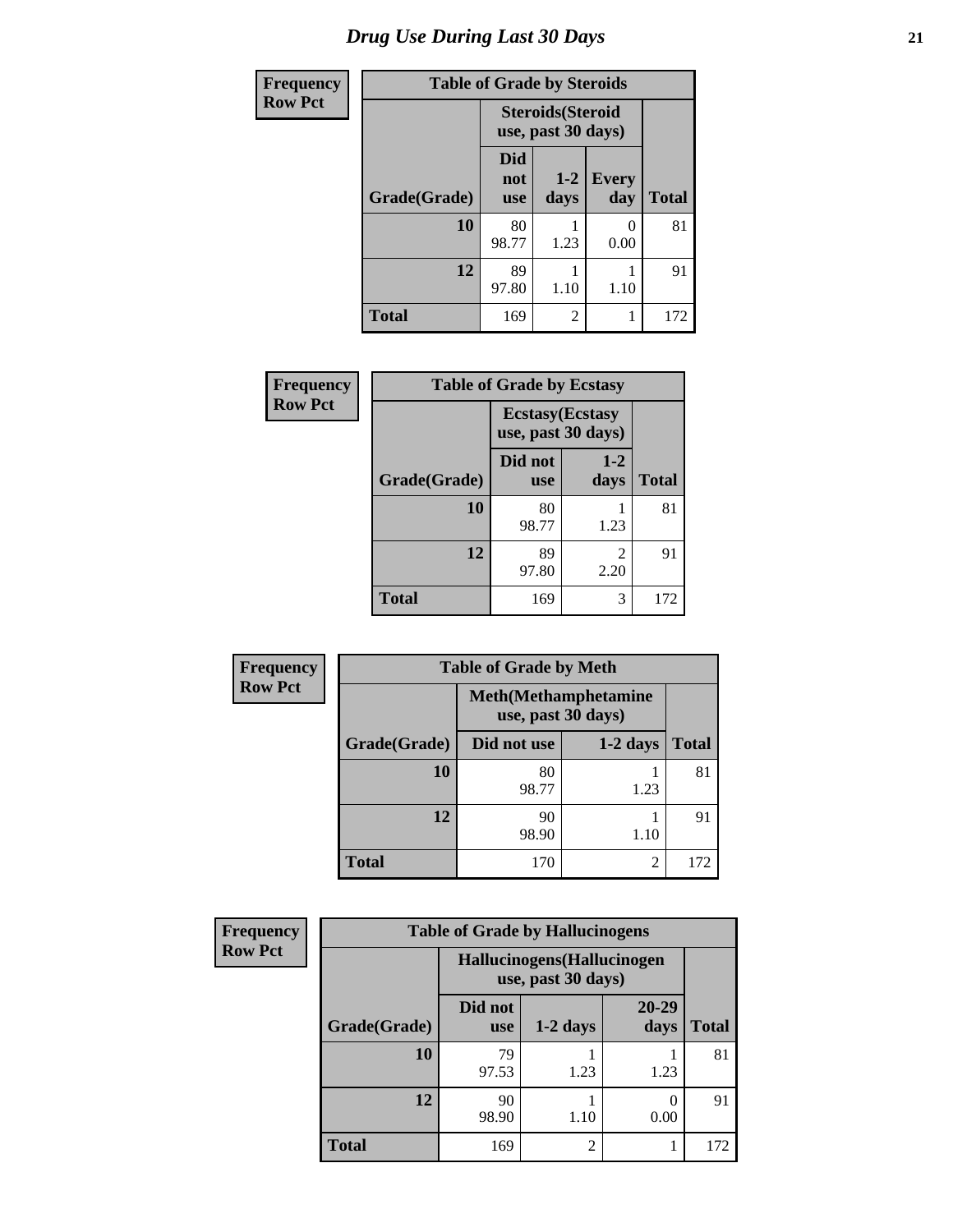| <b>Frequency</b> | <b>Table of Grade by Steroids</b> |                                                |                |                     |              |  |  |
|------------------|-----------------------------------|------------------------------------------------|----------------|---------------------|--------------|--|--|
| <b>Row Pct</b>   |                                   | <b>Steroids</b> (Steroid<br>use, past 30 days) |                |                     |              |  |  |
|                  | Grade(Grade)                      | <b>Did</b><br>not<br><b>use</b>                | $1-2$<br>days  | <b>Every</b><br>day | <b>Total</b> |  |  |
|                  | 10                                | 80<br>98.77                                    | 1.23           | 0<br>0.00           | 81           |  |  |
|                  | 12                                | 89<br>97.80                                    | 1.10           | 1.10                | 91           |  |  |
|                  | <b>Total</b>                      | 169                                            | $\mathfrak{D}$ |                     | 172          |  |  |

| Frequency      | <b>Table of Grade by Ecstasy</b> |                                               |                        |              |  |  |
|----------------|----------------------------------|-----------------------------------------------|------------------------|--------------|--|--|
| <b>Row Pct</b> |                                  | <b>Ecstasy</b> (Ecstasy<br>use, past 30 days) |                        |              |  |  |
|                | Grade(Grade)                     | Did not<br><b>use</b>                         | $1-2$<br>days          | <b>Total</b> |  |  |
|                | 10                               | 80<br>98.77                                   | 1.23                   | 81           |  |  |
|                | 12                               | 89<br>97.80                                   | $\overline{2}$<br>2.20 | 91           |  |  |
|                | <b>Total</b>                     | 169                                           | 3                      | 172          |  |  |

| Frequency      | <b>Table of Grade by Meth</b> |                                                    |                |              |  |  |
|----------------|-------------------------------|----------------------------------------------------|----------------|--------------|--|--|
| <b>Row Pct</b> |                               | <b>Meth</b> (Methamphetamine<br>use, past 30 days) |                |              |  |  |
|                | Grade(Grade)                  | Did not use                                        | $1-2$ days     | <b>Total</b> |  |  |
|                | 10                            | 80<br>98.77                                        | 1.23           | 81           |  |  |
|                | 12                            | 90<br>98.90                                        | 1.10           | 91           |  |  |
|                | <b>Total</b>                  | 170                                                | $\overline{c}$ | 172          |  |  |

| Frequency      | <b>Table of Grade by Hallucinogens</b> |                       |                                                   |                       |              |  |  |
|----------------|----------------------------------------|-----------------------|---------------------------------------------------|-----------------------|--------------|--|--|
| <b>Row Pct</b> |                                        |                       | Hallucinogens (Hallucinogen<br>use, past 30 days) |                       |              |  |  |
|                | Grade(Grade)                           | Did not<br><b>use</b> | $1-2$ days                                        | 20-29<br>days         | <b>Total</b> |  |  |
|                | 10                                     | 79<br>97.53           | 1.23                                              | 1.23                  | 81           |  |  |
|                | 12                                     | 90<br>98.90           | 1.10                                              | $\mathcal{O}$<br>0.00 | 91           |  |  |
|                | <b>Total</b>                           | 169                   | $\overline{2}$                                    |                       | 172          |  |  |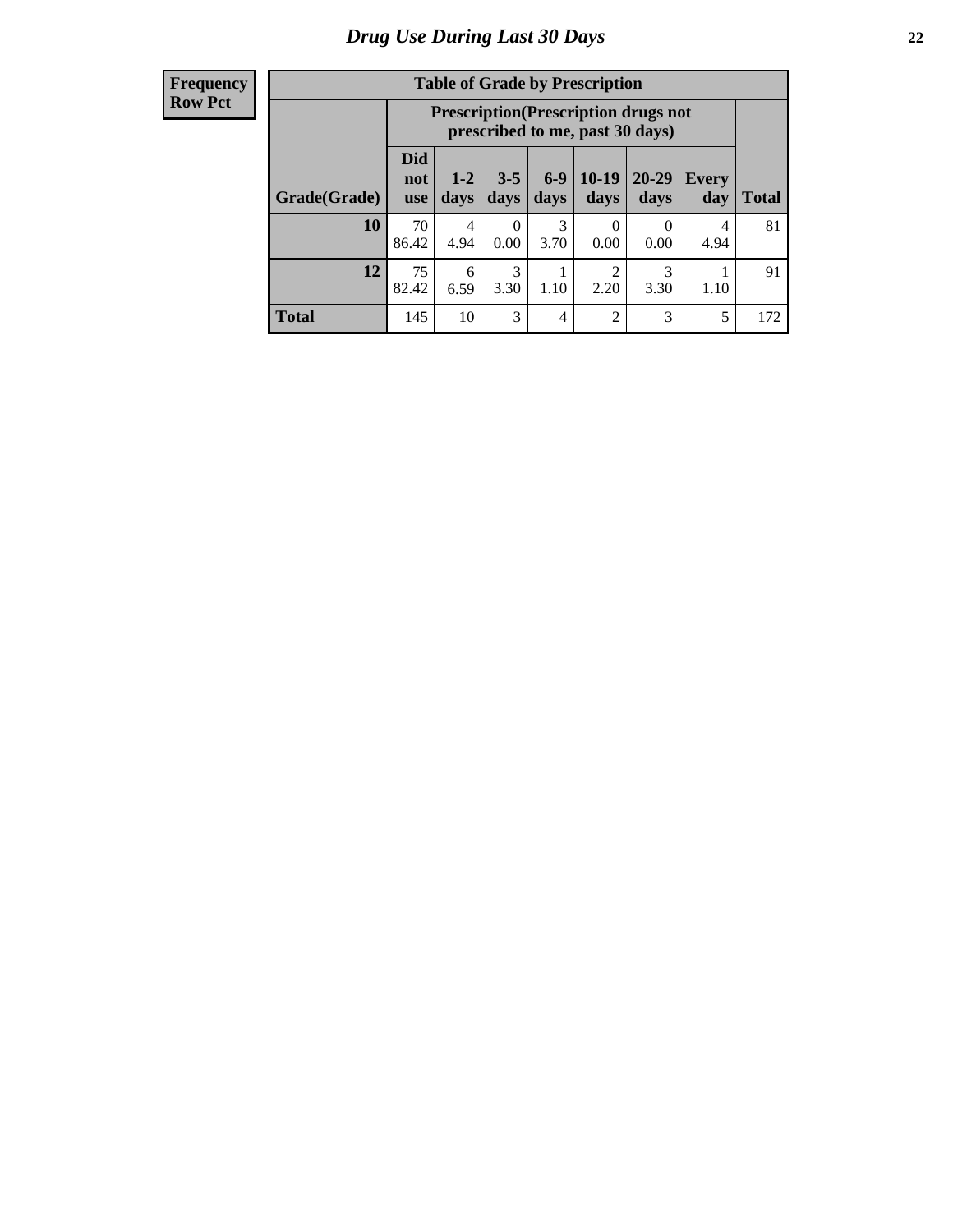| <b>Table of Grade by Prescription</b> |                                 |                                                                                |                  |                |                 |                   |              |       |
|---------------------------------------|---------------------------------|--------------------------------------------------------------------------------|------------------|----------------|-----------------|-------------------|--------------|-------|
|                                       |                                 | <b>Prescription</b> (Prescription drugs not<br>prescribed to me, past 30 days) |                  |                |                 |                   |              |       |
| Grade(Grade)                          | <b>Did</b><br>not<br><b>use</b> | $1 - 2$<br>days                                                                | $3 - 5$<br>days  | $6-9$<br>days  | $10-19$<br>days | $20 - 29$<br>days | Every<br>day | Total |
| 10                                    | 70<br>86.42                     | 4<br>4.94                                                                      | $\Omega$<br>0.00 | 3<br>3.70      | 0<br>0.00       | $\Omega$<br>0.00  | 4<br>4.94    | 81    |
| 12                                    | 75<br>82.42                     | 6<br>6.59                                                                      | 3<br>3.30        | 1.10           | 2<br>2.20       | 3<br>3.30         | 1.10         | 91    |
| <b>Total</b>                          | 145                             | 10                                                                             | 3                | $\overline{4}$ | $\overline{2}$  | 3                 | 5            | 172   |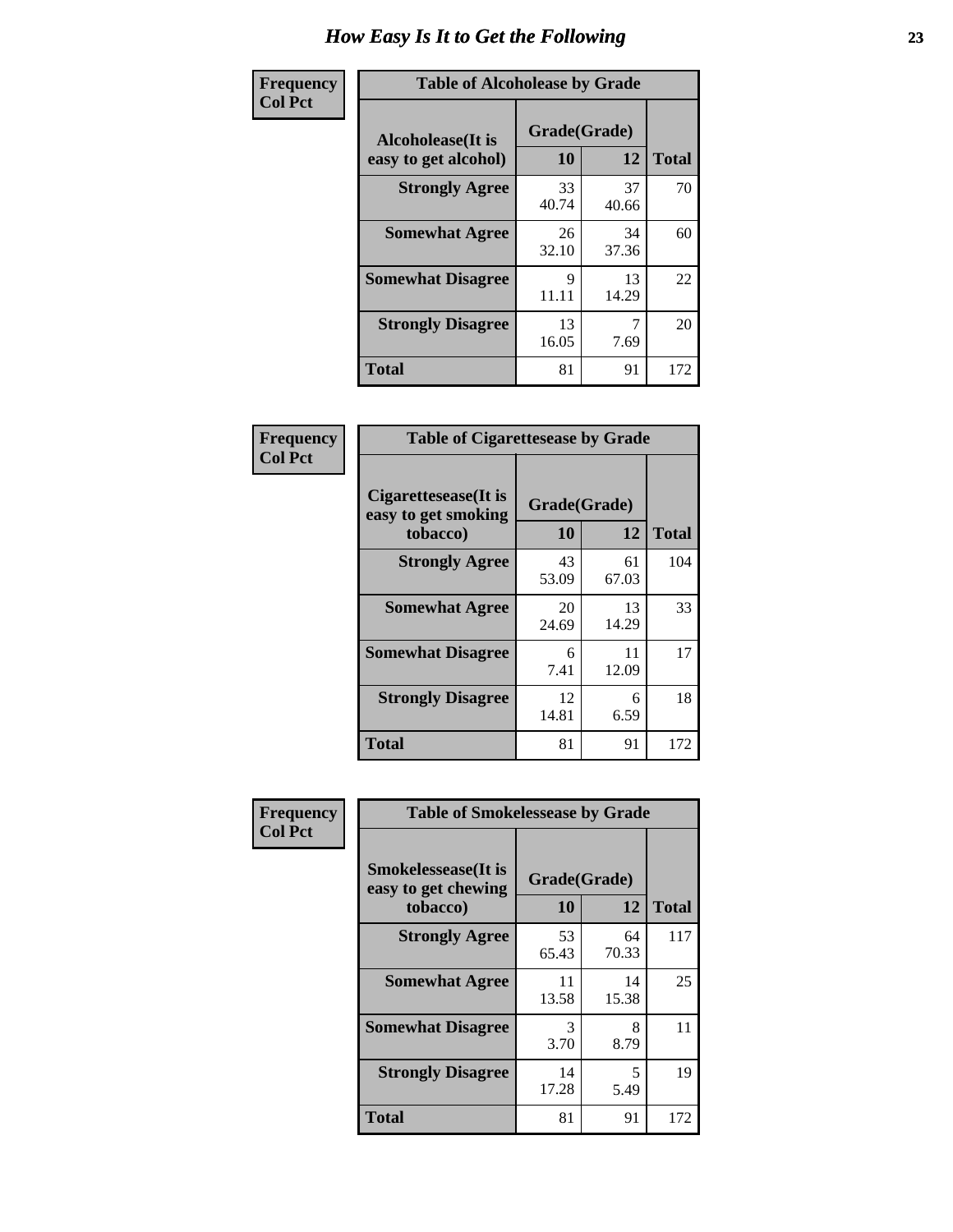| Frequency      | <b>Table of Alcoholease by Grade</b>              |                    |             |              |  |
|----------------|---------------------------------------------------|--------------------|-------------|--------------|--|
| <b>Col Pct</b> | <b>Alcoholease</b> (It is<br>easy to get alcohol) | Grade(Grade)<br>10 | 12          | <b>Total</b> |  |
|                | <b>Strongly Agree</b>                             | 33<br>40.74        | 37<br>40.66 | 70           |  |
|                | <b>Somewhat Agree</b>                             | 26<br>32.10        | 34<br>37.36 | 60           |  |
|                | <b>Somewhat Disagree</b>                          | 9<br>11.11         | 13<br>14.29 | 22           |  |
|                | <b>Strongly Disagree</b>                          | 13<br>16.05        | 7.69        | 20           |  |
|                | <b>Total</b>                                      | 81                 | 91          | 172          |  |

| Frequency      | <b>Table of Cigarettesease by Grade</b>                 |                           |             |              |  |
|----------------|---------------------------------------------------------|---------------------------|-------------|--------------|--|
| <b>Col Pct</b> | Cigarettesease(It is<br>easy to get smoking<br>tobacco) | Grade(Grade)<br><b>10</b> | 12          | <b>Total</b> |  |
|                | <b>Strongly Agree</b>                                   | 43<br>53.09               | 61<br>67.03 | 104          |  |
|                | <b>Somewhat Agree</b>                                   | 20<br>24.69               | 13<br>14.29 | 33           |  |
|                | <b>Somewhat Disagree</b>                                | 6<br>7.41                 | 11<br>12.09 | 17           |  |
|                | <b>Strongly Disagree</b>                                | 12<br>14.81               | 6<br>6.59   | 18           |  |
|                | <b>Total</b>                                            | 81                        | 91          | 172          |  |

| Frequency      | <b>Table of Smokelessease by Grade</b>             |             |              |              |  |
|----------------|----------------------------------------------------|-------------|--------------|--------------|--|
| <b>Col Pct</b> | <b>Smokelessease</b> (It is<br>easy to get chewing |             | Grade(Grade) |              |  |
|                | tobacco)                                           | <b>10</b>   | 12           | <b>Total</b> |  |
|                | <b>Strongly Agree</b>                              | 53<br>65.43 | 64<br>70.33  | 117          |  |
|                | <b>Somewhat Agree</b>                              | 11<br>13.58 | 14<br>15.38  | 25           |  |
|                | <b>Somewhat Disagree</b>                           | 3<br>3.70   | 8<br>8.79    | 11           |  |
|                | <b>Strongly Disagree</b>                           | 14<br>17.28 | 5<br>5.49    | 19           |  |
|                | <b>Total</b>                                       | 81          | 91           | 172          |  |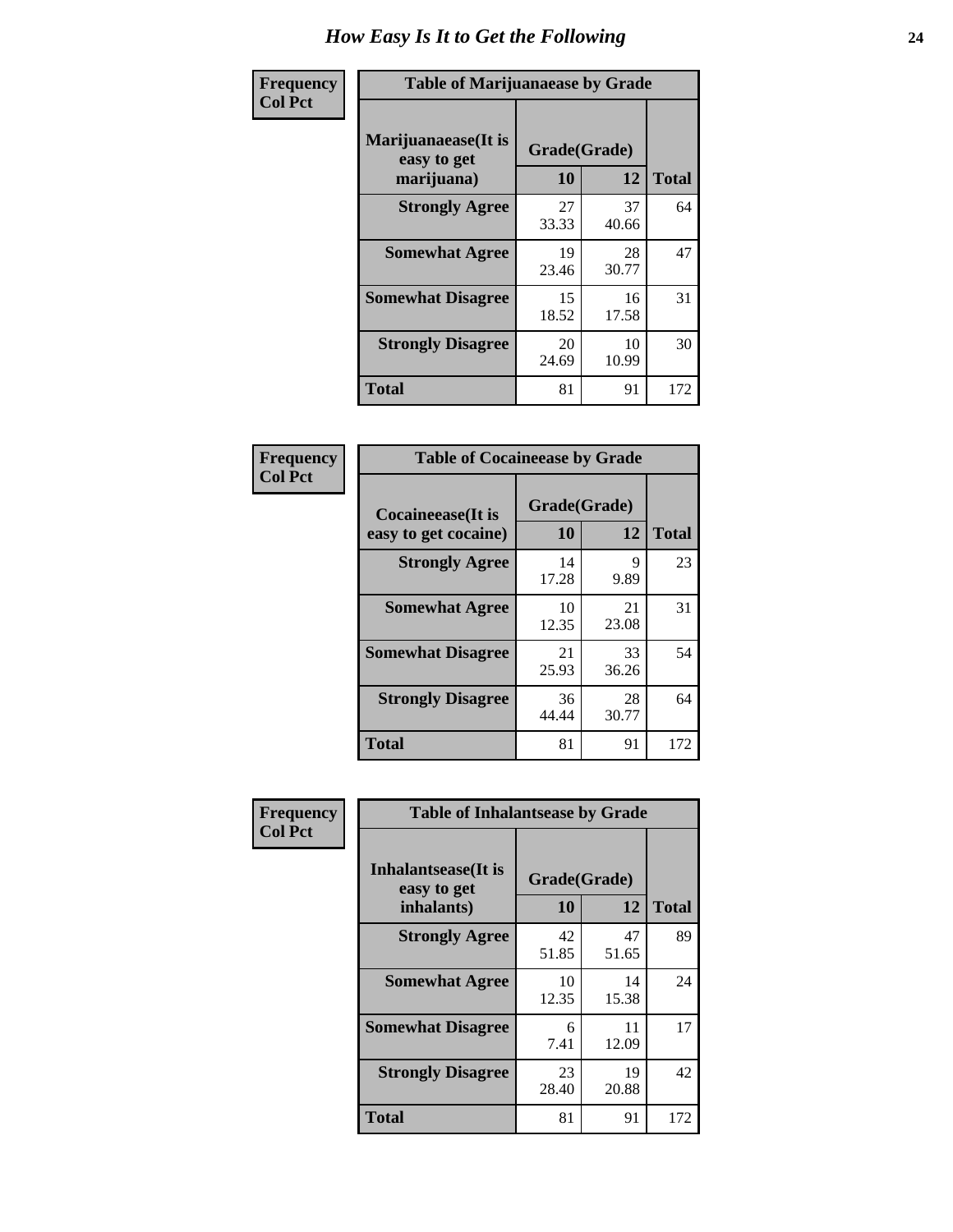| Frequency      | <b>Table of Marijuanaease by Grade</b>           |                    |             |              |  |
|----------------|--------------------------------------------------|--------------------|-------------|--------------|--|
| <b>Col Pct</b> | Marijuanaease(It is<br>easy to get<br>marijuana) | Grade(Grade)<br>10 | 12          | <b>Total</b> |  |
|                | <b>Strongly Agree</b>                            | 27<br>33.33        | 37<br>40.66 | 64           |  |
|                | <b>Somewhat Agree</b>                            | 19<br>23.46        | 28<br>30.77 | 47           |  |
|                | <b>Somewhat Disagree</b>                         | 15<br>18.52        | 16<br>17.58 | 31           |  |
|                | <b>Strongly Disagree</b>                         | 20<br>24.69        | 10<br>10.99 | 30           |  |
|                | <b>Total</b>                                     | 81                 | 91          | 172          |  |

| <b>Table of Cocaineease by Grade</b>              |                    |             |              |  |  |  |
|---------------------------------------------------|--------------------|-------------|--------------|--|--|--|
| <b>Cocaineease</b> (It is<br>easy to get cocaine) | Grade(Grade)<br>10 | 12          | <b>Total</b> |  |  |  |
| <b>Strongly Agree</b>                             | 14<br>17.28        | 9<br>9.89   | 23           |  |  |  |
| <b>Somewhat Agree</b>                             | 10<br>12.35        | 21<br>23.08 | 31           |  |  |  |
| <b>Somewhat Disagree</b>                          | 21<br>25.93        | 33<br>36.26 | 54           |  |  |  |
| <b>Strongly Disagree</b>                          | 36<br>44.44        | 28<br>30.77 | 64           |  |  |  |
| <b>Total</b>                                      | 81                 | 91          | 172          |  |  |  |

| Frequency      | <b>Table of Inhalantsease by Grade</b>           |                    |             |              |  |  |
|----------------|--------------------------------------------------|--------------------|-------------|--------------|--|--|
| <b>Col Pct</b> | Inhalantsease(It is<br>easy to get<br>inhalants) | Grade(Grade)<br>10 | 12          | <b>Total</b> |  |  |
|                | <b>Strongly Agree</b>                            | 42<br>51.85        | 47<br>51.65 | 89           |  |  |
|                | <b>Somewhat Agree</b>                            | 10<br>12.35        | 14<br>15.38 | 24           |  |  |
|                | <b>Somewhat Disagree</b>                         | 6<br>7.41          | 11<br>12.09 | 17           |  |  |
|                | <b>Strongly Disagree</b>                         | 23<br>28.40        | 19<br>20.88 | 42           |  |  |
|                | <b>Total</b>                                     | 81                 | 91          | 172          |  |  |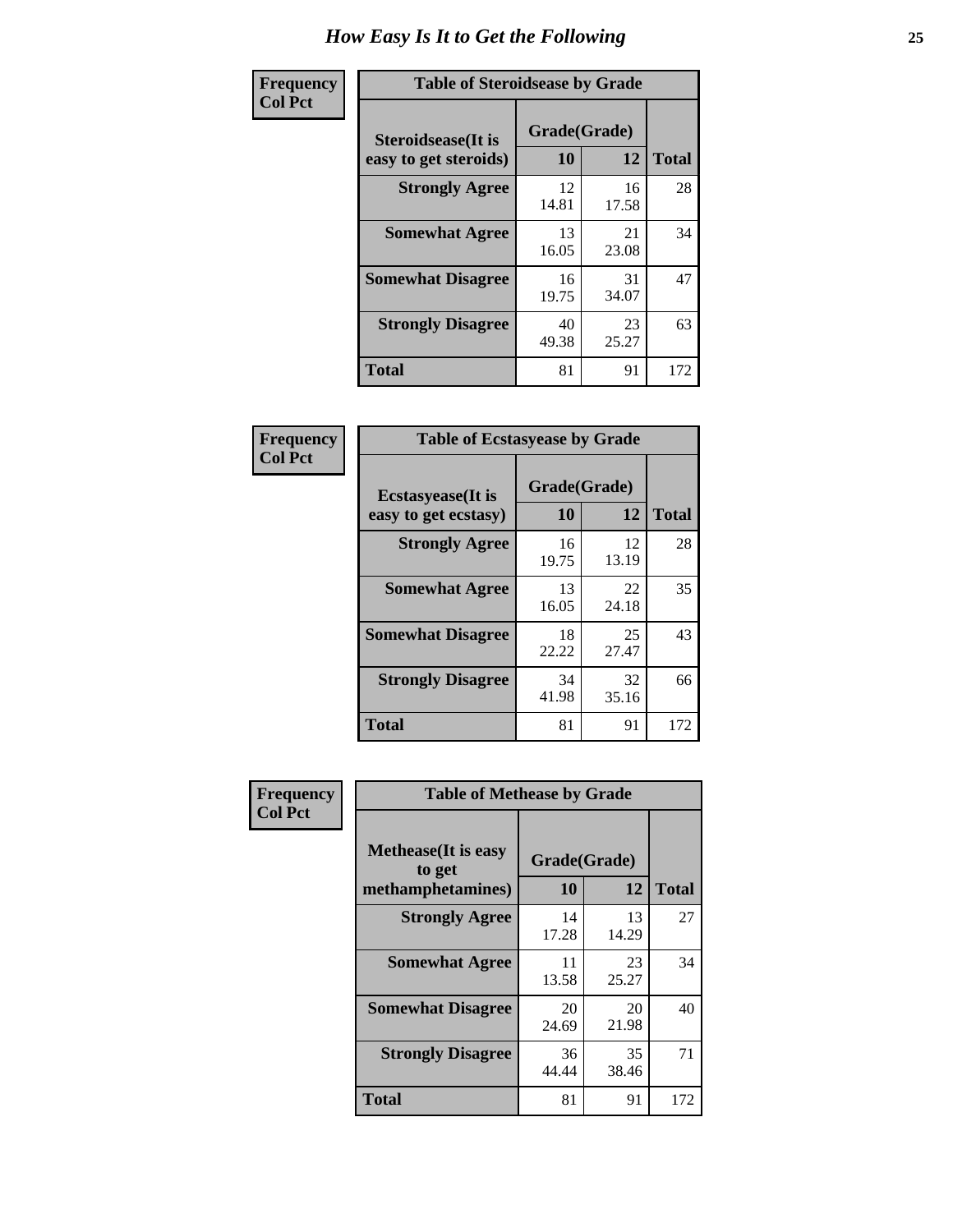| Frequency      |                                                     | <b>Table of Steroidsease by Grade</b> |             |              |  |  |  |  |  |  |  |  |
|----------------|-----------------------------------------------------|---------------------------------------|-------------|--------------|--|--|--|--|--|--|--|--|
| <b>Col Pct</b> | <b>Steroidsease</b> (It is<br>easy to get steroids) | Grade(Grade)<br>10                    | 12          | <b>Total</b> |  |  |  |  |  |  |  |  |
|                | <b>Strongly Agree</b>                               | 12<br>14.81                           | 16<br>17.58 | 28           |  |  |  |  |  |  |  |  |
|                | <b>Somewhat Agree</b>                               | 13<br>16.05                           | 21<br>23.08 | 34           |  |  |  |  |  |  |  |  |
|                | <b>Somewhat Disagree</b>                            | 16<br>19.75                           | 31<br>34.07 | 47           |  |  |  |  |  |  |  |  |
|                | <b>Strongly Disagree</b>                            | 40<br>49.38                           | 23<br>25.27 | 63           |  |  |  |  |  |  |  |  |
|                | <b>Total</b>                                        | 81                                    | 91          | 172          |  |  |  |  |  |  |  |  |

| Frequency      | <b>Table of Ecstasyease by Grade</b>              |                           |             |              |
|----------------|---------------------------------------------------|---------------------------|-------------|--------------|
| <b>Col Pct</b> | <b>Ecstasyease</b> (It is<br>easy to get ecstasy) | Grade(Grade)<br><b>10</b> | 12          | <b>Total</b> |
|                | <b>Strongly Agree</b>                             | 16<br>19.75               | 12<br>13.19 | 28           |
|                | <b>Somewhat Agree</b>                             | 13<br>16.05               | 22<br>24.18 | 35           |
|                | <b>Somewhat Disagree</b>                          | 18<br>22.22               | 25<br>27.47 | 43           |
|                | <b>Strongly Disagree</b>                          | 34<br>41.98               | 32<br>35.16 | 66           |
|                | <b>Total</b>                                      | 81                        | 91          | 172          |

| Frequency      | <b>Table of Methease by Grade</b>     |              |             |              |
|----------------|---------------------------------------|--------------|-------------|--------------|
| <b>Col Pct</b> | <b>Methease</b> (It is easy<br>to get | Grade(Grade) |             |              |
|                | methamphetamines)                     | <b>10</b>    | 12          | <b>Total</b> |
|                | <b>Strongly Agree</b>                 | 14<br>17.28  | 13<br>14.29 | 27           |
|                | <b>Somewhat Agree</b>                 | 11<br>13.58  | 23<br>25.27 | 34           |
|                | <b>Somewhat Disagree</b>              | 20<br>24.69  | 20<br>21.98 | 40           |
|                | <b>Strongly Disagree</b>              | 36<br>44.44  | 35<br>38.46 | 71           |
|                | <b>Total</b>                          | 81           | 91          | 172          |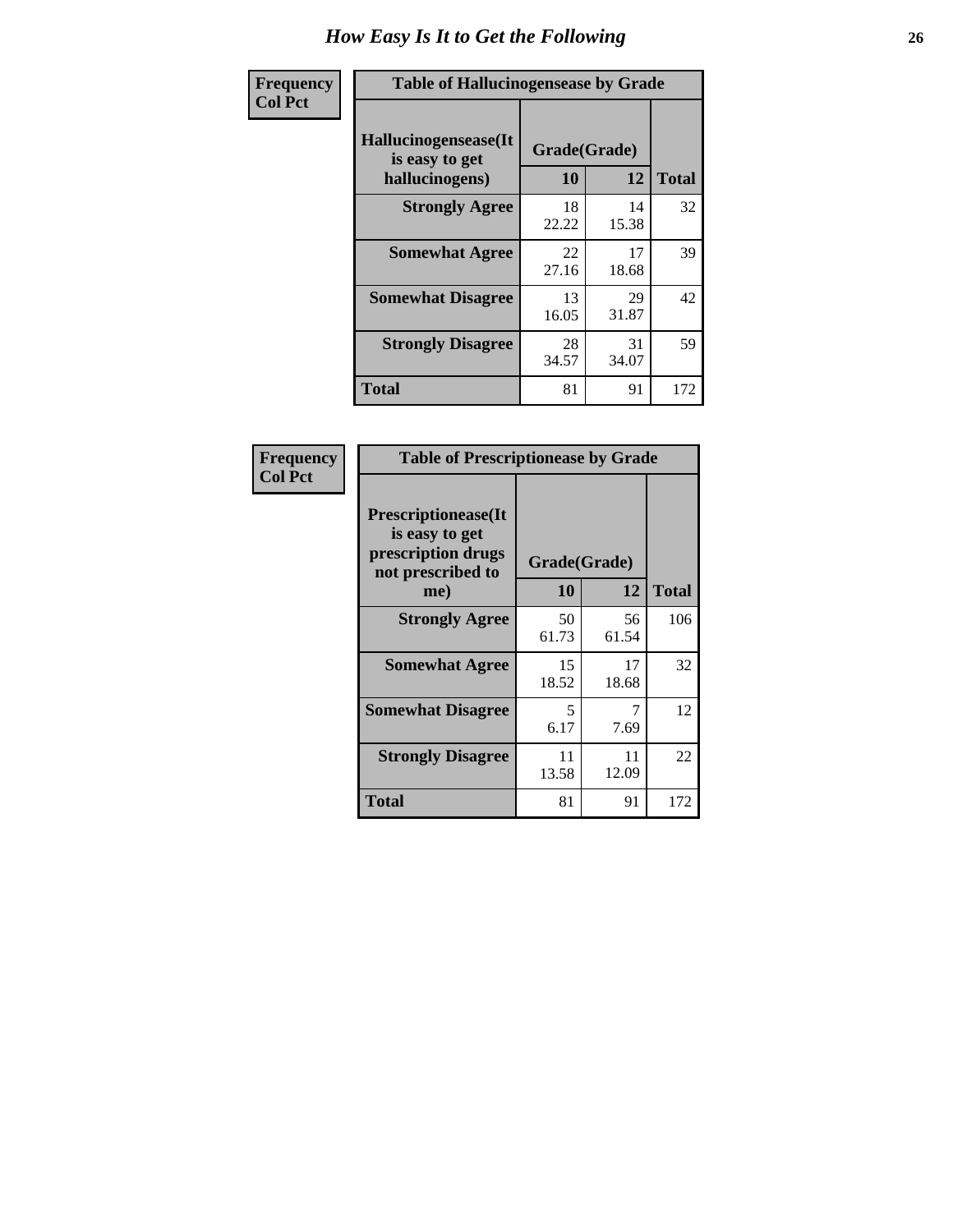| <b>Frequency</b> | <b>Table of Hallucinogensease by Grade</b>               |                    |             |              |  |  |  |  |  |  |  |
|------------------|----------------------------------------------------------|--------------------|-------------|--------------|--|--|--|--|--|--|--|
| <b>Col Pct</b>   | Hallucinogensease(It<br>is easy to get<br>hallucinogens) | Grade(Grade)<br>10 | 12          | <b>Total</b> |  |  |  |  |  |  |  |
|                  | <b>Strongly Agree</b>                                    | 18<br>22.22        | 14<br>15.38 | 32           |  |  |  |  |  |  |  |
|                  | <b>Somewhat Agree</b>                                    | 22<br>27.16        | 17<br>18.68 | 39           |  |  |  |  |  |  |  |
|                  | <b>Somewhat Disagree</b>                                 | 13<br>16.05        | 29<br>31.87 | 42           |  |  |  |  |  |  |  |
|                  | <b>Strongly Disagree</b>                                 | 28<br>34.57        | 31<br>34.07 | 59           |  |  |  |  |  |  |  |
|                  | <b>Total</b>                                             | 81                 | 91          | 172          |  |  |  |  |  |  |  |

| Frequency<br>Col Pct |
|----------------------|
|                      |

|                                                                                          | <b>Table of Prescriptionease by Grade</b> |              |              |  |  |  |  |  |  |  |  |
|------------------------------------------------------------------------------------------|-------------------------------------------|--------------|--------------|--|--|--|--|--|--|--|--|
| <b>Prescriptionease</b> (It<br>is easy to get<br>prescription drugs<br>not prescribed to |                                           | Grade(Grade) |              |  |  |  |  |  |  |  |  |
| me)                                                                                      | 10                                        | 12           | <b>Total</b> |  |  |  |  |  |  |  |  |
| <b>Strongly Agree</b>                                                                    | 50<br>61.73                               | 56<br>61.54  | 106          |  |  |  |  |  |  |  |  |
| <b>Somewhat Agree</b>                                                                    | 15<br>18.52                               | 17<br>18.68  | 32           |  |  |  |  |  |  |  |  |
| <b>Somewhat Disagree</b>                                                                 | 5<br>6.17                                 | 7.69         | 12           |  |  |  |  |  |  |  |  |
| <b>Strongly Disagree</b>                                                                 | 11<br>13.58                               | 11<br>12.09  | 22           |  |  |  |  |  |  |  |  |
| <b>Total</b>                                                                             | 81                                        | 91           | 172          |  |  |  |  |  |  |  |  |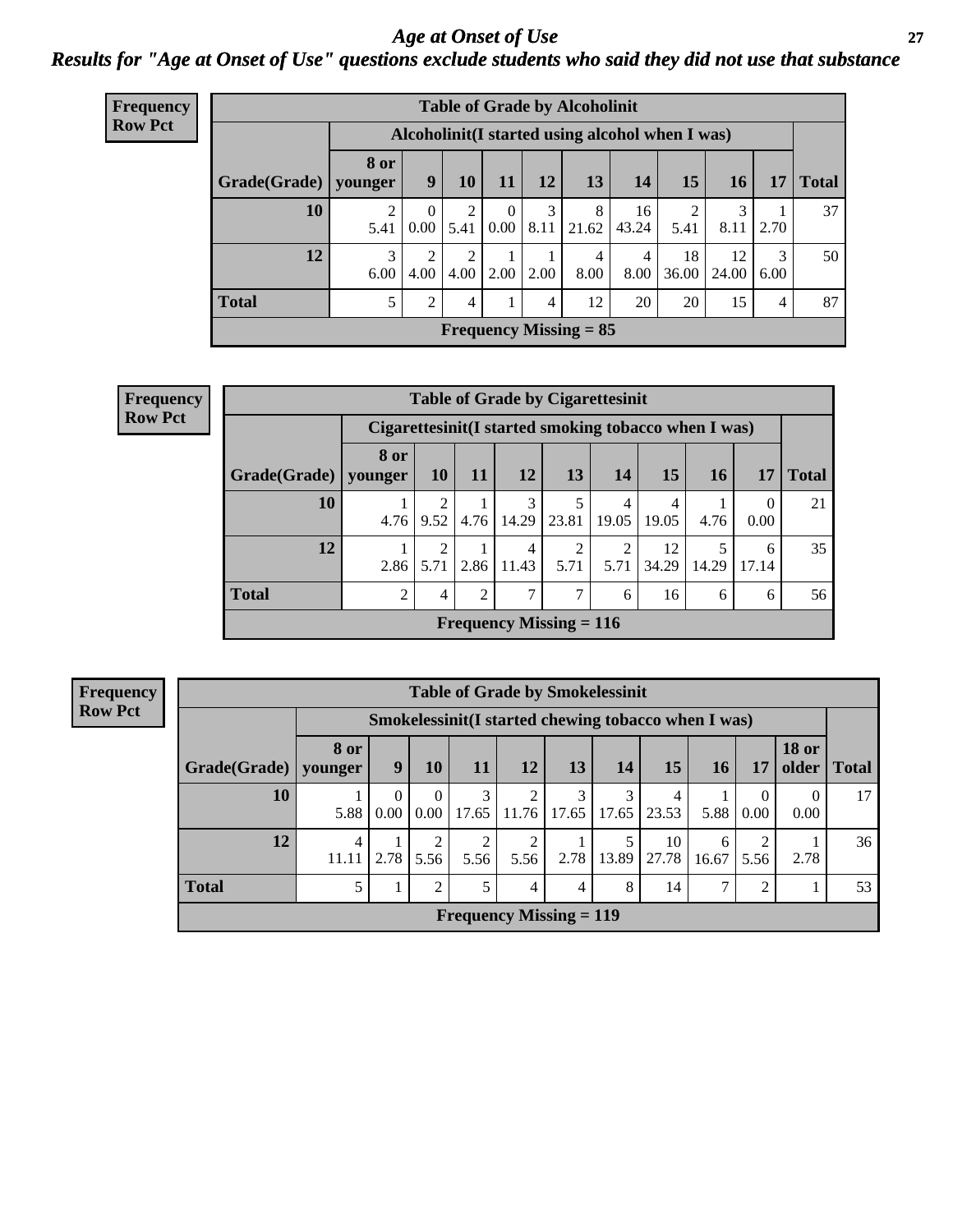### *Age at Onset of Use* **27** *Results for "Age at Onset of Use" questions exclude students who said they did not use that substance*

| Frequency      |              | <b>Table of Grade by Alcoholinit</b> |                        |                        |                  |           |                                                  |                        |             |             |           |              |
|----------------|--------------|--------------------------------------|------------------------|------------------------|------------------|-----------|--------------------------------------------------|------------------------|-------------|-------------|-----------|--------------|
| <b>Row Pct</b> |              |                                      |                        |                        |                  |           | Alcoholinit (I started using alcohol when I was) |                        |             |             |           |              |
|                | Grade(Grade) | 8 or<br>younger                      | 9                      | <b>10</b>              | 11               | 12        | 13                                               | 14                     | 15          | <b>16</b>   | 17        | <b>Total</b> |
|                | 10           | 2<br>5.41                            | $\overline{0}$<br>0.00 | $\overline{2}$<br>5.41 | $\theta$<br>0.00 | 3<br>8.11 | 8<br>21.62                                       | 16<br>43.24            | ∍<br>5.41   | 3<br>8.11   | 2.70      | 37           |
|                | 12           | 3<br>6.00                            | $\overline{2}$<br>4.00 | 2<br>4.00              | 2.00             | 2.00      | 4<br>8.00                                        | $\overline{4}$<br>8.00 | 18<br>36.00 | 12<br>24.00 | 3<br>6.00 | 50           |
|                | <b>Total</b> | 5                                    | 2                      | 4                      |                  | 4         | 12                                               | 20                     | 20          | 15          | 4         | 87           |
|                |              |                                      |                        |                        |                  |           | <b>Frequency Missing = 85</b>                    |                        |             |             |           |              |

| Frequency                                                              |                        |               |           |      |            | <b>Table of Grade by Cigarettesinit</b> |            |             |       |                  |              |
|------------------------------------------------------------------------|------------------------|---------------|-----------|------|------------|-----------------------------------------|------------|-------------|-------|------------------|--------------|
| <b>Row Pct</b><br>Cigarettesinit(I started smoking tobacco when I was) |                        |               |           |      |            |                                         |            |             |       |                  |              |
|                                                                        | Grade(Grade)   younger | 8 or          | <b>10</b> | 11   | <b>12</b>  | 13                                      | <b>14</b>  | 15          | 16    | 17               | <b>Total</b> |
|                                                                        | 10                     | 4.76          | 9.52      | 4.76 | 3<br>14.29 | 23.81                                   | 4<br>19.05 | 4<br>19.05  | 4.76  | $\Omega$<br>0.00 | 21           |
|                                                                        | 12                     | 2.86          | 2<br>5.71 | 2.86 | 4<br>11.43 | 5.71                                    | 5.71       | 12<br>34.29 | 14.29 | 6<br>17.14       | 35           |
|                                                                        | <b>Total</b>           | $\mathcal{D}$ | 4         | 2    | ℸ          | $\mathcal{I}$                           | 6          | 16          | 6     | 6                | 56           |
|                                                                        |                        |               |           |      |            | <b>Frequency Missing = 116</b>          |            |             |       |                  |              |

**Frequency Row Pct**

| <b>Table of Grade by Smokelessinit</b> |                                                                 |                                                                                                      |                  |            |                           |            |            |            |      |                  |      |    |  |  |  |
|----------------------------------------|-----------------------------------------------------------------|------------------------------------------------------------------------------------------------------|------------------|------------|---------------------------|------------|------------|------------|------|------------------|------|----|--|--|--|
|                                        |                                                                 | Smokelessinit(I started chewing tobacco when I was)                                                  |                  |            |                           |            |            |            |      |                  |      |    |  |  |  |
| Grade(Grade)                           | 8 or<br>  younger                                               | <b>18 or</b><br>13<br>15<br>older  <br>9<br>11<br>12<br>10<br>14<br><b>16</b><br>17<br><b>Total</b>  |                  |            |                           |            |            |            |      |                  |      |    |  |  |  |
| 10                                     | 5.88                                                            | $\Omega$<br>0.00                                                                                     | $\Omega$<br>0.00 | 3<br>17.65 | 11.76                     | 3<br>17.65 | 3<br>17.65 | 4<br>23.53 | 5.88 | $\theta$<br>0.00 | 0.00 | 17 |  |  |  |
| 12                                     | 4<br>11.11                                                      | 10<br>5<br>2<br>6<br>13.89<br>2.78<br>2.78<br>27.78<br>5.56<br>5.56<br>5.56<br>2.78<br>16.67<br>5.56 |                  |            |                           |            |            |            |      |                  |      |    |  |  |  |
| <b>Total</b>                           | 5<br>7<br>8<br>14<br>າ<br>2<br>$\overline{4}$<br>$\overline{4}$ |                                                                                                      |                  |            |                           |            |            |            |      |                  |      |    |  |  |  |
|                                        |                                                                 |                                                                                                      |                  |            | Frequency Missing $= 119$ |            |            |            |      |                  |      |    |  |  |  |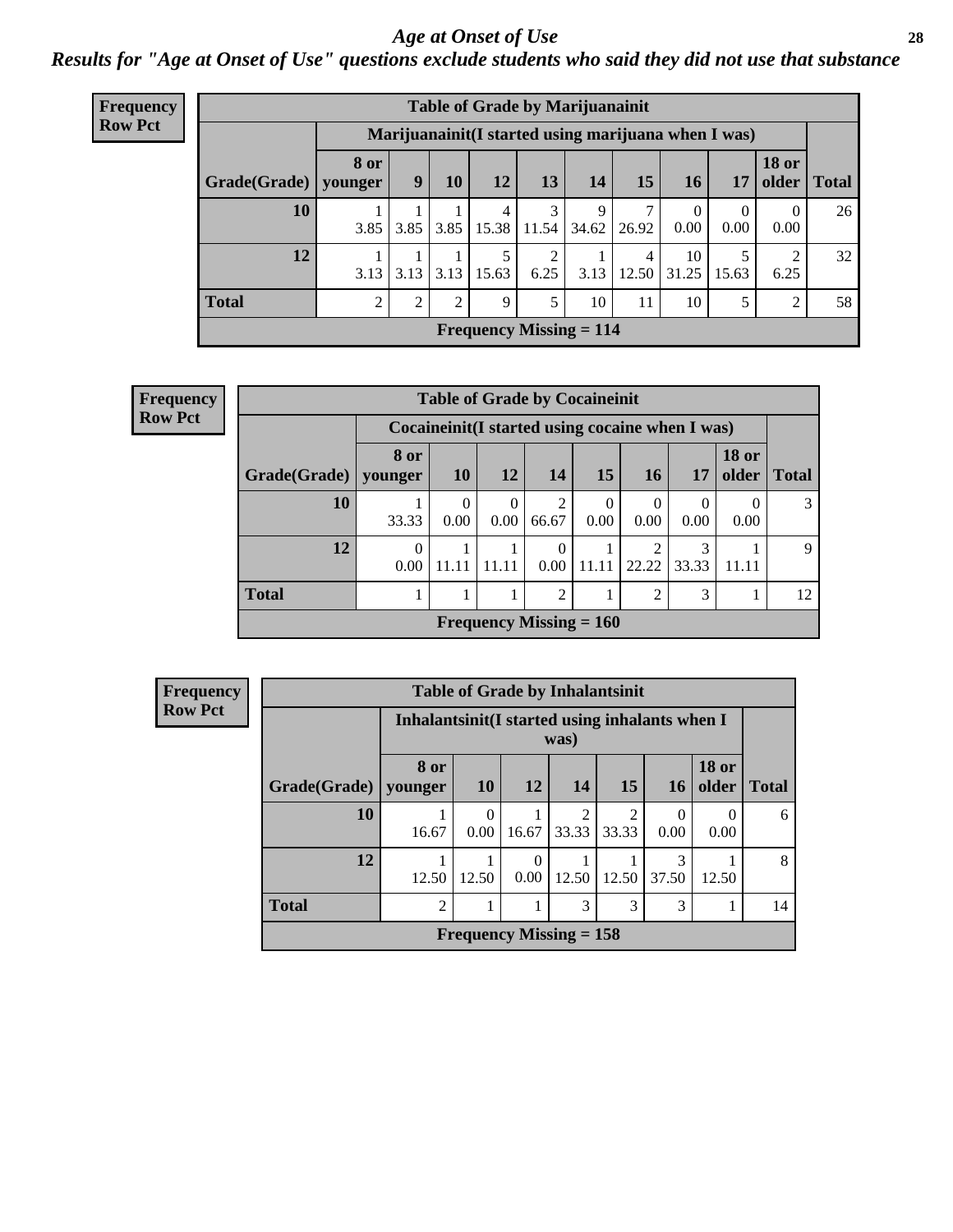#### *Age at Onset of Use* **28**

*Results for "Age at Onset of Use" questions exclude students who said they did not use that substance*

| Frequency      | <b>Table of Grade by Marijuanainit</b> |                        |                |                |            |                                                      |            |            |                  |                  |                        |              |  |  |
|----------------|----------------------------------------|------------------------|----------------|----------------|------------|------------------------------------------------------|------------|------------|------------------|------------------|------------------------|--------------|--|--|
| <b>Row Pct</b> |                                        |                        |                |                |            | Marijuanainit (I started using marijuana when I was) |            |            |                  |                  |                        |              |  |  |
|                | Grade(Grade)                           | <b>8 or</b><br>younger | 9              | <b>10</b>      | <b>12</b>  | 13                                                   | 14         | 15         | 16               | 17               | <b>18 or</b><br>older  | <b>Total</b> |  |  |
|                | 10                                     | 3.85                   | 3.85           | 3.85           | 4<br>15.38 | 3<br>11.54                                           | 9<br>34.62 | 7<br>26.92 | $\theta$<br>0.00 | $\theta$<br>0.00 | $\Omega$<br>0.00       | 26           |  |  |
|                | 12                                     | 3.13                   | 3.13           | 3.13           | 15.63      | 2<br>6.25                                            | 3.13       | 4<br>12.50 | 10<br>31.25      | 15.63            | $\overline{2}$<br>6.25 | 32           |  |  |
|                | <b>Total</b>                           | $\mathfrak{D}$         | $\overline{2}$ | $\mathfrak{D}$ | 9          | 5                                                    | 10         | 11         | 10               | 5                | 2                      | 58           |  |  |
|                | Frequency Missing $= 114$              |                        |                |                |            |                                                      |            |            |                  |                  |                        |              |  |  |

| Frequency      | <b>Table of Grade by Cocaineinit</b>               |                                       |           |                  |                           |                  |                         |            |                                |              |  |  |  |  |
|----------------|----------------------------------------------------|---------------------------------------|-----------|------------------|---------------------------|------------------|-------------------------|------------|--------------------------------|--------------|--|--|--|--|
| <b>Row Pct</b> | Cocaine in it (I started using cocaine when I was) |                                       |           |                  |                           |                  |                         |            |                                |              |  |  |  |  |
|                | $Grade(Grade)$ younger                             | 8 or                                  | <b>10</b> | 12               | 14                        | 15               | <b>16</b>               | 17         | <b>18 or</b><br>$\Omega$ older | <b>Total</b> |  |  |  |  |
|                | 10                                                 | 33.33                                 | 0.00      | $\Omega$<br>0.00 | 2<br>66.67                | $^{(1)}$<br>0.00 | $\theta$<br>0.00        | 0<br>0.00  | 0.00                           | 3            |  |  |  |  |
|                | 12                                                 | $\theta$<br>0.00                      | 11.11     | 11.11            | $\theta$<br>0.00          | 11.11            | $\overline{2}$<br>22.22 | 3<br>33.33 | 11.11                          | $\mathbf Q$  |  |  |  |  |
|                | <b>Total</b>                                       | $\overline{2}$<br>3<br>$\mathfrak{D}$ |           |                  |                           |                  |                         |            |                                |              |  |  |  |  |
|                |                                                    |                                       |           |                  | Frequency Missing $= 160$ |                  |                         |            |                                |              |  |  |  |  |

| Frequency      | <b>Table of Grade by Inhalantsinit</b>                  |                 |                                                                                                         |       |                           |                         |            |           |   |  |  |  |
|----------------|---------------------------------------------------------|-----------------|---------------------------------------------------------------------------------------------------------|-------|---------------------------|-------------------------|------------|-----------|---|--|--|--|
| <b>Row Pct</b> | Inhalantsinit (I started using inhalants when I<br>was) |                 |                                                                                                         |       |                           |                         |            |           |   |  |  |  |
|                | Grade(Grade)                                            | 8 or<br>vounger | <b>18 or</b><br>older  <br><b>10</b><br><b>15</b><br><b>12</b><br>14<br><b>Total</b><br>16 <sup>1</sup> |       |                           |                         |            |           |   |  |  |  |
|                | <b>10</b>                                               | 16.67           | $\Omega$<br>0.00                                                                                        | 16.67 | 2<br>33.33                | $\mathfrak{D}$<br>33.33 | 0<br>0.00  | 0<br>0.00 | 6 |  |  |  |
|                | 12                                                      | 12.50           | 12.50                                                                                                   | 0.00  |                           | $12.50 \mid 12.50$      | 3<br>37.50 | 12.50     | 8 |  |  |  |
|                | <b>Total</b>                                            | $\overline{2}$  | 3<br>3<br>3                                                                                             |       |                           |                         |            |           |   |  |  |  |
|                |                                                         |                 |                                                                                                         |       | Frequency Missing $= 158$ |                         |            |           |   |  |  |  |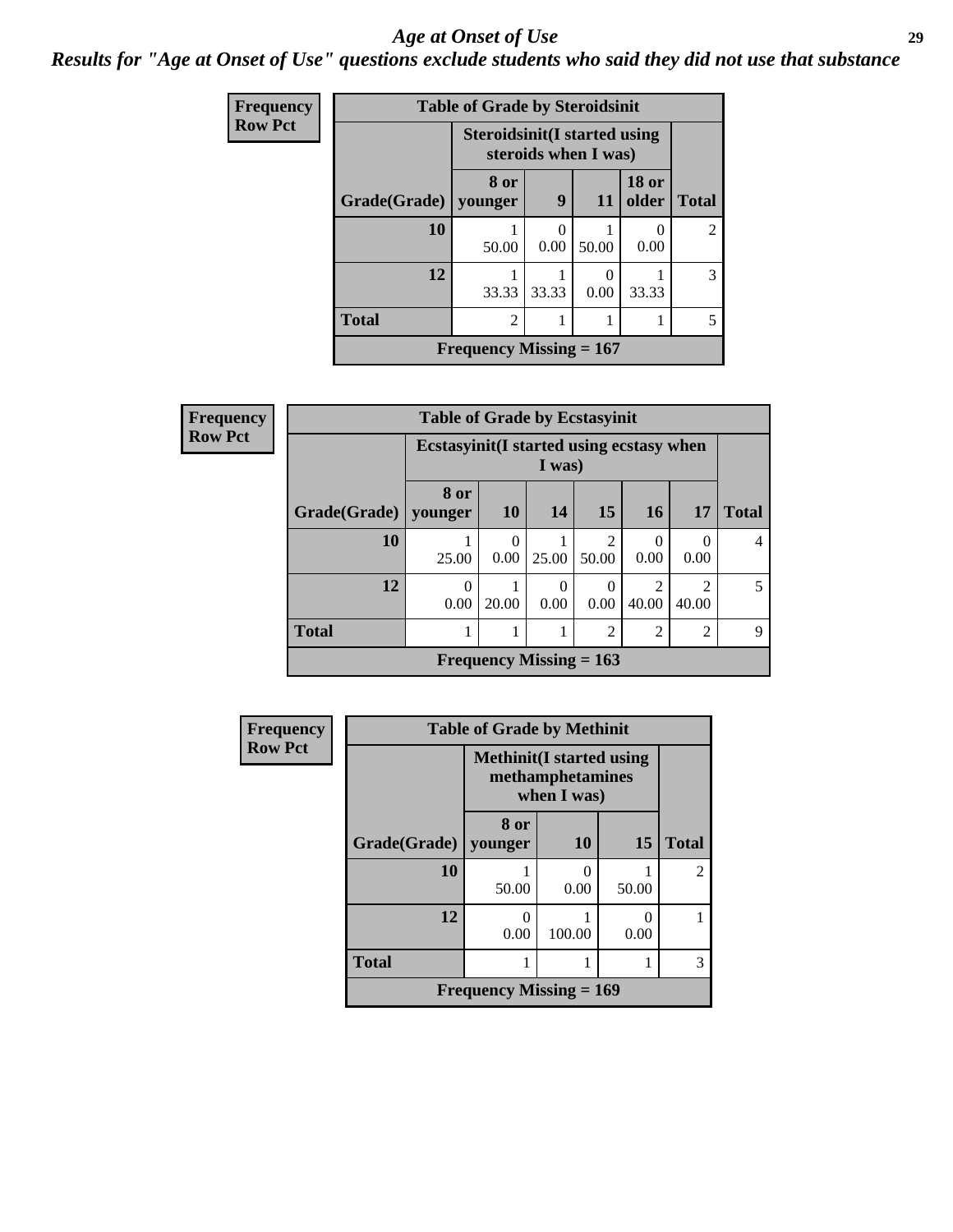#### *Age at Onset of Use* **29**

*Results for "Age at Onset of Use" questions exclude students who said they did not use that substance*

| <b>Frequency</b> |              | <b>Table of Grade by Steroidsinit</b> |           |                      |                       |                |
|------------------|--------------|---------------------------------------|-----------|----------------------|-----------------------|----------------|
| <b>Row Pct</b>   |              | <b>Steroidsinit(I started using</b>   |           | steroids when I was) |                       |                |
|                  | Grade(Grade) | 8 or<br>younger                       | 9         | -11                  | <b>18 or</b><br>older | <b>Total</b>   |
|                  | 10           | 50.00                                 | 0<br>0.00 | 50.00                | 0.00                  | $\mathfrak{D}$ |
|                  | 12           | 33.33                                 | 33.33     | 0.00                 | 33.33                 | 3              |
|                  | <b>Total</b> | $\overline{c}$                        |           |                      |                       | 5              |
|                  |              | Frequency Missing $= 167$             |           |                      |                       |                |

| Frequency      |                        | <b>Table of Grade by Ecstasyinit</b>     |           |                           |                |                |                         |                |
|----------------|------------------------|------------------------------------------|-----------|---------------------------|----------------|----------------|-------------------------|----------------|
| <b>Row Pct</b> |                        | Ecstasyinit(I started using ecstasy when |           | I was)                    |                |                |                         |                |
|                | Grade(Grade)   younger | 8 or                                     | <b>10</b> | 14                        | 15             | <b>16</b>      | <b>17</b>               | <b>Total</b>   |
|                | 10                     | 25.00                                    | 0.00      | 25.00                     | 2<br>50.00     | 0<br>0.00      | 0<br>0.00               | $\overline{4}$ |
|                | 12                     | $\theta$<br>0.00                         | 20.00     | $\Omega$<br>0.00          | 0<br>0.00      | 2<br>40.00     | $\overline{c}$<br>40.00 | 5              |
|                | <b>Total</b>           |                                          |           |                           | $\overline{2}$ | $\overline{2}$ | $\overline{c}$          | 9              |
|                |                        |                                          |           | Frequency Missing $= 163$ |                |                |                         |                |

| Frequency      |              | <b>Table of Grade by Methinit</b> |                                 |           |                |
|----------------|--------------|-----------------------------------|---------------------------------|-----------|----------------|
| <b>Row Pct</b> |              | <b>Methinit</b> (I started using  | methamphetamines<br>when I was) |           |                |
|                | Grade(Grade) | 8 or<br>vounger                   | <b>10</b>                       | 15        | <b>Total</b>   |
|                | 10           | 50.00                             | 0<br>0.00                       | 50.00     | $\mathfrak{D}$ |
|                | 12           | 0.00                              | 100.00                          | O<br>0.00 |                |
|                | <b>Total</b> |                                   |                                 |           | 3              |
|                |              | <b>Frequency Missing = 169</b>    |                                 |           |                |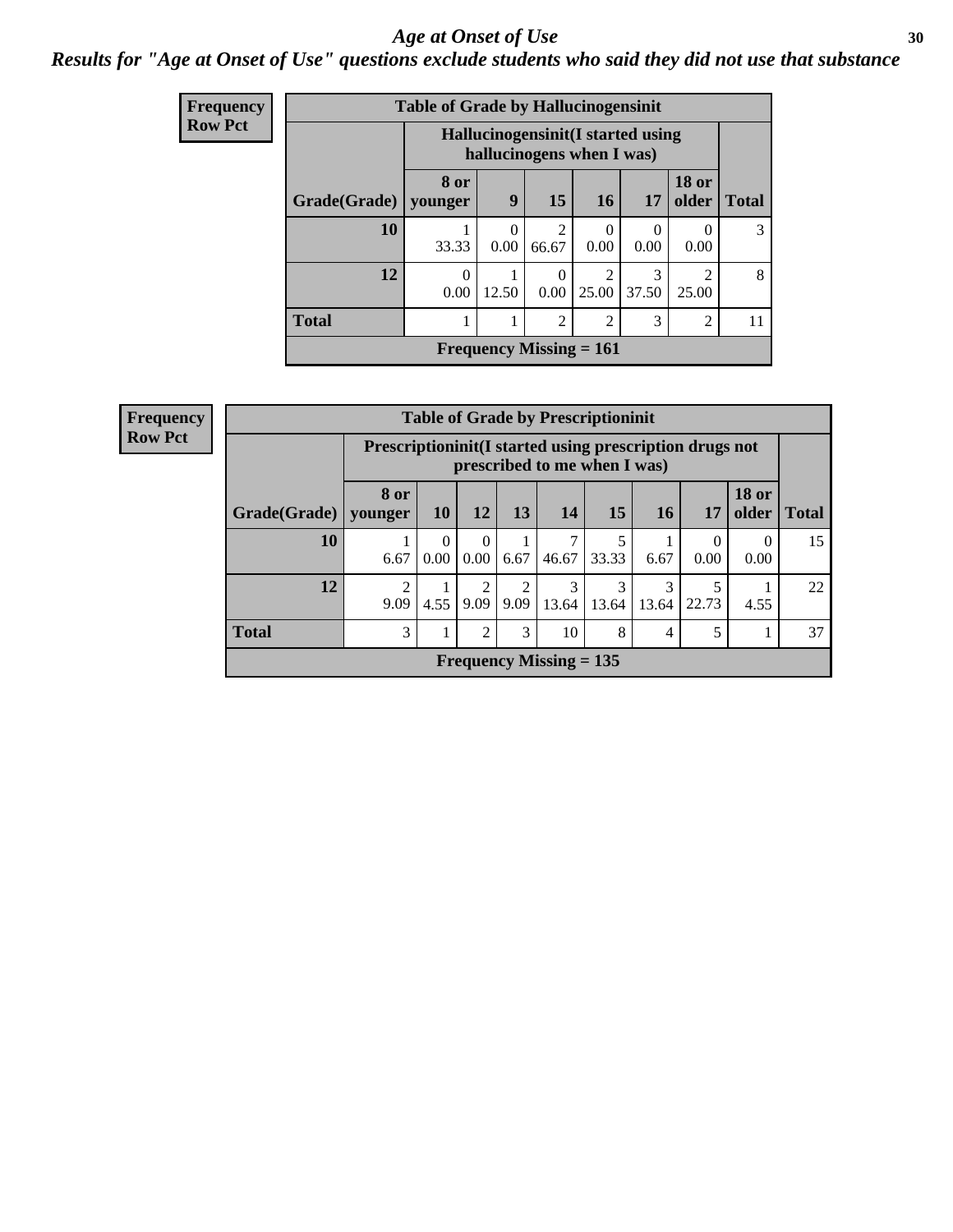#### Age at Onset of Use **30**

### *Results for "Age at Onset of Use" questions exclude students who said they did not use that substance*

| Frequency                                                                         |              | <b>Table of Grade by Hallucinogensinit</b> |                  |                           |                         |                          |                          |              |
|-----------------------------------------------------------------------------------|--------------|--------------------------------------------|------------------|---------------------------|-------------------------|--------------------------|--------------------------|--------------|
| <b>Row Pct</b><br>Hallucinogensinit (I started using<br>hallucinogens when I was) |              |                                            |                  |                           |                         |                          |                          |              |
|                                                                                   | Grade(Grade) | 8 or<br>younger                            | 9                | 15                        | <b>16</b>               | 17                       | <b>18 or</b><br>older    | <b>Total</b> |
|                                                                                   | 10           | 33.33                                      | $\Omega$<br>0.00 | 2<br>66.67                | $\Omega$<br>0.00        | $\left( \right)$<br>0.00 | $\left( \right)$<br>0.00 | 3            |
|                                                                                   | 12           | 0<br>0.00                                  | 12.50            | $\Omega$<br>0.00          | $\overline{2}$<br>25.00 | 3<br>37.50               | $\mathfrak{D}$<br>25.00  | 8            |
|                                                                                   | <b>Total</b> |                                            |                  | $\overline{2}$            | $\overline{2}$          | 3                        | 2                        | 11           |
|                                                                                   |              |                                            |                  | Frequency Missing $= 161$ |                         |                          |                          |              |

| <b>Frequency</b> |              |                                                                                            |                  |                  |           | <b>Table of Grade by Prescriptioninit</b> |            |            |                  |                       |              |
|------------------|--------------|--------------------------------------------------------------------------------------------|------------------|------------------|-----------|-------------------------------------------|------------|------------|------------------|-----------------------|--------------|
| <b>Row Pct</b>   |              | Prescription in it (I started using prescription drugs not<br>prescribed to me when I was) |                  |                  |           |                                           |            |            |                  |                       |              |
|                  | Grade(Grade) | 8 or<br>younger                                                                            | <b>10</b>        | 12               | 13        | 14                                        | 15         | 16         | 17               | <b>18 or</b><br>older | <b>Total</b> |
|                  | 10           | 6.67                                                                                       | $\theta$<br>0.00 | $\Omega$<br>0.00 | 6.67      | 46.67                                     | 5<br>33.33 | 6.67       | $\theta$<br>0.00 | $\Omega$<br>0.00      | 15           |
|                  | 12           | っ<br>9.09                                                                                  | 4.55             | 2<br>9.09        | 2<br>9.09 | 3<br>13.64                                | 3<br>13.64 | 3<br>13.64 | 22.73            | 4.55                  | 22           |
|                  | <b>Total</b> | 3                                                                                          |                  | 2                | 3         | 10                                        | 8          | 4          |                  |                       | 37           |
|                  |              |                                                                                            |                  |                  |           | Frequency Missing $= 135$                 |            |            |                  |                       |              |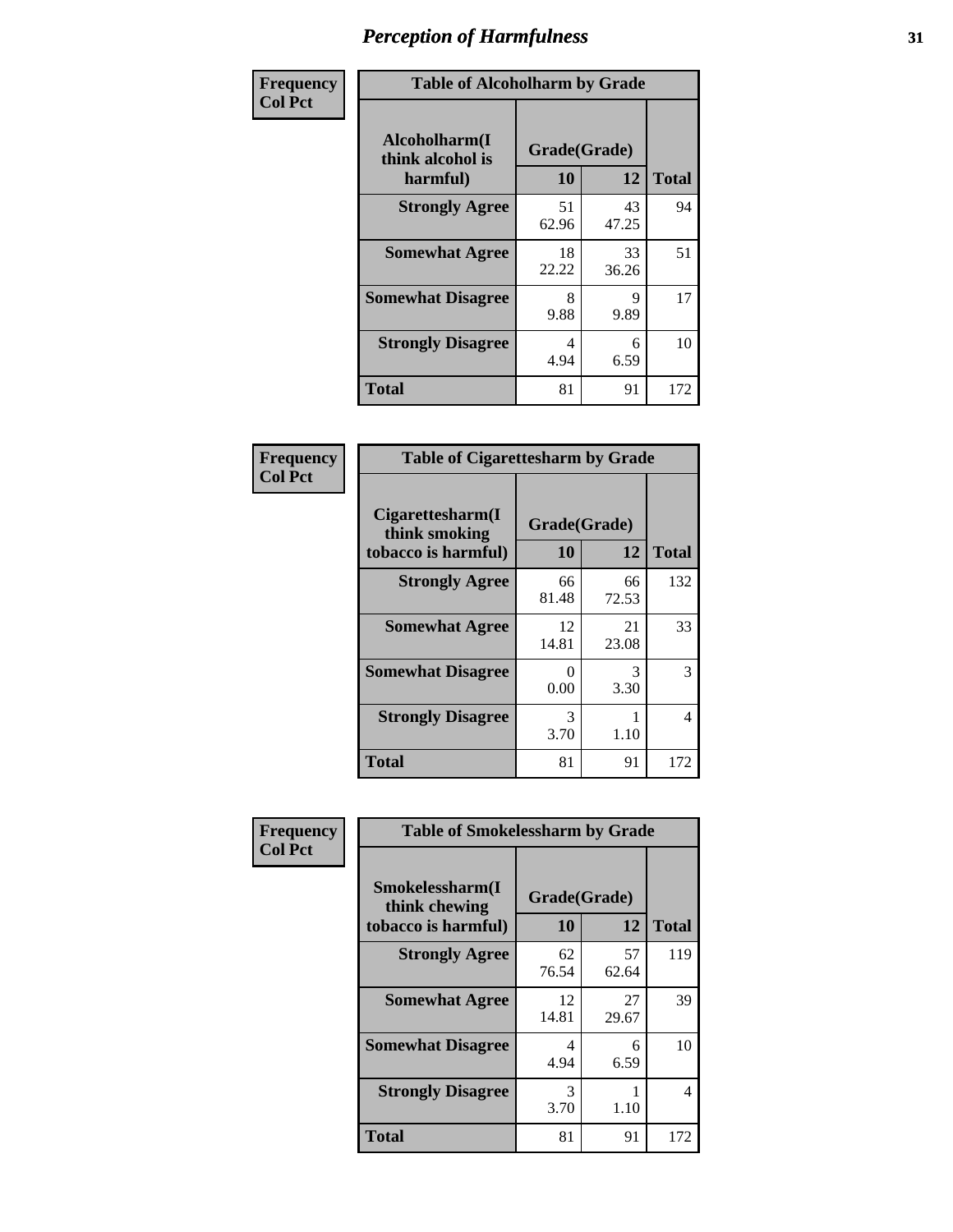| Frequency      | <b>Table of Alcoholharm by Grade</b>          |                    |             |              |  |
|----------------|-----------------------------------------------|--------------------|-------------|--------------|--|
| <b>Col Pct</b> | Alcoholharm(I<br>think alcohol is<br>harmful) | Grade(Grade)<br>10 | 12          | <b>Total</b> |  |
|                | <b>Strongly Agree</b>                         | 51<br>62.96        | 43<br>47.25 | 94           |  |
|                | <b>Somewhat Agree</b>                         | 18<br>22.22        | 33<br>36.26 | 51           |  |
|                | <b>Somewhat Disagree</b>                      | 8<br>9.88          | 9<br>9.89   | 17           |  |
|                | <b>Strongly Disagree</b>                      | 4<br>4.94          | 6<br>6.59   | 10           |  |
|                | <b>Total</b>                                  | 81                 | 91          | 172          |  |

|                                                          | <b>Table of Cigarettesharm by Grade</b> |             |              |  |  |  |  |
|----------------------------------------------------------|-----------------------------------------|-------------|--------------|--|--|--|--|
| Cigarettesharm(I<br>think smoking<br>tobacco is harmful) | Grade(Grade)<br>10                      | 12          | <b>Total</b> |  |  |  |  |
| <b>Strongly Agree</b>                                    | 66<br>81.48                             | 66<br>72.53 | 132          |  |  |  |  |
| <b>Somewhat Agree</b>                                    | 12<br>14.81                             | 21<br>23.08 | 33           |  |  |  |  |
| <b>Somewhat Disagree</b>                                 | 0<br>0.00                               | 3<br>3.30   | 3            |  |  |  |  |
| <b>Strongly Disagree</b>                                 | 3<br>3.70                               | 1.10        | 4            |  |  |  |  |
| <b>Total</b>                                             | 81                                      | 91          | 172          |  |  |  |  |

| Frequency      | <b>Table of Smokelessharm by Grade</b>                  |                    |             |              |
|----------------|---------------------------------------------------------|--------------------|-------------|--------------|
| <b>Col Pct</b> | Smokelessharm(I<br>think chewing<br>tobacco is harmful) | Grade(Grade)<br>10 | 12          | <b>Total</b> |
|                | <b>Strongly Agree</b>                                   | 62<br>76.54        | 57<br>62.64 | 119          |
|                | <b>Somewhat Agree</b>                                   | 12<br>14.81        | 27<br>29.67 | 39           |
|                | <b>Somewhat Disagree</b>                                | 4<br>4.94          | 6<br>6.59   | 10           |
|                | <b>Strongly Disagree</b>                                | 3<br>3.70          | 1.10        | 4            |
|                | <b>Total</b>                                            | 81                 | 91          | 172          |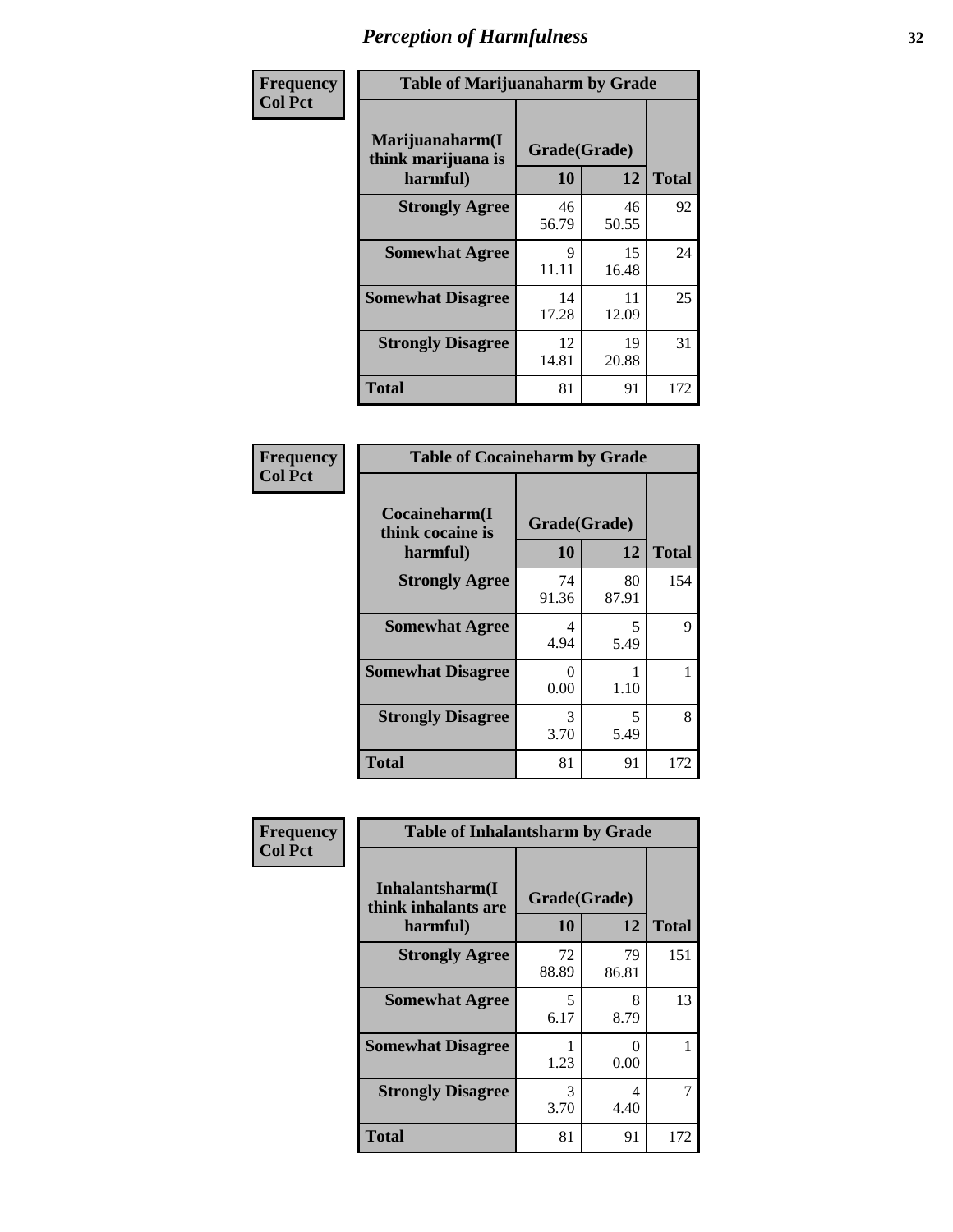| Frequency      | <b>Table of Marijuanaharm by Grade</b>            |                      |             |              |  |
|----------------|---------------------------------------------------|----------------------|-------------|--------------|--|
| <b>Col Pct</b> | Marijuanaharm(I<br>think marijuana is<br>harmful) | Grade(Grade)<br>10   | 12          | <b>Total</b> |  |
|                | <b>Strongly Agree</b>                             | 46<br>56.79          | 46<br>50.55 | 92           |  |
|                | <b>Somewhat Agree</b>                             | $\mathbf Q$<br>11.11 | 15<br>16.48 | 24           |  |
|                | <b>Somewhat Disagree</b>                          | 14<br>17.28          | 11<br>12.09 | 25           |  |
|                | <b>Strongly Disagree</b>                          | 12<br>14.81          | 19<br>20.88 | 31           |  |
|                | <b>Total</b>                                      | 81                   | 91          | 172          |  |

|                                               | <b>Table of Cocaineharm by Grade</b> |             |              |  |  |  |  |  |
|-----------------------------------------------|--------------------------------------|-------------|--------------|--|--|--|--|--|
| Cocaineharm(I<br>think cocaine is<br>harmful) | Grade(Grade)<br>10                   | 12          | <b>Total</b> |  |  |  |  |  |
| <b>Strongly Agree</b>                         | 74<br>91.36                          | 80<br>87.91 | 154          |  |  |  |  |  |
| <b>Somewhat Agree</b>                         | 4<br>4.94                            | 5<br>5.49   | 9            |  |  |  |  |  |
| <b>Somewhat Disagree</b>                      | 0<br>0.00                            | 1.10        |              |  |  |  |  |  |
| <b>Strongly Disagree</b>                      | 3<br>3.70                            | 5<br>5.49   | 8            |  |  |  |  |  |
| <b>Total</b>                                  | 81                                   | 91          | 172          |  |  |  |  |  |

| Frequency      | <b>Table of Inhalantsharm by Grade</b>  |              |             |              |
|----------------|-----------------------------------------|--------------|-------------|--------------|
| <b>Col Pct</b> | Inhalantsharm(I)<br>think inhalants are | Grade(Grade) |             |              |
|                | harmful)                                | 10           | 12          | <b>Total</b> |
|                | <b>Strongly Agree</b>                   | 72<br>88.89  | 79<br>86.81 | 151          |
|                | <b>Somewhat Agree</b>                   | 5<br>6.17    | 8<br>8.79   | 13           |
|                | <b>Somewhat Disagree</b>                | 1.23         | 0<br>0.00   |              |
|                | <b>Strongly Disagree</b>                | 3<br>3.70    | 4<br>4.40   |              |
|                | <b>Total</b>                            | 81           | 91          | 172          |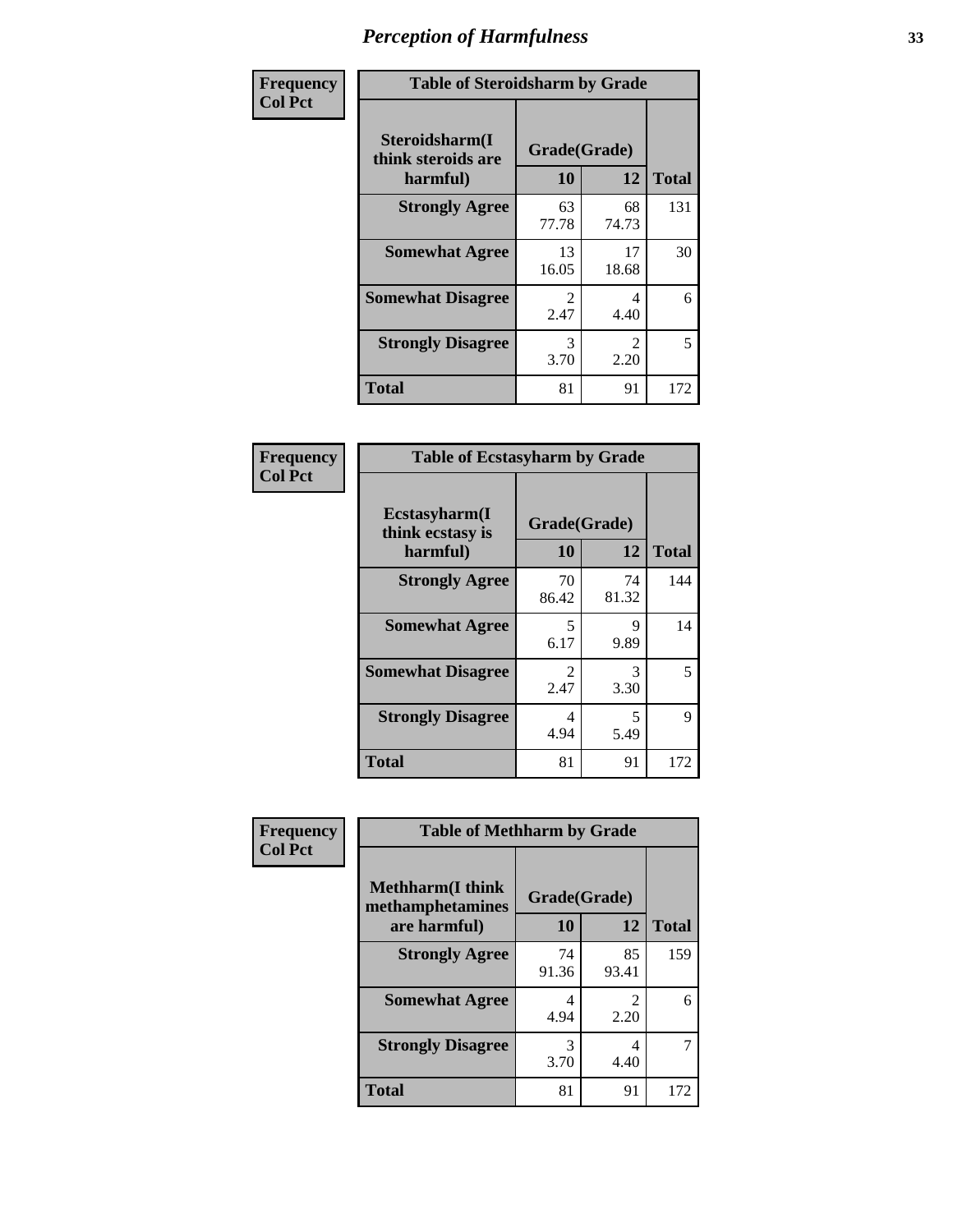| Frequency      | <b>Table of Steroidsharm by Grade</b>            |                                     |                        |              |  |
|----------------|--------------------------------------------------|-------------------------------------|------------------------|--------------|--|
| <b>Col Pct</b> | Steroidsharm(I<br>think steroids are<br>harmful) | Grade(Grade)<br>10                  | 12                     | <b>Total</b> |  |
|                | <b>Strongly Agree</b>                            | 63<br>77.78                         | 68<br>74.73            | 131          |  |
|                | <b>Somewhat Agree</b>                            | 13<br>16.05                         | 17<br>18.68            | 30           |  |
|                | <b>Somewhat Disagree</b>                         | $\mathcal{D}_{\mathcal{L}}$<br>2.47 | 4<br>4.40              | 6            |  |
|                | <b>Strongly Disagree</b>                         | 3<br>3.70                           | $\mathfrak{D}$<br>2.20 | 5            |  |
|                | <b>Total</b>                                     | 81                                  | 91                     | 172          |  |

| <b>Table of Ecstasyharm by Grade</b>          |                    |              |     |  |
|-----------------------------------------------|--------------------|--------------|-----|--|
| Ecstasyharm(I<br>think ecstasy is<br>harmful) | Grade(Grade)<br>10 | <b>Total</b> |     |  |
| <b>Strongly Agree</b>                         | 70<br>86.42        | 74<br>81.32  | 144 |  |
| <b>Somewhat Agree</b>                         | 5<br>6.17          | 9<br>9.89    | 14  |  |
| <b>Somewhat Disagree</b>                      | 2<br>2.47          | 3<br>3.30    | 5   |  |
| <b>Strongly Disagree</b>                      | 4<br>4.94          | 5<br>5.49    | 9   |  |
| <b>Total</b>                                  | 81                 | 91           | 172 |  |

| Frequency      | <b>Table of Methharm by Grade</b>            |             |                        |              |
|----------------|----------------------------------------------|-------------|------------------------|--------------|
| <b>Col Pct</b> | <b>Methharm</b> (I think<br>methamphetamines |             | Grade(Grade)           |              |
|                | are harmful)                                 | 10          | 12                     | <b>Total</b> |
|                | <b>Strongly Agree</b>                        | 74<br>91.36 | 85<br>93.41            | 159          |
|                | <b>Somewhat Agree</b>                        | 4<br>4.94   | $\mathfrak{D}$<br>2.20 | 6            |
|                | <b>Strongly Disagree</b>                     | 3<br>3.70   | 4<br>4.40              |              |
|                | <b>Total</b>                                 | 81          | 91                     | 172          |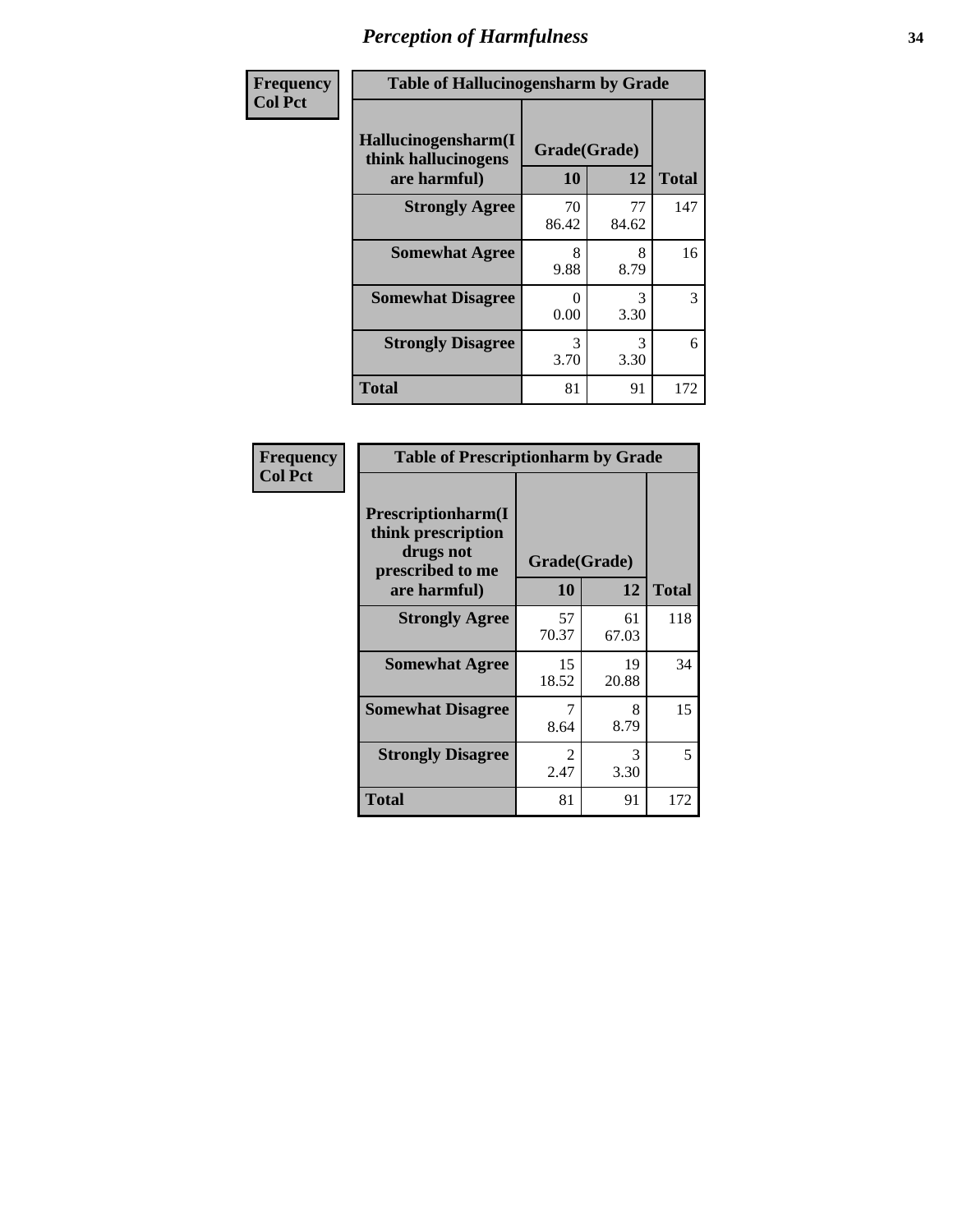| Frequency | <b>Table of Hallucinogensharm by Grade</b>                 |                    |                       |              |
|-----------|------------------------------------------------------------|--------------------|-----------------------|--------------|
| Col Pct   | Hallucinogensharm(I<br>think hallucinogens<br>are harmful) | Grade(Grade)<br>10 | 12                    | <b>Total</b> |
|           | <b>Strongly Agree</b>                                      | 70<br>86.42        | 77<br>84.62           | 147          |
|           | <b>Somewhat Agree</b>                                      | 8<br>9.88          | 8<br>8.79             | 16           |
|           | <b>Somewhat Disagree</b>                                   | 0<br>0.00          | 3<br>3.30             | 3            |
|           | <b>Strongly Disagree</b>                                   | 3<br>3.70          | $\mathcal{R}$<br>3.30 | 6            |
|           | <b>Total</b>                                               | 81                 | 91                    | 172          |

| <b>Table of Prescriptionharm by Grade</b>                                         |                        |             |              |  |
|-----------------------------------------------------------------------------------|------------------------|-------------|--------------|--|
| <b>Prescriptionharm</b> (I<br>think prescription<br>drugs not<br>prescribed to me | Grade(Grade)           |             |              |  |
| are harmful)                                                                      | 10                     | 12          | <b>Total</b> |  |
| <b>Strongly Agree</b>                                                             | 57<br>70.37            | 61<br>67.03 | 118          |  |
| <b>Somewhat Agree</b>                                                             | 15<br>18.52            | 19<br>20.88 | 34           |  |
| <b>Somewhat Disagree</b>                                                          | 7<br>8.64              | 8<br>8.79   | 15           |  |
| <b>Strongly Disagree</b>                                                          | $\mathfrak{D}$<br>2.47 | 3<br>3.30   | 5            |  |
| <b>Total</b>                                                                      | 81                     | 91          | 172          |  |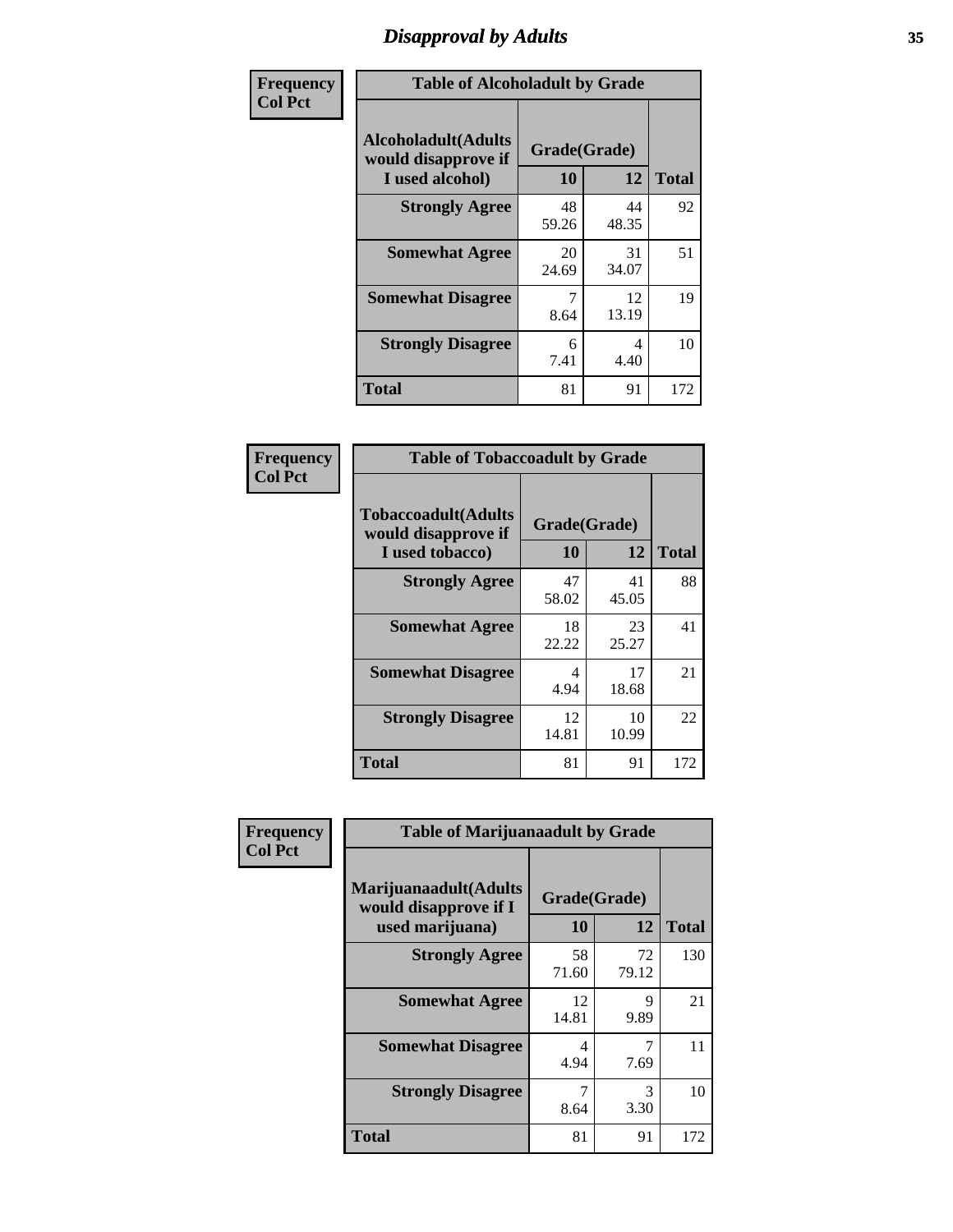# *Disapproval by Adults* **35**

| Frequency      | <b>Table of Alcoholadult by Grade</b>                                 |                    |             |              |
|----------------|-----------------------------------------------------------------------|--------------------|-------------|--------------|
| <b>Col Pct</b> | <b>Alcoholadult</b> (Adults<br>would disapprove if<br>I used alcohol) | Grade(Grade)<br>10 | 12          | <b>Total</b> |
|                | <b>Strongly Agree</b>                                                 | 48<br>59.26        | 44<br>48.35 | 92           |
|                | <b>Somewhat Agree</b>                                                 | 20<br>24.69        | 31<br>34.07 | 51           |
|                | <b>Somewhat Disagree</b>                                              | 7<br>8.64          | 12<br>13.19 | 19           |
|                | <b>Strongly Disagree</b>                                              | 6<br>7.41          | 4<br>4.40   | 10           |
|                | <b>Total</b>                                                          | 81                 | 91          | 172          |

| <b>Table of Tobaccoadult by Grade</b>                                 |             |                    |              |  |
|-----------------------------------------------------------------------|-------------|--------------------|--------------|--|
| <b>Tobaccoadult</b> (Adults<br>would disapprove if<br>I used tobacco) | 10          | Grade(Grade)<br>12 | <b>Total</b> |  |
| <b>Strongly Agree</b>                                                 | 47<br>58.02 | 41<br>45.05        | 88           |  |
| <b>Somewhat Agree</b>                                                 | 18<br>22.22 | 23<br>25.27        | 41           |  |
| <b>Somewhat Disagree</b>                                              | 4<br>4.94   | 17<br>18.68        | 21           |  |
| <b>Strongly Disagree</b>                                              | 12<br>14.81 | 10<br>10.99        | 22           |  |
| <b>Total</b>                                                          | 81          | 91                 | 172          |  |

| Frequency      | <b>Table of Marijuanaadult by Grade</b>                           |                    |             |              |
|----------------|-------------------------------------------------------------------|--------------------|-------------|--------------|
| <b>Col Pct</b> | Marijuanaadult(Adults<br>would disapprove if I<br>used marijuana) | Grade(Grade)<br>10 | 12          | <b>Total</b> |
|                | <b>Strongly Agree</b>                                             | 58<br>71.60        | 72<br>79.12 | 130          |
|                | <b>Somewhat Agree</b>                                             | 12<br>14.81        | 9<br>9.89   | 21           |
|                | <b>Somewhat Disagree</b>                                          | 4<br>4.94          | 7<br>7.69   | 11           |
|                | <b>Strongly Disagree</b>                                          | 7<br>8.64          | 3<br>3.30   | 10           |
|                | <b>Total</b>                                                      | 81                 | 91          | 172          |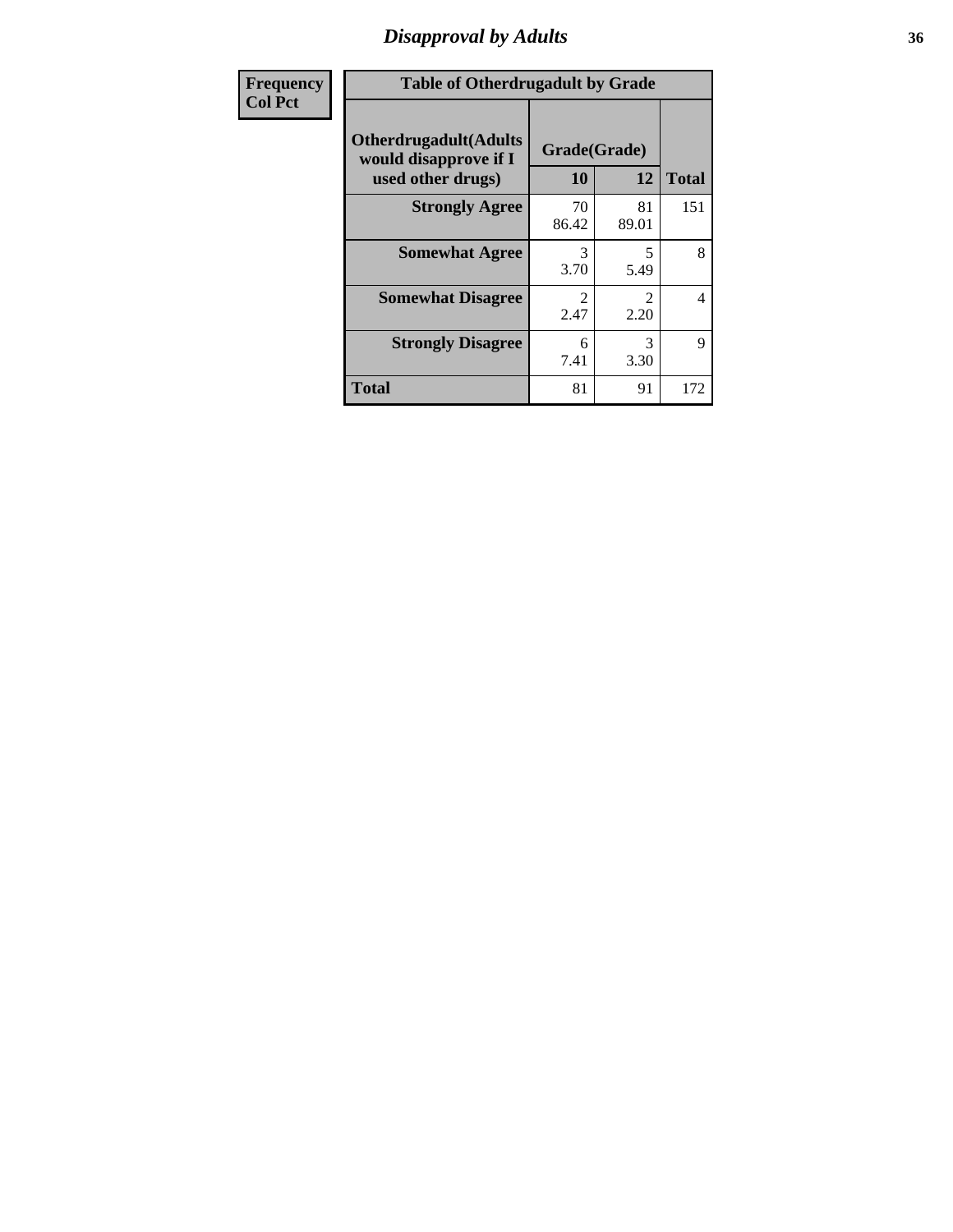### *Disapproval by Adults* **36**

| <b>Frequency</b> | <b>Table of Otherdrugadult by Grade</b>                                     |                    |                                     |              |
|------------------|-----------------------------------------------------------------------------|--------------------|-------------------------------------|--------------|
| <b>Col Pct</b>   | <b>Otherdrugadult</b> (Adults<br>would disapprove if I<br>used other drugs) | Grade(Grade)<br>10 | 12                                  | <b>Total</b> |
|                  | <b>Strongly Agree</b>                                                       | 70<br>86.42        | 81<br>89.01                         | 151          |
|                  | <b>Somewhat Agree</b>                                                       | 3<br>3.70          | 5<br>5.49                           | 8            |
|                  | <b>Somewhat Disagree</b>                                                    | っ<br>2.47          | $\mathcal{D}_{\mathcal{L}}$<br>2.20 | 4            |
|                  | <b>Strongly Disagree</b>                                                    | 6<br>7.41          | 3<br>3.30                           | 9            |
|                  | <b>Total</b>                                                                | 81                 | 91                                  | 172          |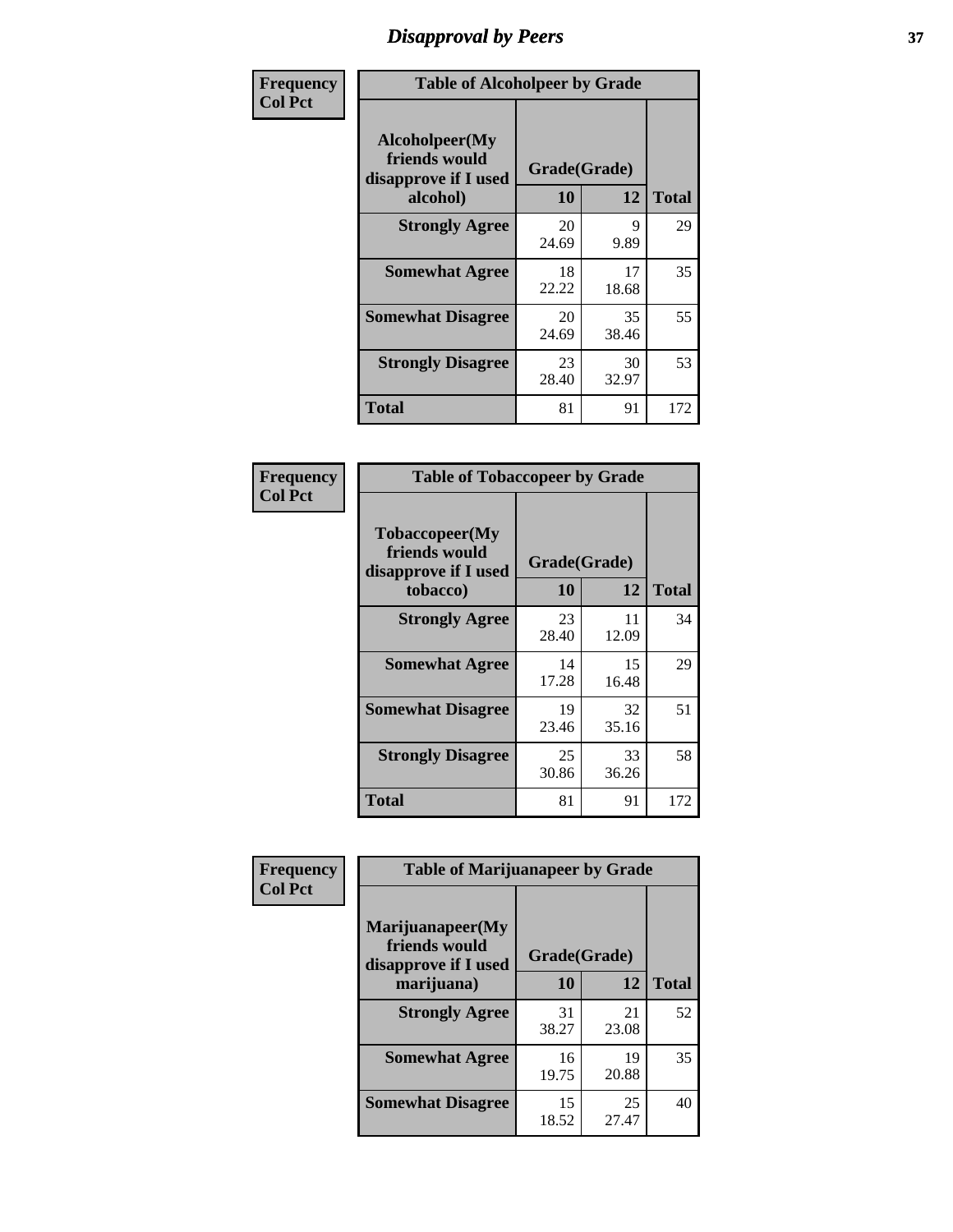# *Disapproval by Peers* **37**

| Frequency      | <b>Table of Alcoholpeer by Grade</b>                    |              |             |              |  |
|----------------|---------------------------------------------------------|--------------|-------------|--------------|--|
| <b>Col Pct</b> | Alcoholpeer(My<br>friends would<br>disapprove if I used | Grade(Grade) |             |              |  |
|                | alcohol)                                                | 10           | 12          | <b>Total</b> |  |
|                | <b>Strongly Agree</b>                                   | 20<br>24.69  | 9<br>9.89   | 29           |  |
|                | <b>Somewhat Agree</b>                                   | 18<br>22.22  | 17<br>18.68 | 35           |  |
|                | <b>Somewhat Disagree</b>                                | 20<br>24.69  | 35<br>38.46 | 55           |  |
|                | <b>Strongly Disagree</b>                                | 23<br>28.40  | 30<br>32.97 | 53           |  |
|                | Total                                                   | 81           | 91          | 172          |  |

| Frequency      | <b>Table of Tobaccopeer by Grade</b>                                |                           |             |              |
|----------------|---------------------------------------------------------------------|---------------------------|-------------|--------------|
| <b>Col Pct</b> | Tobaccopeer(My<br>friends would<br>disapprove if I used<br>tobacco) | Grade(Grade)<br><b>10</b> | 12          | <b>Total</b> |
|                | <b>Strongly Agree</b>                                               | 23<br>28.40               | 11<br>12.09 | 34           |
|                | <b>Somewhat Agree</b>                                               | 14<br>17.28               | 15<br>16.48 | 29           |
|                | <b>Somewhat Disagree</b>                                            | 19<br>23.46               | 32<br>35.16 | 51           |
|                | <b>Strongly Disagree</b>                                            | 25<br>30.86               | 33<br>36.26 | 58           |
|                | <b>Total</b>                                                        | 81                        | 91          | 172          |

| Frequency<br><b>Col Pct</b> | <b>Table of Marijuanapeer by Grade</b>                    |              |             |              |
|-----------------------------|-----------------------------------------------------------|--------------|-------------|--------------|
|                             | Marijuanapeer(My<br>friends would<br>disapprove if I used | Grade(Grade) |             |              |
|                             | marijuana)                                                | 10           | 12          | <b>Total</b> |
|                             | <b>Strongly Agree</b>                                     | 31<br>38.27  | 21<br>23.08 | 52           |
|                             | <b>Somewhat Agree</b>                                     | 16<br>19.75  | 19<br>20.88 | 35           |
|                             | <b>Somewhat Disagree</b>                                  | 15<br>18.52  | 25<br>27.47 | 40           |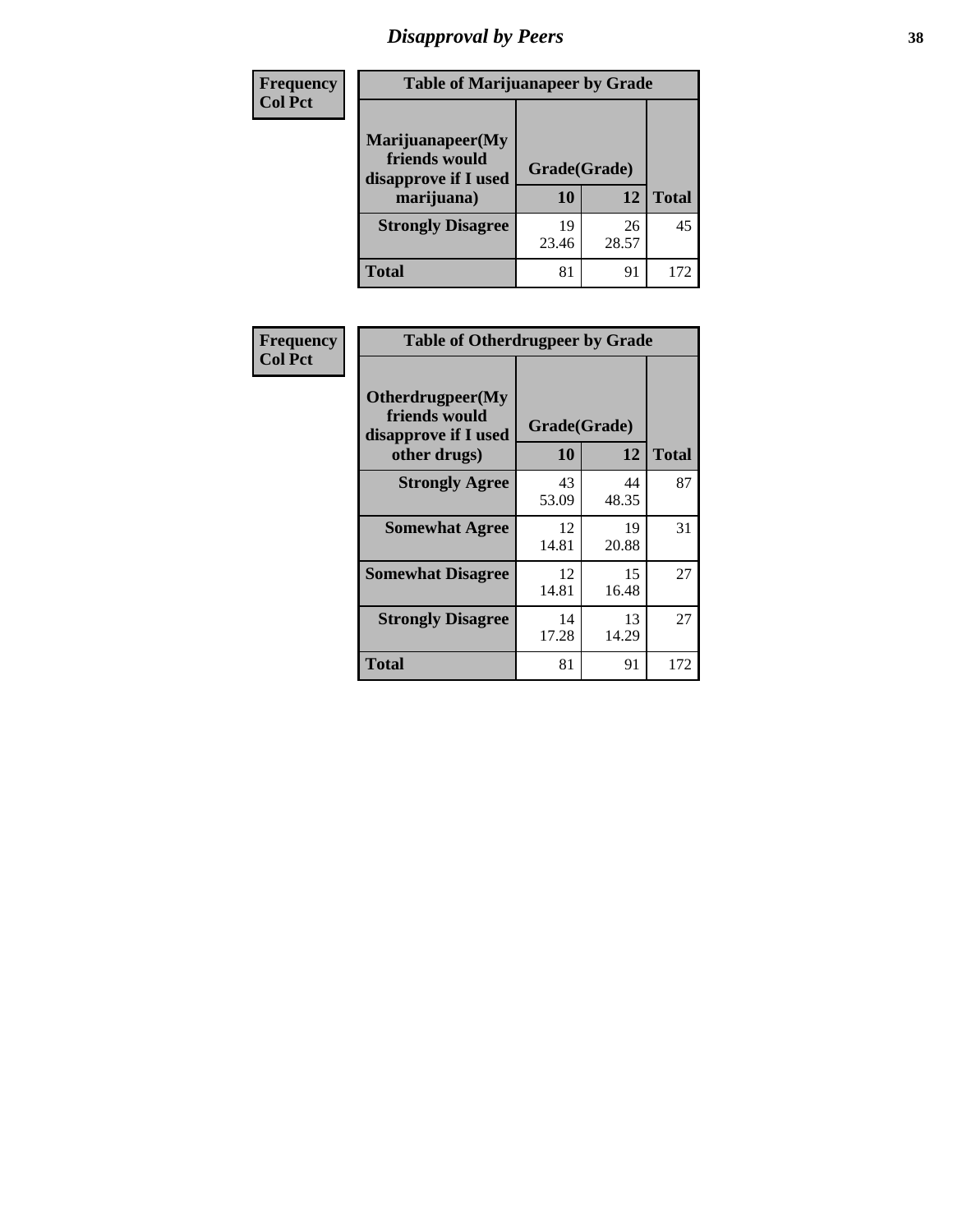# *Disapproval by Peers* **38**

| <b>Frequency</b> | <b>Table of Marijuanapeer by Grade</b>                                  |                    |             |              |  |
|------------------|-------------------------------------------------------------------------|--------------------|-------------|--------------|--|
| <b>Col Pct</b>   | Marijuanapeer(My<br>friends would<br>disapprove if I used<br>marijuana) | Grade(Grade)<br>10 | 12          | <b>Total</b> |  |
|                  | <b>Strongly Disagree</b>                                                | 19<br>23.46        | 26<br>28.57 | 45           |  |
|                  | <b>Total</b>                                                            | 81                 | 91          | 172          |  |

|                  | <b>Table of Otherdrugpeer by Grade</b>                    |              |             |              |
|------------------|-----------------------------------------------------------|--------------|-------------|--------------|
| <b>Frequency</b> |                                                           |              |             |              |
| <b>Col Pct</b>   | Otherdrugpeer(My<br>friends would<br>disapprove if I used | Grade(Grade) |             |              |
|                  | other drugs)                                              | 10           | 12          | <b>Total</b> |
|                  | <b>Strongly Agree</b>                                     | 43<br>53.09  | 44<br>48.35 | 87           |
|                  | <b>Somewhat Agree</b>                                     | 12<br>14.81  | 19<br>20.88 | 31           |
|                  | <b>Somewhat Disagree</b>                                  | 12<br>14.81  | 15<br>16.48 | 27           |
|                  | <b>Strongly Disagree</b>                                  | 14<br>17.28  | 13<br>14.29 | 27           |
|                  | <b>Total</b>                                              | 81           | 91          | 172          |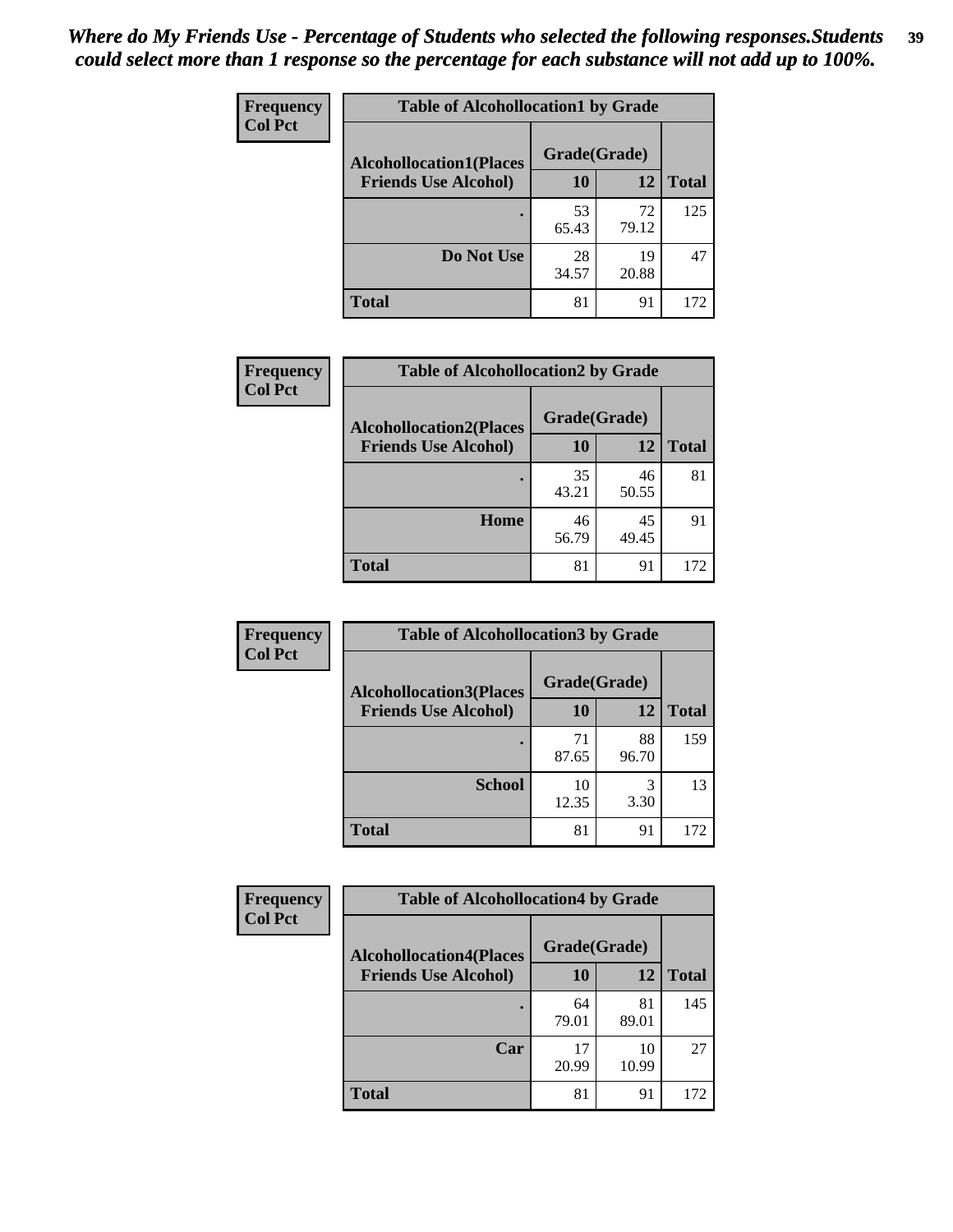| Frequency<br><b>Col Pct</b> | <b>Table of Alcohollocation1 by Grade</b> |              |             |              |  |
|-----------------------------|-------------------------------------------|--------------|-------------|--------------|--|
|                             | <b>Alcohollocation1(Places</b>            | Grade(Grade) |             |              |  |
|                             | <b>Friends Use Alcohol)</b>               | 10           | 12          | <b>Total</b> |  |
|                             |                                           | 53<br>65.43  | 72<br>79.12 | 125          |  |
|                             | Do Not Use                                | 28<br>34.57  | 19<br>20.88 | 47           |  |
|                             | <b>Total</b>                              | 81           | 91          | 172          |  |

| Frequency      | <b>Table of Alcohollocation2 by Grade</b>                     |                    |             |              |
|----------------|---------------------------------------------------------------|--------------------|-------------|--------------|
| <b>Col Pct</b> | <b>Alcohollocation2(Places</b><br><b>Friends Use Alcohol)</b> | Grade(Grade)<br>10 | 12          | <b>Total</b> |
|                |                                                               | 35<br>43.21        | 46<br>50.55 | 81           |
|                | Home                                                          | 46<br>56.79        | 45<br>49.45 | 91           |
|                | Total                                                         | 81                 | 91          | 172          |

| Frequency<br><b>Col Pct</b> | <b>Table of Alcohollocation 3 by Grade</b>                    |                    |             |              |
|-----------------------------|---------------------------------------------------------------|--------------------|-------------|--------------|
|                             | <b>Alcohollocation3(Places</b><br><b>Friends Use Alcohol)</b> | Grade(Grade)<br>10 | 12          | <b>Total</b> |
|                             |                                                               | 71<br>87.65        | 88<br>96.70 | 159          |
|                             | <b>School</b>                                                 | 10<br>12.35        | 3<br>3.30   | 13           |
|                             | <b>Total</b>                                                  | 81                 | 91          | 172          |

| <b>Frequency</b> | <b>Table of Alcohollocation4 by Grade</b> |              |             |              |
|------------------|-------------------------------------------|--------------|-------------|--------------|
| <b>Col Pct</b>   | <b>Alcohollocation4(Places</b>            | Grade(Grade) |             |              |
|                  | <b>Friends Use Alcohol)</b>               | 10           | 12          | <b>Total</b> |
|                  |                                           | 64<br>79.01  | 81<br>89.01 | 145          |
|                  | Car                                       | 17<br>20.99  | 10<br>10.99 | 27           |
|                  | Total                                     | 81           | 91          | 172          |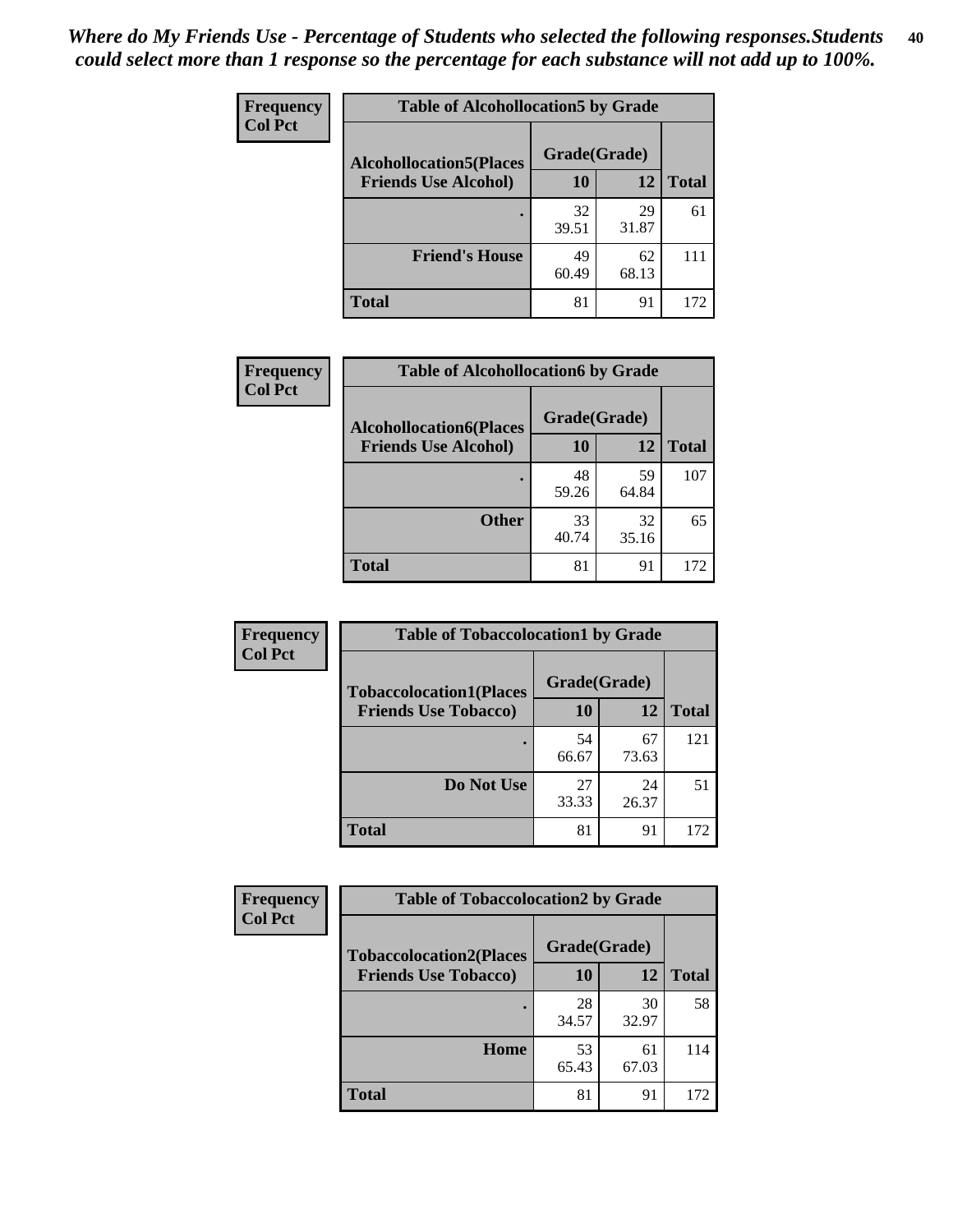| Frequency<br><b>Col Pct</b> | <b>Table of Alcohollocation5 by Grade</b> |              |             |              |  |
|-----------------------------|-------------------------------------------|--------------|-------------|--------------|--|
|                             | <b>Alcohollocation5(Places</b>            | Grade(Grade) |             |              |  |
|                             | <b>Friends Use Alcohol)</b>               | 10           | 12          | <b>Total</b> |  |
|                             |                                           | 32<br>39.51  | 29<br>31.87 | 61           |  |
|                             | <b>Friend's House</b>                     | 49<br>60.49  | 62<br>68.13 | 111          |  |
|                             | <b>Total</b>                              | 81           | 91          | 172          |  |

| <b>Frequency</b>                                                                | <b>Table of Alcohollocation6 by Grade</b> |             |             |              |
|---------------------------------------------------------------------------------|-------------------------------------------|-------------|-------------|--------------|
| <b>Col Pct</b><br><b>Alcohollocation6(Places</b><br><b>Friends Use Alcohol)</b> | Grade(Grade)                              |             |             |              |
|                                                                                 |                                           | 10          | 12          | <b>Total</b> |
|                                                                                 |                                           | 48<br>59.26 | 59<br>64.84 | 107          |
|                                                                                 | <b>Other</b>                              | 33<br>40.74 | 32<br>35.16 | 65           |
|                                                                                 | <b>Total</b>                              | 81          | 91          | 172          |

| Frequency      | <b>Table of Tobaccolocation1 by Grade</b> |              |             |              |
|----------------|-------------------------------------------|--------------|-------------|--------------|
| <b>Col Pct</b> | <b>Tobaccolocation1(Places</b>            | Grade(Grade) |             |              |
|                | <b>Friends Use Tobacco)</b>               | 10           | <b>12</b>   | <b>Total</b> |
|                |                                           | 54<br>66.67  | 67<br>73.63 | 121          |
|                | <b>Do Not Use</b>                         | 27<br>33.33  | 24<br>26.37 | 51           |
|                | <b>Total</b>                              | 81           | 91          | 172          |

| Frequency      | <b>Table of Tobaccolocation2 by Grade</b> |              |             |              |  |
|----------------|-------------------------------------------|--------------|-------------|--------------|--|
| <b>Col Pct</b> | <b>Tobaccolocation2(Places</b>            | Grade(Grade) |             |              |  |
|                | <b>Friends Use Tobacco)</b>               | 10           | 12          | <b>Total</b> |  |
|                |                                           | 28<br>34.57  | 30<br>32.97 | 58           |  |
|                | Home                                      | 53<br>65.43  | 61<br>67.03 | 114          |  |
|                | <b>Total</b>                              | 81           | 91          | 172          |  |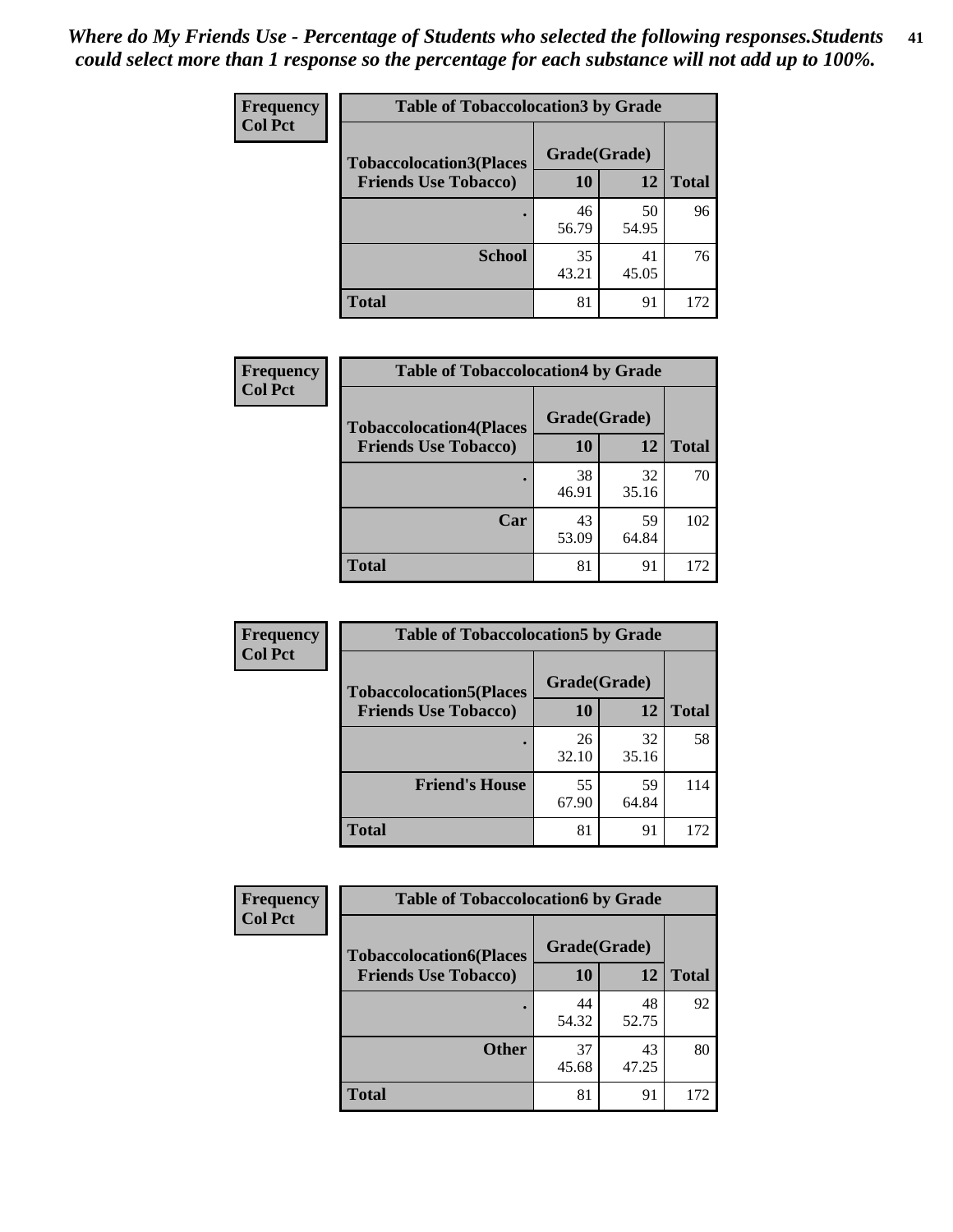| Frequency      | <b>Table of Tobaccolocation 3 by Grade</b> |              |             |              |
|----------------|--------------------------------------------|--------------|-------------|--------------|
| <b>Col Pct</b> | <b>Tobaccolocation3(Places</b>             | Grade(Grade) |             |              |
|                | <b>Friends Use Tobacco)</b>                | 10           | 12          | <b>Total</b> |
|                |                                            | 46<br>56.79  | 50<br>54.95 | 96           |
|                | <b>School</b>                              | 35<br>43.21  | 41<br>45.05 | 76           |
|                | <b>Total</b>                               | 81           | 91          | 172          |

| Frequency      | <b>Table of Tobaccolocation4 by Grade</b>                     |                           |             |              |
|----------------|---------------------------------------------------------------|---------------------------|-------------|--------------|
| <b>Col Pct</b> | <b>Tobaccolocation4(Places</b><br><b>Friends Use Tobacco)</b> | Grade(Grade)<br><b>10</b> | 12          | <b>Total</b> |
|                |                                                               | 38<br>46.91               | 32<br>35.16 | 70           |
|                | Car                                                           | 43<br>53.09               | 59<br>64.84 | 102          |
|                | <b>Total</b>                                                  | 81                        | 91          | 172          |

| Frequency      | <b>Table of Tobaccolocation5 by Grade</b> |              |             |              |
|----------------|-------------------------------------------|--------------|-------------|--------------|
| <b>Col Pct</b> | <b>Tobaccolocation5(Places</b>            | Grade(Grade) |             |              |
|                | <b>Friends Use Tobacco)</b>               | 10           | <b>12</b>   | <b>Total</b> |
|                |                                           | 26<br>32.10  | 32<br>35.16 | 58           |
|                | <b>Friend's House</b>                     | 55<br>67.90  | 59<br>64.84 | 114          |
|                | <b>Total</b>                              | 81           | 91          | 172          |

| <b>Frequency</b> | <b>Table of Tobaccolocation6 by Grade</b> |              |             |              |  |
|------------------|-------------------------------------------|--------------|-------------|--------------|--|
| <b>Col Pct</b>   | <b>Tobaccolocation6(Places</b>            | Grade(Grade) |             |              |  |
|                  | <b>Friends Use Tobacco)</b>               | 10           | 12          | <b>Total</b> |  |
|                  |                                           | 44<br>54.32  | 48<br>52.75 | 92           |  |
|                  | <b>Other</b>                              | 37<br>45.68  | 43<br>47.25 | 80           |  |
|                  | <b>Total</b>                              | 81           | 91          | 172          |  |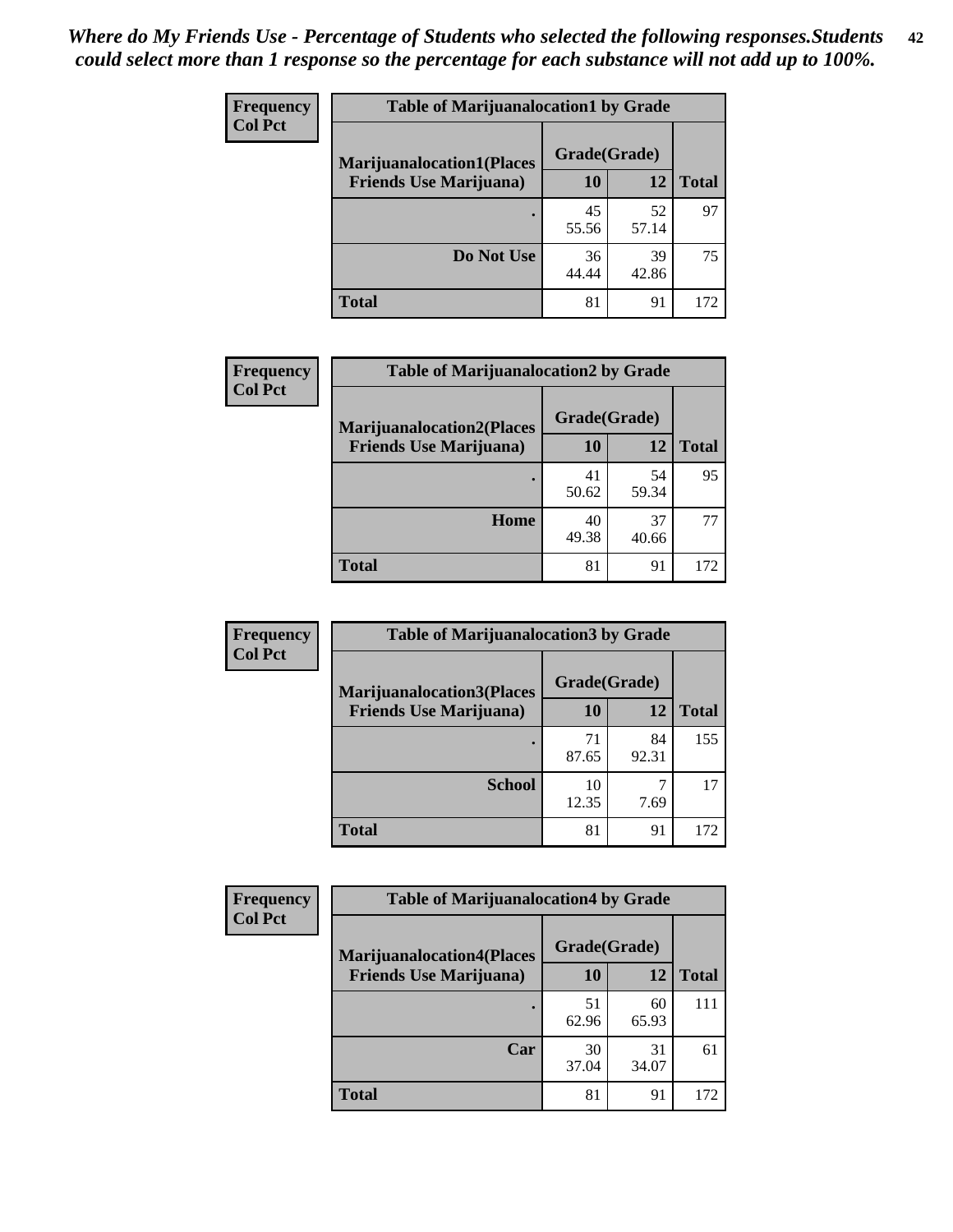| <b>Frequency</b> | <b>Table of Marijuanalocation1 by Grade</b> |              |             |              |
|------------------|---------------------------------------------|--------------|-------------|--------------|
| <b>Col Pct</b>   | <b>Marijuanalocation1(Places</b>            | Grade(Grade) |             |              |
|                  | <b>Friends Use Marijuana</b> )              | 10           | 12          | <b>Total</b> |
|                  |                                             | 45<br>55.56  | 52<br>57.14 | 97           |
|                  | Do Not Use                                  | 36<br>44.44  | 39<br>42.86 | 75           |
|                  | <b>Total</b>                                | 81           | 91          | 172          |

| <b>Frequency</b> | <b>Table of Marijuanalocation2 by Grade</b>                        |                    |             |              |
|------------------|--------------------------------------------------------------------|--------------------|-------------|--------------|
| <b>Col Pct</b>   | <b>Marijuanalocation2(Places</b><br><b>Friends Use Marijuana</b> ) | Grade(Grade)<br>10 | 12          | <b>Total</b> |
|                  |                                                                    | 41<br>50.62        | 54<br>59.34 | 95           |
|                  | Home                                                               | 40<br>49.38        | 37<br>40.66 | 77           |
|                  | <b>Total</b>                                                       | 81                 | 91          | 172          |

| Frequency<br><b>Col Pct</b> | <b>Table of Marijuanalocation3 by Grade</b> |              |             |              |
|-----------------------------|---------------------------------------------|--------------|-------------|--------------|
|                             | <b>Marijuanalocation3</b> (Places           | Grade(Grade) |             |              |
|                             | <b>Friends Use Marijuana</b> )              | <b>10</b>    | 12          | <b>Total</b> |
|                             |                                             | 71<br>87.65  | 84<br>92.31 | 155          |
|                             | <b>School</b>                               | 10<br>12.35  | 7.69        | 17           |
|                             | <b>Total</b>                                | 81           | 91          | 172          |

| <b>Frequency</b> | <b>Table of Marijuanalocation4 by Grade</b> |              |             |              |  |
|------------------|---------------------------------------------|--------------|-------------|--------------|--|
| <b>Col Pct</b>   | <b>Marijuanalocation4(Places</b>            | Grade(Grade) |             |              |  |
|                  | <b>Friends Use Marijuana</b> )              | 10           | 12          | <b>Total</b> |  |
|                  |                                             | 51<br>62.96  | 60<br>65.93 | 111          |  |
|                  | Car                                         | 30<br>37.04  | 31<br>34.07 | 61           |  |
|                  | <b>Total</b>                                | 81           | 91          | 172          |  |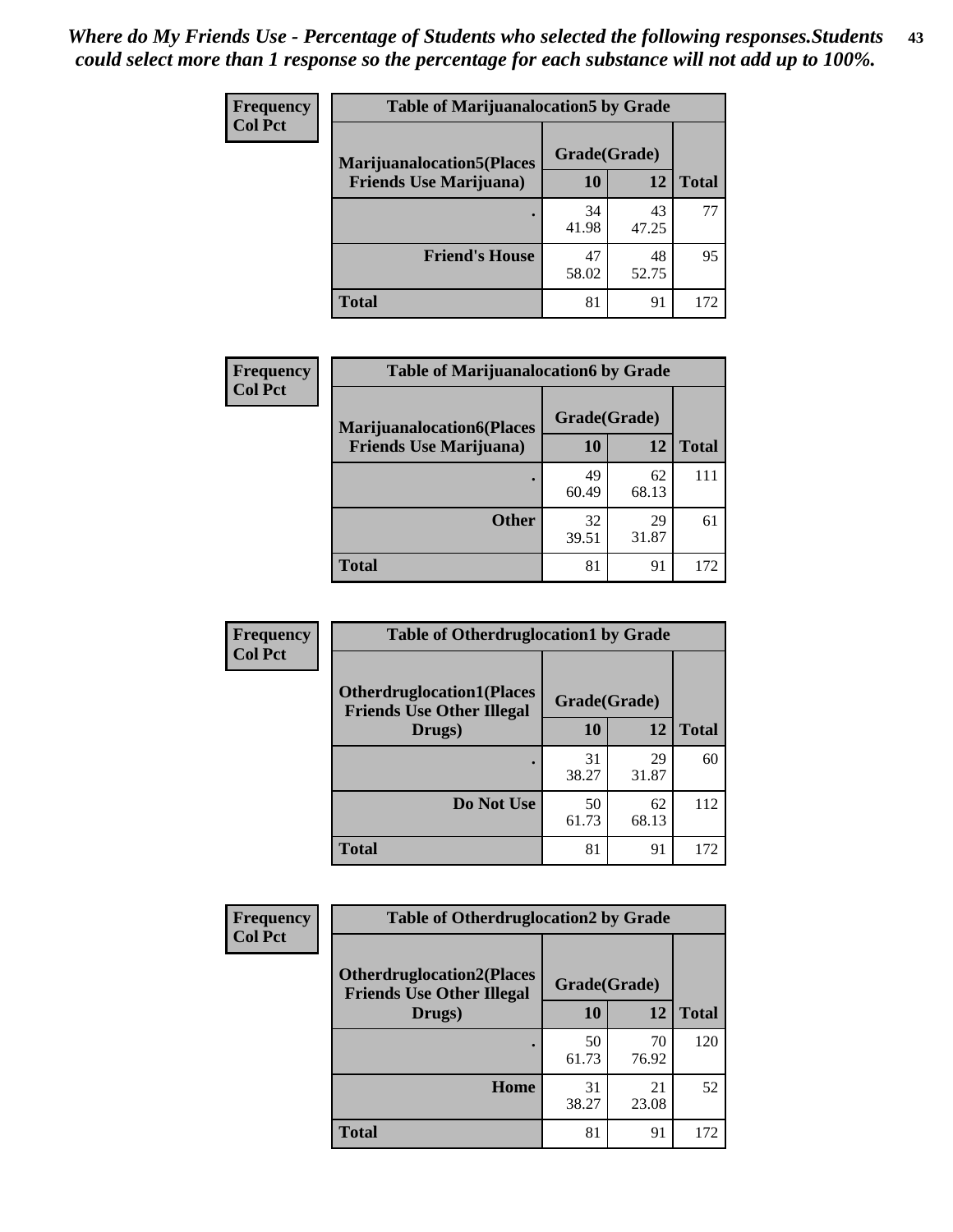| <b>Frequency</b> | <b>Table of Marijuanalocation5 by Grade</b> |              |             |              |
|------------------|---------------------------------------------|--------------|-------------|--------------|
| <b>Col Pct</b>   | <b>Marijuanalocation5(Places)</b>           | Grade(Grade) |             |              |
|                  | <b>Friends Use Marijuana</b> )              | 10           | 12          | <b>Total</b> |
|                  |                                             | 34<br>41.98  | 43<br>47.25 | 77           |
|                  | <b>Friend's House</b>                       | 47<br>58.02  | 48<br>52.75 | 95           |
|                  | <b>Total</b>                                | 81           | 91          | 172          |

| <b>Frequency</b> | <b>Table of Marijuanalocation6 by Grade</b>                        |                           |             |              |  |  |
|------------------|--------------------------------------------------------------------|---------------------------|-------------|--------------|--|--|
| <b>Col Pct</b>   | <b>Marijuanalocation6(Places</b><br><b>Friends Use Marijuana</b> ) | Grade(Grade)<br><b>10</b> | 12          | <b>Total</b> |  |  |
|                  |                                                                    | 49<br>60.49               | 62<br>68.13 | 111          |  |  |
|                  | <b>Other</b>                                                       | 32<br>39.51               | 29<br>31.87 | 61           |  |  |
|                  | <b>Total</b>                                                       | 81                        | 91          | 172          |  |  |

| <b>Frequency</b> | <b>Table of Otherdruglocation1 by Grade</b>                          |              |             |              |
|------------------|----------------------------------------------------------------------|--------------|-------------|--------------|
| <b>Col Pct</b>   | <b>Otherdruglocation1(Places</b><br><b>Friends Use Other Illegal</b> | Grade(Grade) |             |              |
|                  | Drugs)                                                               | 10           | 12          | <b>Total</b> |
|                  |                                                                      | 31<br>38.27  | 29<br>31.87 | 60           |
|                  | Do Not Use                                                           | 50<br>61.73  | 62<br>68.13 | 112          |
|                  | <b>Total</b>                                                         | 81           | 91          | 172          |

| <b>Frequency</b> | <b>Table of Otherdruglocation2 by Grade</b>                          |              |             |              |
|------------------|----------------------------------------------------------------------|--------------|-------------|--------------|
| <b>Col Pct</b>   | <b>Otherdruglocation2(Places</b><br><b>Friends Use Other Illegal</b> | Grade(Grade) |             |              |
|                  | Drugs)                                                               | 10           | 12          | <b>Total</b> |
|                  |                                                                      | 50<br>61.73  | 70<br>76.92 | 120          |
|                  | Home                                                                 | 31<br>38.27  | 21<br>23.08 | 52           |
|                  | <b>Total</b>                                                         | 81           | 91          | 172          |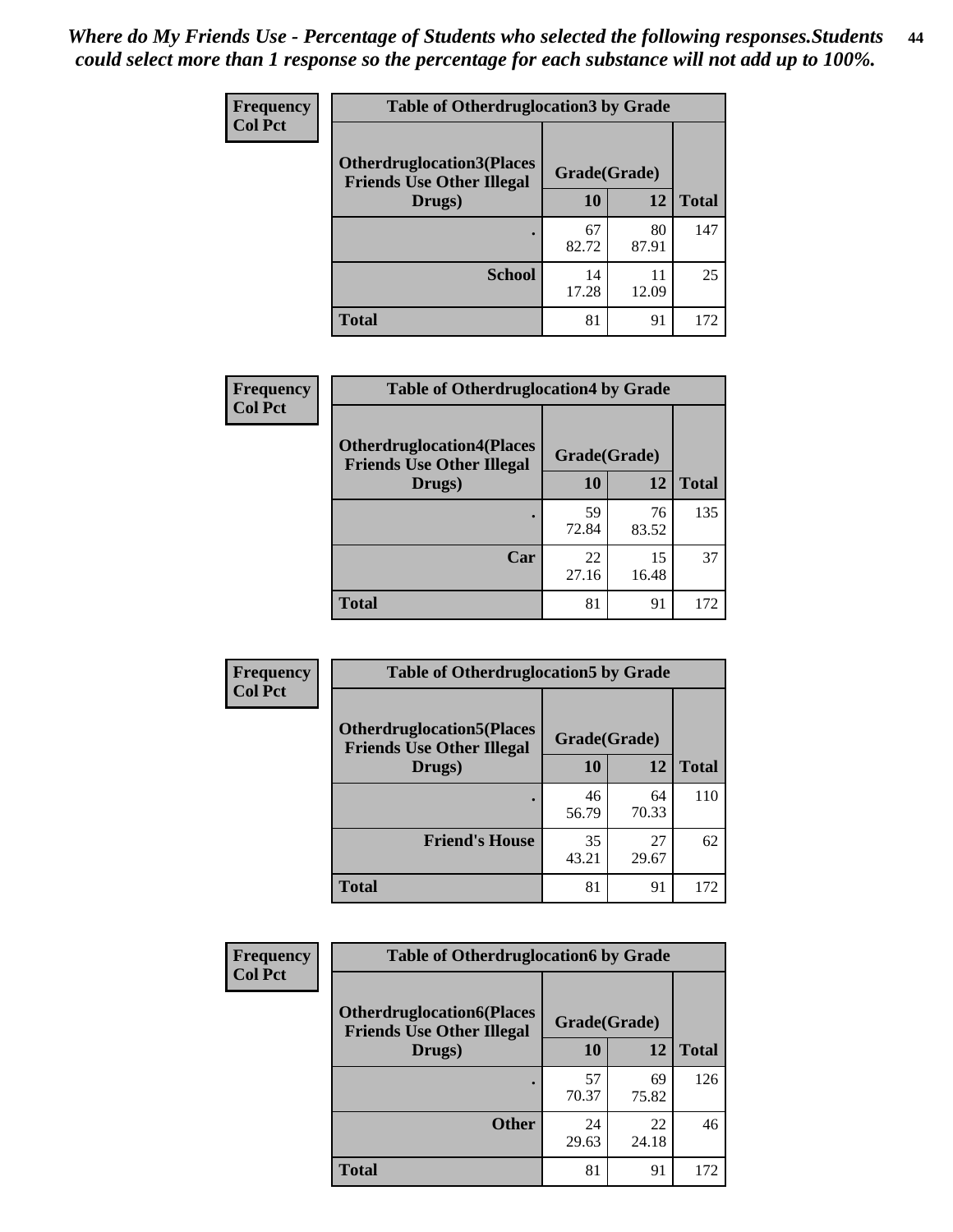| <b>Frequency</b> | <b>Table of Otherdruglocation 3 by Grade</b>                         |              |             |              |  |
|------------------|----------------------------------------------------------------------|--------------|-------------|--------------|--|
| <b>Col Pct</b>   | <b>Otherdruglocation3(Places</b><br><b>Friends Use Other Illegal</b> | Grade(Grade) |             |              |  |
|                  | Drugs)                                                               | 10           | 12          | <b>Total</b> |  |
|                  |                                                                      | 67<br>82.72  | 80<br>87.91 | 147          |  |
|                  | <b>School</b>                                                        | 14<br>17.28  | 11<br>12.09 | 25           |  |
|                  | <b>Total</b>                                                         | 81           | 91          | 172          |  |

| <b>Frequency</b> | <b>Table of Otherdruglocation4 by Grade</b>                          |              |             |              |
|------------------|----------------------------------------------------------------------|--------------|-------------|--------------|
| <b>Col Pct</b>   | <b>Otherdruglocation4(Places</b><br><b>Friends Use Other Illegal</b> | Grade(Grade) |             |              |
|                  | Drugs)                                                               | 10           | 12          | <b>Total</b> |
|                  | ٠                                                                    | 59<br>72.84  | 76<br>83.52 | 135          |
|                  | Car                                                                  | 22<br>27.16  | 15<br>16.48 | 37           |
|                  | <b>Total</b>                                                         | 81           | 91          | 172          |

| <b>Frequency</b> | <b>Table of Otherdruglocation5 by Grade</b>                          |              |             |              |
|------------------|----------------------------------------------------------------------|--------------|-------------|--------------|
| <b>Col Pct</b>   | <b>Otherdruglocation5(Places</b><br><b>Friends Use Other Illegal</b> | Grade(Grade) |             |              |
|                  | Drugs)                                                               | 10           | 12          | <b>Total</b> |
|                  |                                                                      | 46<br>56.79  | 64<br>70.33 | 110          |
|                  | <b>Friend's House</b>                                                | 35<br>43.21  | 27<br>29.67 | 62           |
|                  | <b>Total</b>                                                         | 81           | 91          | 172          |

| <b>Frequency</b> | <b>Table of Otherdruglocation6 by Grade</b>                          |              |             |              |
|------------------|----------------------------------------------------------------------|--------------|-------------|--------------|
| <b>Col Pct</b>   | <b>Otherdruglocation6(Places</b><br><b>Friends Use Other Illegal</b> | Grade(Grade) |             |              |
|                  | Drugs)                                                               | 10           | 12          | <b>Total</b> |
|                  |                                                                      | 57<br>70.37  | 69<br>75.82 | 126          |
|                  | <b>Other</b>                                                         | 24<br>29.63  | 22<br>24.18 | 46           |
|                  | <b>Total</b>                                                         | 81           | 91          | 172          |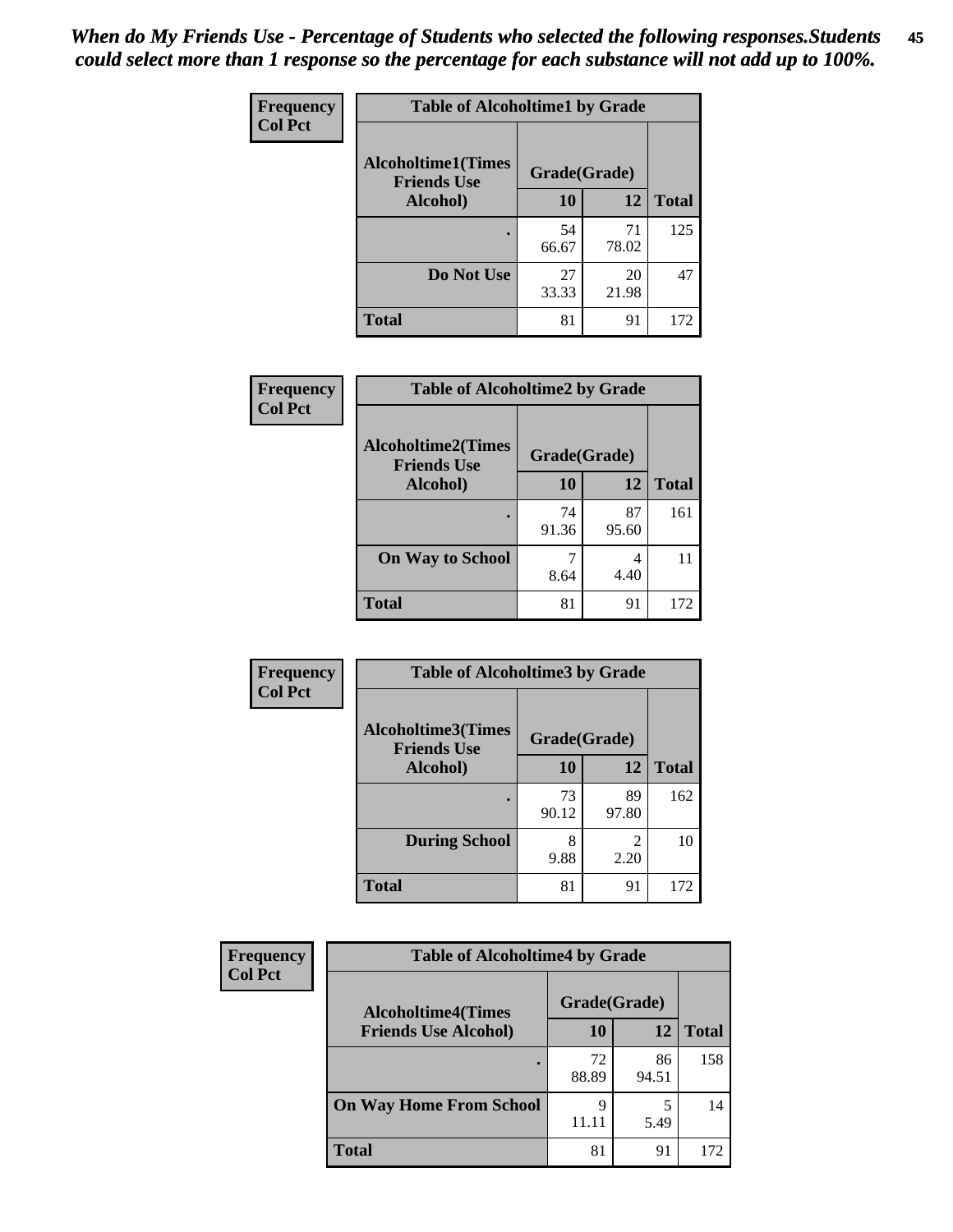| Frequency      | <b>Table of Alcoholtime1 by Grade</b> |              |             |              |
|----------------|---------------------------------------|--------------|-------------|--------------|
| <b>Col Pct</b> | <b>Alcoholtime1(Times</b>             | Grade(Grade) |             |              |
|                | <b>Friends Use</b><br>Alcohol)        | 10           | 12          | <b>Total</b> |
|                |                                       | 54<br>66.67  | 71<br>78.02 | 125          |
|                | Do Not Use                            | 27<br>33.33  | 20<br>21.98 | 47           |
|                | <b>Total</b>                          | 81           | 91          | 172          |

| Frequency      | <b>Table of Alcoholtime2 by Grade</b>                           |             |             |              |
|----------------|-----------------------------------------------------------------|-------------|-------------|--------------|
| <b>Col Pct</b> | <b>Alcoholtime2(Times</b><br>Grade(Grade)<br><b>Friends Use</b> |             |             |              |
|                | Alcohol)                                                        | 10          | 12          | <b>Total</b> |
|                |                                                                 | 74<br>91.36 | 87<br>95.60 | 161          |
|                | <b>On Way to School</b>                                         | 8.64        | 4<br>4.40   | 11           |
|                | <b>Total</b>                                                    | 81          | 91          | 172          |

| Frequency<br><b>Col Pct</b> | <b>Table of Alcoholtime3 by Grade</b>                           |             |             |              |
|-----------------------------|-----------------------------------------------------------------|-------------|-------------|--------------|
|                             | <b>Alcoholtime3(Times</b><br>Grade(Grade)<br><b>Friends Use</b> |             |             |              |
|                             | <b>Alcohol</b> )                                                | 10          | 12          | <b>Total</b> |
|                             |                                                                 | 73<br>90.12 | 89<br>97.80 | 162          |
|                             | <b>During School</b>                                            | 8<br>9.88   | 2<br>2.20   | 10           |
|                             | <b>Total</b>                                                    | 81          | 91          | 172          |

| <b>Frequency</b> | <b>Table of Alcoholtime4 by Grade</b> |              |             |              |  |
|------------------|---------------------------------------|--------------|-------------|--------------|--|
| <b>Col Pct</b>   | <b>Alcoholtime4(Times</b>             | Grade(Grade) |             |              |  |
|                  | <b>Friends Use Alcohol)</b>           | 10           | 12          | <b>Total</b> |  |
|                  |                                       | 72<br>88.89  | 86<br>94.51 | 158          |  |
|                  | <b>On Way Home From School</b>        | 9<br>11.11   | 5.49        | 14           |  |
|                  | <b>Total</b>                          | 81           | 91          | 172          |  |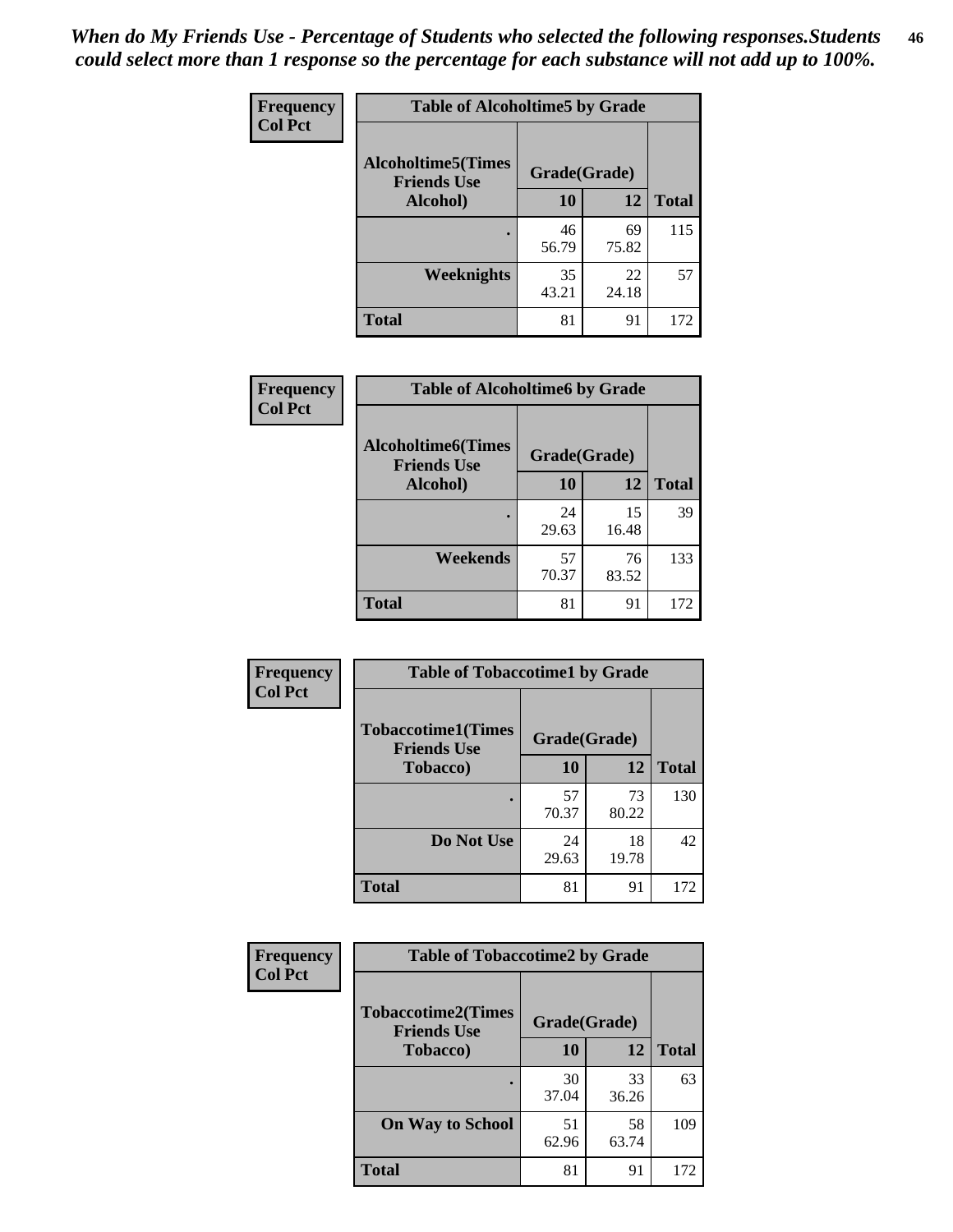*When do My Friends Use - Percentage of Students who selected the following responses.Students could select more than 1 response so the percentage for each substance will not add up to 100%.* **46**

| <b>Frequency</b> | <b>Table of Alcoholtime5 by Grade</b>            |              |             |              |
|------------------|--------------------------------------------------|--------------|-------------|--------------|
| <b>Col Pct</b>   | <b>Alcoholtime5</b> (Times<br><b>Friends Use</b> | Grade(Grade) |             |              |
|                  | Alcohol)                                         | 10           | 12          | <b>Total</b> |
|                  | ٠                                                | 46<br>56.79  | 69<br>75.82 | 115          |
|                  | Weeknights                                       | 35<br>43.21  | 22<br>24.18 | 57           |
|                  | <b>Total</b>                                     | 81           | 91          | 172          |

| Frequency      | <b>Table of Alcoholtime6 by Grade</b>           |              |             |              |
|----------------|-------------------------------------------------|--------------|-------------|--------------|
| <b>Col Pct</b> | <b>Alcoholtime6(Times</b><br><b>Friends Use</b> | Grade(Grade) |             |              |
|                | Alcohol)                                        | 10           | 12          | <b>Total</b> |
|                | ٠                                               | 24<br>29.63  | 15<br>16.48 | 39           |
|                | Weekends                                        | 57<br>70.37  | 76<br>83.52 | 133          |
|                | <b>Total</b>                                    | 81           | 91          | 172          |

| Frequency<br><b>Col Pct</b> | <b>Table of Tobaccotime1 by Grade</b>           |              |             |              |
|-----------------------------|-------------------------------------------------|--------------|-------------|--------------|
|                             | <b>Tobaccotime1(Times</b><br><b>Friends Use</b> | Grade(Grade) |             |              |
|                             | <b>Tobacco</b> )                                | 10           | 12          | <b>Total</b> |
|                             |                                                 | 57<br>70.37  | 73<br>80.22 | 130          |
|                             | Do Not Use                                      | 24<br>29.63  | 18<br>19.78 | 42           |
|                             | <b>Total</b>                                    | 81           | 91          | 172          |

| Frequency      | <b>Table of Tobaccotime2 by Grade</b>           |              |             |              |
|----------------|-------------------------------------------------|--------------|-------------|--------------|
| <b>Col Pct</b> | <b>Tobaccotime2(Times</b><br><b>Friends Use</b> | Grade(Grade) |             |              |
|                | <b>Tobacco</b> )                                | 10           | 12          | <b>Total</b> |
|                |                                                 | 30<br>37.04  | 33<br>36.26 | 63           |
|                | <b>On Way to School</b>                         | 51<br>62.96  | 58<br>63.74 | 109          |
|                | <b>Total</b>                                    | 81           | 91          | 172          |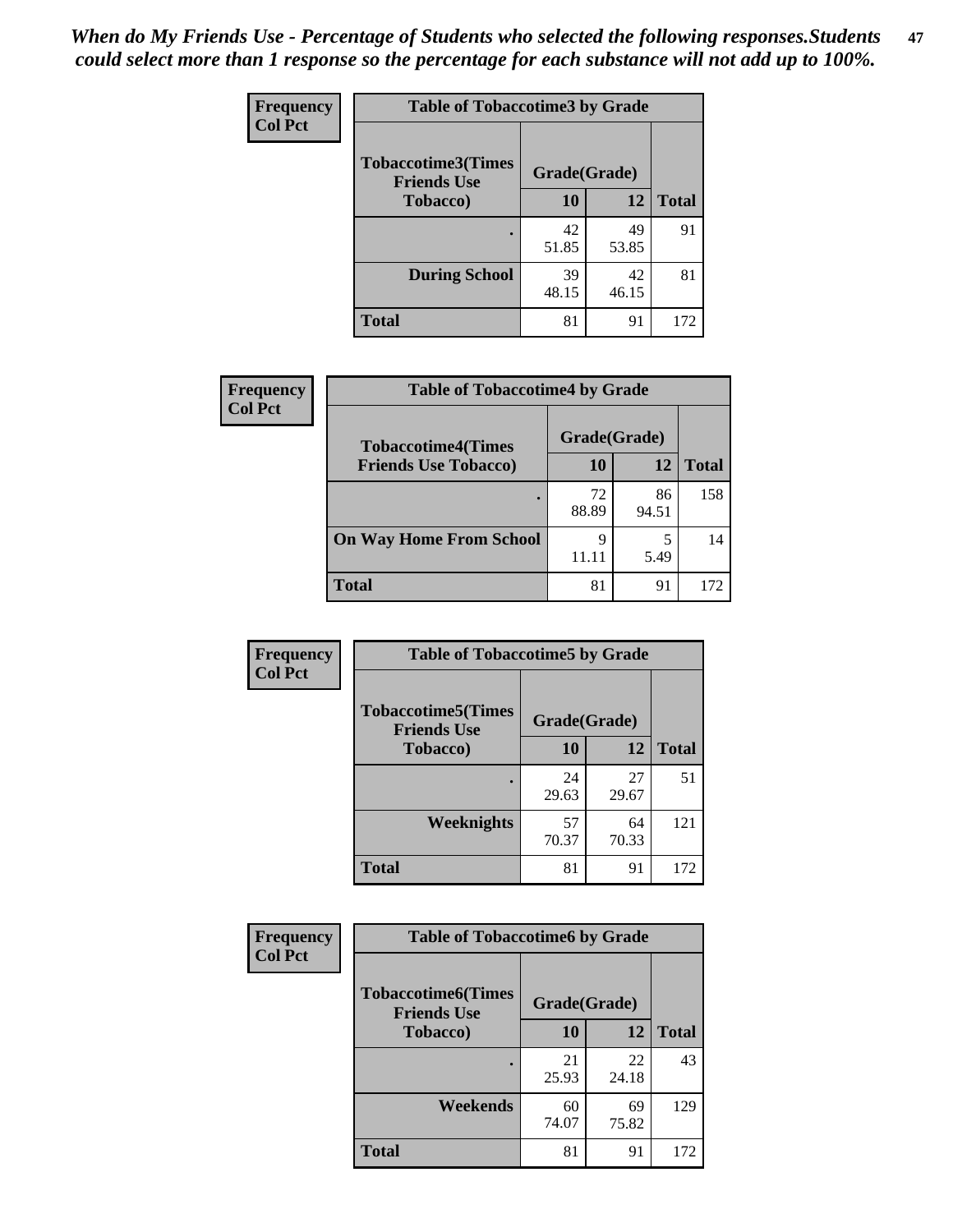*When do My Friends Use - Percentage of Students who selected the following responses.Students could select more than 1 response so the percentage for each substance will not add up to 100%.* **47**

| <b>Frequency</b> | <b>Table of Tobaccotime3 by Grade</b>           |              |             |              |  |  |
|------------------|-------------------------------------------------|--------------|-------------|--------------|--|--|
| <b>Col Pct</b>   | <b>Tobaccotime3(Times</b><br><b>Friends Use</b> | Grade(Grade) |             |              |  |  |
|                  | <b>Tobacco</b> )                                | 10           | 12          | <b>Total</b> |  |  |
|                  |                                                 | 42<br>51.85  | 49<br>53.85 | 91           |  |  |
|                  | <b>During School</b>                            | 39<br>48.15  | 42<br>46.15 | 81           |  |  |
|                  | <b>Total</b>                                    | 81           | 91          | 172          |  |  |

| <b>Frequency</b> | <b>Table of Tobaccotime4 by Grade</b> |              |             |              |
|------------------|---------------------------------------|--------------|-------------|--------------|
| <b>Col Pct</b>   | <b>Tobaccotime4(Times</b>             | Grade(Grade) |             |              |
|                  | <b>Friends Use Tobacco)</b>           | 10           | 12          | <b>Total</b> |
|                  |                                       | 72<br>88.89  | 86<br>94.51 | 158          |
|                  | <b>On Way Home From School</b>        | 9<br>11.11   | 5<br>5.49   | 14           |
|                  | <b>Total</b>                          | 81           | 91          | 172          |

| <b>Frequency</b> | <b>Table of Tobaccotime5 by Grade</b>           |              |             |              |  |
|------------------|-------------------------------------------------|--------------|-------------|--------------|--|
| <b>Col Pct</b>   | <b>Tobaccotime5(Times</b><br><b>Friends Use</b> | Grade(Grade) |             |              |  |
|                  | Tobacco)                                        | 10           | 12          | <b>Total</b> |  |
|                  |                                                 | 24<br>29.63  | 27<br>29.67 | 51           |  |
|                  | Weeknights                                      | 57<br>70.37  | 64<br>70.33 | 121          |  |
|                  | <b>Total</b>                                    | 81           | 91          | 172          |  |

| Frequency      |                                                 | <b>Table of Tobaccotime6 by Grade</b> |             |              |  |  |
|----------------|-------------------------------------------------|---------------------------------------|-------------|--------------|--|--|
| <b>Col Pct</b> | <b>Tobaccotime6(Times</b><br><b>Friends Use</b> | Grade(Grade)                          |             |              |  |  |
|                | <b>Tobacco</b> )                                | 10                                    | 12          | <b>Total</b> |  |  |
|                | ٠                                               | 21<br>25.93                           | 22<br>24.18 | 43           |  |  |
|                | Weekends                                        | 60<br>74.07                           | 69<br>75.82 | 129          |  |  |
|                | <b>Total</b>                                    | 81                                    | 91          | 172          |  |  |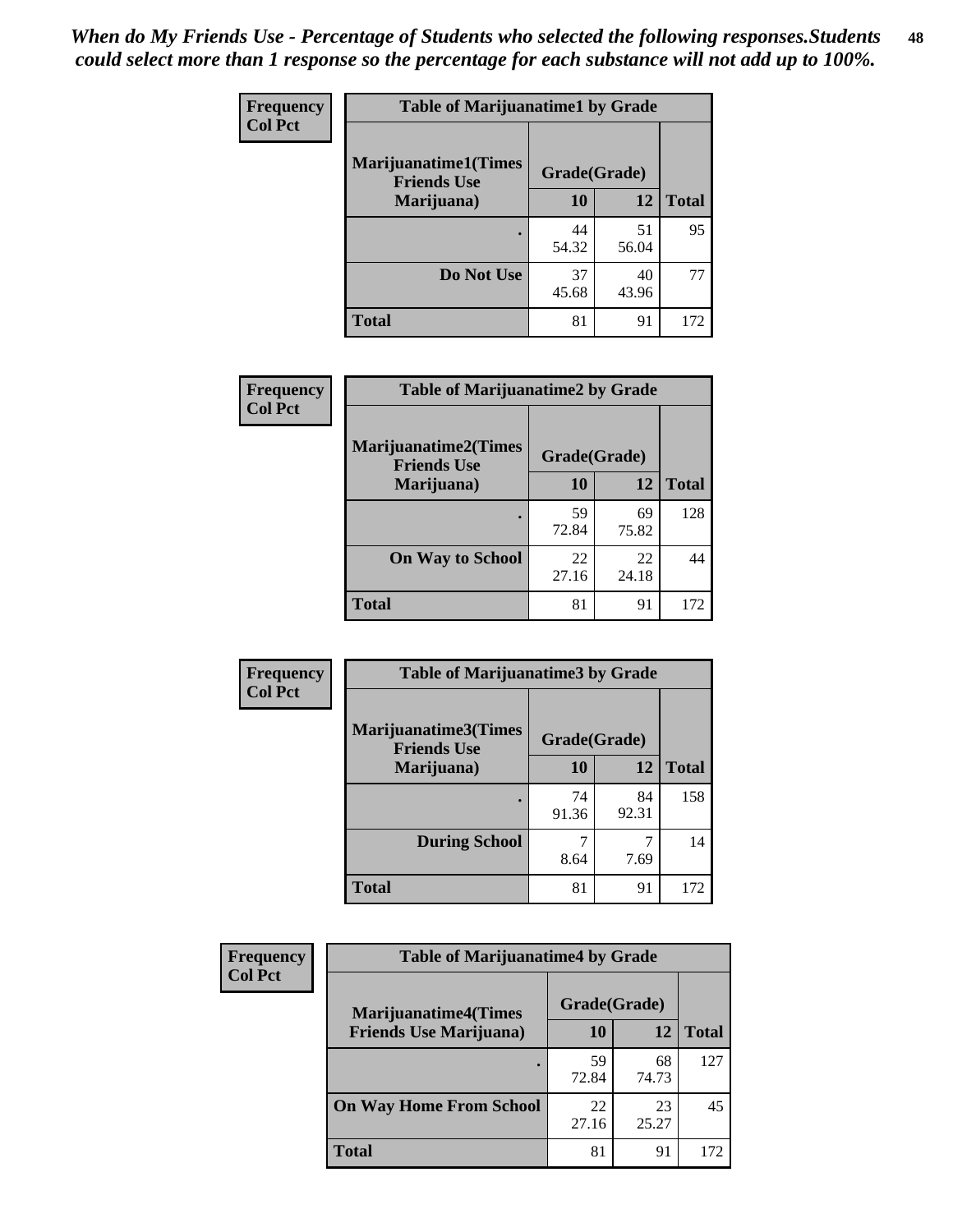| Frequency      | <b>Table of Marijuanatime1 by Grade</b>           |              |             |              |
|----------------|---------------------------------------------------|--------------|-------------|--------------|
| <b>Col Pct</b> | <b>Marijuanatime1(Times</b><br><b>Friends Use</b> | Grade(Grade) |             |              |
|                | Marijuana)                                        | 10           | 12          | <b>Total</b> |
|                |                                                   | 44<br>54.32  | 51<br>56.04 | 95           |
|                | Do Not Use                                        | 37<br>45.68  | 40<br>43.96 | 77           |
|                | <b>Total</b>                                      | 81           | 91          | 172          |

| <b>Frequency</b> | <b>Table of Marijuanatime2 by Grade</b>           |              |             |              |
|------------------|---------------------------------------------------|--------------|-------------|--------------|
| <b>Col Pct</b>   | <b>Marijuanatime2(Times</b><br><b>Friends Use</b> | Grade(Grade) |             |              |
|                  | Marijuana)                                        | 10           | 12          | <b>Total</b> |
|                  |                                                   | 59<br>72.84  | 69<br>75.82 | 128          |
|                  | <b>On Way to School</b>                           | 22<br>27.16  | 22<br>24.18 | 44           |
|                  | <b>Total</b>                                      | 81           | 91          | 172          |

| Frequency      | <b>Table of Marijuanatime3 by Grade</b>    |              |             |              |  |
|----------------|--------------------------------------------|--------------|-------------|--------------|--|
| <b>Col Pct</b> | Marijuanatime3(Times<br><b>Friends Use</b> | Grade(Grade) |             |              |  |
|                | Marijuana)                                 | 10           | 12          | <b>Total</b> |  |
|                |                                            | 74<br>91.36  | 84<br>92.31 | 158          |  |
|                | <b>During School</b>                       | 8.64         | 7.69        | 14           |  |
|                | <b>Total</b>                               | 81           | 91          | 172          |  |

| <b>Frequency</b> | <b>Table of Marijuanatime4 by Grade</b> |              |             |              |
|------------------|-----------------------------------------|--------------|-------------|--------------|
| <b>Col Pct</b>   | <b>Marijuanatime4</b> (Times            | Grade(Grade) |             |              |
|                  | <b>Friends Use Marijuana</b> )          | 10           | 12          | <b>Total</b> |
|                  |                                         | 59<br>72.84  | 68<br>74.73 | 127          |
|                  | <b>On Way Home From School</b>          | 22<br>27.16  | 23<br>25.27 | 45           |
|                  | <b>Total</b>                            | 81           | 91          | 72           |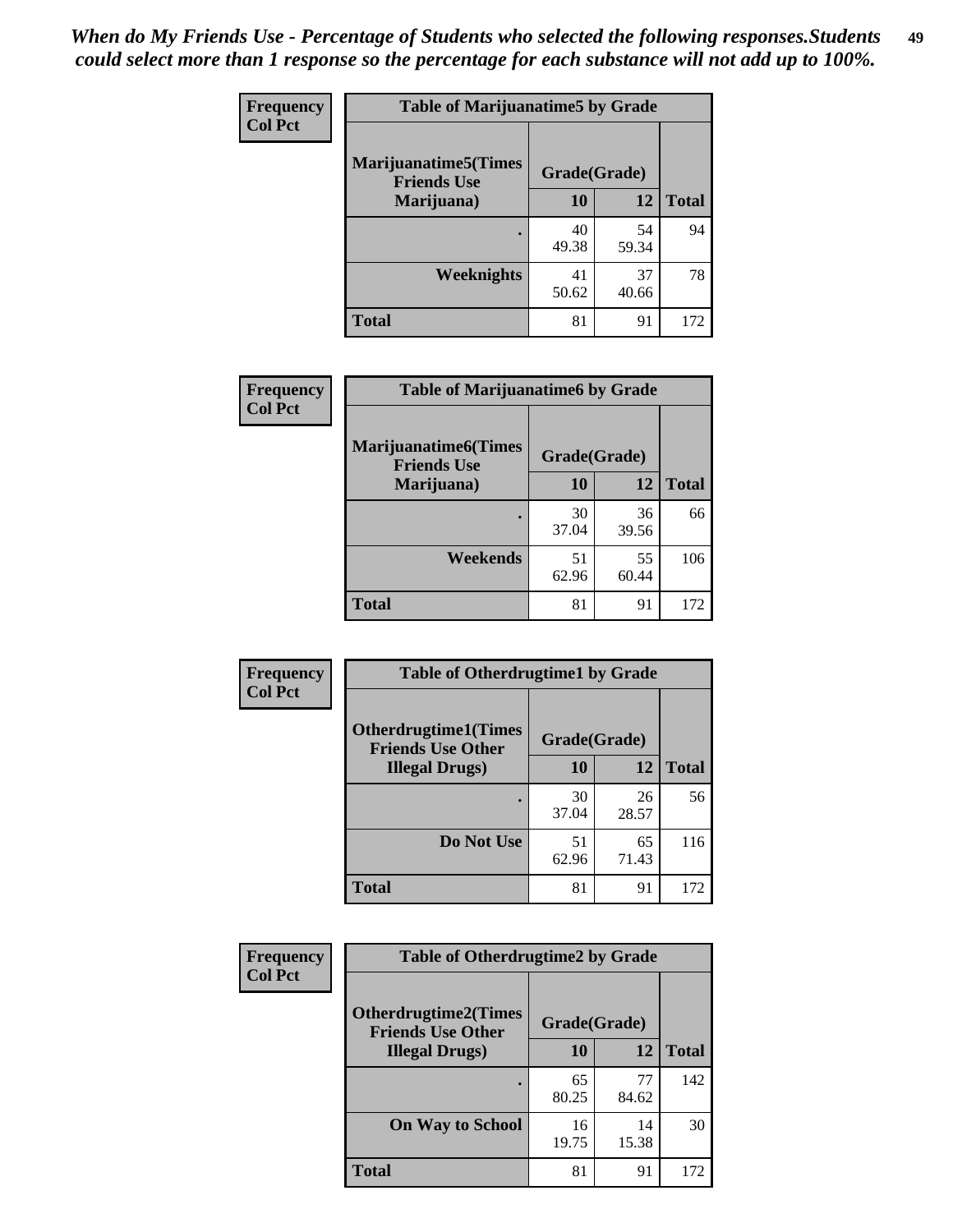| Frequency      | <b>Table of Marijuanatime5 by Grade</b>            |              |             |              |  |
|----------------|----------------------------------------------------|--------------|-------------|--------------|--|
| <b>Col Pct</b> | <b>Marijuanatime5</b> (Times<br><b>Friends Use</b> | Grade(Grade) |             |              |  |
|                | Marijuana)                                         | 10           | 12          | <b>Total</b> |  |
|                |                                                    | 40<br>49.38  | 54<br>59.34 | 94           |  |
|                | <b>Weeknights</b>                                  | 41<br>50.62  | 37<br>40.66 | 78           |  |
|                | <b>Total</b>                                       | 81           | 91          | 172          |  |

| Frequency      | <b>Table of Marijuanatime6 by Grade</b>            |              |             |              |
|----------------|----------------------------------------------------|--------------|-------------|--------------|
| <b>Col Pct</b> | <b>Marijuanatime6</b> (Times<br><b>Friends Use</b> | Grade(Grade) |             |              |
|                | Marijuana)                                         | 10           | 12          | <b>Total</b> |
|                |                                                    | 30<br>37.04  | 36<br>39.56 | 66           |
|                | Weekends                                           | 51<br>62.96  | 55<br>60.44 | 106          |
|                | <b>Total</b>                                       | 81           | 91          | 172          |

| <b>Frequency</b> | <b>Table of Otherdrugtime1 by Grade</b>                 |              |             |              |
|------------------|---------------------------------------------------------|--------------|-------------|--------------|
| <b>Col Pct</b>   | <b>Otherdrugtime1(Times</b><br><b>Friends Use Other</b> | Grade(Grade) |             |              |
|                  | <b>Illegal Drugs</b> )                                  | 10           | 12          | <b>Total</b> |
|                  |                                                         | 30<br>37.04  | 26<br>28.57 | 56           |
|                  | Do Not Use                                              | 51<br>62.96  | 65<br>71.43 | 116          |
|                  | <b>Total</b>                                            | 81           | 91          | 172          |

| Frequency      | <b>Table of Otherdrugtime2 by Grade</b>                 |              |             |              |
|----------------|---------------------------------------------------------|--------------|-------------|--------------|
| <b>Col Pct</b> | <b>Otherdrugtime2(Times</b><br><b>Friends Use Other</b> | Grade(Grade) |             |              |
|                | <b>Illegal Drugs</b> )                                  | 10           | 12          | <b>Total</b> |
|                |                                                         | 65<br>80.25  | 77<br>84.62 | 142          |
|                | <b>On Way to School</b>                                 | 16<br>19.75  | 14<br>15.38 | 30           |
|                | <b>Total</b>                                            | 81           | 91          | 172          |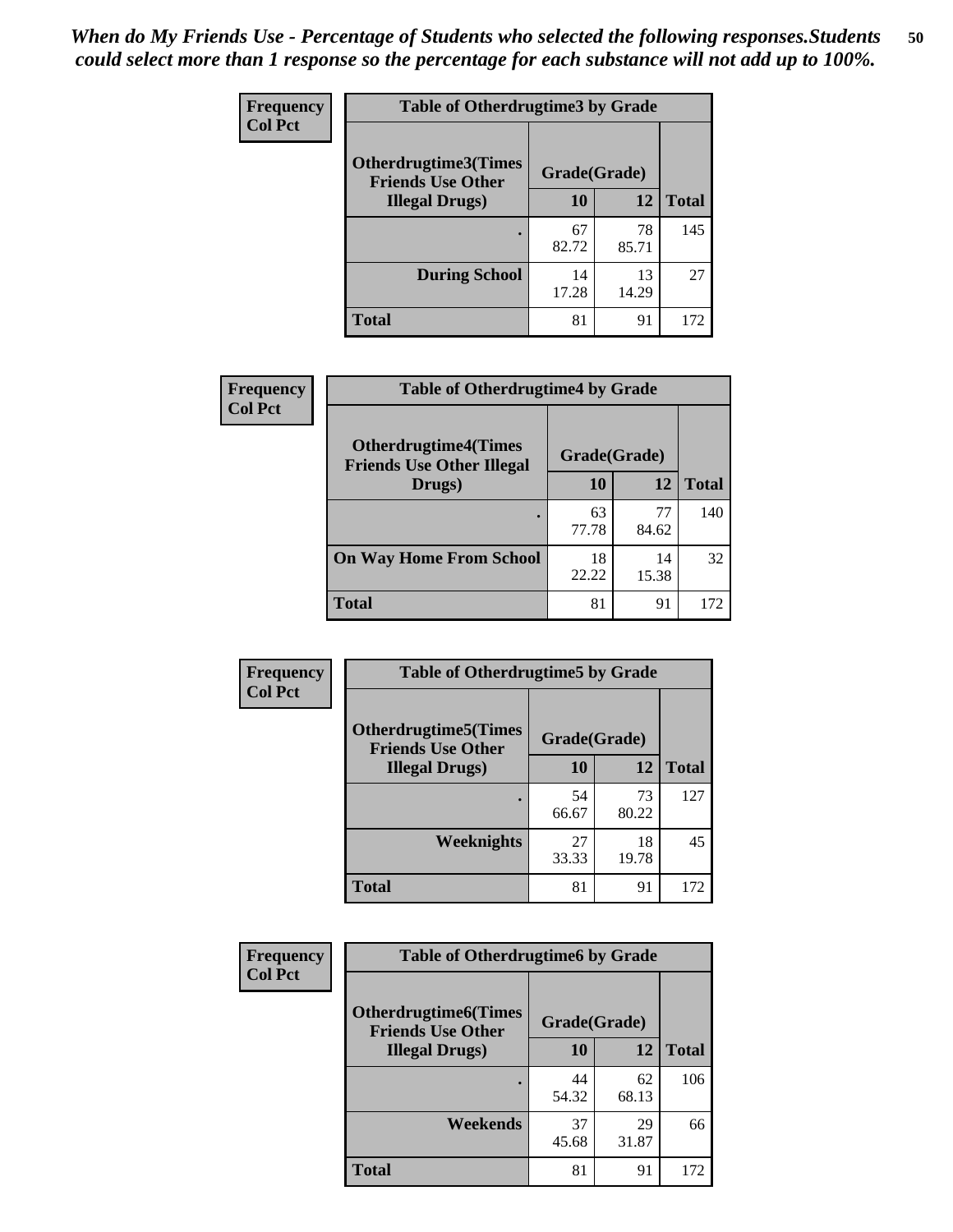| <b>Frequency</b> | <b>Table of Otherdrugtime3 by Grade</b>          |              |             |              |
|------------------|--------------------------------------------------|--------------|-------------|--------------|
| <b>Col Pct</b>   | Otherdrugtime3(Times<br><b>Friends Use Other</b> | Grade(Grade) |             |              |
|                  | <b>Illegal Drugs</b> )                           | 10           | 12          | <b>Total</b> |
|                  |                                                  | 67<br>82.72  | 78<br>85.71 | 145          |
|                  | <b>During School</b>                             | 14<br>17.28  | 13<br>14.29 | 27           |
|                  | Total                                            | 81           | 91          | 172          |

| Frequency      | <b>Table of Otherdrugtime4 by Grade</b>                         |              |             |              |
|----------------|-----------------------------------------------------------------|--------------|-------------|--------------|
| <b>Col Pct</b> | <b>Otherdrugtime4(Times</b><br><b>Friends Use Other Illegal</b> | Grade(Grade) |             |              |
|                | Drugs)                                                          | 10           | 12          | <b>Total</b> |
|                | $\bullet$                                                       | 63<br>77.78  | 77<br>84.62 | 140          |
|                | <b>On Way Home From School</b>                                  | 18<br>22.22  | 14<br>15.38 | 32           |
|                | <b>Total</b>                                                    | 81           | 91          | 172          |

| <b>Frequency</b> | <b>Table of Otherdrugtime5 by Grade</b>                 |              |             |              |
|------------------|---------------------------------------------------------|--------------|-------------|--------------|
| <b>Col Pct</b>   | <b>Otherdrugtime5(Times</b><br><b>Friends Use Other</b> | Grade(Grade) |             |              |
|                  | <b>Illegal Drugs</b> )                                  | 10           | 12          | <b>Total</b> |
|                  |                                                         | 54<br>66.67  | 73<br>80.22 | 127          |
|                  | Weeknights                                              | 27<br>33.33  | 18<br>19.78 | 45           |
|                  | Total                                                   | 81           | 91          | 172          |

| <b>Frequency</b> | <b>Table of Otherdrugtime6 by Grade</b>                                 |             |             |              |
|------------------|-------------------------------------------------------------------------|-------------|-------------|--------------|
| <b>Col Pct</b>   | <b>Otherdrugtime6(Times</b><br>Grade(Grade)<br><b>Friends Use Other</b> |             |             |              |
|                  | <b>Illegal Drugs</b> )                                                  | 10          | 12          | <b>Total</b> |
|                  |                                                                         | 44<br>54.32 | 62<br>68.13 | 106          |
|                  | Weekends                                                                | 37<br>45.68 | 29<br>31.87 | 66           |
|                  | <b>Total</b>                                                            | 81          | 91          | 172          |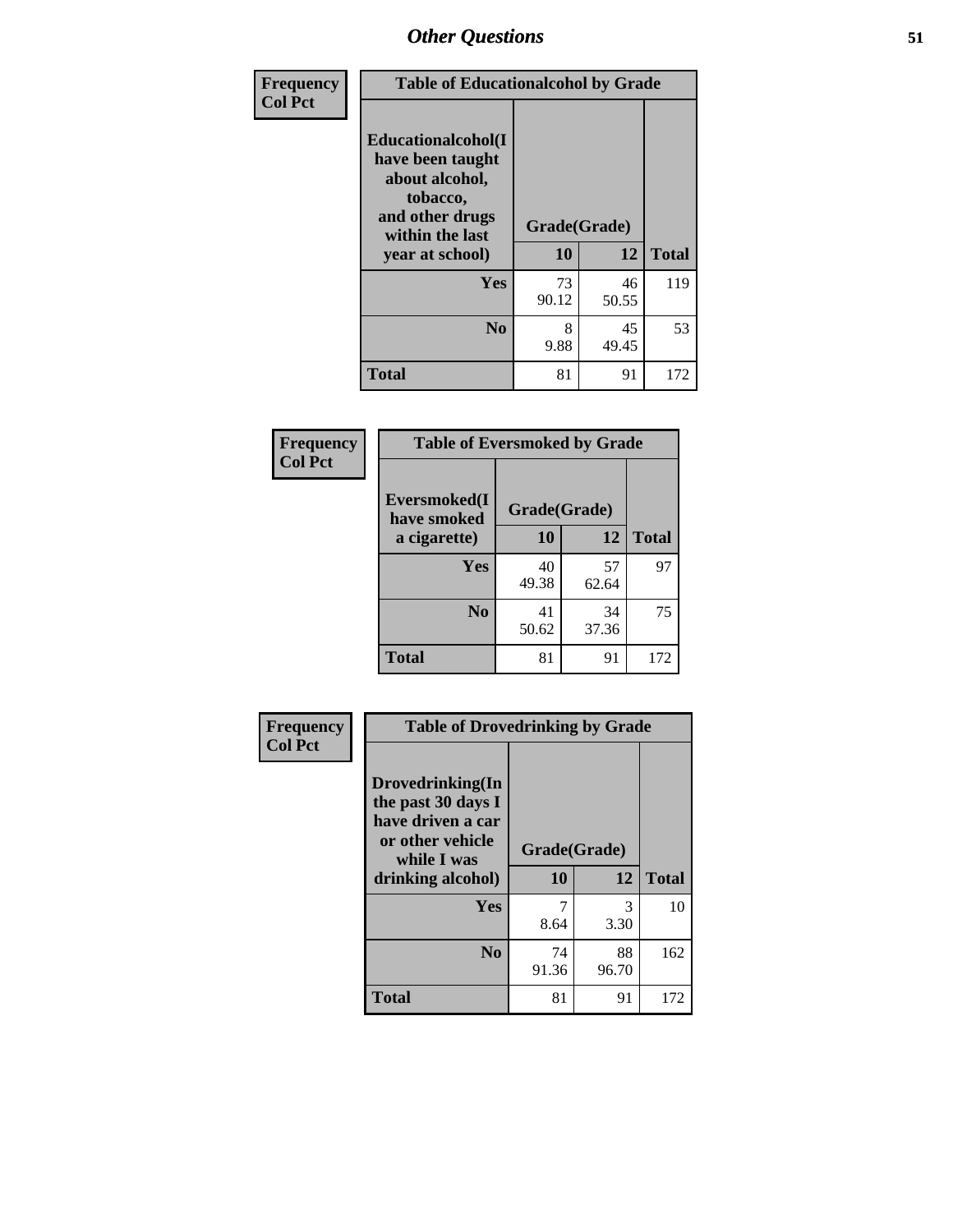| Frequency      | <b>Table of Educationalcohol by Grade</b>                                                                  |              |             |              |
|----------------|------------------------------------------------------------------------------------------------------------|--------------|-------------|--------------|
| <b>Col Pct</b> | Educationalcohol(I<br>have been taught<br>about alcohol,<br>tobacco,<br>and other drugs<br>within the last | Grade(Grade) |             |              |
|                | year at school)                                                                                            | 10           | 12          | <b>Total</b> |
|                | Yes                                                                                                        | 73<br>90.12  | 46<br>50.55 | 119          |
|                | N <sub>0</sub>                                                                                             | 8<br>9.88    | 45<br>49.45 | 53           |
|                | <b>Total</b>                                                                                               | 81           | 91          | 172          |

| Frequency      | <b>Table of Eversmoked by Grade</b> |              |             |              |
|----------------|-------------------------------------|--------------|-------------|--------------|
| <b>Col Pct</b> | Eversmoked(I<br>have smoked         | Grade(Grade) |             |              |
|                | a cigarette)                        | 10           | 12          | <b>Total</b> |
|                | <b>Yes</b>                          | 40<br>49.38  | 57<br>62.64 | 97           |
|                | N <sub>0</sub>                      | 41<br>50.62  | 34<br>37.36 | 75           |
|                | <b>Total</b>                        | 81           | 91          | 172          |

| Frequency      | <b>Table of Drovedrinking by Grade</b>                                                                              |                    |             |              |
|----------------|---------------------------------------------------------------------------------------------------------------------|--------------------|-------------|--------------|
| <b>Col Pct</b> | Drovedrinking(In<br>the past 30 days I<br>have driven a car<br>or other vehicle<br>while I was<br>drinking alcohol) | Grade(Grade)<br>10 | 12          | <b>Total</b> |
|                | Yes                                                                                                                 | 7                  | 3           | 10           |
|                |                                                                                                                     | 8.64               | 3.30        |              |
|                | N <sub>0</sub>                                                                                                      | 74<br>91.36        | 88<br>96.70 | 162          |
|                | <b>Total</b>                                                                                                        | 81                 | 91          | 172          |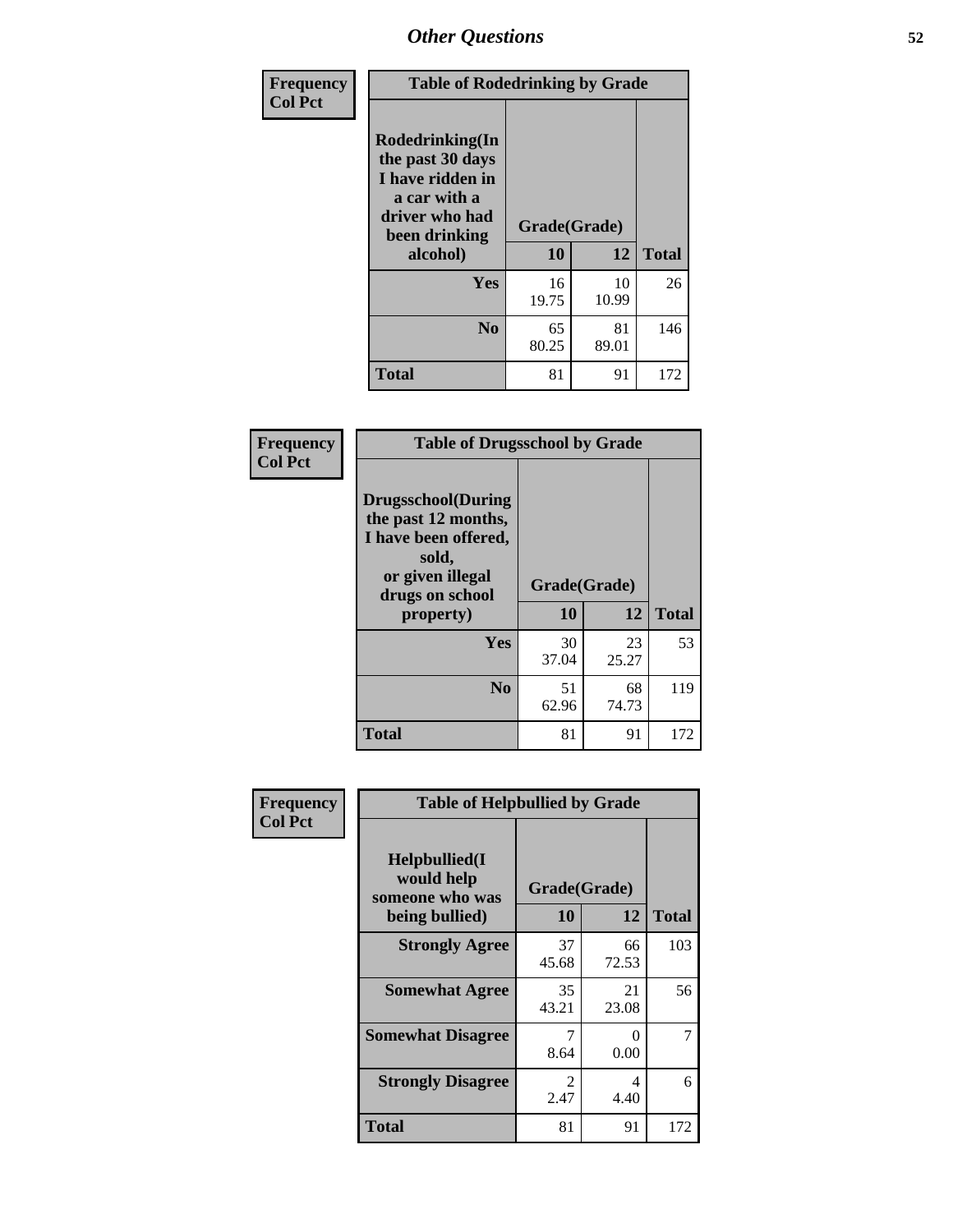| Frequency      | <b>Table of Rodedrinking by Grade</b>                                                                                  |                    |             |              |
|----------------|------------------------------------------------------------------------------------------------------------------------|--------------------|-------------|--------------|
| <b>Col Pct</b> | Rodedrinking(In<br>the past 30 days<br>I have ridden in<br>a car with a<br>driver who had<br>been drinking<br>alcohol) | Grade(Grade)<br>10 | 12          | <b>Total</b> |
|                | <b>Yes</b>                                                                                                             | 16<br>19.75        | 10<br>10.99 | 26           |
|                | N <sub>0</sub>                                                                                                         | 65<br>80.25        | 81<br>89.01 | 146          |
|                | <b>Total</b>                                                                                                           | 81                 | 91          | 172          |

### **Frequency Col Pct**

| <b>Table of Drugsschool by Grade</b>                                                                                      |              |             |              |
|---------------------------------------------------------------------------------------------------------------------------|--------------|-------------|--------------|
| <b>Drugsschool</b> (During<br>the past 12 months,<br>I have been offered,<br>sold,<br>or given illegal<br>drugs on school | Grade(Grade) |             |              |
| property)                                                                                                                 | 10           | 12          | <b>Total</b> |
| Yes                                                                                                                       | 30<br>37.04  | 23<br>25.27 | 53           |
| N <sub>0</sub>                                                                                                            | 51<br>62.96  | 68<br>74.73 | 119          |
| <b>Total</b>                                                                                                              | 81           | 91          | 172          |

| Frequency      | <b>Table of Helpbullied by Grade</b>                 |             |              |              |
|----------------|------------------------------------------------------|-------------|--------------|--------------|
| <b>Col Pct</b> | $Helpb$ ullied $(I$<br>would help<br>someone who was |             | Grade(Grade) | <b>Total</b> |
|                | being bullied)                                       | <b>10</b>   | 12           |              |
|                | <b>Strongly Agree</b>                                | 37<br>45.68 | 66<br>72.53  | 103          |
|                | <b>Somewhat Agree</b>                                | 35<br>43.21 | 21<br>23.08  | 56           |
|                | <b>Somewhat Disagree</b>                             | 8.64        | 0<br>0.00    |              |
|                | <b>Strongly Disagree</b>                             | 2<br>2.47   | 4<br>4.40    | 6            |
|                | <b>Total</b>                                         | 81          | 91           | 172          |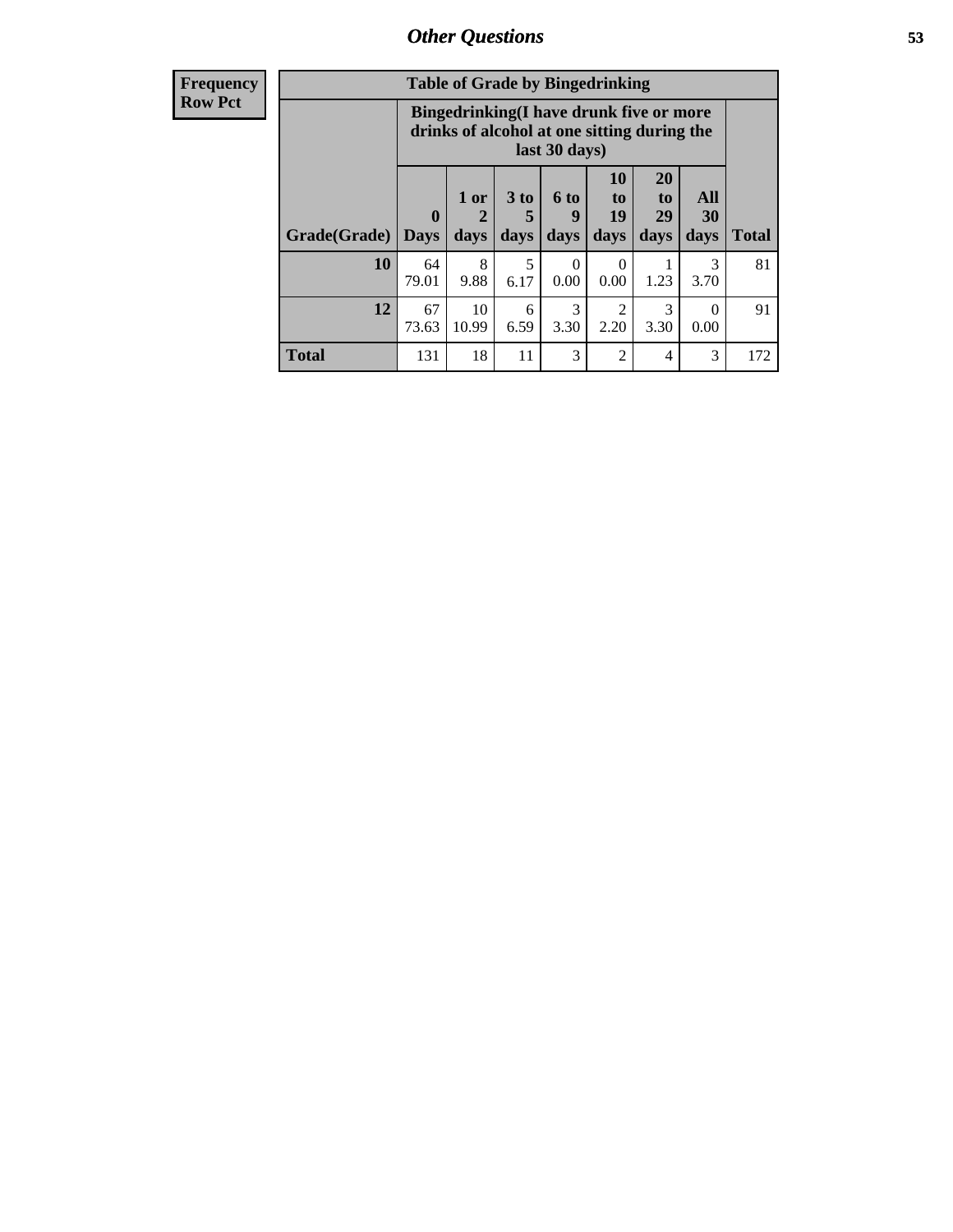| <b>Frequency</b> |
|------------------|
| <b>Row Pct</b>   |

| <b>Table of Grade by Bingedrinking</b> |                                                                                                         |                   |                   |                          |                        |                        |                          |              |
|----------------------------------------|---------------------------------------------------------------------------------------------------------|-------------------|-------------------|--------------------------|------------------------|------------------------|--------------------------|--------------|
|                                        | Bingedrinking(I have drunk five or more<br>drinks of alcohol at one sitting during the<br>last 30 days) |                   |                   |                          |                        |                        |                          |              |
| Grade(Grade)                           | $\mathbf{0}$<br><b>Days</b>                                                                             | 1 or<br>2<br>days | 3 to<br>5<br>days | <b>6 to</b><br>9<br>days | 10<br>to<br>19<br>days | 20<br>to<br>29<br>days | All<br><b>30</b><br>days | <b>Total</b> |
| 10                                     | 64<br>79.01                                                                                             | 8<br>9.88         | 5<br>6.17         | $\Omega$<br>0.00         | 0<br>0.00              | 1.23                   | 3<br>3.70                | 81           |
| 12                                     | 67<br>73.63                                                                                             | 10<br>10.99       | 6<br>6.59         | 3<br>3.30                | $\mathfrak{D}$<br>2.20 | 3<br>3.30              | 0<br>0.00                | 91           |
| <b>Total</b>                           | 131                                                                                                     | 18                | 11                | 3                        | $\mathfrak{D}$         | $\overline{4}$         | 3                        | 172          |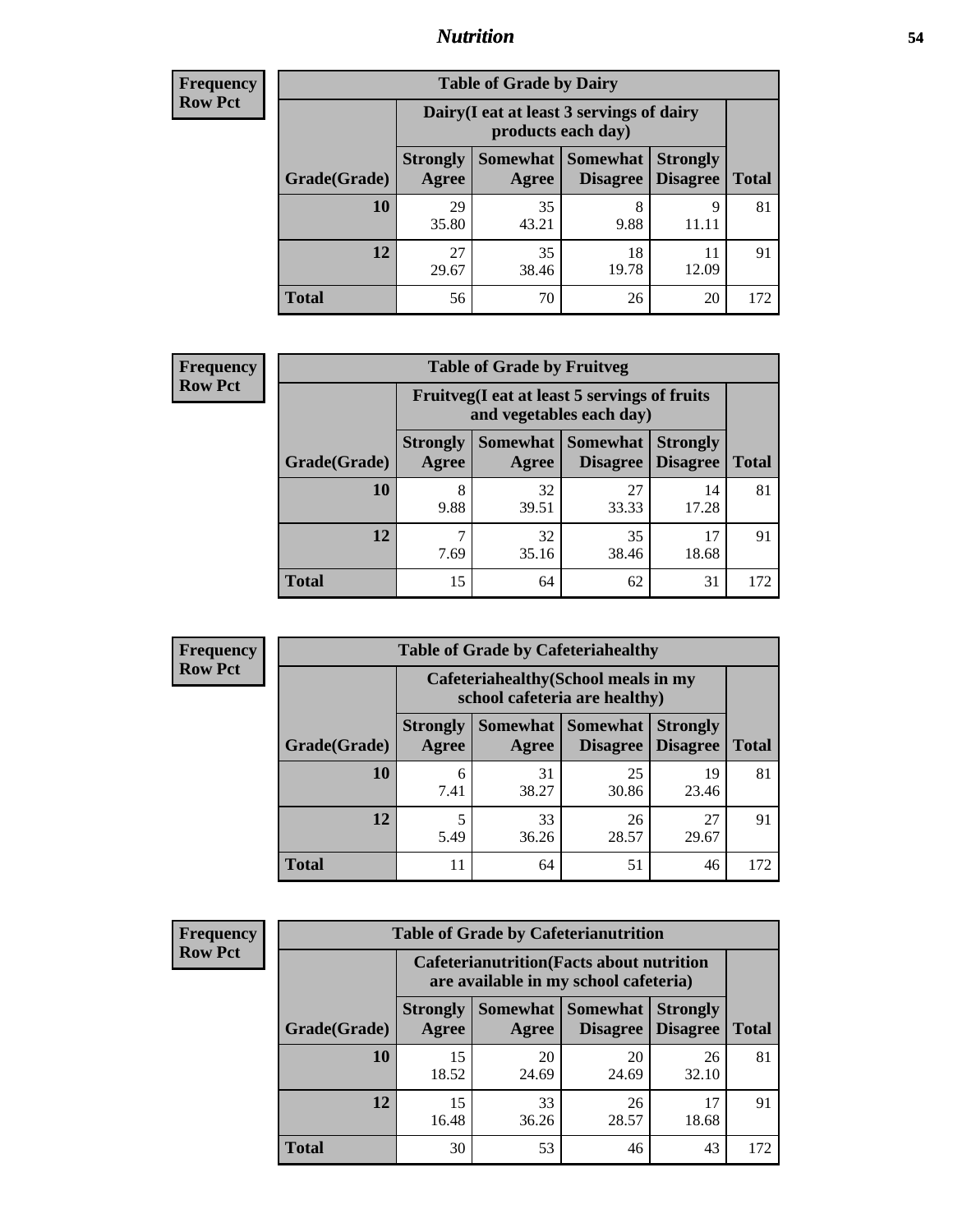## *Nutrition* **54**

| <b>Frequency</b> |
|------------------|
| <b>Row Pct</b>   |

| <b>Table of Grade by Dairy</b> |                          |                                                                 |                             |                                    |              |  |  |  |
|--------------------------------|--------------------------|-----------------------------------------------------------------|-----------------------------|------------------------------------|--------------|--|--|--|
|                                |                          | Dairy (I eat at least 3 servings of dairy<br>products each day) |                             |                                    |              |  |  |  |
| Grade(Grade)                   | <b>Strongly</b><br>Agree | Somewhat  <br>Agree                                             | <b>Somewhat</b><br>Disagree | <b>Strongly</b><br><b>Disagree</b> | <b>Total</b> |  |  |  |
| 10                             | 29<br>35.80              | 35<br>43.21                                                     | 8<br>9.88                   | 9                                  | 81           |  |  |  |
| 12                             | 27<br>29.67              | 35<br>38.46                                                     | 18<br>19.78                 | 12.09                              | 91           |  |  |  |
| <b>Total</b>                   | 56                       | 70                                                              | 26                          | 20                                 | 172          |  |  |  |

| <b>Frequency</b> |  |
|------------------|--|
| <b>Row Pct</b>   |  |

| <b>y</b> | <b>Table of Grade by Fruitveg</b>                                        |                          |                   |                             |                                    |              |  |
|----------|--------------------------------------------------------------------------|--------------------------|-------------------|-----------------------------|------------------------------------|--------------|--|
|          | Fruitveg(I eat at least 5 servings of fruits<br>and vegetables each day) |                          |                   |                             |                                    |              |  |
|          | Grade(Grade)                                                             | <b>Strongly</b><br>Agree | Somewhat<br>Agree | <b>Somewhat</b><br>Disagree | <b>Strongly</b><br><b>Disagree</b> | <b>Total</b> |  |
|          | <b>10</b>                                                                | 8<br>9.88                | 32<br>39.51       | 27<br>33.33                 | 14<br>17.28                        | 81           |  |
|          | 12                                                                       | 7.69                     | 32<br>35.16       | 35<br>38.46                 | 17<br>18.68                        | 91           |  |
|          | <b>Total</b>                                                             | 15                       | 64                | 62                          | 31                                 | 172          |  |

| <b>Frequency</b> | <b>Table of Grade by Cafeteriahealthy</b> |                                                                       |                            |                 |                                    |              |  |
|------------------|-------------------------------------------|-----------------------------------------------------------------------|----------------------------|-----------------|------------------------------------|--------------|--|
| <b>Row Pct</b>   |                                           | Cafeteriahealthy (School meals in my<br>school cafeteria are healthy) |                            |                 |                                    |              |  |
|                  | Grade(Grade)                              | <b>Strongly</b><br>Agree                                              | Somewhat Somewhat<br>Agree | <b>Disagree</b> | <b>Strongly</b><br><b>Disagree</b> | <b>Total</b> |  |
|                  | 10                                        | 6<br>7.41                                                             | 31<br>38.27                | 25<br>30.86     | 19<br>23.46                        | 81           |  |
|                  | 12                                        | 5.49                                                                  | 33<br>36.26                | 26<br>28.57     | 27<br>29.67                        | 91           |  |
|                  | Total                                     | 11                                                                    | 64                         | 51              | 46                                 | 172          |  |

| <b>Frequency</b> |
|------------------|
| <b>Row Pct</b>   |

| <b>Table of Grade by Cafeterianutrition</b>                                               |                          |                          |                             |                                    |              |  |  |
|-------------------------------------------------------------------------------------------|--------------------------|--------------------------|-----------------------------|------------------------------------|--------------|--|--|
| <b>Cafeterianutrition</b> (Facts about nutrition<br>are available in my school cafeteria) |                          |                          |                             |                                    |              |  |  |
| Grade(Grade)                                                                              | <b>Strongly</b><br>Agree | <b>Somewhat</b><br>Agree | <b>Somewhat</b><br>Disagree | <b>Strongly</b><br><b>Disagree</b> | <b>Total</b> |  |  |
| 10                                                                                        | 15<br>18.52              | 20<br>24.69              | 20<br>24.69                 | 26<br>32.10                        | 81           |  |  |
| 12                                                                                        | 15<br>16.48              | 33<br>36.26              | 26<br>28.57                 | 17<br>18.68                        | 91           |  |  |
| <b>Total</b>                                                                              | 30                       | 53                       | 46                          | 43                                 | 172          |  |  |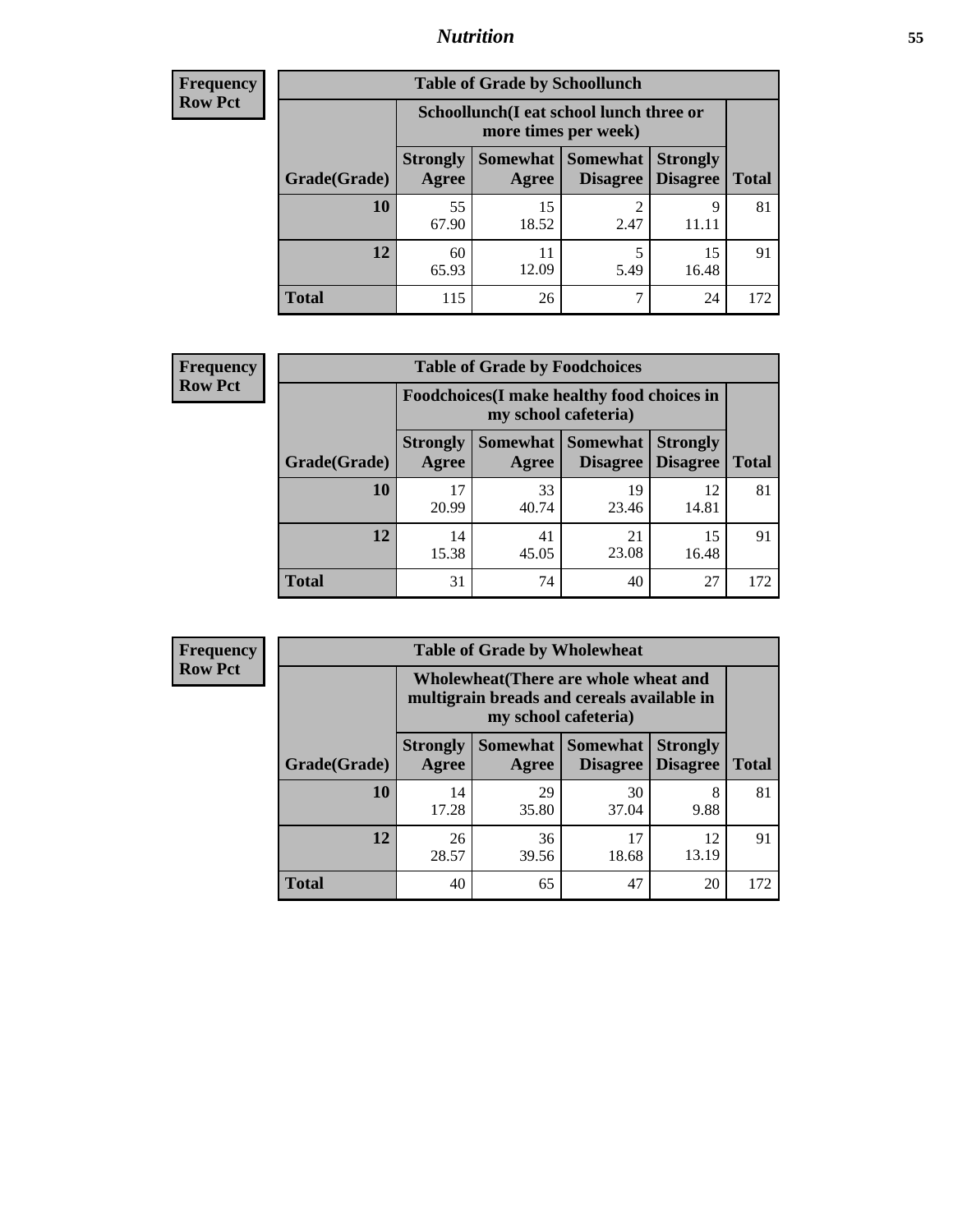## *Nutrition* **55**

| Frequency |
|-----------|
| Row Pct   |

| <b>Table of Grade by Schoollunch</b> |                          |                                                                 |                                 |                                    |              |  |  |  |  |
|--------------------------------------|--------------------------|-----------------------------------------------------------------|---------------------------------|------------------------------------|--------------|--|--|--|--|
|                                      |                          | Schoollunch(I eat school lunch three or<br>more times per week) |                                 |                                    |              |  |  |  |  |
| Grade(Grade)                         | <b>Strongly</b><br>Agree | Agree                                                           | Somewhat   Somewhat<br>Disagree | <b>Strongly</b><br><b>Disagree</b> | <b>Total</b> |  |  |  |  |
| 10                                   | 55<br>67.90              | 15<br>18.52                                                     | 2.47                            | 9                                  | 81           |  |  |  |  |
| 12                                   | 60<br>65.93              | 11<br>12.09                                                     | 5<br>5.49                       | 15<br>16.48                        | 91           |  |  |  |  |
| <b>Total</b>                         | 115                      | 26                                                              |                                 | 24                                 | 172          |  |  |  |  |

| <b>Frequency</b> |  |
|------------------|--|
| <b>Row Pct</b>   |  |

| <b>Table of Grade by Foodchoices</b>                                |                          |             |                                      |                                    |              |  |  |
|---------------------------------------------------------------------|--------------------------|-------------|--------------------------------------|------------------------------------|--------------|--|--|
| Foodchoices (I make healthy food choices in<br>my school cafeteria) |                          |             |                                      |                                    |              |  |  |
| Grade(Grade)                                                        | <b>Strongly</b><br>Agree | Agree       | Somewhat Somewhat<br><b>Disagree</b> | <b>Strongly</b><br><b>Disagree</b> | <b>Total</b> |  |  |
| 10                                                                  | 17<br>20.99              | 33<br>40.74 | 19<br>23.46                          | 12<br>14.81                        | 81           |  |  |
| 12                                                                  | 14<br>15.38              | 41<br>45.05 | 21<br>23.08                          | 15<br>16.48                        | 91           |  |  |
| <b>Total</b>                                                        | 31                       | 74          | 40                                   | 27                                 | 172          |  |  |

| Frequency      |              | <b>Table of Grade by Wholewheat</b>                                                                         |             |                                   |                                    |              |  |  |
|----------------|--------------|-------------------------------------------------------------------------------------------------------------|-------------|-----------------------------------|------------------------------------|--------------|--|--|
| <b>Row Pct</b> |              | Wholewheat (There are whole wheat and<br>multigrain breads and cereals available in<br>my school cafeteria) |             |                                   |                                    |              |  |  |
|                | Grade(Grade) | <b>Strongly</b><br>Agree                                                                                    | Agree       | Somewhat   Somewhat  <br>Disagree | <b>Strongly</b><br><b>Disagree</b> | <b>Total</b> |  |  |
|                | 10           | 14<br>17.28                                                                                                 | 29<br>35.80 | 30<br>37.04                       | 8<br>9.88                          | 81           |  |  |
|                | 12           | 26<br>28.57                                                                                                 | 36<br>39.56 | 17<br>18.68                       | 12<br>13.19                        | 91           |  |  |
|                | <b>Total</b> | 40                                                                                                          | 65          | 47                                | 20                                 | 172          |  |  |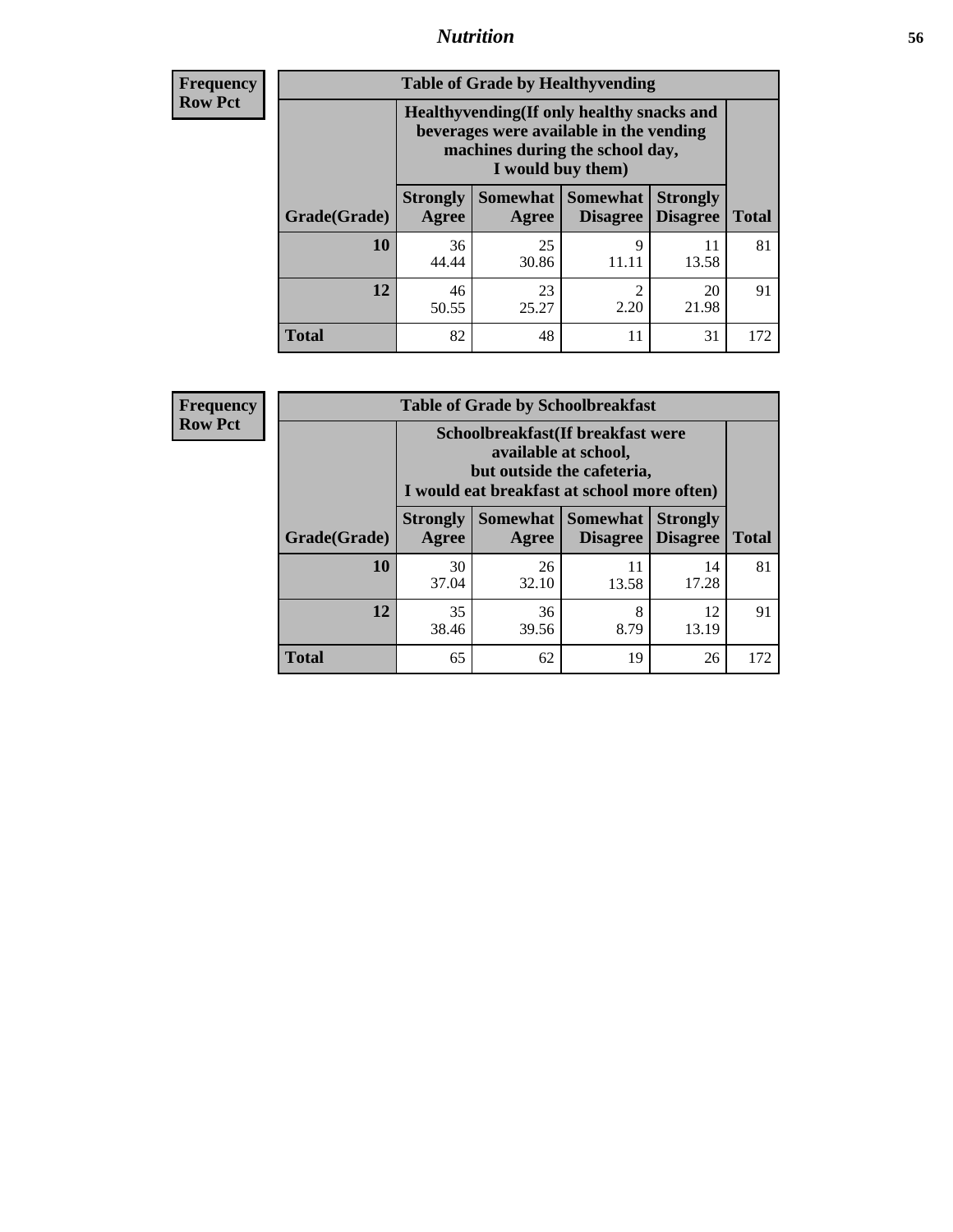## *Nutrition* **56**

**Frequency Row Pct**

| <b>Table of Grade by Healthyvending</b> |                                                                                                                                               |                          |                                    |                                    |              |  |
|-----------------------------------------|-----------------------------------------------------------------------------------------------------------------------------------------------|--------------------------|------------------------------------|------------------------------------|--------------|--|
|                                         | Healthyvending (If only healthy snacks and<br>beverages were available in the vending<br>machines during the school day,<br>I would buy them) |                          |                                    |                                    |              |  |
| Grade(Grade)                            | <b>Strongly</b><br>Agree                                                                                                                      | <b>Somewhat</b><br>Agree | <b>Somewhat</b><br><b>Disagree</b> | <b>Strongly</b><br><b>Disagree</b> | <b>Total</b> |  |
| 10                                      | 36<br>44.44                                                                                                                                   | 25<br>30.86              | 9<br>11.11                         | 11<br>13.58                        | 81           |  |
| 12                                      | 46<br>50.55                                                                                                                                   | 23<br>25.27              | $\mathfrak{D}$<br>2.20             | 20<br>21.98                        | 91           |  |
| <b>Total</b>                            | 82                                                                                                                                            | 48                       | 11                                 | 31                                 | 172          |  |

**Frequency Row Pct**

| <b>Table of Grade by Schoolbreakfast</b> |                                                                                                                                         |             |                                        |                                    |              |  |  |
|------------------------------------------|-----------------------------------------------------------------------------------------------------------------------------------------|-------------|----------------------------------------|------------------------------------|--------------|--|--|
|                                          | Schoolbreakfast (If breakfast were<br>available at school,<br>but outside the cafeteria,<br>I would eat breakfast at school more often) |             |                                        |                                    |              |  |  |
| Grade(Grade)                             | <b>Strongly</b><br>Agree                                                                                                                | Agree       | Somewhat   Somewhat<br><b>Disagree</b> | <b>Strongly</b><br><b>Disagree</b> | <b>Total</b> |  |  |
| 10                                       | 30<br>37.04                                                                                                                             | 26<br>32.10 | 11<br>13.58                            | 14<br>17.28                        | 81           |  |  |
| 12                                       | 35<br>38.46                                                                                                                             | 36<br>39.56 | 8<br>8.79                              | 12<br>13.19                        | 91           |  |  |
| <b>Total</b>                             | 65                                                                                                                                      | 62          | 19                                     | 26                                 | 172          |  |  |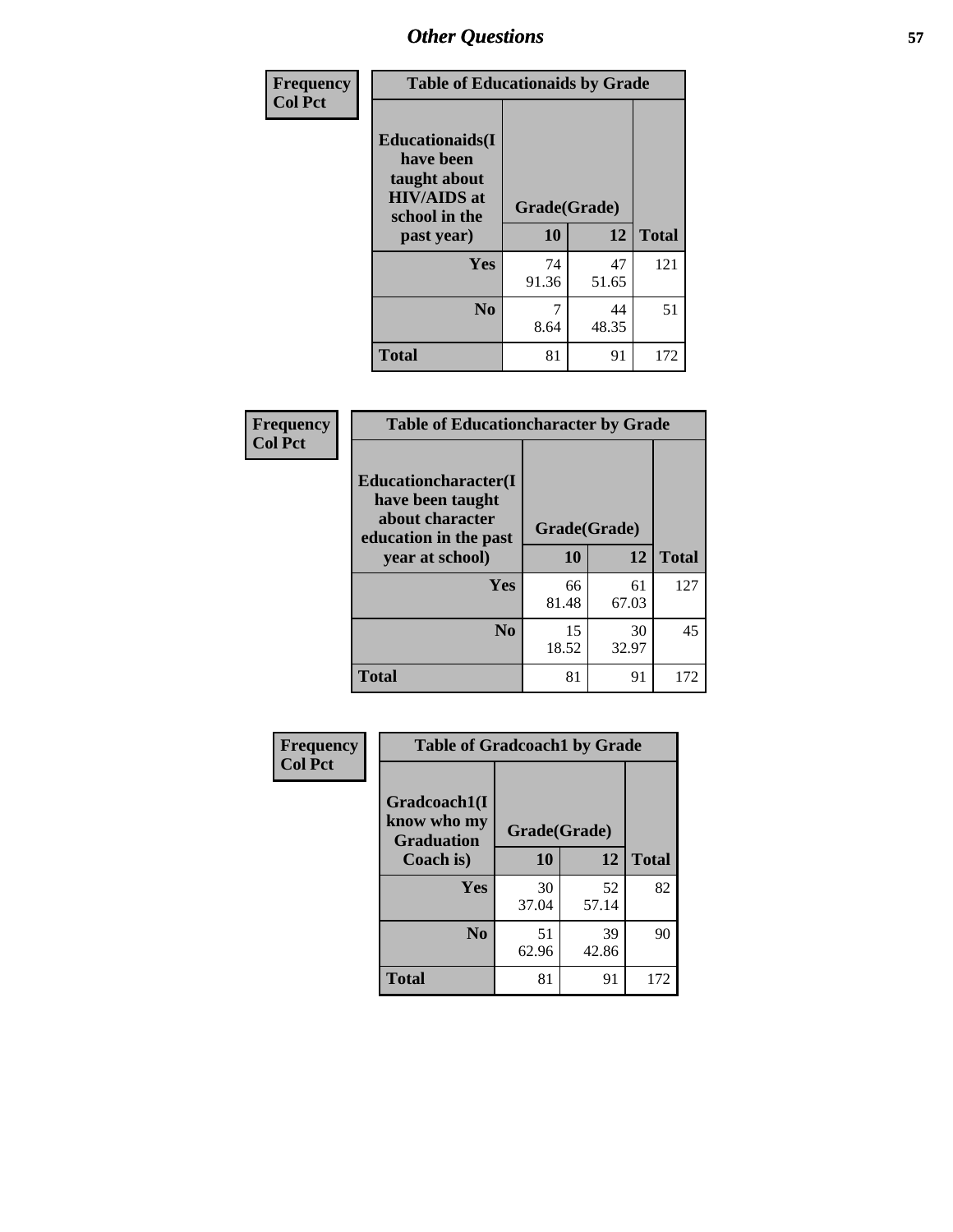| Frequency<br><b>Col Pct</b> | <b>Table of Educationaids by Grade</b>                                                                    |                    |             |              |
|-----------------------------|-----------------------------------------------------------------------------------------------------------|--------------------|-------------|--------------|
|                             | <b>Educationaids</b> (I<br>have been<br>taught about<br><b>HIV/AIDS</b> at<br>school in the<br>past year) | Grade(Grade)<br>10 | 12          | <b>Total</b> |
|                             | <b>Yes</b>                                                                                                | 74<br>91.36        | 47<br>51.65 | 121          |
|                             | N <sub>0</sub>                                                                                            | 8.64               | 44<br>48.35 | 51           |
|                             | <b>Total</b>                                                                                              | 81                 | 91          | 172          |

| Frequency                                | <b>Table of Educationcharacter by Grade</b>                 |              |              |     |
|------------------------------------------|-------------------------------------------------------------|--------------|--------------|-----|
| <b>Col Pct</b>                           | Educationcharacter(I<br>have been taught<br>about character | Grade(Grade) |              |     |
| education in the past<br>year at school) | 10                                                          | 12           | <b>Total</b> |     |
|                                          | Yes                                                         | 66<br>81.48  | 61<br>67.03  | 127 |
|                                          | N <sub>0</sub>                                              | 15<br>18.52  | 30<br>32.97  | 45  |
|                                          | <b>Total</b>                                                | 81           | 91           | 172 |

| <b>Frequency</b><br><b>Col Pct</b> | <b>Table of Gradcoach1 by Grade</b> |              |             |              |  |
|------------------------------------|-------------------------------------|--------------|-------------|--------------|--|
|                                    | Gradcoach1(I                        |              |             |              |  |
|                                    | know who my<br><b>Graduation</b>    | Grade(Grade) |             |              |  |
|                                    | Coach is)                           | 10           | 12          | <b>Total</b> |  |
|                                    | Yes                                 | 30<br>37.04  | 52<br>57.14 | 82           |  |
|                                    | N <sub>0</sub>                      | 51<br>62.96  | 39<br>42.86 | 90           |  |
|                                    | <b>Total</b>                        | 81           | 91          | 172          |  |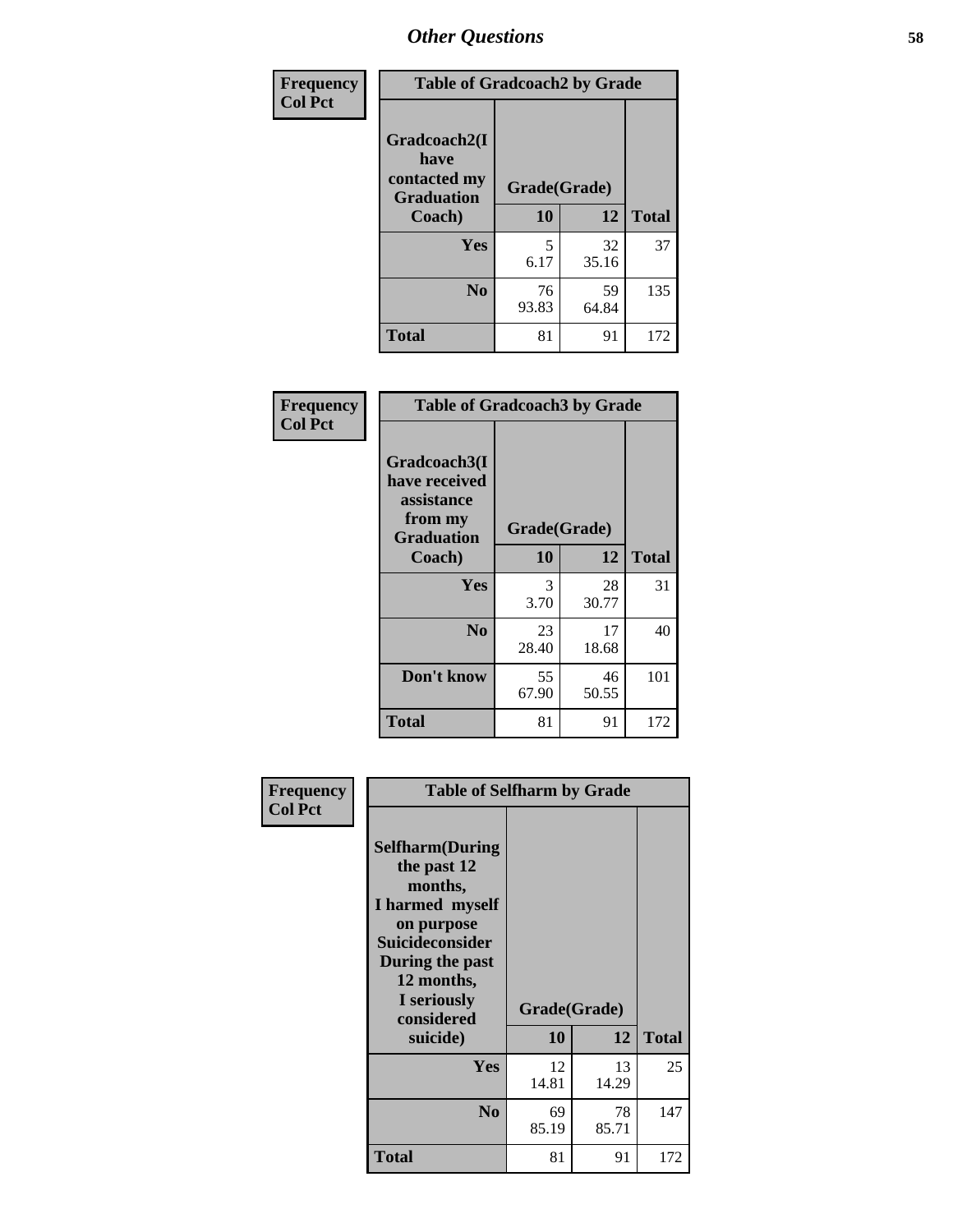| Frequency      | <b>Table of Gradcoach2 by Grade</b>       |              |             |              |
|----------------|-------------------------------------------|--------------|-------------|--------------|
| <b>Col Pct</b> |                                           |              |             |              |
|                | Gradcoach2(I                              |              |             |              |
|                | have<br>contacted my<br><b>Graduation</b> | Grade(Grade) |             |              |
|                | Coach)                                    | 10           | 12          | <b>Total</b> |
|                | Yes                                       | 5<br>6.17    | 32<br>35.16 | 37           |
|                | N <sub>0</sub>                            | 76<br>93.83  | 59<br>64.84 | 135          |
|                | <b>Total</b>                              | 81           | 91          | 172          |

| <b>Frequency</b><br><b>Col Pct</b> | <b>Table of Gradcoach3 by Grade</b>                                         |              |             |              |
|------------------------------------|-----------------------------------------------------------------------------|--------------|-------------|--------------|
|                                    | Gradcoach3(I<br>have received<br>assistance<br>from my<br><b>Graduation</b> | Grade(Grade) |             |              |
|                                    | Coach)                                                                      | 10           | 12          | <b>Total</b> |
|                                    | Yes                                                                         | 3<br>3.70    | 28<br>30.77 | 31           |
|                                    | N <sub>0</sub>                                                              | 23<br>28.40  | 17<br>18.68 | 40           |
|                                    | Don't know                                                                  | 55<br>67.90  | 46<br>50.55 | 101          |
|                                    | <b>Total</b>                                                                | 81           | 91          | 172          |

| Frequency      | <b>Table of Selfharm by Grade</b>                                                                                                                                                      |             |                    |              |
|----------------|----------------------------------------------------------------------------------------------------------------------------------------------------------------------------------------|-------------|--------------------|--------------|
| <b>Col Pct</b> | <b>Selfharm</b> (During<br>the past 12<br>months,<br>I harmed myself<br>on purpose<br><b>Suicideconsider</b><br>During the past<br>12 months,<br>I seriously<br>considered<br>suicide) | 10          | Grade(Grade)<br>12 | <b>Total</b> |
|                | Yes                                                                                                                                                                                    | 12<br>14.81 | 13<br>14.29        | 25           |
|                | N <sub>0</sub>                                                                                                                                                                         | 69<br>85.19 | 78<br>85.71        | 147          |
|                | Total                                                                                                                                                                                  | 81          | 91                 | 172          |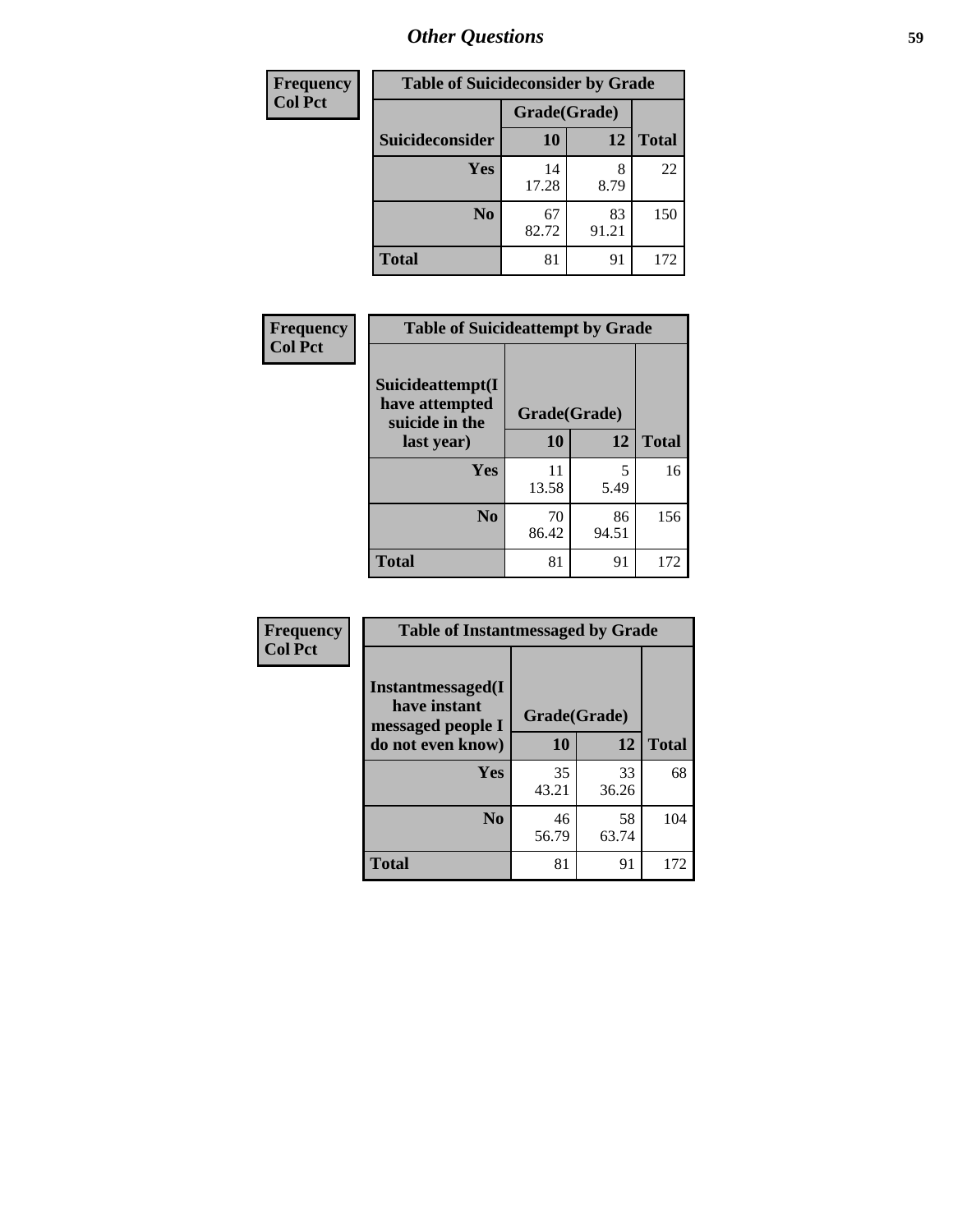| <b>Frequency</b> | <b>Table of Suicideconsider by Grade</b> |              |             |              |
|------------------|------------------------------------------|--------------|-------------|--------------|
| <b>Col Pct</b>   |                                          | Grade(Grade) |             |              |
|                  | Suicideconsider                          | <b>10</b>    | 12          | <b>Total</b> |
|                  | Yes                                      | 14<br>17.28  | 8<br>8.79   | 22           |
|                  | N <sub>0</sub>                           | 67<br>82.72  | 83<br>91.21 | 150          |
|                  | <b>Total</b>                             | 81           | 91          | 172          |

| Frequency      | <b>Table of Suicideattempt by Grade</b>                            |              |             |              |
|----------------|--------------------------------------------------------------------|--------------|-------------|--------------|
| <b>Col Pct</b> | Suicideattempt(I<br>have attempted<br>suicide in the<br>last year) | Grade(Grade) |             |              |
|                |                                                                    | 10           | 12          | <b>Total</b> |
|                | Yes                                                                | 11<br>13.58  | 5<br>5.49   | 16           |
|                | N <sub>0</sub>                                                     | 70<br>86.42  | 86<br>94.51 | 156          |
|                | <b>Total</b>                                                       | 81           | 91          | 172          |

| Frequency      | <b>Table of Instantmessaged by Grade</b>               |              |             |              |
|----------------|--------------------------------------------------------|--------------|-------------|--------------|
| <b>Col Pct</b> | Instantmessaged(I<br>have instant<br>messaged people I | Grade(Grade) |             |              |
|                | do not even know)                                      | 10           | 12          | <b>Total</b> |
|                | Yes                                                    | 35<br>43.21  | 33<br>36.26 | 68           |
|                | N <sub>0</sub>                                         | 46<br>56.79  | 58<br>63.74 | 104          |
|                | <b>Total</b>                                           | 81           | 91          | 172          |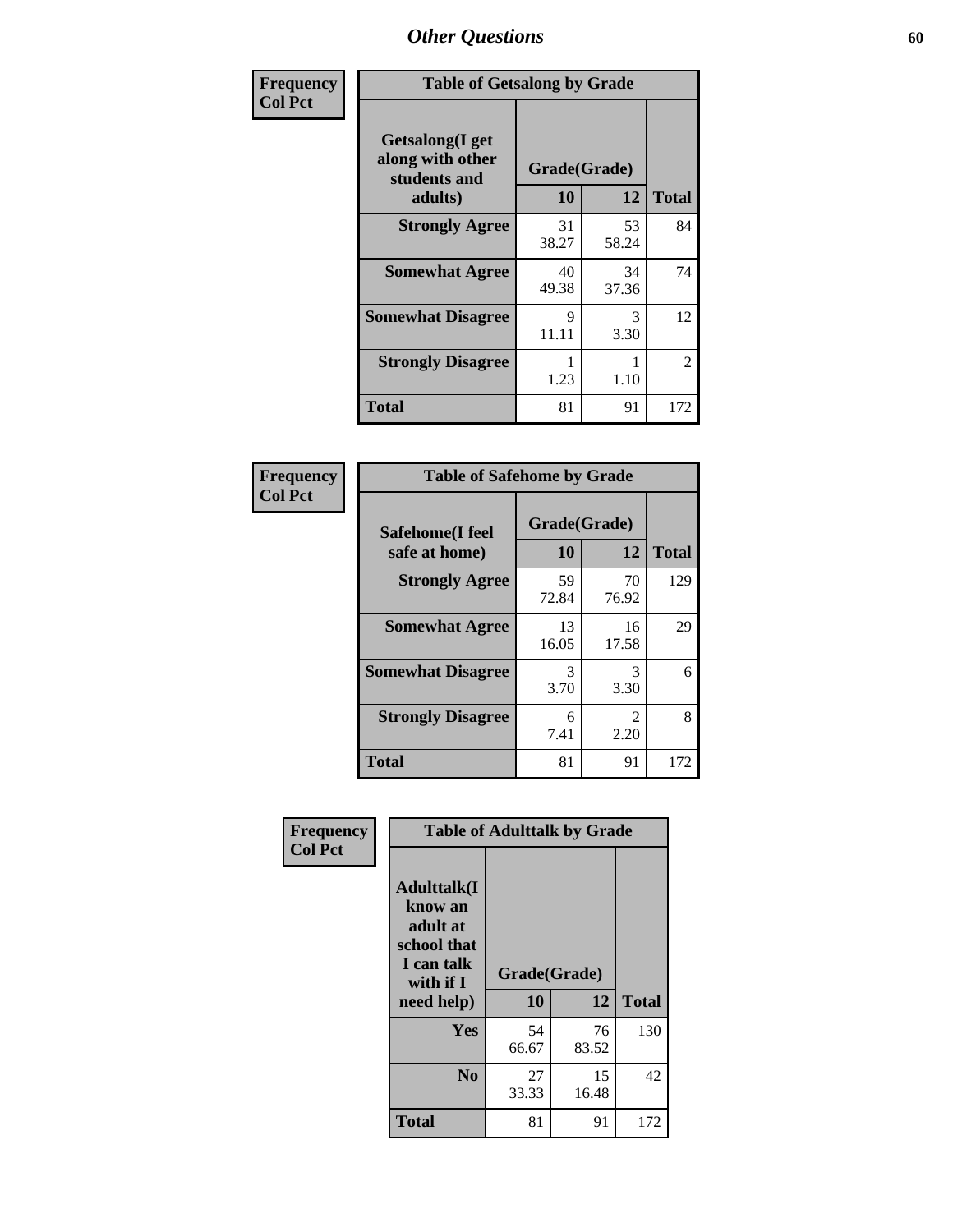| Frequency      | <b>Table of Getsalong by Grade</b>                          |             |              |                |  |  |  |
|----------------|-------------------------------------------------------------|-------------|--------------|----------------|--|--|--|
| <b>Col Pct</b> | <b>Getsalong</b> (I get<br>along with other<br>students and |             | Grade(Grade) |                |  |  |  |
|                | adults)                                                     | 10          | 12           | <b>Total</b>   |  |  |  |
|                | <b>Strongly Agree</b>                                       | 31<br>38.27 | 53<br>58.24  | 84             |  |  |  |
|                | <b>Somewhat Agree</b>                                       | 40<br>49.38 | 34<br>37.36  | 74             |  |  |  |
|                | <b>Somewhat Disagree</b>                                    | 9<br>11.11  | 3<br>3.30    | 12             |  |  |  |
|                | <b>Strongly Disagree</b>                                    | 1.23        | 1.10         | $\mathfrak{D}$ |  |  |  |
|                | <b>Total</b>                                                | 81          | 91           | 172            |  |  |  |

| Frequency      | <b>Table of Safehome by Grade</b> |                    |                       |              |  |  |  |
|----------------|-----------------------------------|--------------------|-----------------------|--------------|--|--|--|
| <b>Col Pct</b> | Safehome(I feel<br>safe at home)  | Grade(Grade)<br>10 | 12                    | <b>Total</b> |  |  |  |
|                | <b>Strongly Agree</b>             | 59<br>72.84        | 70<br>76.92           | 129          |  |  |  |
|                | <b>Somewhat Agree</b>             | 13<br>16.05        | 16<br>17.58           | 29           |  |  |  |
|                | <b>Somewhat Disagree</b>          | 3<br>3.70          | 3<br>3.30             | 6            |  |  |  |
|                | <b>Strongly Disagree</b>          | 6<br>7.41          | $\mathcal{L}$<br>2.20 | 8            |  |  |  |
|                | <b>Total</b>                      | 81                 | 91                    | 172          |  |  |  |

| Frequency      |                                                                                     | <b>Table of Adulttalk by Grade</b> |             |              |
|----------------|-------------------------------------------------------------------------------------|------------------------------------|-------------|--------------|
| <b>Col Pct</b> | <b>Adulttalk(I</b><br>know an<br>adult at<br>school that<br>I can talk<br>with if I | Grade(Grade)                       |             |              |
|                | need help)                                                                          | 10                                 | 12          | <b>Total</b> |
|                | <b>Yes</b>                                                                          | 54<br>66.67                        | 76<br>83.52 | 130          |
|                | N <sub>0</sub>                                                                      | 27<br>33.33                        | 15<br>16.48 | 42           |
|                | <b>Total</b>                                                                        | 81                                 | 91          | 172          |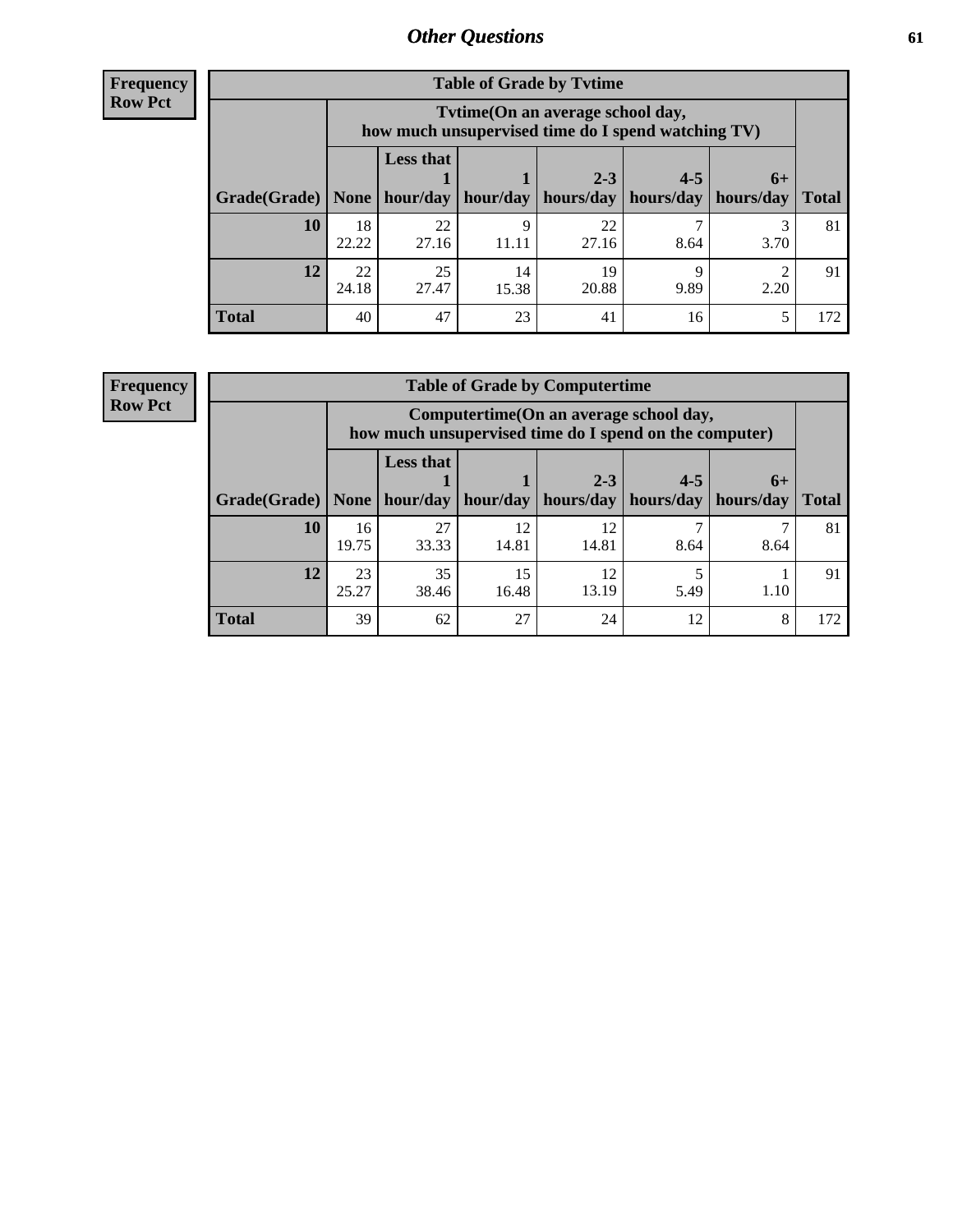**Frequency Row Pct**

| <b>Table of Grade by Tvtime</b> |             |                                                                                         |                     |             |                       |      |              |  |  |  |
|---------------------------------|-------------|-----------------------------------------------------------------------------------------|---------------------|-------------|-----------------------|------|--------------|--|--|--|
|                                 |             | Tytime (On an average school day,<br>how much unsupervised time do I spend watching TV) |                     |             |                       |      |              |  |  |  |
|                                 |             | <b>Less that</b>                                                                        |                     | $2 - 3$     | $4 - 5$               | $6+$ |              |  |  |  |
| Grade(Grade)   None             |             |                                                                                         | hour/day   hour/day | hours/day   | hours/day   hours/day |      | <b>Total</b> |  |  |  |
| 10                              | 18<br>22.22 | 22<br>27.16                                                                             | 11.11               | 22<br>27.16 | 8.64                  | 3.70 | 81           |  |  |  |
| 12                              | 22<br>24.18 | 25<br>27.47                                                                             | 14<br>15.38         | 19<br>20.88 | 9.89                  | 2.20 | 91           |  |  |  |
| <b>Total</b>                    | 40          | 47                                                                                      | 23                  | 41          | 16                    |      | 172          |  |  |  |

**Frequency Row Pct**

| <b>Table of Grade by Computertime</b> |             |                                                                                                   |             |                      |                      |                   |              |  |  |  |
|---------------------------------------|-------------|---------------------------------------------------------------------------------------------------|-------------|----------------------|----------------------|-------------------|--------------|--|--|--|
|                                       |             | Computertime (On an average school day,<br>how much unsupervised time do I spend on the computer) |             |                      |                      |                   |              |  |  |  |
| Grade(Grade)                          | None        | <b>Less that</b><br>hour/day                                                                      | hour/day    | $2 - 3$<br>hours/day | $4 - 5$<br>hours/day | $6+$<br>hours/day | <b>Total</b> |  |  |  |
| 10                                    | 16<br>19.75 | 27<br>33.33                                                                                       | 12<br>14.81 | 12<br>14.81          | 8.64                 | 8.64              | 81           |  |  |  |
| 12                                    | 23<br>25.27 | 35<br>15<br>12<br>13.19<br>16.48<br>5.49<br>1.10<br>38.46                                         |             |                      |                      |                   |              |  |  |  |
| <b>Total</b>                          | 39          | 62                                                                                                | 27          | 24                   | 12                   | 8                 | 172          |  |  |  |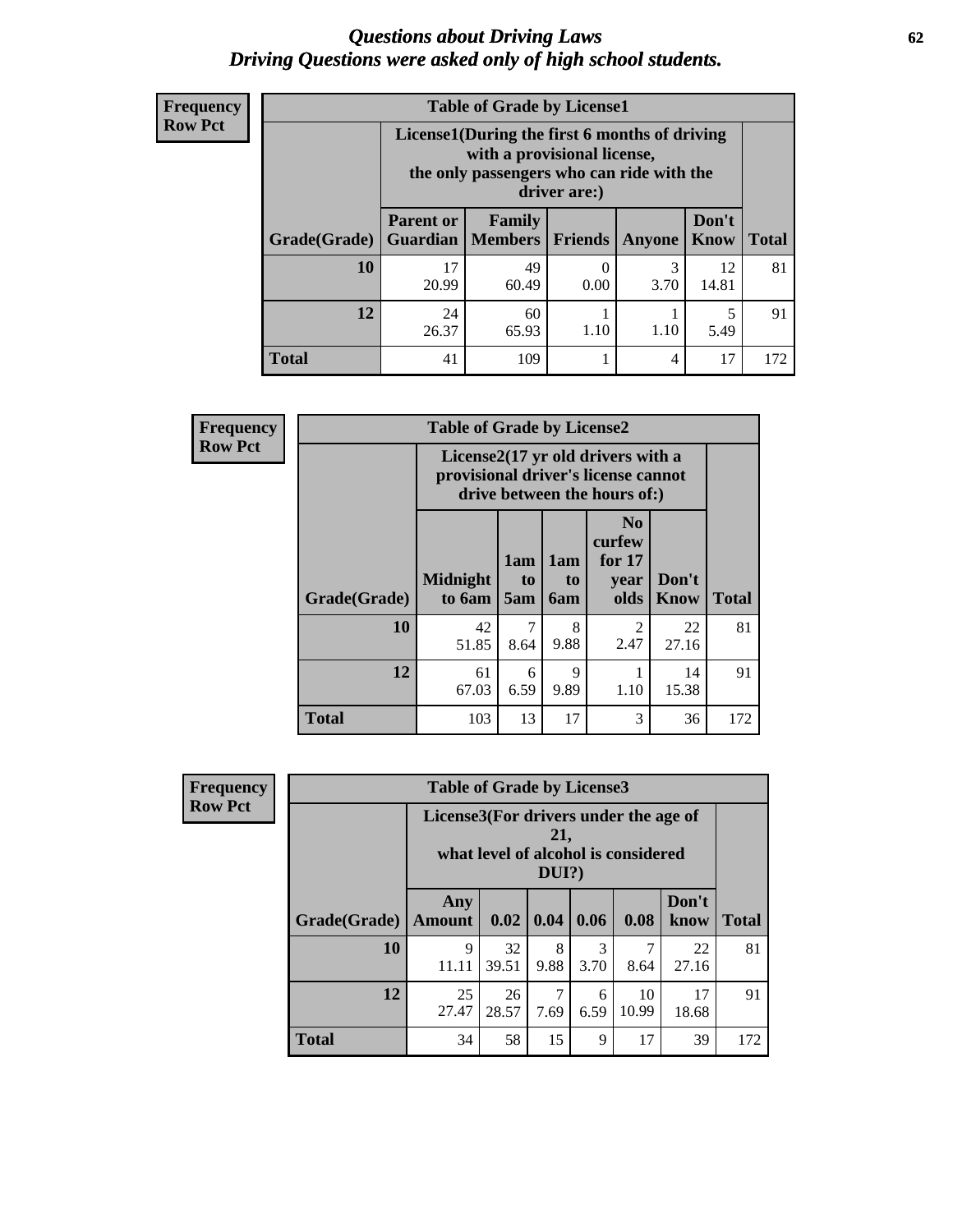## *Questions about Driving Laws* **62** *Driving Questions were asked only of high school students.*

| <b>Frequency</b> |
|------------------|
| <b>Row Pct</b>   |

| <b>Table of Grade by License1</b> |                              |                                                                                                                                           |                |           |               |              |  |  |  |  |
|-----------------------------------|------------------------------|-------------------------------------------------------------------------------------------------------------------------------------------|----------------|-----------|---------------|--------------|--|--|--|--|
|                                   |                              | License1(During the first 6 months of driving<br>with a provisional license,<br>the only passengers who can ride with the<br>driver are:) |                |           |               |              |  |  |  |  |
| Grade(Grade)                      | <b>Parent or</b><br>Guardian | Family<br><b>Members</b>                                                                                                                  | <b>Friends</b> | Anyone    | Don't<br>Know | <b>Total</b> |  |  |  |  |
| 10                                | 17<br>20.99                  | 49<br>60.49                                                                                                                               | 0.00           | 3<br>3.70 | 12<br>14.81   | 81           |  |  |  |  |
| 12                                | 24<br>26.37                  | 60<br>5<br>1.10<br>1.10<br>65.93<br>5.49                                                                                                  |                |           |               |              |  |  |  |  |
| <b>Total</b>                      | 41                           | 109                                                                                                                                       |                | 4         | 17            | 172          |  |  |  |  |

| <b>Frequency</b> |              | <b>Table of Grade by License2</b> |                                                                                                          |                              |                                                      |                      |              |  |  |
|------------------|--------------|-----------------------------------|----------------------------------------------------------------------------------------------------------|------------------------------|------------------------------------------------------|----------------------|--------------|--|--|
| <b>Row Pct</b>   |              |                                   | License2(17 yr old drivers with a<br>provisional driver's license cannot<br>drive between the hours of:) |                              |                                                      |                      |              |  |  |
|                  | Grade(Grade) | <b>Midnight</b><br>to 6am         | 1am<br>t <sub>0</sub><br>5am                                                                             | 1am<br>t <sub>0</sub><br>6am | N <sub>0</sub><br>curfew<br>for $17$<br>year<br>olds | Don't<br><b>Know</b> | <b>Total</b> |  |  |
|                  | 10           | 42<br>51.85                       | 7<br>8.64                                                                                                | 8<br>9.88                    | 2<br>2.47                                            | 22<br>27.16          | 81           |  |  |
|                  | 12           | 61<br>67.03                       | 6<br>6.59                                                                                                | 9<br>9.89                    | 1.10                                                 | 14<br>15.38          | 91           |  |  |
|                  | <b>Total</b> | 103                               | 13                                                                                                       | 17                           | 3                                                    | 36                   | 172          |  |  |

| Frequency      | <b>Table of Grade by License3</b>                                                               |                      |             |           |                       |             |               |              |
|----------------|-------------------------------------------------------------------------------------------------|----------------------|-------------|-----------|-----------------------|-------------|---------------|--------------|
| <b>Row Pct</b> | License3(For drivers under the age of<br>21,<br>what level of alcohol is considered<br>$DUI$ ?) |                      |             |           |                       |             |               |              |
|                | Grade(Grade)                                                                                    | Any<br><b>Amount</b> | 0.02        | 0.04      | 0.06                  | 0.08        | Don't<br>know | <b>Total</b> |
|                | <b>10</b>                                                                                       | 9<br>11.11           | 32<br>39.51 | 8<br>9.88 | $\mathcal{F}$<br>3.70 | 8.64        | 22<br>27.16   | 81           |
|                | 12                                                                                              | 25<br>27.47          | 26<br>28.57 | 7.69      | 6<br>6.59             | 10<br>10.99 | 17<br>18.68   | 91           |
|                | <b>Total</b>                                                                                    | 34                   | 58          | 15        | 9                     | 17          | 39            | 172          |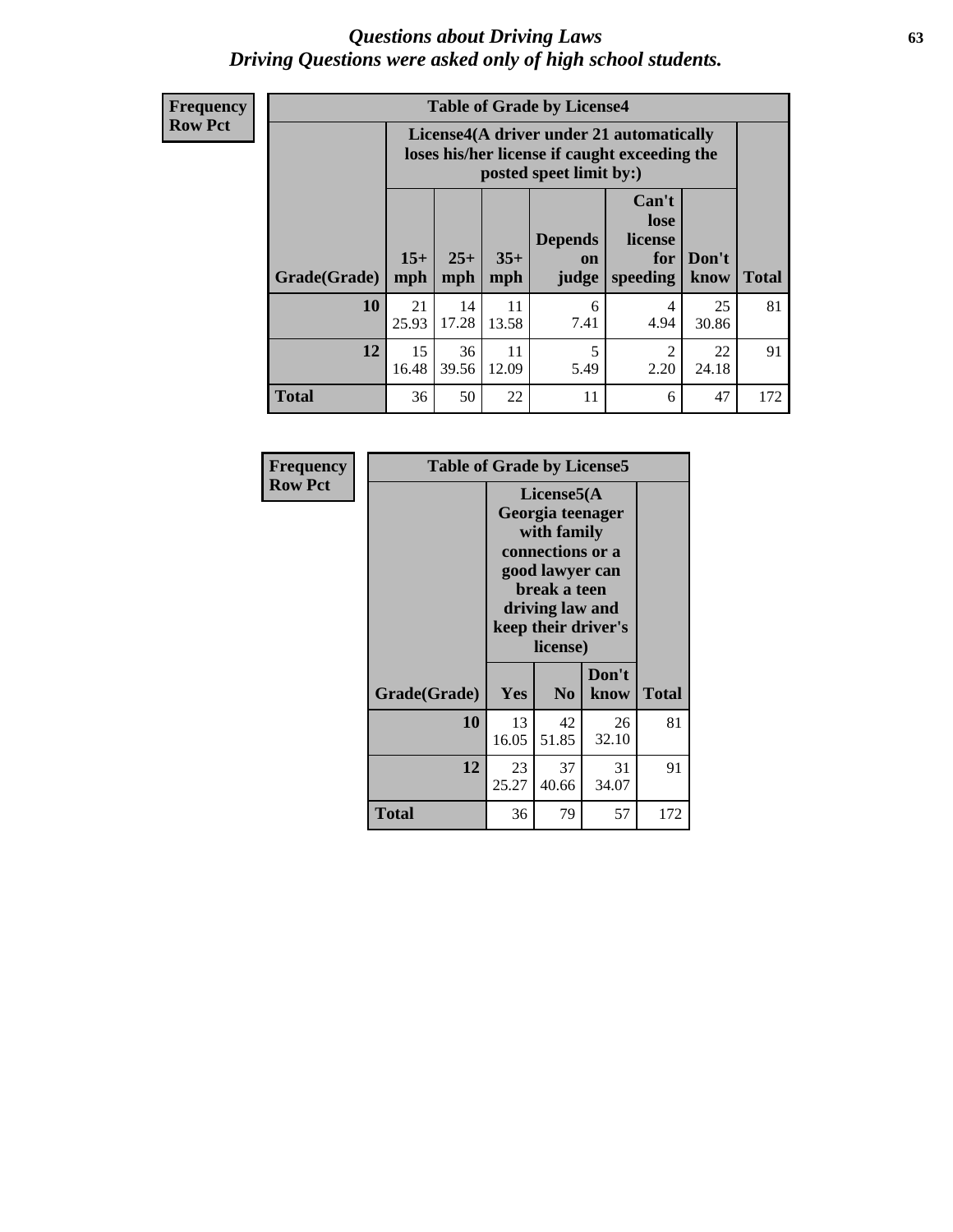## *Questions about Driving Laws* **63** *Driving Questions were asked only of high school students.*

**Frequency Row Pct**

| <b>Table of Grade by License4</b> |             |                                                                                                                                                                                                                                                                                       |             |           |           |             |     |  |
|-----------------------------------|-------------|---------------------------------------------------------------------------------------------------------------------------------------------------------------------------------------------------------------------------------------------------------------------------------------|-------------|-----------|-----------|-------------|-----|--|
|                                   |             | License4(A driver under 21 automatically<br>loses his/her license if caught exceeding the<br>posted speet limit by:)<br>Can't<br>lose<br><b>Depends</b><br>license<br>$15+$<br>$25+$<br>$35+$<br>Don't<br>for<br><b>on</b><br><b>Total</b><br>speeding<br>mph<br>know<br>mph<br>judge |             |           |           |             |     |  |
| Grade(Grade)                      | mph         |                                                                                                                                                                                                                                                                                       |             |           |           |             |     |  |
| 10                                | 21<br>25.93 | 14<br>17.28                                                                                                                                                                                                                                                                           | 11<br>13.58 | 6<br>7.41 | 4<br>4.94 | 25<br>30.86 | 81  |  |
| 12                                | 15<br>16.48 | 36<br>11<br>5<br>$\mathfrak{D}$<br>22<br>39.56<br>12.09<br>5.49<br>2.20<br>24.18                                                                                                                                                                                                      |             |           |           |             |     |  |
| <b>Total</b>                      | 36          | 50                                                                                                                                                                                                                                                                                    | 22          | 11        | 6         | 47          | 172 |  |

| Frequency      | <b>Table of Grade by License5</b> |             |                                                                                                                                      |                     |              |
|----------------|-----------------------------------|-------------|--------------------------------------------------------------------------------------------------------------------------------------|---------------------|--------------|
| <b>Row Pct</b> |                                   |             | License5(A)<br>Georgia teenager<br>with family<br>connections or a<br>good lawyer can<br>break a teen<br>driving law and<br>license) | keep their driver's |              |
|                | Grade(Grade)                      | Yes         | N <sub>0</sub>                                                                                                                       | Don't<br>know       | <b>Total</b> |
|                | 10                                | 13<br>16.05 | 42<br>51.85                                                                                                                          | 26<br>32.10         | 81           |
|                | 12                                | 23<br>25.27 | 37<br>40.66                                                                                                                          | 31<br>34.07         | 91           |
|                | <b>Total</b>                      | 36          | 79                                                                                                                                   | 57                  | 172          |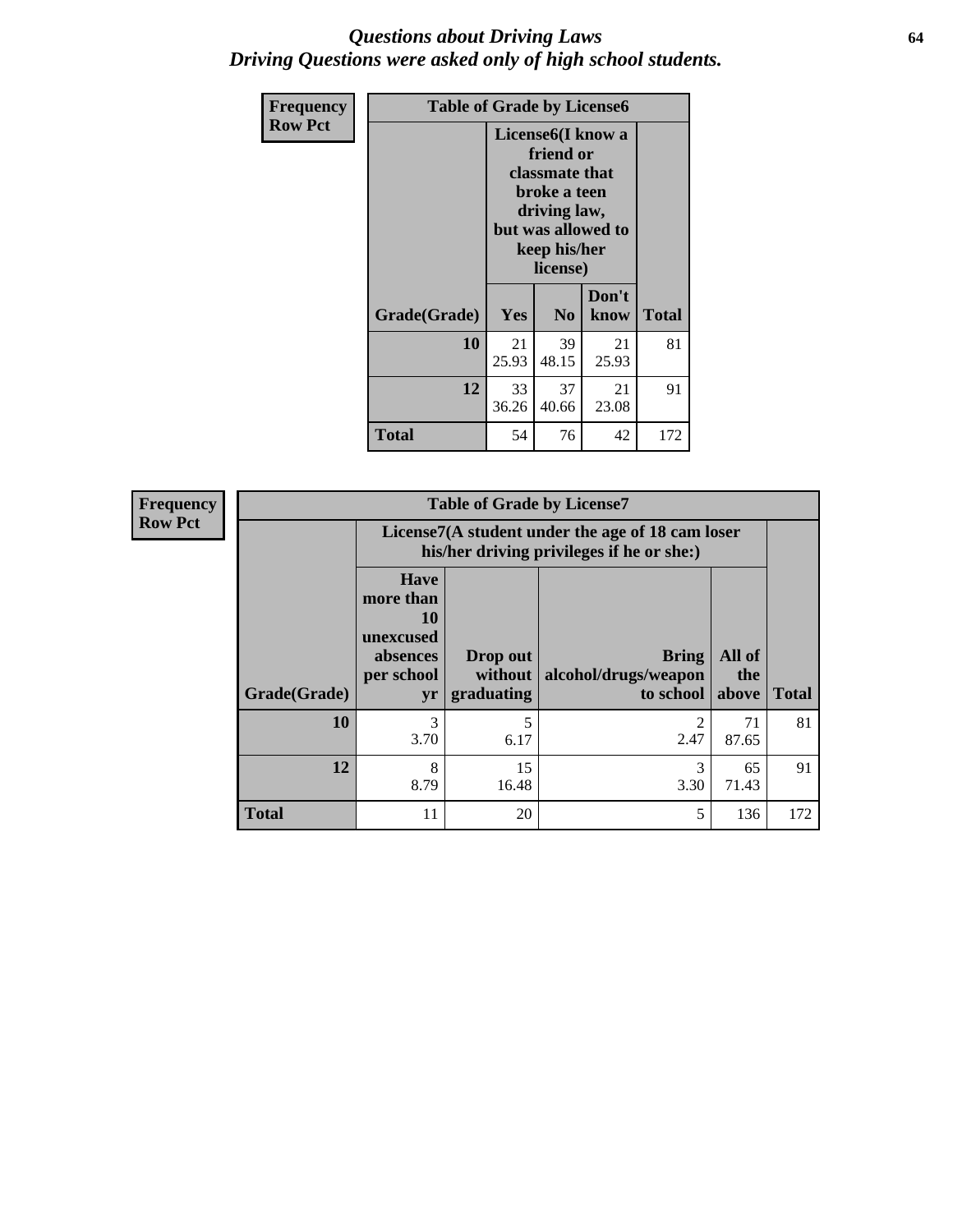## *Questions about Driving Laws* **64** *Driving Questions were asked only of high school students.*

| <b>Frequency</b> | <b>Table of Grade by License6</b> |                                                                                                                                                 |                |               |              |
|------------------|-----------------------------------|-------------------------------------------------------------------------------------------------------------------------------------------------|----------------|---------------|--------------|
| <b>Row Pct</b>   |                                   | License <sub>6</sub> (I know a<br>friend or<br>classmate that<br>broke a teen<br>driving law,<br>but was allowed to<br>keep his/her<br>license) |                |               |              |
|                  | Grade(Grade)                      | Yes                                                                                                                                             | N <sub>0</sub> | Don't<br>know | <b>Total</b> |
|                  | 10                                | 21<br>25.93                                                                                                                                     | 39<br>48.15    | 21<br>25.93   | 81           |
|                  | 12                                | 33<br>37<br>21<br>23.08<br>36.26<br>40.66                                                                                                       |                |               | 91           |
|                  | <b>Total</b>                      | 54                                                                                                                                              | 76             | 42            | 172          |

| <b>Frequency</b> |              | <b>Table of Grade by License7</b>                                           |                                                                                               |                                                   |                        |              |  |
|------------------|--------------|-----------------------------------------------------------------------------|-----------------------------------------------------------------------------------------------|---------------------------------------------------|------------------------|--------------|--|
| <b>Row Pct</b>   |              |                                                                             | License7(A student under the age of 18 cam loser<br>his/her driving privileges if he or she:) |                                                   |                        |              |  |
|                  | Grade(Grade) | <b>Have</b><br>more than<br>10<br>unexcused<br>absences<br>per school<br>yr | Drop out<br>without<br>graduating                                                             | <b>Bring</b><br>alcohol/drugs/weapon<br>to school | All of<br>the<br>above | <b>Total</b> |  |
|                  | 10           | $\mathcal{R}$<br>3.70                                                       | 5<br>6.17                                                                                     | 2.47                                              | 71<br>87.65            | 81           |  |
|                  | 12           | 8<br>8.79                                                                   | 15<br>16.48                                                                                   | 3<br>3.30                                         | 65<br>71.43            | 91           |  |
|                  | <b>Total</b> | 11                                                                          | 20                                                                                            | 5                                                 | 136                    | 172          |  |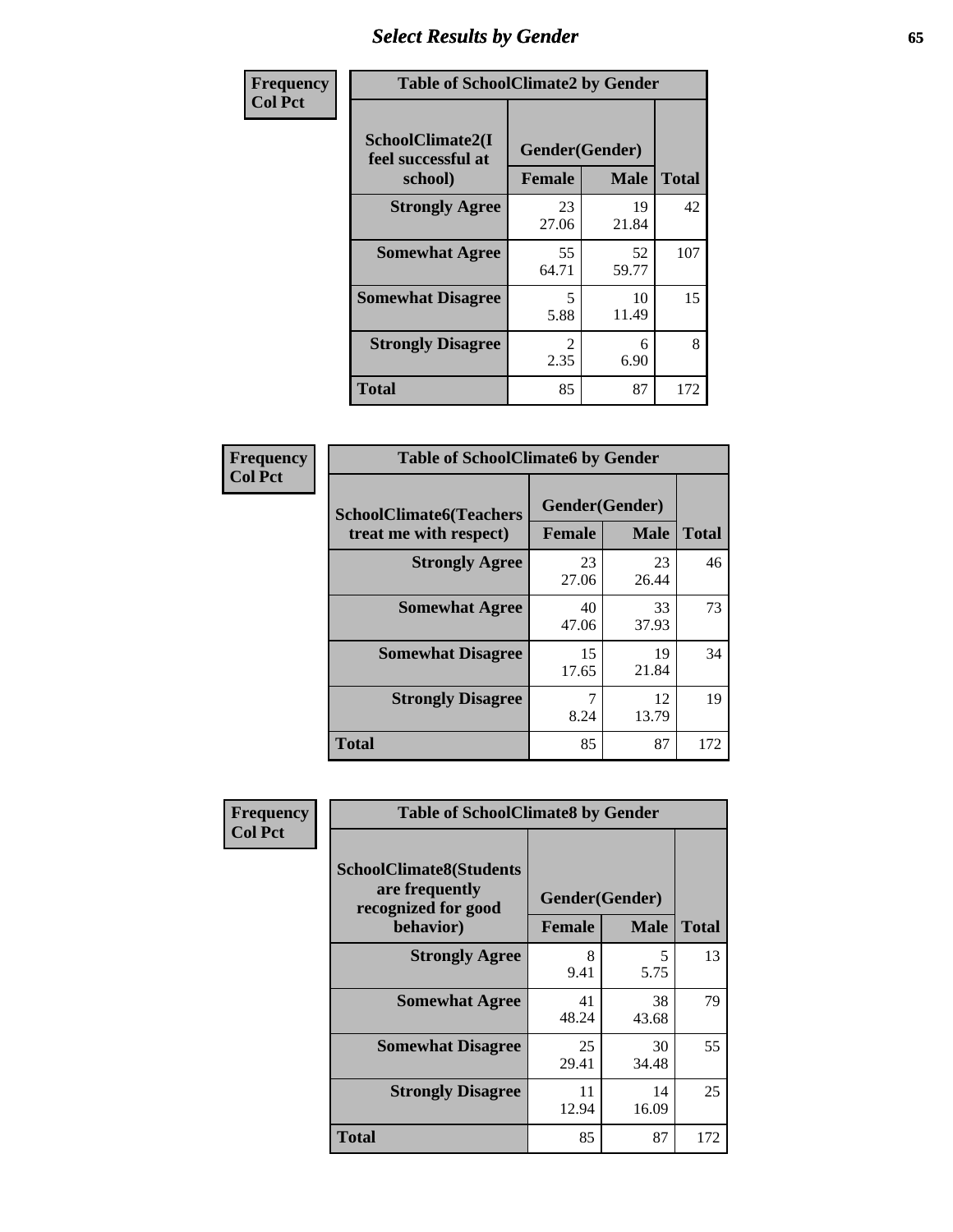# *Select Results by Gender* **65**

| Frequency      | <b>Table of SchoolClimate2 by Gender</b>          |                                 |             |              |
|----------------|---------------------------------------------------|---------------------------------|-------------|--------------|
| <b>Col Pct</b> | SchoolClimate2(I<br>feel successful at<br>school) | Gender(Gender)<br><b>Female</b> | <b>Male</b> | <b>Total</b> |
|                | <b>Strongly Agree</b>                             | 23<br>27.06                     | 19<br>21.84 | 42           |
|                | <b>Somewhat Agree</b>                             | 55<br>64.71                     | 52<br>59.77 | 107          |
|                | <b>Somewhat Disagree</b>                          | 5.<br>5.88                      | 10<br>11.49 | 15           |
|                | <b>Strongly Disagree</b>                          | $\mathcal{L}$<br>2.35           | 6<br>6.90   | 8            |
|                | <b>Total</b>                                      | 85                              | 87          | 172          |

| Frequency      | <b>Table of SchoolClimate6 by Gender</b>                 |                          |             |              |  |
|----------------|----------------------------------------------------------|--------------------------|-------------|--------------|--|
| <b>Col Pct</b> | <b>SchoolClimate6(Teachers</b><br>treat me with respect) | Gender(Gender)<br>Female | <b>Male</b> | <b>Total</b> |  |
|                | <b>Strongly Agree</b>                                    | 23<br>27.06              | 23<br>26.44 | 46           |  |
|                | <b>Somewhat Agree</b>                                    | 40<br>47.06              | 33<br>37.93 | 73           |  |
|                | <b>Somewhat Disagree</b>                                 | 15<br>17.65              | 19<br>21.84 | 34           |  |
|                | <b>Strongly Disagree</b>                                 | 7<br>8.24                | 12<br>13.79 | 19           |  |
|                | <b>Total</b>                                             | 85                       | 87          | 172          |  |

| <b>Frequency</b> | <b>Table of SchoolClimate8 by Gender</b>                                             |                                 |                  |     |
|------------------|--------------------------------------------------------------------------------------|---------------------------------|------------------|-----|
| <b>Col Pct</b>   | <b>SchoolClimate8(Students</b><br>are frequently<br>recognized for good<br>behavior) | Gender(Gender)<br><b>Female</b> | <b>Total</b>     |     |
|                  | <b>Strongly Agree</b>                                                                | 8                               | <b>Male</b><br>5 | 13  |
|                  |                                                                                      | 9.41                            | 5.75             |     |
|                  | <b>Somewhat Agree</b>                                                                | 41<br>48.24                     | 38<br>43.68      | 79  |
|                  | <b>Somewhat Disagree</b>                                                             | 25<br>29.41                     | 30<br>34.48      | 55  |
|                  | <b>Strongly Disagree</b>                                                             | 11<br>12.94                     | 14<br>16.09      | 25  |
|                  | Total                                                                                | 85                              | 87               | 172 |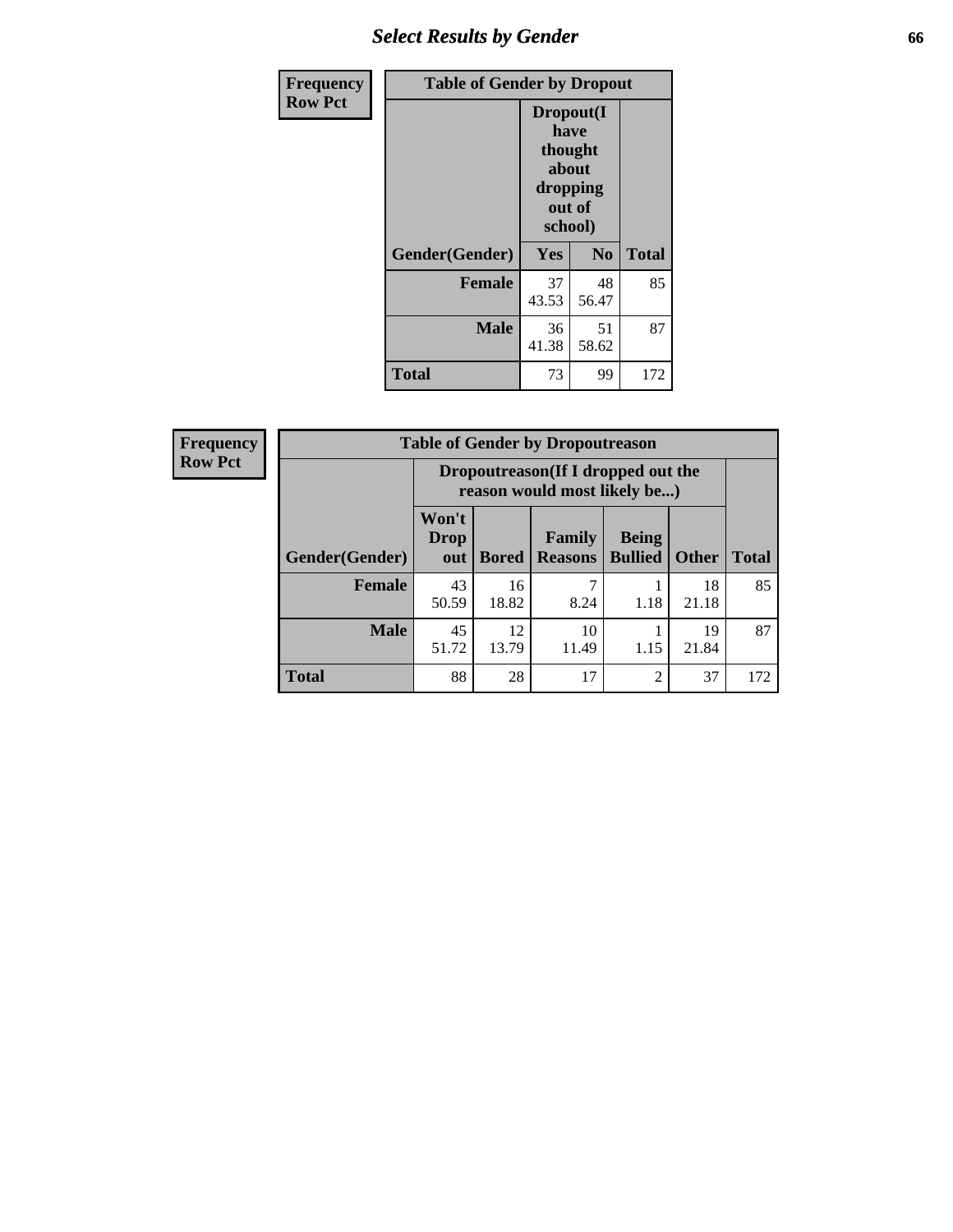# *Select Results by Gender* **66**

| Frequency      | <b>Table of Gender by Dropout</b> |                                                                        |                |              |
|----------------|-----------------------------------|------------------------------------------------------------------------|----------------|--------------|
| <b>Row Pct</b> |                                   | Dropout(I<br>have<br>thought<br>about<br>dropping<br>out of<br>school) |                |              |
|                | Gender(Gender)                    | Yes                                                                    | N <sub>0</sub> | <b>Total</b> |
|                | <b>Female</b>                     | 37<br>43.53                                                            | 48<br>56.47    | 85           |
|                | <b>Male</b>                       | 36<br>41.38                                                            | 51<br>58.62    | 87           |
|                | <b>Total</b>                      | 73                                                                     | 99             | 172          |

| <b>Frequency</b> | <b>Table of Gender by Dropoutreason</b> |                                                                    |              |                                 |                                |              |              |
|------------------|-----------------------------------------|--------------------------------------------------------------------|--------------|---------------------------------|--------------------------------|--------------|--------------|
| <b>Row Pct</b>   |                                         | Dropoutreason(If I dropped out the<br>reason would most likely be) |              |                                 |                                |              |              |
|                  | Gender(Gender)                          | Won't<br><b>Drop</b><br>out                                        | <b>Bored</b> | <b>Family</b><br><b>Reasons</b> | <b>Being</b><br><b>Bullied</b> | <b>Other</b> | <b>Total</b> |
|                  | <b>Female</b>                           | 43<br>50.59                                                        | 16<br>18.82  | 8.24                            | 1.18                           | 18<br>21.18  | 85           |
|                  | <b>Male</b>                             | 45<br>51.72                                                        | 12<br>13.79  | 10<br>11.49                     | 1.15                           | 19<br>21.84  | 87           |
|                  | <b>Total</b>                            | 88                                                                 | 28           | 17                              | $\overline{2}$                 | 37           | 172          |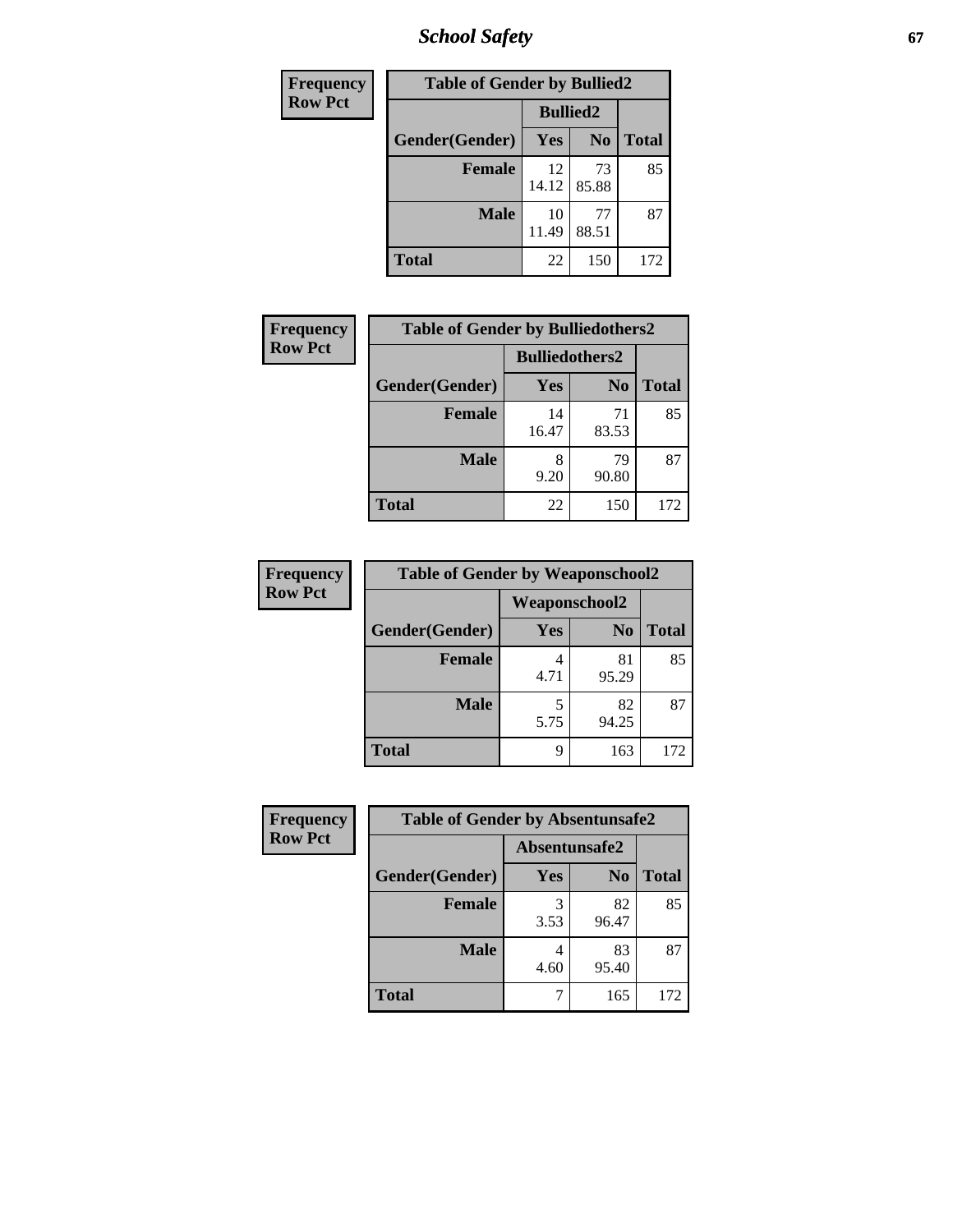*School Safety* **67**

| Frequency      | <b>Table of Gender by Bullied2</b> |                 |                |              |
|----------------|------------------------------------|-----------------|----------------|--------------|
| <b>Row Pct</b> |                                    | <b>Bullied2</b> |                |              |
|                | Gender(Gender)                     | Yes             | N <sub>0</sub> | <b>Total</b> |
|                | <b>Female</b>                      | 12<br>14.12     | 73<br>85.88    | 85           |
|                | <b>Male</b>                        | 10<br>11.49     | 77<br>88.51    | 87           |
|                | <b>Total</b>                       | 22              | 150            | 172          |

| Frequency      | <b>Table of Gender by Bulliedothers2</b> |                       |                |              |
|----------------|------------------------------------------|-----------------------|----------------|--------------|
| <b>Row Pct</b> |                                          | <b>Bulliedothers2</b> |                |              |
|                | Gender(Gender)                           | Yes                   | N <sub>0</sub> | <b>Total</b> |
|                | <b>Female</b>                            | 14<br>16.47           | 71<br>83.53    | 85           |
|                | <b>Male</b>                              | 8<br>9.20             | 79<br>90.80    | 87           |
|                | <b>Total</b>                             | 22                    | 150            | 172          |

| Frequency      | <b>Table of Gender by Weaponschool2</b> |                      |                |              |
|----------------|-----------------------------------------|----------------------|----------------|--------------|
| <b>Row Pct</b> |                                         | <b>Weaponschool2</b> |                |              |
|                | Gender(Gender)                          | Yes                  | N <sub>0</sub> | <b>Total</b> |
|                | <b>Female</b>                           | 4.71                 | 81<br>95.29    | 85           |
|                | <b>Male</b>                             | 5.75                 | 82<br>94.25    | 87           |
|                | <b>Total</b>                            | 9                    | 163            | 172          |

| Frequency      | <b>Table of Gender by Absentunsafe2</b> |               |                |              |
|----------------|-----------------------------------------|---------------|----------------|--------------|
| <b>Row Pct</b> |                                         | Absentunsafe2 |                |              |
|                | Gender(Gender)                          | Yes           | N <sub>0</sub> | <b>Total</b> |
|                | <b>Female</b>                           | 3.53          | 82<br>96.47    | 85           |
|                | <b>Male</b>                             | 4.60          | 83<br>95.40    | 87           |
|                | <b>Total</b>                            |               | 165            | 172          |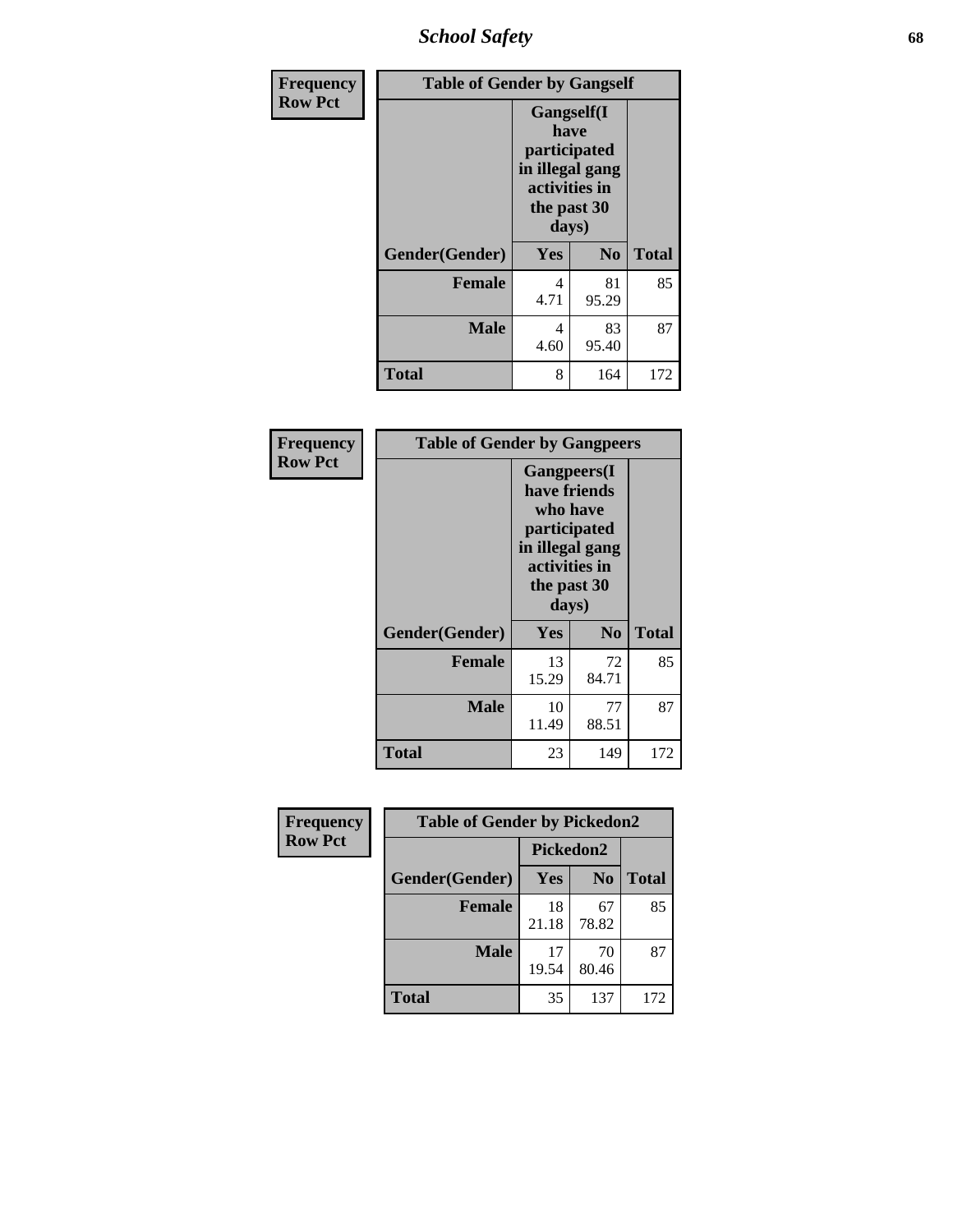*School Safety* **68**

| Frequency      | <b>Table of Gender by Gangself</b> |                                                                                                |                |              |
|----------------|------------------------------------|------------------------------------------------------------------------------------------------|----------------|--------------|
| <b>Row Pct</b> |                                    | Gangself(I<br>have<br>participated<br>in illegal gang<br>activities in<br>the past 30<br>days) |                |              |
|                | Gender(Gender)                     | Yes                                                                                            | N <sub>0</sub> | <b>Total</b> |
|                | <b>Female</b>                      | 4<br>4.71                                                                                      | 81<br>95.29    | 85           |
|                | <b>Male</b>                        | 4<br>4.60                                                                                      | 83<br>95.40    | 87           |
|                | <b>Total</b>                       | 8                                                                                              | 164            | 172          |

| Frequency      | <b>Table of Gender by Gangpeers</b> |                                                                                                                             |                |              |  |
|----------------|-------------------------------------|-----------------------------------------------------------------------------------------------------------------------------|----------------|--------------|--|
| <b>Row Pct</b> |                                     | <b>Gangpeers</b> (I<br>have friends<br>who have<br>participated<br>in illegal gang<br>activities in<br>the past 30<br>days) |                |              |  |
|                | Gender(Gender)                      | <b>Yes</b>                                                                                                                  | N <sub>0</sub> | <b>Total</b> |  |
|                | <b>Female</b>                       | 13<br>15.29                                                                                                                 | 72<br>84.71    | 85           |  |
|                | <b>Male</b>                         | 10<br>11.49                                                                                                                 | 77<br>88.51    | 87           |  |
|                | Total                               | 23                                                                                                                          | 149            | 172          |  |

| Frequency      | <b>Table of Gender by Pickedon2</b> |             |                |              |  |
|----------------|-------------------------------------|-------------|----------------|--------------|--|
| <b>Row Pct</b> |                                     | Pickedon2   |                |              |  |
|                | Gender(Gender)                      | <b>Yes</b>  | N <sub>0</sub> | <b>Total</b> |  |
|                | <b>Female</b>                       | 18<br>21.18 | 67<br>78.82    | 85           |  |
|                | <b>Male</b>                         | 17<br>19.54 | 70<br>80.46    | 87           |  |
|                | <b>Total</b>                        | 35          | 137            | 172          |  |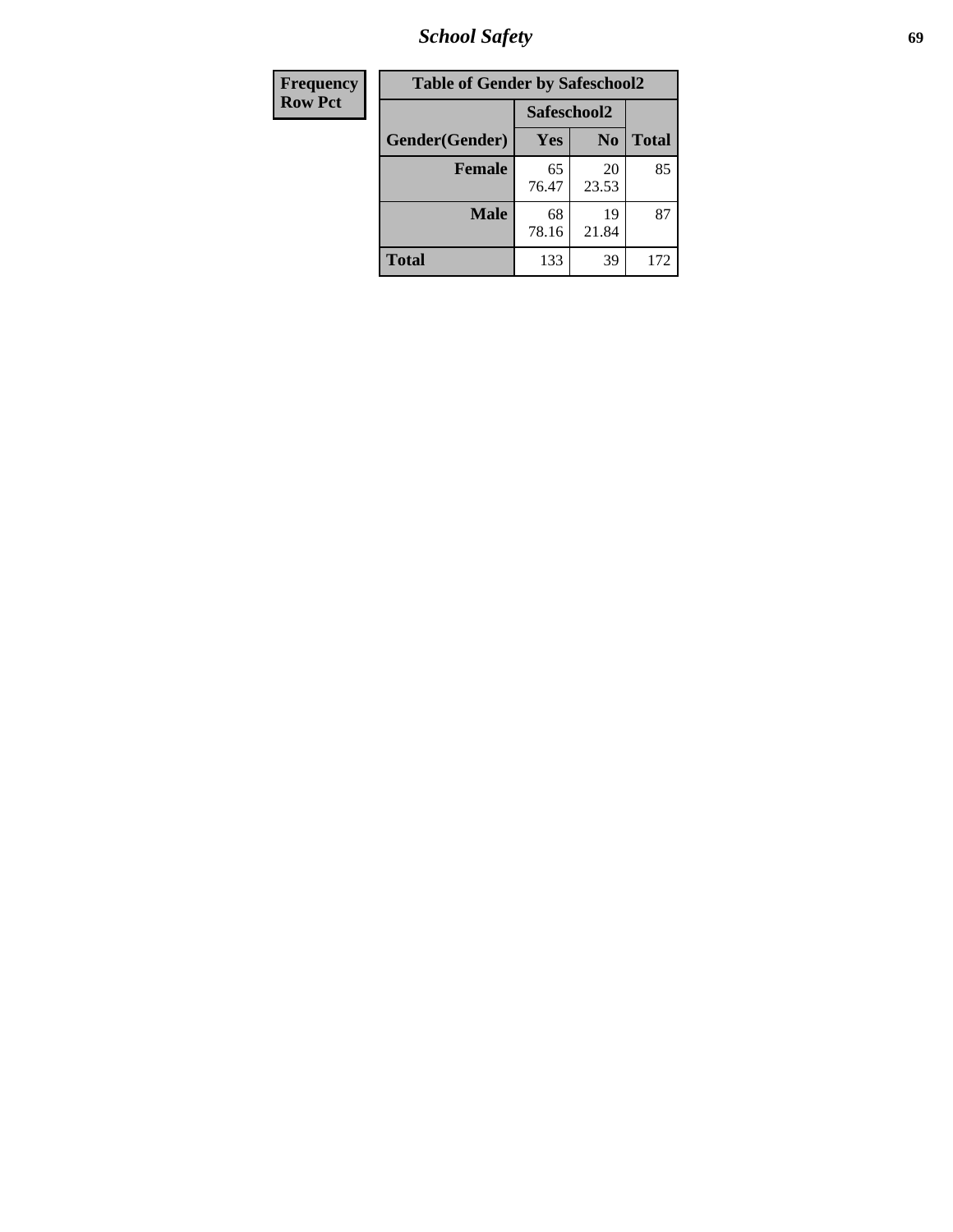*School Safety* **69**

| Frequency      | <b>Table of Gender by Safeschool2</b> |             |                |              |
|----------------|---------------------------------------|-------------|----------------|--------------|
| <b>Row Pct</b> |                                       | Safeschool2 |                |              |
|                | Gender(Gender)                        | Yes         | N <sub>0</sub> | <b>Total</b> |
|                | <b>Female</b>                         | 65<br>76.47 | 20<br>23.53    | 85           |
|                | <b>Male</b>                           | 68<br>78.16 | 19<br>21.84    | 87           |
|                | <b>Total</b>                          | 133         | 39             | 172          |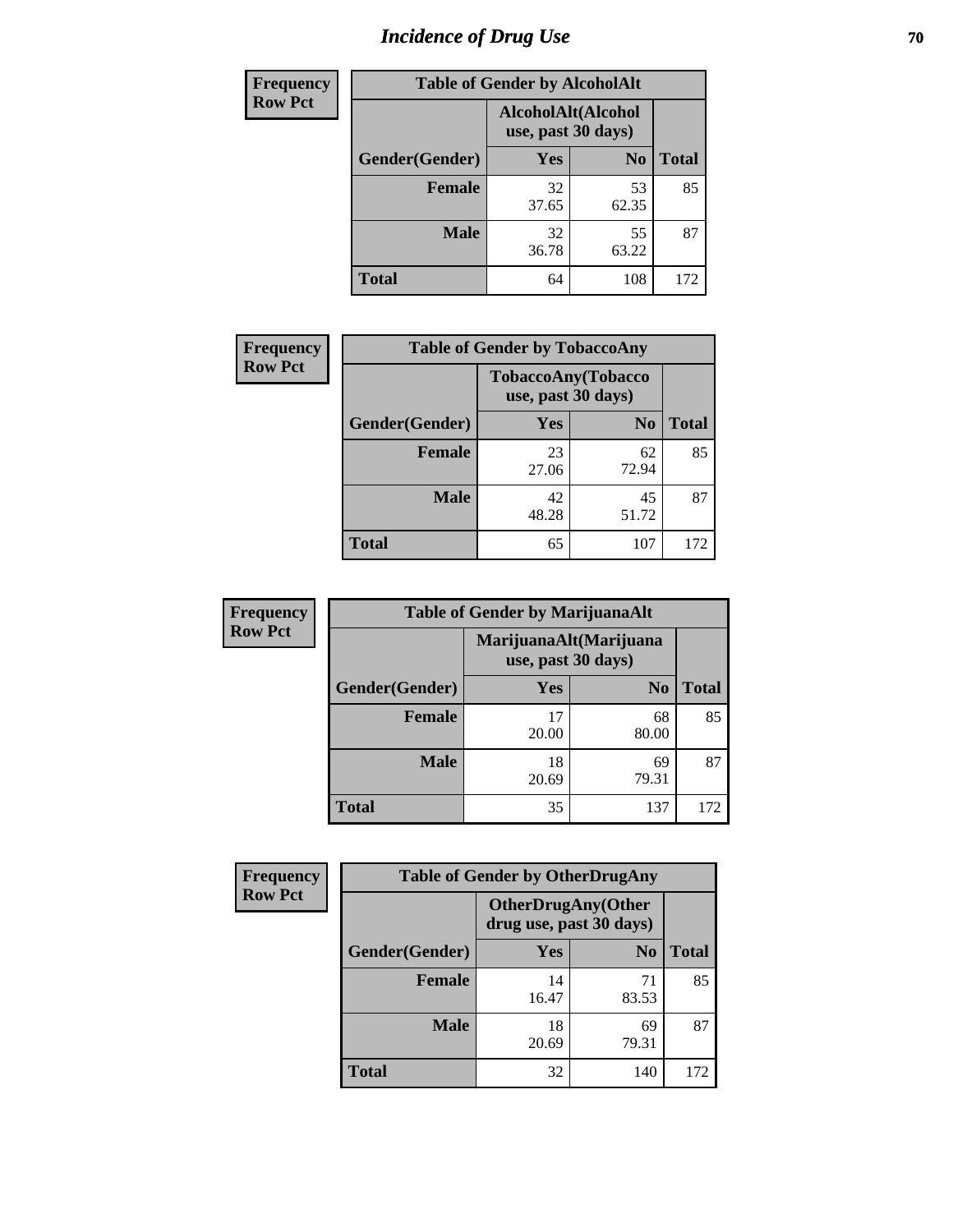# *Incidence of Drug Use* **70**

| <b>Frequency</b> | <b>Table of Gender by AlcoholAlt</b> |                                          |                |              |
|------------------|--------------------------------------|------------------------------------------|----------------|--------------|
| <b>Row Pct</b>   |                                      | AlcoholAlt(Alcohol<br>use, past 30 days) |                |              |
|                  | Gender(Gender)                       | <b>Yes</b>                               | N <sub>0</sub> | <b>Total</b> |
|                  | <b>Female</b>                        | 32<br>37.65                              | 53<br>62.35    | 85           |
|                  | <b>Male</b>                          | 32<br>36.78                              | 55<br>63.22    | 87           |
|                  | <b>Total</b>                         | 64                                       | 108            | 172          |

| Frequency      | <b>Table of Gender by TobaccoAny</b> |                                          |                |              |  |
|----------------|--------------------------------------|------------------------------------------|----------------|--------------|--|
| <b>Row Pct</b> |                                      | TobaccoAny(Tobacco<br>use, past 30 days) |                |              |  |
|                | Gender(Gender)                       | Yes                                      | N <sub>0</sub> | <b>Total</b> |  |
|                | <b>Female</b>                        | 23<br>27.06                              | 62<br>72.94    | 85           |  |
|                | <b>Male</b>                          | 42<br>48.28                              | 45<br>51.72    | 87           |  |
|                | <b>Total</b>                         | 65                                       | 107            | 172          |  |

| <b>Frequency</b> | <b>Table of Gender by MarijuanaAlt</b> |                    |                        |              |
|------------------|----------------------------------------|--------------------|------------------------|--------------|
| <b>Row Pct</b>   |                                        | use, past 30 days) | MarijuanaAlt(Marijuana |              |
|                  | Gender(Gender)                         | <b>Yes</b>         | N <sub>0</sub>         | <b>Total</b> |
|                  | <b>Female</b>                          | 17<br>20.00        | 68<br>80.00            | 85           |
|                  | <b>Male</b>                            | 18<br>20.69        | 69<br>79.31            | 87           |
|                  | <b>Total</b>                           | 35                 | 137                    | 172          |

| <b>Frequency</b> | <b>Table of Gender by OtherDrugAny</b> |                         |                           |              |
|------------------|----------------------------------------|-------------------------|---------------------------|--------------|
| <b>Row Pct</b>   |                                        | drug use, past 30 days) | <b>OtherDrugAny(Other</b> |              |
|                  | Gender(Gender)                         | <b>Yes</b>              | N <sub>0</sub>            | <b>Total</b> |
|                  | <b>Female</b>                          | 14<br>16.47             | 71<br>83.53               | 85           |
|                  | <b>Male</b>                            | 18<br>20.69             | 69<br>79.31               | 87           |
|                  | <b>Total</b>                           | 32                      | 140                       | 172          |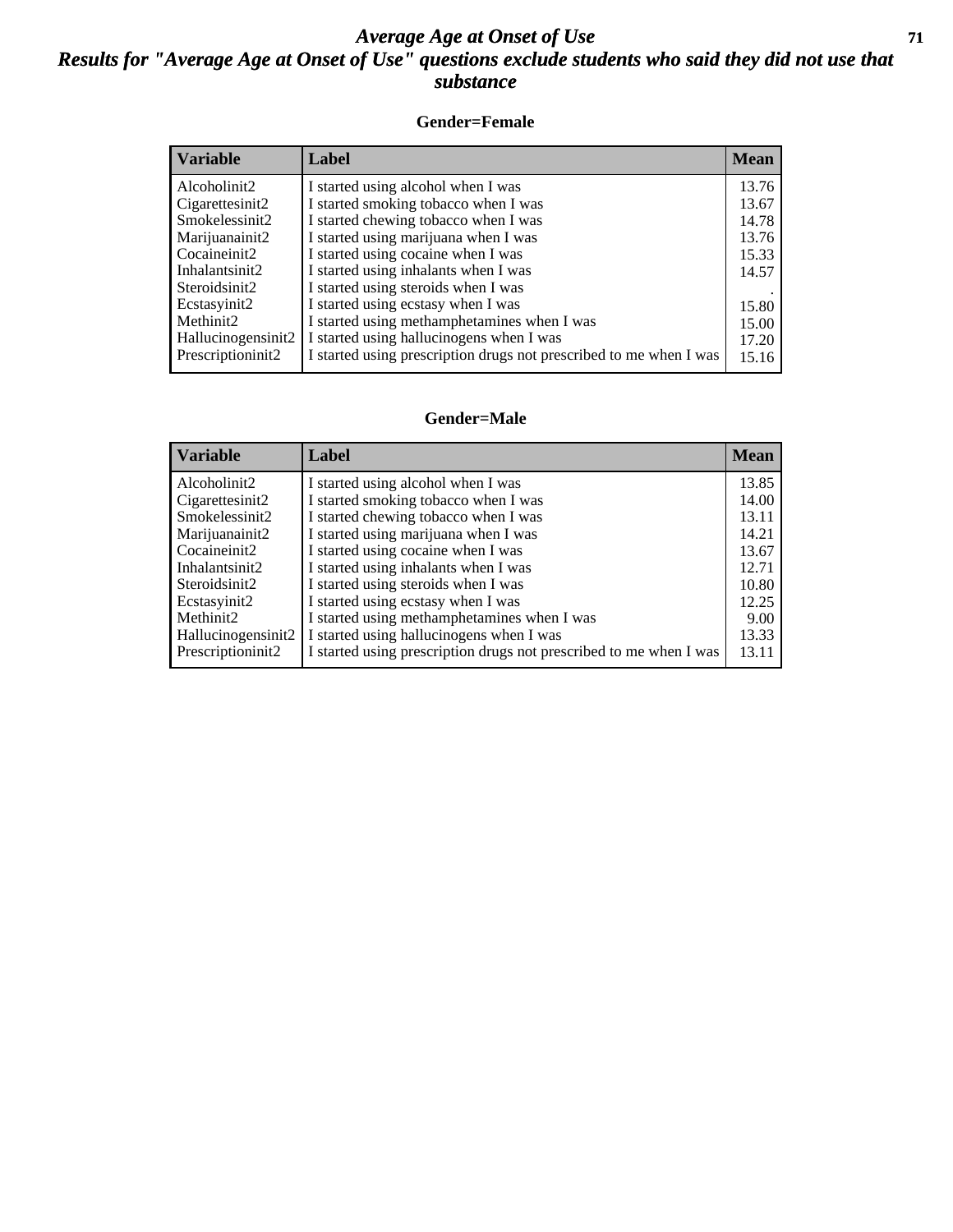## *Average Age at Onset of Use* **71** *Results for "Average Age at Onset of Use" questions exclude students who said they did not use that substance*

### **Gender=Female**

| <b>Variable</b>    | Label                                                              | <b>Mean</b> |
|--------------------|--------------------------------------------------------------------|-------------|
| Alcoholinit2       | I started using alcohol when I was                                 | 13.76       |
| Cigarettesinit2    | I started smoking tobacco when I was                               | 13.67       |
| Smokelessinit2     | I started chewing tobacco when I was                               | 14.78       |
| Marijuanainit2     | I started using marijuana when I was                               | 13.76       |
| Cocaineinit2       | I started using cocaine when I was                                 | 15.33       |
| Inhalantsinit2     | I started using inhalants when I was                               | 14.57       |
| Steroidsinit2      | I started using steroids when I was                                |             |
| Ecstasyinit2       | I started using ecstasy when I was                                 | 15.80       |
| Methinit2          | I started using methamphetamines when I was                        | 15.00       |
| Hallucinogensinit2 | I started using hallucinogens when I was                           | 17.20       |
| Prescription in t2 | I started using prescription drugs not prescribed to me when I was | 15.16       |

### **Gender=Male**

| <i><b>Variable</b></i>          | Label                                                              | <b>Mean</b> |
|---------------------------------|--------------------------------------------------------------------|-------------|
| Alcoholinit2                    | I started using alcohol when I was                                 | 13.85       |
| Cigarettesinit2                 | I started smoking tobacco when I was                               | 14.00       |
| Smokelessinit2                  | I started chewing tobacco when I was                               | 13.11       |
| Marijuanainit2                  | I started using marijuana when I was                               | 14.21       |
| Cocaineinit2                    | I started using cocaine when I was                                 | 13.67       |
| Inhalantsinit2                  | I started using inhalants when I was                               | 12.71       |
| Steroidsinit2                   | I started using steroids when I was                                | 10.80       |
| Ecstasyinit2                    | I started using ecstasy when I was                                 | 12.25       |
| Methinit2                       | I started using methamphetamines when I was                        | 9.00        |
| Hallucinogensinit2              | I started using hallucinogens when I was                           | 13.33       |
| Prescription in it <sub>2</sub> | I started using prescription drugs not prescribed to me when I was | 13.11       |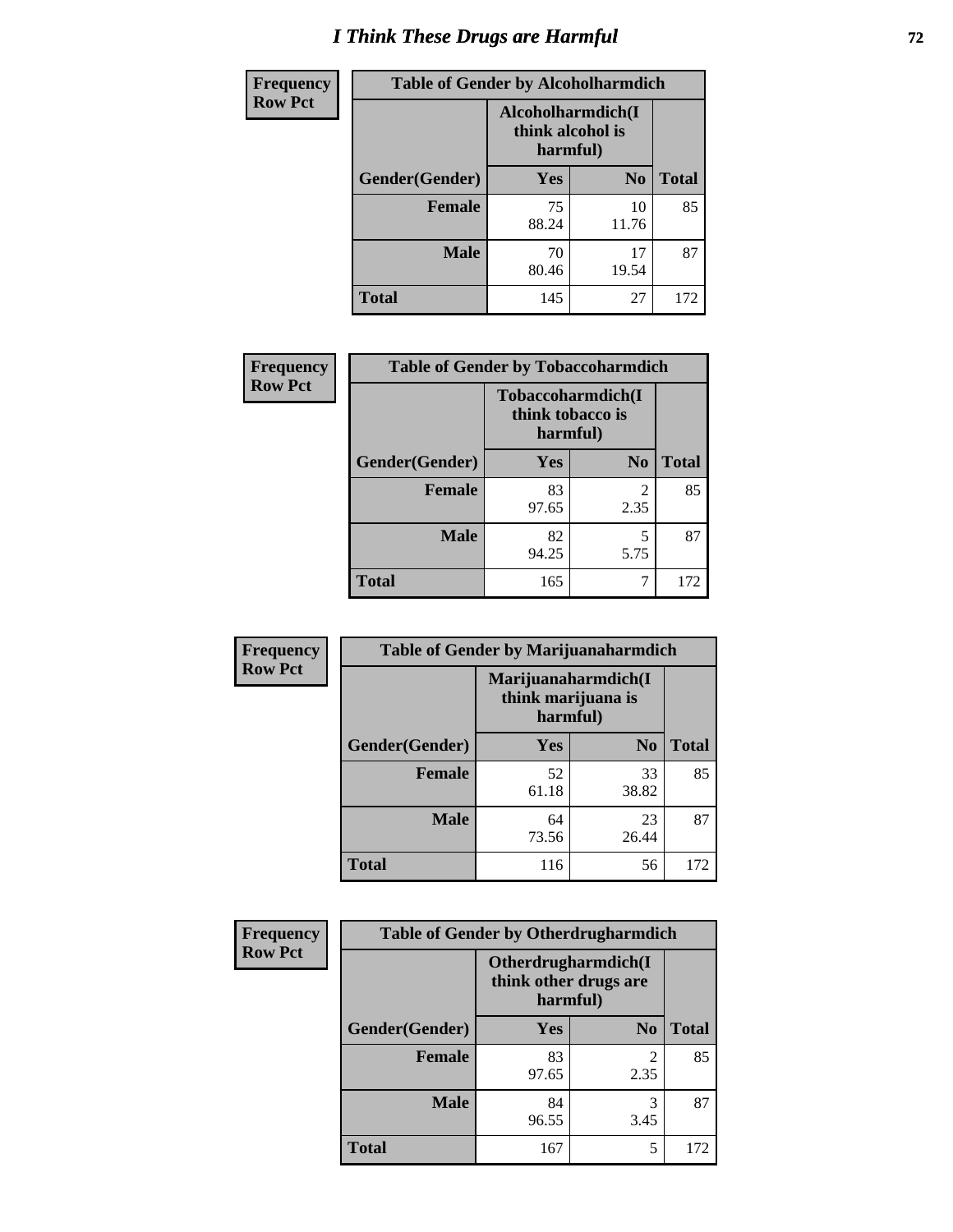# *I Think These Drugs are Harmful* **72**

| <b>Frequency</b> | <b>Table of Gender by Alcoholharmdich</b> |                                                   |                |              |
|------------------|-------------------------------------------|---------------------------------------------------|----------------|--------------|
| <b>Row Pct</b>   |                                           | Alcoholharmdich(I<br>think alcohol is<br>harmful) |                |              |
|                  | Gender(Gender)                            | <b>Yes</b>                                        | N <sub>0</sub> | <b>Total</b> |
|                  | <b>Female</b>                             | 75<br>88.24                                       | 10<br>11.76    | 85           |
|                  | <b>Male</b>                               | 70<br>80.46                                       | 17<br>19.54    | 87           |
|                  | <b>Total</b>                              | 145                                               | 27             | 172          |

| Frequency      | <b>Table of Gender by Tobaccoharmdich</b> |                  |                               |              |
|----------------|-------------------------------------------|------------------|-------------------------------|--------------|
| <b>Row Pct</b> |                                           | think tobacco is | Tobaccoharmdich(I<br>harmful) |              |
|                | Gender(Gender)                            | Yes              | N <sub>0</sub>                | <b>Total</b> |
|                | <b>Female</b>                             | 83<br>97.65      | 2<br>2.35                     | 85           |
|                | <b>Male</b>                               | 82<br>94.25      | 5<br>5.75                     | 87           |
|                | <b>Total</b>                              | 165              | 7                             | 172          |

| Frequency      | <b>Table of Gender by Marijuanaharmdich</b> |                                                       |                |              |  |
|----------------|---------------------------------------------|-------------------------------------------------------|----------------|--------------|--|
| <b>Row Pct</b> |                                             | Marijuanaharmdich(I<br>think marijuana is<br>harmful) |                |              |  |
|                | Gender(Gender)                              | <b>Yes</b>                                            | N <sub>0</sub> | <b>Total</b> |  |
|                | <b>Female</b>                               | 52<br>61.18                                           | 33<br>38.82    | 85           |  |
|                | <b>Male</b>                                 | 64<br>73.56                                           | 23<br>26.44    | 87           |  |
|                | <b>Total</b>                                | 116                                                   | 56             | 172          |  |

| Frequency      | <b>Table of Gender by Otherdrugharmdich</b> |                                                          |                        |              |  |
|----------------|---------------------------------------------|----------------------------------------------------------|------------------------|--------------|--|
| <b>Row Pct</b> |                                             | Otherdrugharmdich(I<br>think other drugs are<br>harmful) |                        |              |  |
|                | Gender(Gender)                              | <b>Yes</b>                                               | N <sub>0</sub>         | <b>Total</b> |  |
|                | <b>Female</b>                               | 83<br>97.65                                              | $\overline{c}$<br>2.35 | 85           |  |
|                | <b>Male</b>                                 | 84<br>96.55                                              | 3<br>3.45              | 87           |  |
|                | <b>Total</b>                                | 167                                                      | 5                      | 172          |  |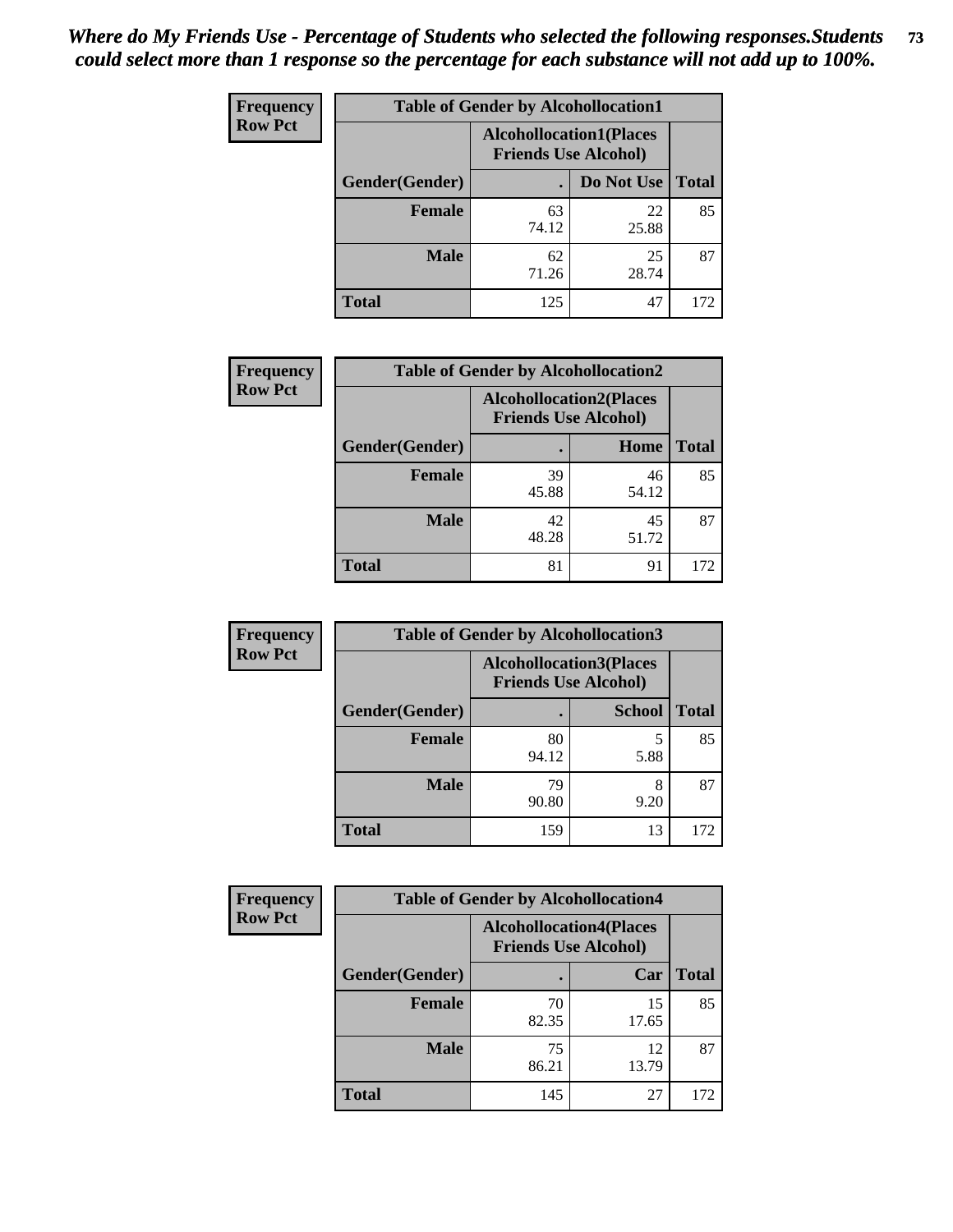| <b>Frequency</b> | <b>Table of Gender by Alcohollocation1</b> |                                                               |             |              |
|------------------|--------------------------------------------|---------------------------------------------------------------|-------------|--------------|
| <b>Row Pct</b>   |                                            | <b>Alcohollocation1(Places</b><br><b>Friends Use Alcohol)</b> |             |              |
|                  | Gender(Gender)                             |                                                               | Do Not Use  | <b>Total</b> |
|                  | <b>Female</b>                              | 63<br>74.12                                                   | 22<br>25.88 | 85           |
|                  | <b>Male</b>                                | 62<br>71.26                                                   | 25<br>28.74 | 87           |
|                  | <b>Total</b>                               | 125                                                           | 47          | 172          |

| <b>Frequency</b> | <b>Table of Gender by Alcohollocation2</b> |                                                               |             |              |
|------------------|--------------------------------------------|---------------------------------------------------------------|-------------|--------------|
| <b>Row Pct</b>   |                                            | <b>Alcohollocation2(Places</b><br><b>Friends Use Alcohol)</b> |             |              |
|                  | Gender(Gender)                             |                                                               | Home        | <b>Total</b> |
|                  | <b>Female</b>                              | 39<br>45.88                                                   | 46<br>54.12 | 85           |
|                  | <b>Male</b>                                | 42<br>48.28                                                   | 45<br>51.72 | 87           |
|                  | <b>Total</b>                               | 81                                                            | 91          | 172          |

| Frequency      | <b>Table of Gender by Alcohollocation3</b> |                                                               |               |              |
|----------------|--------------------------------------------|---------------------------------------------------------------|---------------|--------------|
| <b>Row Pct</b> |                                            | <b>Alcohollocation3(Places</b><br><b>Friends Use Alcohol)</b> |               |              |
|                | Gender(Gender)                             |                                                               | <b>School</b> | <b>Total</b> |
|                | <b>Female</b>                              | 80<br>94.12                                                   | 5<br>5.88     | 85           |
|                | <b>Male</b>                                | 79<br>90.80                                                   | 8<br>9.20     | 87           |
|                | <b>Total</b>                               | 159                                                           | 13            | 172          |

| Frequency      | <b>Table of Gender by Alcohollocation4</b> |                                                               |             |              |
|----------------|--------------------------------------------|---------------------------------------------------------------|-------------|--------------|
| <b>Row Pct</b> |                                            | <b>Alcohollocation4(Places</b><br><b>Friends Use Alcohol)</b> |             |              |
|                | Gender(Gender)                             |                                                               | Car         | <b>Total</b> |
|                | <b>Female</b>                              | 70<br>82.35                                                   | 15<br>17.65 | 85           |
|                | <b>Male</b>                                | 75<br>86.21                                                   | 12<br>13.79 | 87           |
|                | <b>Total</b>                               | 145                                                           | 27          | 172          |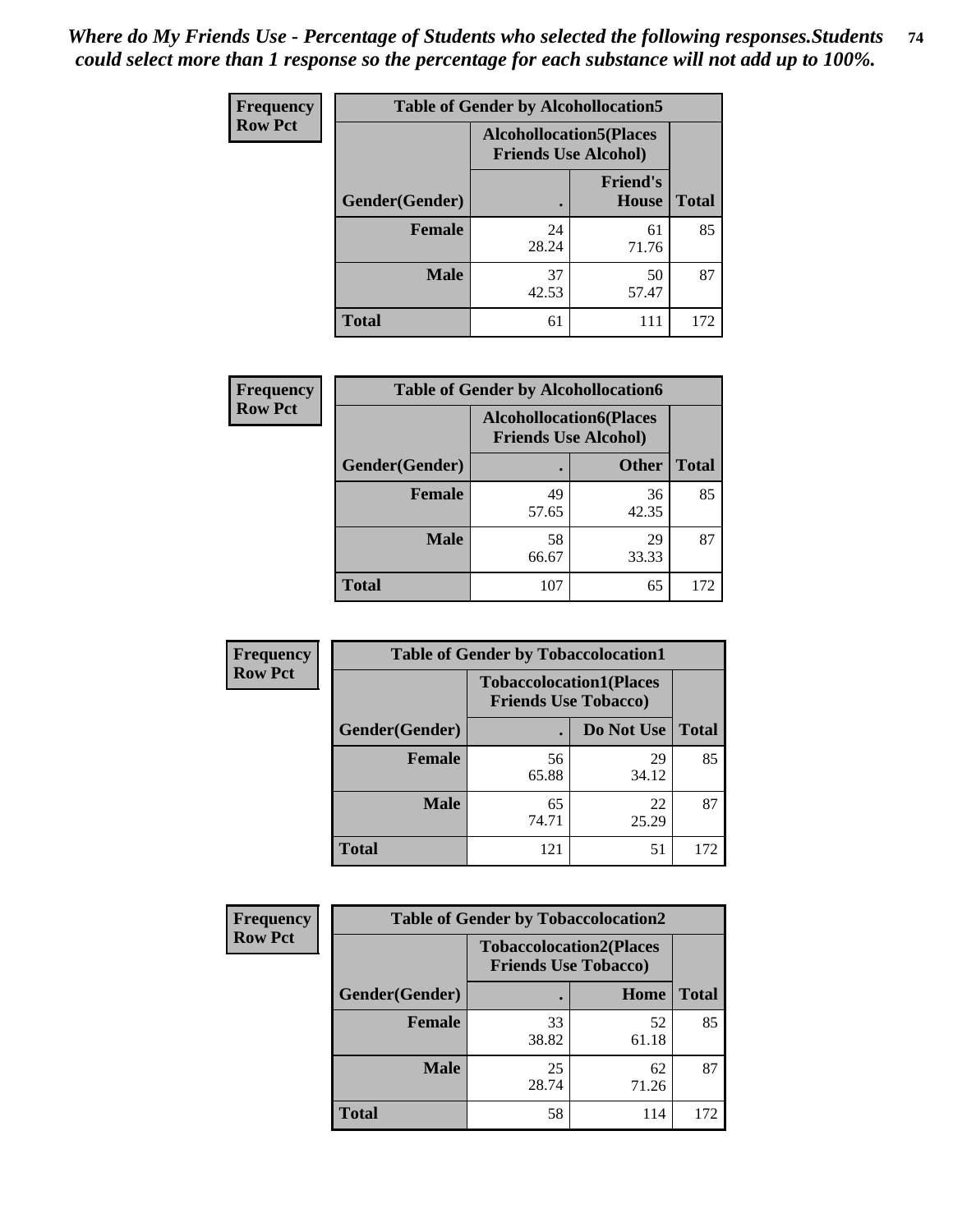| <b>Frequency</b> | <b>Table of Gender by Alcohollocation5</b> |                                                               |                          |              |
|------------------|--------------------------------------------|---------------------------------------------------------------|--------------------------|--------------|
| <b>Row Pct</b>   |                                            | <b>Alcohollocation5(Places</b><br><b>Friends Use Alcohol)</b> |                          |              |
|                  | Gender(Gender)                             |                                                               | <b>Friend's</b><br>House | <b>Total</b> |
|                  | <b>Female</b>                              | 24<br>28.24                                                   | 61<br>71.76              | 85           |
|                  | <b>Male</b>                                | 37<br>42.53                                                   | 50<br>57.47              | 87           |
|                  | <b>Total</b>                               | 61                                                            | 111                      | 172          |

| Frequency      | <b>Table of Gender by Alcohollocation6</b> |                                                               |              |              |
|----------------|--------------------------------------------|---------------------------------------------------------------|--------------|--------------|
| <b>Row Pct</b> |                                            | <b>Alcohollocation6(Places</b><br><b>Friends Use Alcohol)</b> |              |              |
|                | <b>Gender</b> (Gender)                     |                                                               | <b>Other</b> | <b>Total</b> |
|                | <b>Female</b>                              | 49<br>57.65                                                   | 36<br>42.35  | 85           |
|                | <b>Male</b>                                | 58<br>66.67                                                   | 29<br>33.33  | 87           |
|                | <b>Total</b>                               | 107                                                           | 65           | 172          |

| Frequency      | <b>Table of Gender by Tobaccolocation1</b> |                                                               |             |              |
|----------------|--------------------------------------------|---------------------------------------------------------------|-------------|--------------|
| <b>Row Pct</b> |                                            | <b>Tobaccolocation1(Places</b><br><b>Friends Use Tobacco)</b> |             |              |
|                | Gender(Gender)                             |                                                               | Do Not Use  | <b>Total</b> |
|                | Female                                     | 56<br>65.88                                                   | 29<br>34.12 | 85           |
|                | <b>Male</b>                                | 65<br>74.71                                                   | 22<br>25.29 | 87           |
|                | <b>Total</b>                               | 121                                                           | 51          | 172          |

| Frequency      |                | <b>Table of Gender by Tobaccolocation2</b> |                                |              |
|----------------|----------------|--------------------------------------------|--------------------------------|--------------|
| <b>Row Pct</b> |                | <b>Friends Use Tobacco)</b>                | <b>Tobaccolocation2(Places</b> |              |
|                | Gender(Gender) |                                            | Home                           | <b>Total</b> |
|                | Female         | 33<br>38.82                                | 52<br>61.18                    | 85           |
|                | <b>Male</b>    | 25<br>28.74                                | 62<br>71.26                    | 87           |
|                | <b>Total</b>   | 58                                         | 114                            | 172          |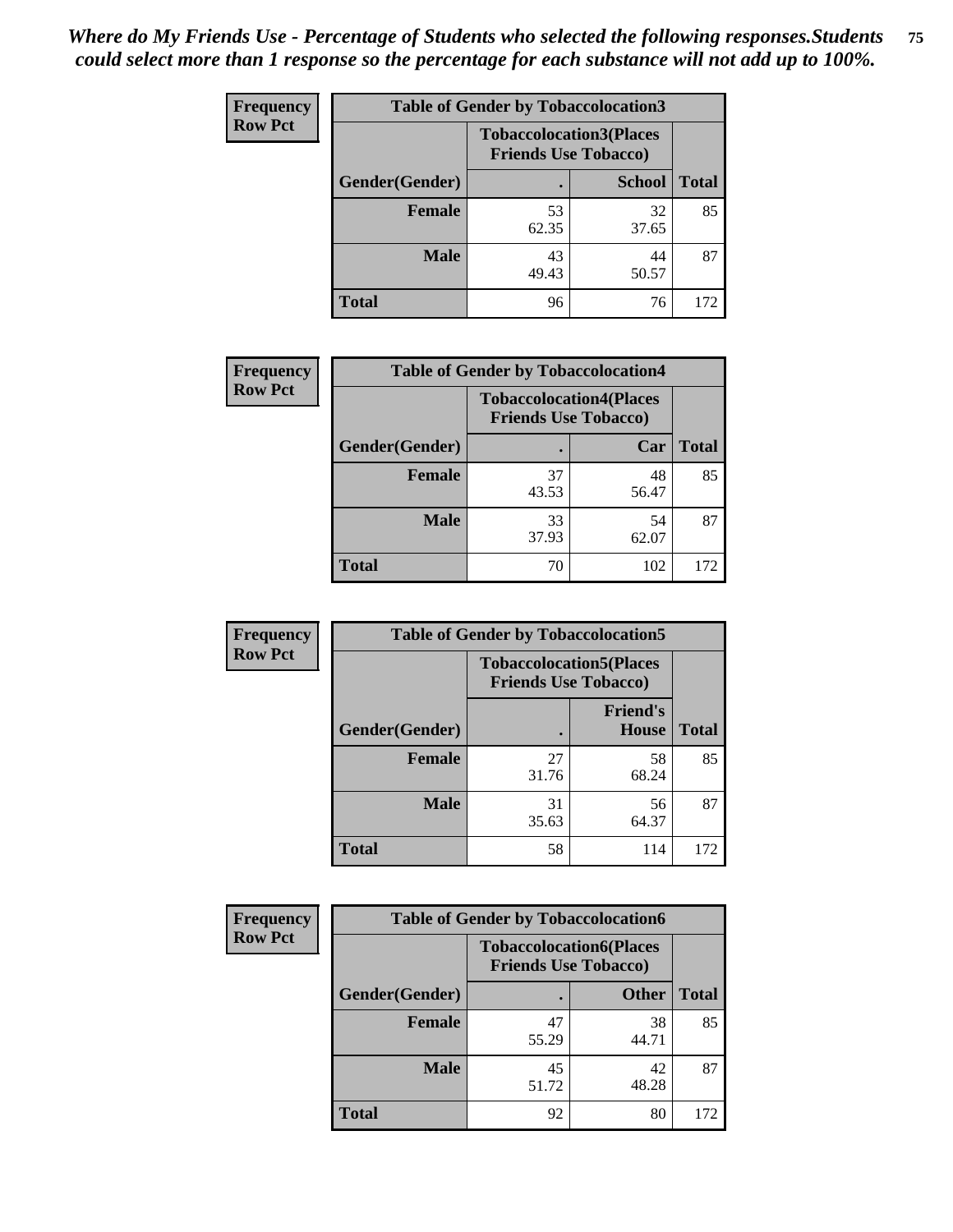| <b>Frequency</b> |                | <b>Table of Gender by Tobaccolocation3</b> |                                                               |              |  |
|------------------|----------------|--------------------------------------------|---------------------------------------------------------------|--------------|--|
| <b>Row Pct</b>   |                |                                            | <b>Tobaccolocation3(Places</b><br><b>Friends Use Tobacco)</b> |              |  |
|                  | Gender(Gender) |                                            | <b>School</b>                                                 | <b>Total</b> |  |
|                  | <b>Female</b>  | 53<br>62.35                                | 32<br>37.65                                                   | 85           |  |
|                  | <b>Male</b>    | 43<br>49.43                                | 44<br>50.57                                                   | 87           |  |
|                  | Total          | 96                                         | 76                                                            | 172          |  |

| <b>Frequency</b> | <b>Table of Gender by Tobaccolocation4</b> |                             |                                |              |
|------------------|--------------------------------------------|-----------------------------|--------------------------------|--------------|
| <b>Row Pct</b>   |                                            | <b>Friends Use Tobacco)</b> | <b>Tobaccolocation4(Places</b> |              |
|                  | Gender(Gender)                             |                             | Car                            | <b>Total</b> |
|                  | <b>Female</b>                              | 37<br>43.53                 | 48<br>56.47                    | 85           |
|                  | <b>Male</b>                                | 33<br>37.93                 | 54<br>62.07                    | 87           |
|                  | <b>Total</b>                               | 70                          | 102                            | 172          |

| <b>Frequency</b> | <b>Table of Gender by Tobaccolocation5</b> |                                                               |                          |              |
|------------------|--------------------------------------------|---------------------------------------------------------------|--------------------------|--------------|
| <b>Row Pct</b>   |                                            | <b>Tobaccolocation5(Places</b><br><b>Friends Use Tobacco)</b> |                          |              |
|                  | Gender(Gender)                             |                                                               | <b>Friend's</b><br>House | <b>Total</b> |
|                  | <b>Female</b>                              | 27<br>31.76                                                   | 58<br>68.24              | 85           |
|                  | <b>Male</b>                                | 31<br>35.63                                                   | 56<br>64.37              | 87           |
|                  | <b>Total</b>                               | 58                                                            | 114                      | 172          |

| <b>Frequency</b> | <b>Table of Gender by Tobaccolocation6</b> |                                                               |              |              |
|------------------|--------------------------------------------|---------------------------------------------------------------|--------------|--------------|
| <b>Row Pct</b>   |                                            | <b>Tobaccolocation6(Places</b><br><b>Friends Use Tobacco)</b> |              |              |
|                  | Gender(Gender)                             |                                                               | <b>Other</b> | <b>Total</b> |
|                  | Female                                     | 47<br>55.29                                                   | 38<br>44.71  | 85           |
|                  | <b>Male</b>                                | 45<br>51.72                                                   | 42<br>48.28  | 87           |
|                  | <b>Total</b>                               | 92                                                            | 80           | 172          |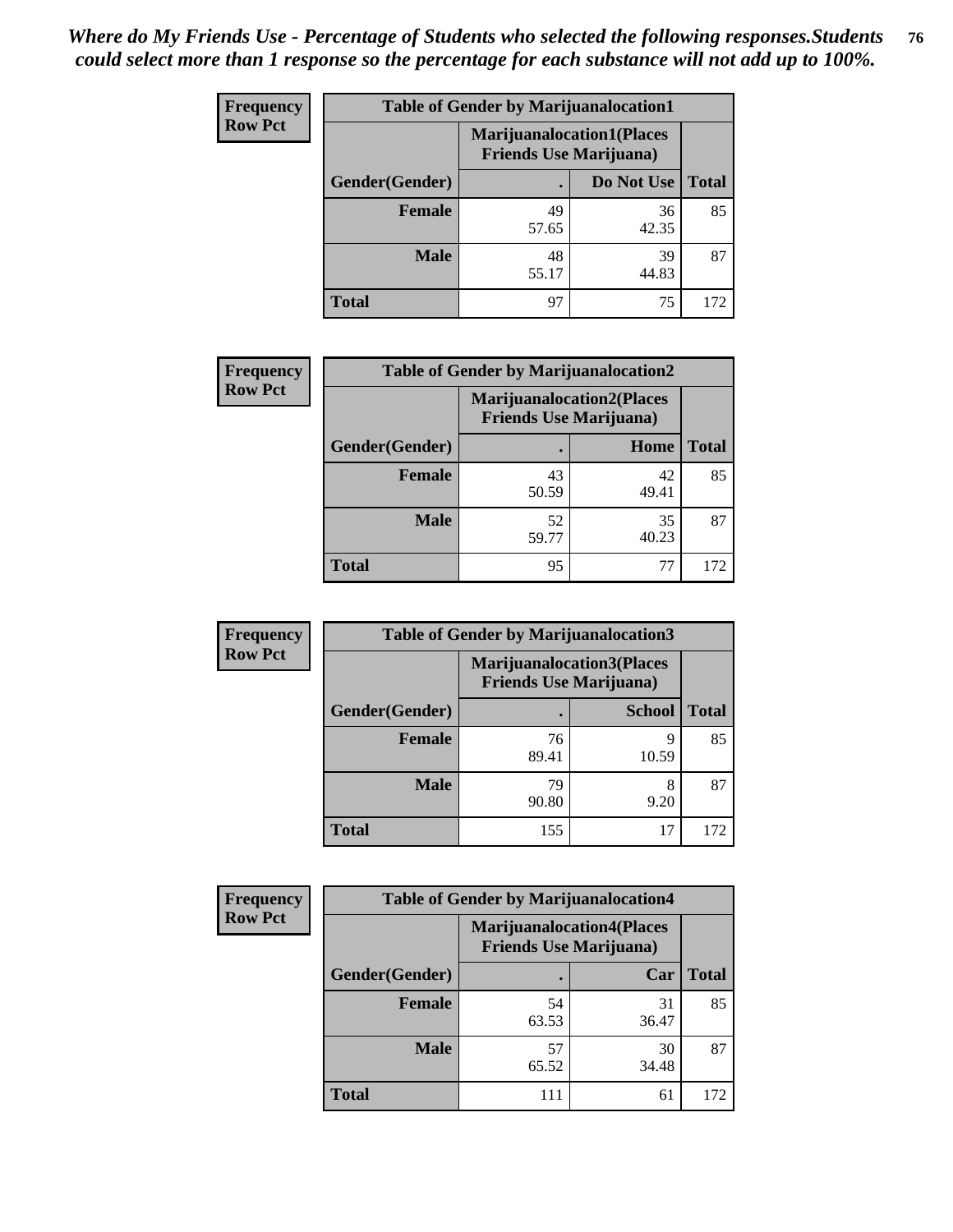| <b>Frequency</b> | <b>Table of Gender by Marijuanalocation1</b> |                                                                    |             |              |
|------------------|----------------------------------------------|--------------------------------------------------------------------|-------------|--------------|
| <b>Row Pct</b>   |                                              | <b>Marijuanalocation1(Places</b><br><b>Friends Use Marijuana</b> ) |             |              |
|                  | Gender(Gender)                               |                                                                    | Do Not Use  | <b>Total</b> |
|                  | <b>Female</b>                                | 49<br>57.65                                                        | 36<br>42.35 | 85           |
|                  | <b>Male</b>                                  | 48<br>55.17                                                        | 39<br>44.83 | 87           |
|                  | Total                                        | 97                                                                 | 75          | 172          |

| <b>Frequency</b> | <b>Table of Gender by Marijuanalocation2</b> |                                                                    |             |              |
|------------------|----------------------------------------------|--------------------------------------------------------------------|-------------|--------------|
| <b>Row Pct</b>   |                                              | <b>Marijuanalocation2(Places</b><br><b>Friends Use Marijuana</b> ) |             |              |
|                  | Gender(Gender)                               |                                                                    | Home        | <b>Total</b> |
|                  | <b>Female</b>                                | 43<br>50.59                                                        | 42<br>49.41 | 85           |
|                  | <b>Male</b>                                  | 52<br>59.77                                                        | 35<br>40.23 | 87           |
|                  | <b>Total</b>                                 | 95                                                                 | 77          | 172          |

| Frequency      | <b>Table of Gender by Marijuanalocation3</b> |                                                                    |               |              |
|----------------|----------------------------------------------|--------------------------------------------------------------------|---------------|--------------|
| <b>Row Pct</b> |                                              | <b>Marijuanalocation3(Places</b><br><b>Friends Use Marijuana</b> ) |               |              |
|                | Gender(Gender)                               |                                                                    | <b>School</b> | <b>Total</b> |
|                | Female                                       | 76<br>89.41                                                        | 9<br>10.59    | 85           |
|                | <b>Male</b>                                  | 79<br>90.80                                                        | 8<br>9.20     | 87           |
|                | <b>Total</b>                                 | 155                                                                | 17            | 172          |

| Frequency      | <b>Table of Gender by Marijuanalocation4</b> |                                |                                  |              |  |
|----------------|----------------------------------------------|--------------------------------|----------------------------------|--------------|--|
| <b>Row Pct</b> |                                              | <b>Friends Use Marijuana</b> ) | <b>Marijuanalocation4(Places</b> |              |  |
|                | Gender(Gender)                               |                                | Car                              | <b>Total</b> |  |
|                | Female                                       | 54<br>63.53                    | 31<br>36.47                      | 85           |  |
|                | <b>Male</b>                                  | 57<br>65.52                    | 30<br>34.48                      | 87           |  |
|                | <b>Total</b>                                 | 111                            | 61                               | 172          |  |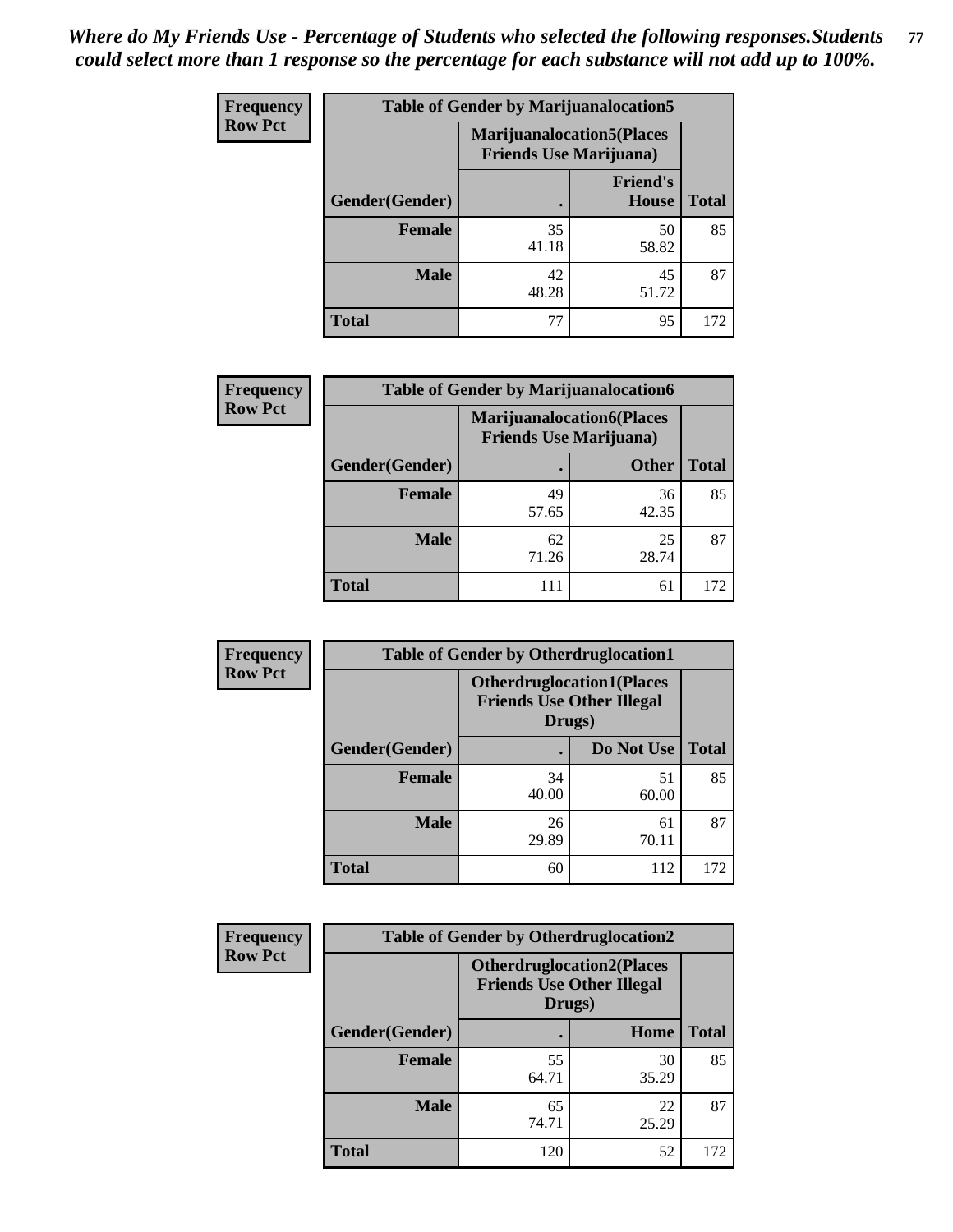| <b>Frequency</b> | <b>Table of Gender by Marijuanalocation5</b> |                                                                     |                          |              |
|------------------|----------------------------------------------|---------------------------------------------------------------------|--------------------------|--------------|
| <b>Row Pct</b>   |                                              | <b>Marijuanalocation5</b> (Places<br><b>Friends Use Marijuana</b> ) |                          |              |
|                  | Gender(Gender)                               |                                                                     | <b>Friend's</b><br>House | <b>Total</b> |
|                  | <b>Female</b>                                | 35<br>41.18                                                         | 50<br>58.82              | 85           |
|                  | <b>Male</b>                                  | 42<br>48.28                                                         | 45<br>51.72              | 87           |
|                  | <b>Total</b>                                 | 77                                                                  | 95                       | 172          |

| <b>Frequency</b> | <b>Table of Gender by Marijuanalocation6</b> |                                                                    |              |              |  |
|------------------|----------------------------------------------|--------------------------------------------------------------------|--------------|--------------|--|
| <b>Row Pct</b>   |                                              | <b>Marijuanalocation6(Places</b><br><b>Friends Use Marijuana</b> ) |              |              |  |
|                  | <b>Gender</b> (Gender)                       |                                                                    | <b>Other</b> | <b>Total</b> |  |
|                  | <b>Female</b>                                | 49<br>57.65                                                        | 36<br>42.35  | 85           |  |
|                  | <b>Male</b>                                  | 62<br>71.26                                                        | 25<br>28.74  | 87           |  |
|                  | <b>Total</b>                                 | 111                                                                | 61           | 172          |  |

| Frequency      | <b>Table of Gender by Otherdruglocation1</b> |                                                                                |             |              |
|----------------|----------------------------------------------|--------------------------------------------------------------------------------|-------------|--------------|
| <b>Row Pct</b> |                                              | <b>Otherdruglocation1(Places</b><br><b>Friends Use Other Illegal</b><br>Drugs) |             |              |
|                | Gender(Gender)                               |                                                                                | Do Not Use  | <b>Total</b> |
|                | <b>Female</b>                                | 34<br>40.00                                                                    | 51<br>60.00 | 85           |
|                | <b>Male</b>                                  | 26<br>29.89                                                                    | 61<br>70.11 | 87           |
|                | <b>Total</b>                                 | 60                                                                             | 112         | 172          |

| <b>Frequency</b> | <b>Table of Gender by Otherdruglocation2</b> |                                            |                                  |              |
|------------------|----------------------------------------------|--------------------------------------------|----------------------------------|--------------|
| <b>Row Pct</b>   |                                              | <b>Friends Use Other Illegal</b><br>Drugs) | <b>Otherdruglocation2(Places</b> |              |
|                  | Gender(Gender)                               |                                            | Home                             | <b>Total</b> |
|                  | Female                                       | 55<br>64.71                                | 30<br>35.29                      | 85           |
|                  | <b>Male</b>                                  | 65<br>74.71                                | 22<br>25.29                      | 87           |
|                  | <b>Total</b>                                 | 120                                        | 52                               | 172          |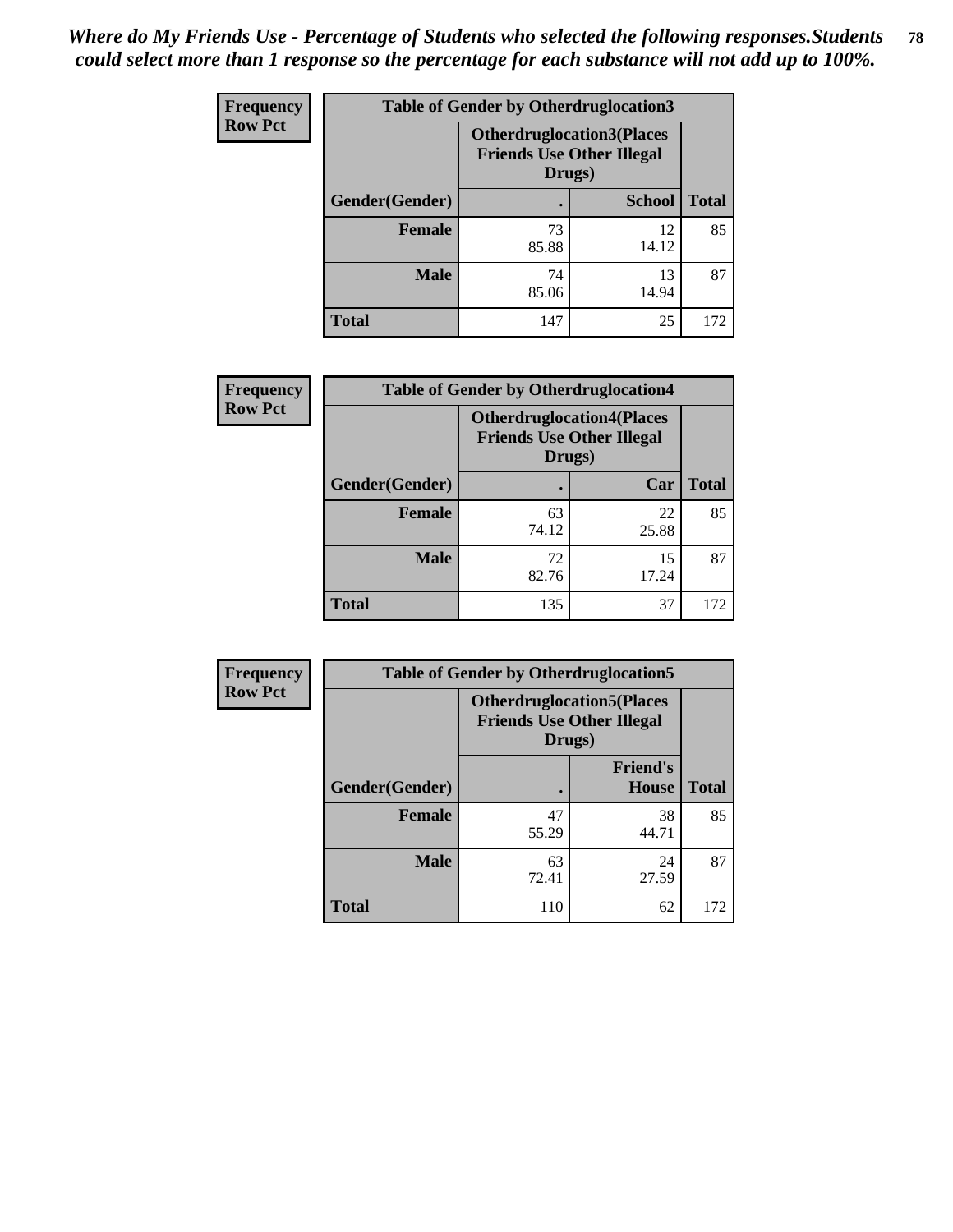| Frequency      | <b>Table of Gender by Otherdruglocation3</b> |                                                                                |               |              |
|----------------|----------------------------------------------|--------------------------------------------------------------------------------|---------------|--------------|
| <b>Row Pct</b> |                                              | <b>Otherdruglocation3(Places</b><br><b>Friends Use Other Illegal</b><br>Drugs) |               |              |
|                | Gender(Gender)                               |                                                                                | <b>School</b> | <b>Total</b> |
|                | Female                                       | 73<br>85.88                                                                    | 12<br>14.12   | 85           |
|                | <b>Male</b>                                  | 74<br>85.06                                                                    | 13<br>14.94   | 87           |
|                | <b>Total</b>                                 | 147                                                                            | 25            | 172          |

| Frequency      | <b>Table of Gender by Otherdruglocation4</b> |                                                                                |             |              |
|----------------|----------------------------------------------|--------------------------------------------------------------------------------|-------------|--------------|
| <b>Row Pct</b> |                                              | <b>Otherdruglocation4(Places</b><br><b>Friends Use Other Illegal</b><br>Drugs) |             |              |
|                | Gender(Gender)                               |                                                                                | Car         | <b>Total</b> |
|                | Female                                       | 63<br>74.12                                                                    | 22<br>25.88 | 85           |
|                | <b>Male</b>                                  | 72<br>82.76                                                                    | 15<br>17.24 | 87           |
|                | <b>Total</b>                                 | 135                                                                            | 37          | 172          |

| Frequency      | <b>Table of Gender by Otherdruglocation5</b> |                                                                                |                                 |              |
|----------------|----------------------------------------------|--------------------------------------------------------------------------------|---------------------------------|--------------|
| <b>Row Pct</b> |                                              | <b>Otherdruglocation5(Places</b><br><b>Friends Use Other Illegal</b><br>Drugs) |                                 |              |
|                | Gender(Gender)                               |                                                                                | <b>Friend's</b><br><b>House</b> | <b>Total</b> |
|                | <b>Female</b>                                | 47<br>55.29                                                                    | 38<br>44.71                     | 85           |
|                | <b>Male</b>                                  | 63<br>72.41                                                                    | 24<br>27.59                     | 87           |
|                | <b>Total</b>                                 | 110                                                                            | 62                              | 172          |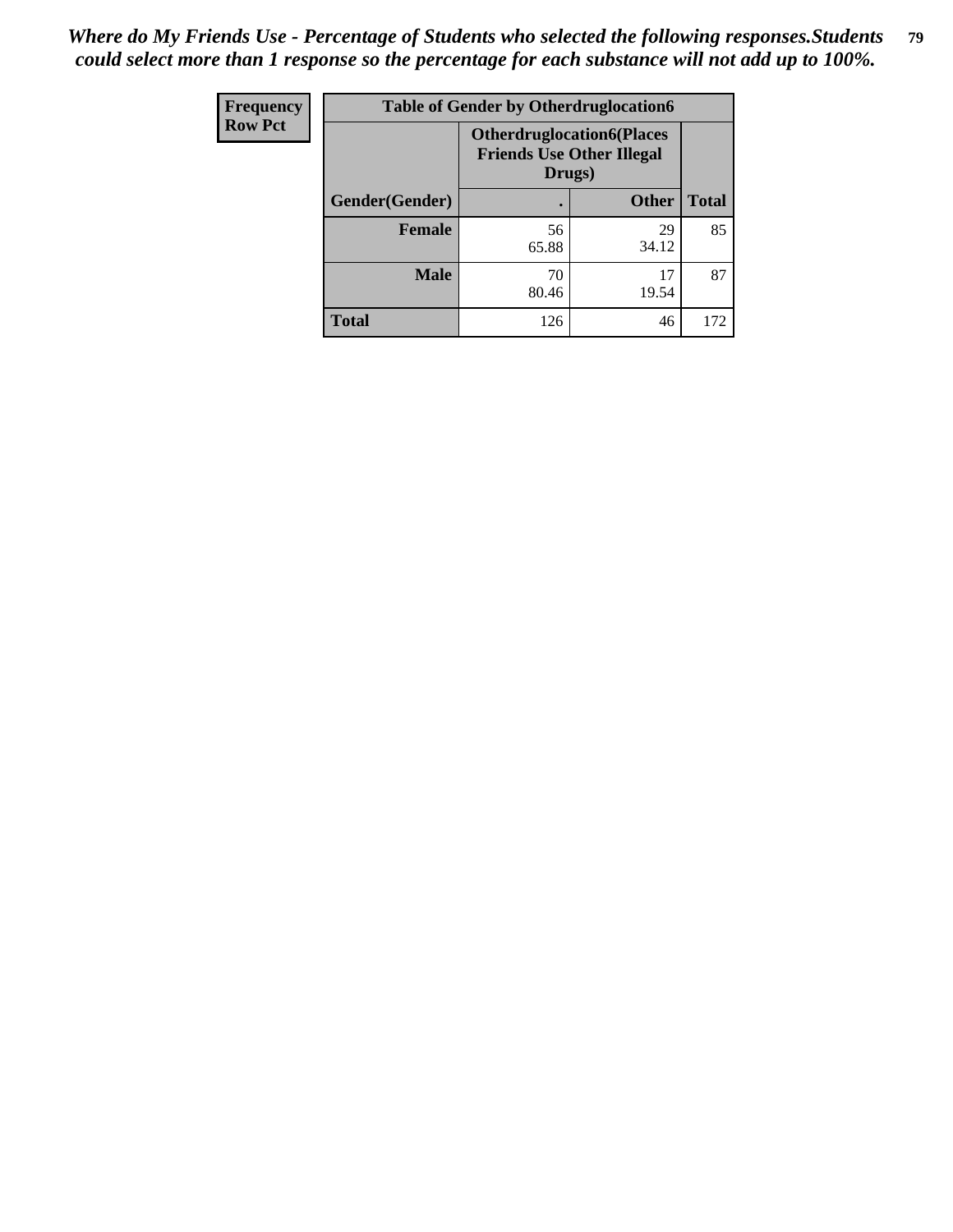| <b>Frequency</b> | <b>Table of Gender by Otherdruglocation6</b> |                                                                                |              |              |
|------------------|----------------------------------------------|--------------------------------------------------------------------------------|--------------|--------------|
| <b>Row Pct</b>   |                                              | <b>Otherdruglocation6(Places</b><br><b>Friends Use Other Illegal</b><br>Drugs) |              |              |
|                  | Gender(Gender)                               |                                                                                | <b>Other</b> | <b>Total</b> |
|                  | Female                                       | 56<br>65.88                                                                    | 29<br>34.12  | 85           |
|                  | <b>Male</b>                                  | 70<br>80.46                                                                    | 17<br>19.54  | 87           |
|                  | <b>Total</b>                                 | 126                                                                            | 46           | 172          |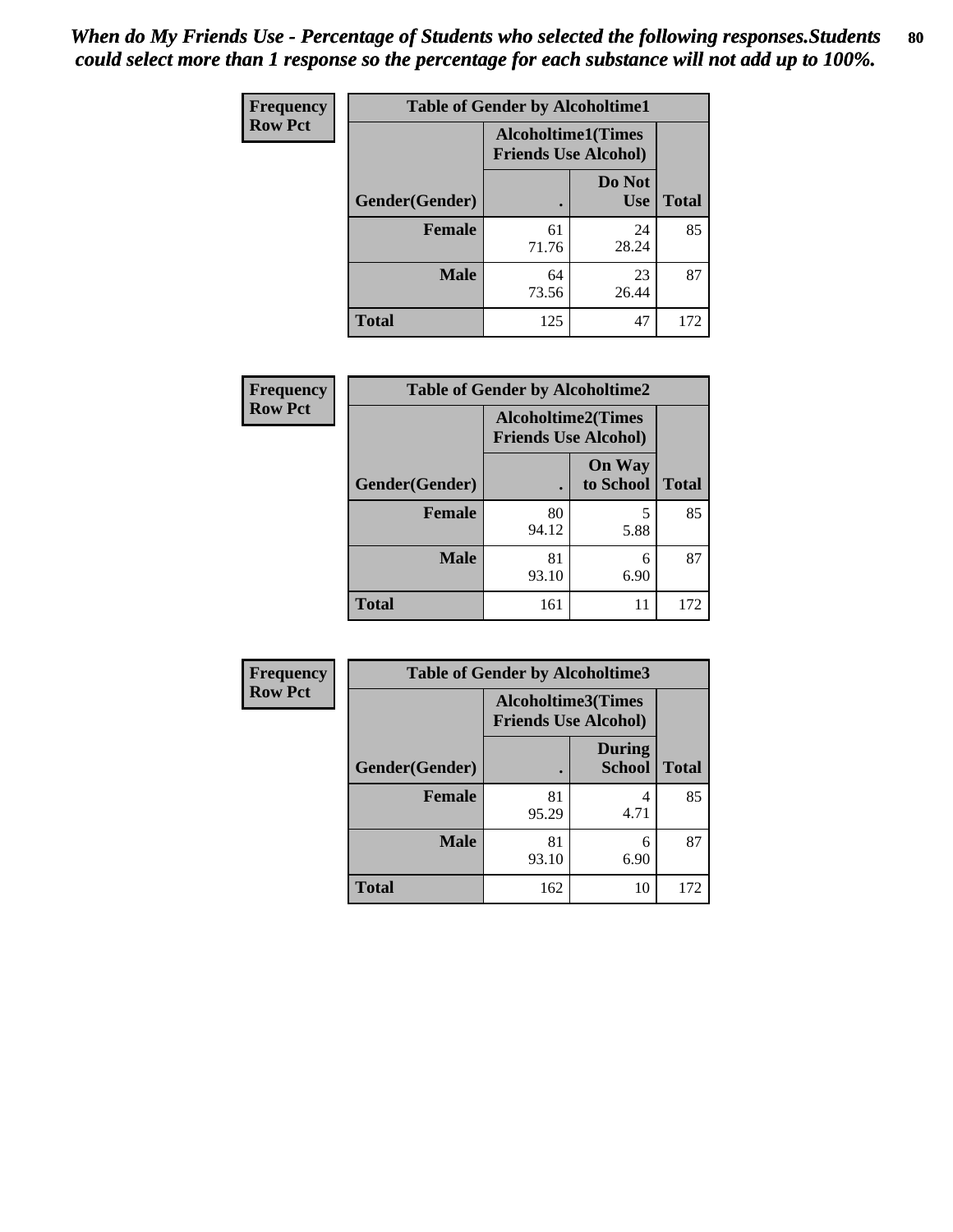| <b>Frequency</b> | <b>Table of Gender by Alcoholtime1</b> |                                                          |                      |              |
|------------------|----------------------------------------|----------------------------------------------------------|----------------------|--------------|
| <b>Row Pct</b>   |                                        | <b>Alcoholtime1(Times</b><br><b>Friends Use Alcohol)</b> |                      |              |
|                  | Gender(Gender)                         | $\bullet$                                                | Do Not<br><b>Use</b> | <b>Total</b> |
|                  | <b>Female</b>                          | 61<br>71.76                                              | 24<br>28.24          | 85           |
|                  | <b>Male</b>                            | 64<br>73.56                                              | 23<br>26.44          | 87           |
|                  | <b>Total</b>                           | 125                                                      | 47                   | 172          |

| <b>Frequency</b> | <b>Table of Gender by Alcoholtime2</b> |                                                          |                            |              |
|------------------|----------------------------------------|----------------------------------------------------------|----------------------------|--------------|
| <b>Row Pct</b>   |                                        | <b>Alcoholtime2(Times</b><br><b>Friends Use Alcohol)</b> |                            |              |
|                  | Gender(Gender)                         |                                                          | <b>On Way</b><br>to School | <b>Total</b> |
|                  | <b>Female</b>                          | 80<br>94.12                                              | 5<br>5.88                  | 85           |
|                  | <b>Male</b>                            | 81<br>93.10                                              | 6<br>6.90                  | 87           |
|                  | <b>Total</b>                           | 161                                                      | 11                         | 172          |

| Frequency      | <b>Table of Gender by Alcoholtime3</b> |                                                   |                                |              |
|----------------|----------------------------------------|---------------------------------------------------|--------------------------------|--------------|
| <b>Row Pct</b> |                                        | Alcoholtime3(Times<br><b>Friends Use Alcohol)</b> |                                |              |
|                | Gender(Gender)                         |                                                   | <b>During</b><br><b>School</b> | <b>Total</b> |
|                | Female                                 | 81<br>95.29                                       | 4<br>4.71                      | 85           |
|                | <b>Male</b>                            | 81<br>93.10                                       | 6<br>6.90                      | 87           |
|                | <b>Total</b>                           | 162                                               | 10                             | 172          |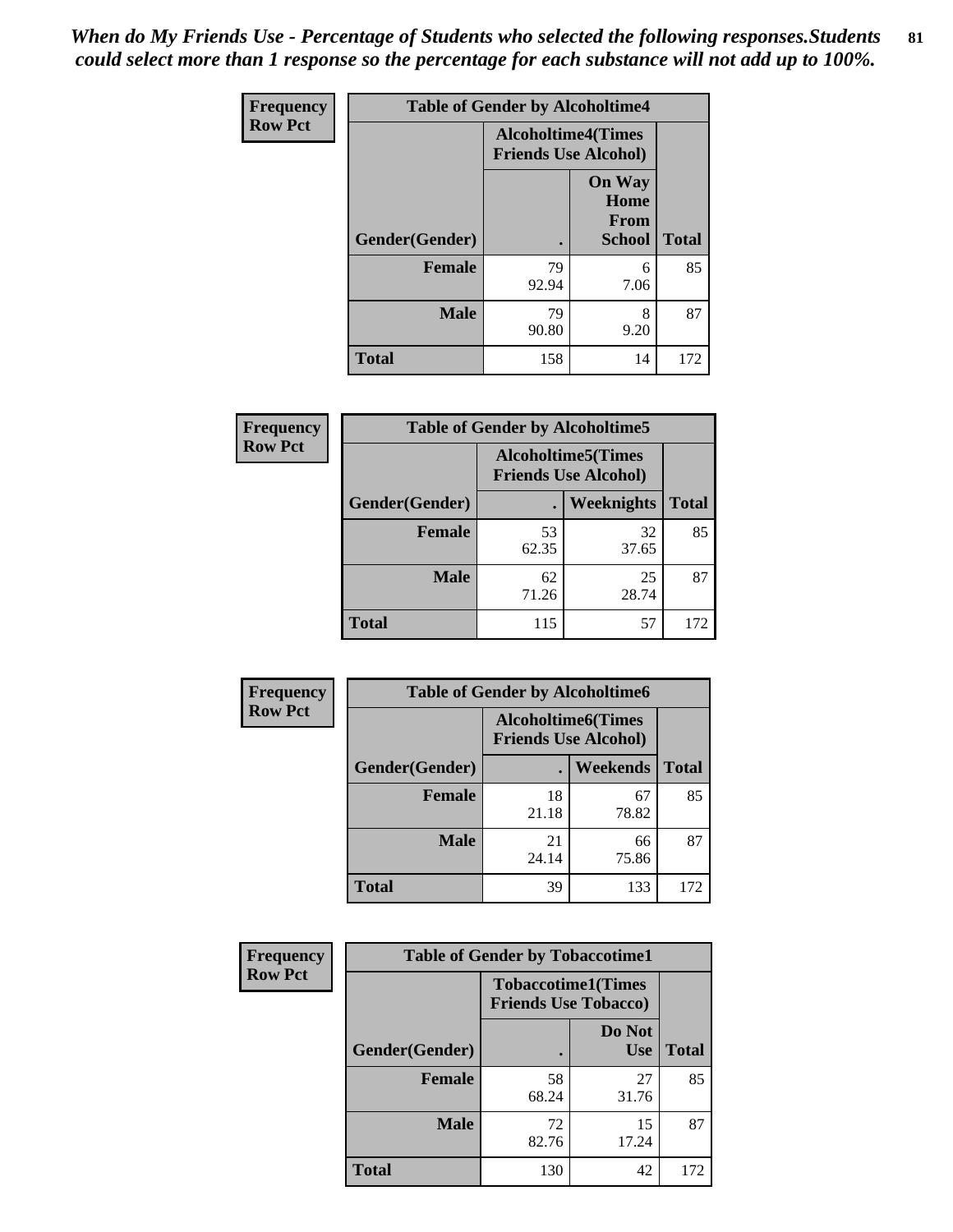*When do My Friends Use - Percentage of Students who selected the following responses.Students could select more than 1 response so the percentage for each substance will not add up to 100%.* **81**

| <b>Frequency</b> | <b>Table of Gender by Alcoholtime4</b> |                                                          |                                                |              |
|------------------|----------------------------------------|----------------------------------------------------------|------------------------------------------------|--------------|
| <b>Row Pct</b>   |                                        | <b>Alcoholtime4(Times</b><br><b>Friends Use Alcohol)</b> |                                                |              |
|                  | Gender(Gender)                         |                                                          | <b>On Way</b><br>Home<br>From<br><b>School</b> | <b>Total</b> |
|                  | <b>Female</b>                          | 79<br>92.94                                              | 6<br>7.06                                      | 85           |
|                  | <b>Male</b>                            | 79<br>90.80                                              | 8<br>9.20                                      | 87           |
|                  | <b>Total</b>                           | 158                                                      | 14                                             | 172          |

| <b>Frequency</b> | <b>Table of Gender by Alcoholtime5</b> |                                                           |                   |              |
|------------------|----------------------------------------|-----------------------------------------------------------|-------------------|--------------|
| <b>Row Pct</b>   |                                        | <b>Alcoholtime5</b> (Times<br><b>Friends Use Alcohol)</b> |                   |              |
|                  | Gender(Gender)                         |                                                           | <b>Weeknights</b> | <b>Total</b> |
|                  | <b>Female</b>                          | 53<br>62.35                                               | 32<br>37.65       | 85           |
|                  | <b>Male</b>                            | 62<br>71.26                                               | 25<br>28.74       | 87           |
|                  | <b>Total</b>                           | 115                                                       | 57                | 172          |

| <b>Frequency</b> | <b>Table of Gender by Alcoholtime6</b> |             |                                                          |              |
|------------------|----------------------------------------|-------------|----------------------------------------------------------|--------------|
| <b>Row Pct</b>   |                                        |             | <b>Alcoholtime6(Times</b><br><b>Friends Use Alcohol)</b> |              |
|                  | Gender(Gender)                         |             | <b>Weekends</b>                                          | <b>Total</b> |
|                  | Female                                 | 18<br>21.18 | 67<br>78.82                                              | 85           |
|                  | <b>Male</b>                            | 21<br>24.14 | 66<br>75.86                                              | 87           |
|                  | <b>Total</b>                           | 39          | 133                                                      | 172          |

| Frequency      | <b>Table of Gender by Tobaccotime1</b> |                                                          |                      |              |
|----------------|----------------------------------------|----------------------------------------------------------|----------------------|--------------|
| <b>Row Pct</b> |                                        | <b>Tobaccotime1(Times</b><br><b>Friends Use Tobacco)</b> |                      |              |
|                | Gender(Gender)                         |                                                          | Do Not<br><b>Use</b> | <b>Total</b> |
|                | <b>Female</b>                          | 58<br>68.24                                              | 27<br>31.76          | 85           |
|                | <b>Male</b>                            | 72<br>82.76                                              | 15<br>17.24          | 87           |
|                | <b>Total</b>                           | 130                                                      | 42                   | 172          |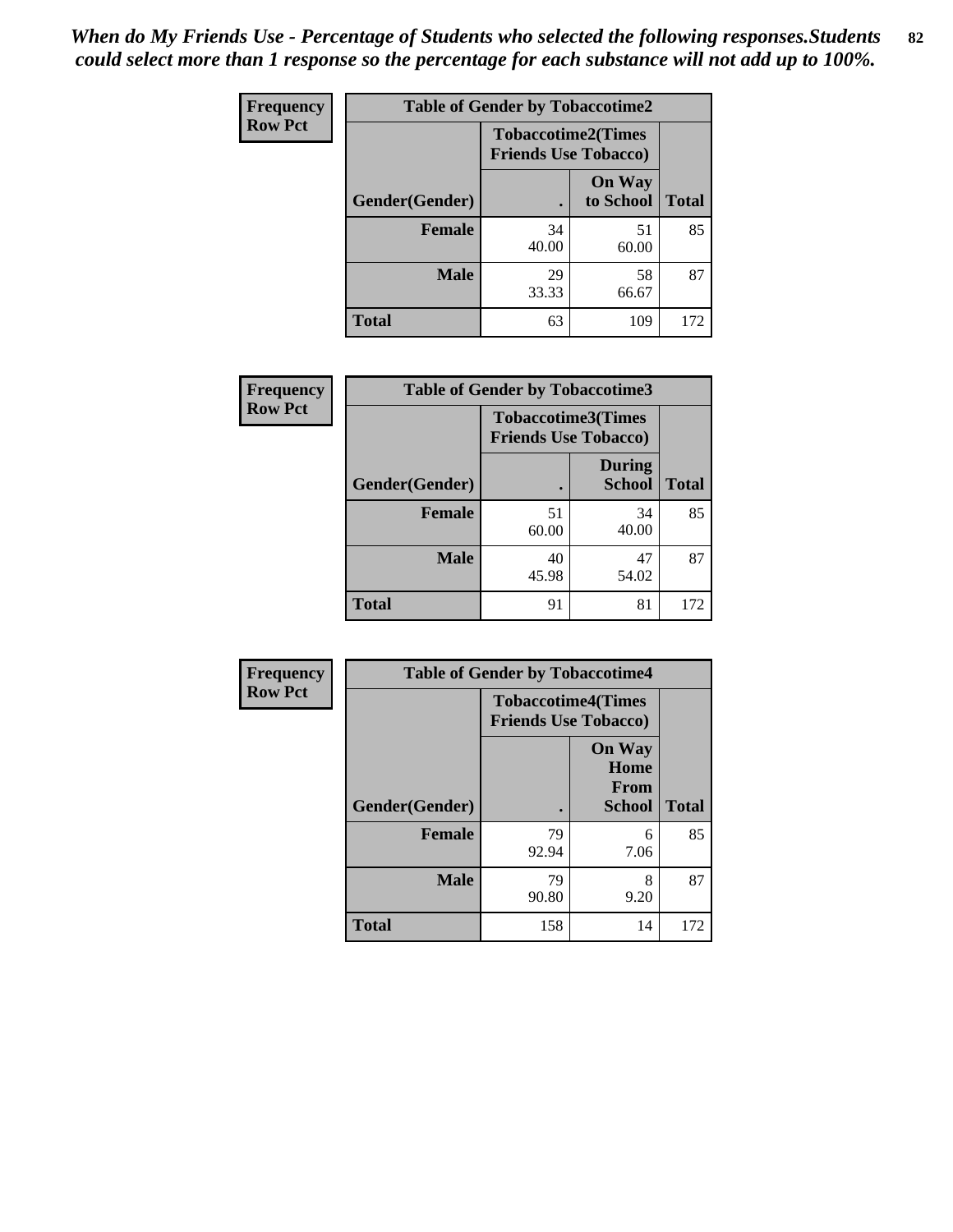| <b>Frequency</b> | <b>Table of Gender by Tobaccotime2</b> |                             |                            |              |
|------------------|----------------------------------------|-----------------------------|----------------------------|--------------|
| <b>Row Pct</b>   |                                        | <b>Friends Use Tobacco)</b> | <b>Tobaccotime2(Times</b>  |              |
|                  | Gender(Gender)                         |                             | <b>On Way</b><br>to School | <b>Total</b> |
|                  | <b>Female</b>                          | 34<br>40.00                 | 51<br>60.00                | 85           |
|                  | <b>Male</b>                            | 29<br>33.33                 | 58<br>66.67                | 87           |
|                  | <b>Total</b>                           | 63                          | 109                        | 172          |

| Frequency      | <b>Table of Gender by Tobaccotime3</b> |                                                          |                                |              |
|----------------|----------------------------------------|----------------------------------------------------------|--------------------------------|--------------|
| <b>Row Pct</b> |                                        | <b>Tobaccotime3(Times</b><br><b>Friends Use Tobacco)</b> |                                |              |
|                | Gender(Gender)                         | п                                                        | <b>During</b><br><b>School</b> | <b>Total</b> |
|                | Female                                 | 51<br>60.00                                              | 34<br>40.00                    | 85           |
|                | <b>Male</b>                            | 40<br>45.98                                              | 47<br>54.02                    | 87           |
|                | <b>Total</b>                           | 91                                                       | 81                             | 172          |

| <b>Frequency</b> | <b>Table of Gender by Tobaccotime4</b> |                                                          |                                                |              |
|------------------|----------------------------------------|----------------------------------------------------------|------------------------------------------------|--------------|
| <b>Row Pct</b>   |                                        | <b>Tobaccotime4(Times</b><br><b>Friends Use Tobacco)</b> |                                                |              |
|                  | Gender(Gender)                         |                                                          | <b>On Way</b><br>Home<br>From<br><b>School</b> | <b>Total</b> |
|                  | <b>Female</b>                          | 79<br>92.94                                              | 6<br>7.06                                      | 85           |
|                  | <b>Male</b>                            | 79<br>90.80                                              | 8<br>9.20                                      | 87           |
|                  | <b>Total</b>                           | 158                                                      | 14                                             | 172          |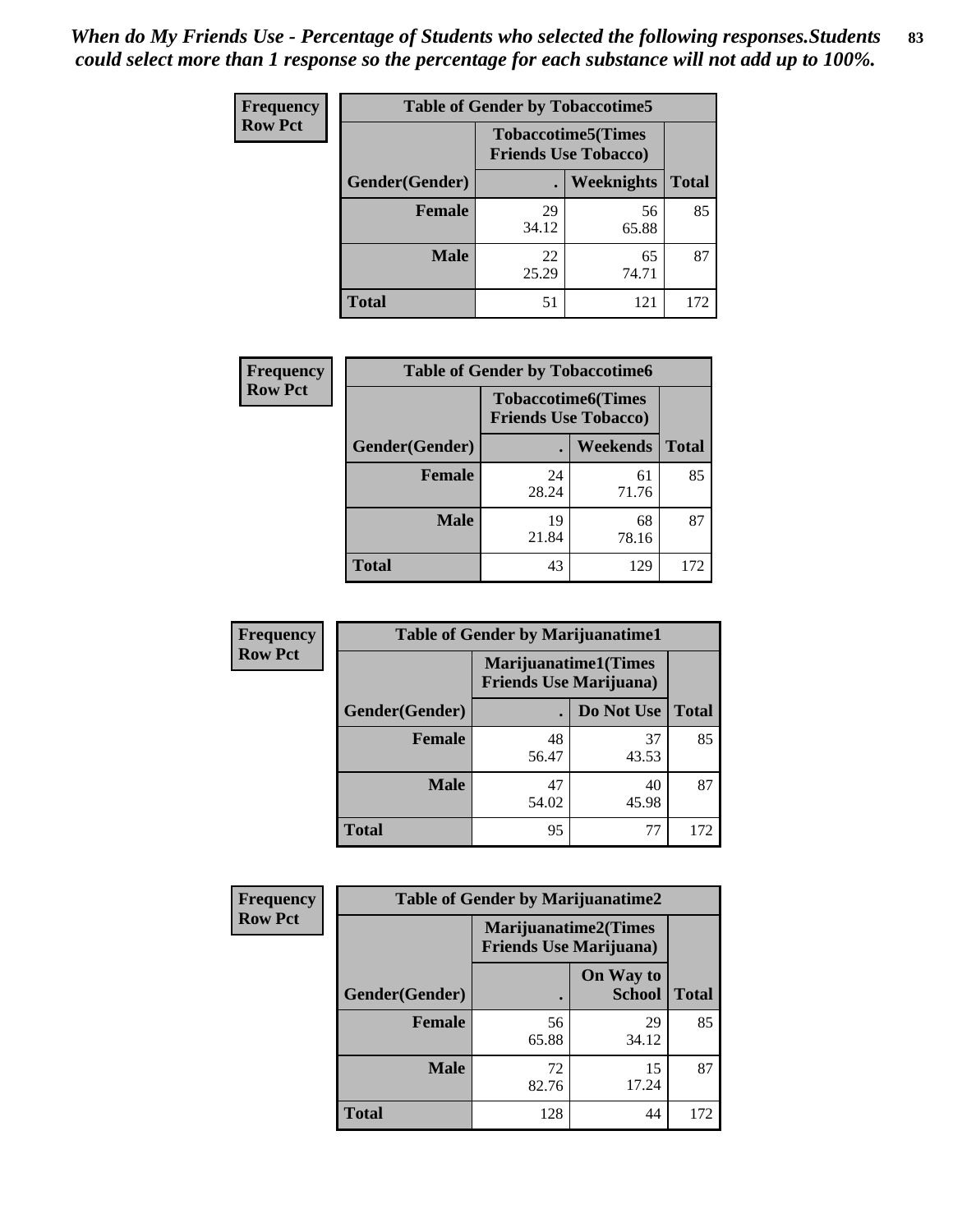| <b>Frequency</b> | <b>Table of Gender by Tobaccotime5</b> |             |                                                           |              |  |
|------------------|----------------------------------------|-------------|-----------------------------------------------------------|--------------|--|
| <b>Row Pct</b>   |                                        |             | <b>Tobaccotime5</b> (Times<br><b>Friends Use Tobacco)</b> |              |  |
|                  | Gender(Gender)                         |             | <b>Weeknights</b>                                         | <b>Total</b> |  |
|                  | <b>Female</b>                          | 29<br>34.12 | 56<br>65.88                                               | 85           |  |
|                  | <b>Male</b>                            | 22<br>25.29 | 65<br>74.71                                               | 87           |  |
|                  | Total                                  | 51          | 121                                                       | 172          |  |

| <b>Frequency</b> | <b>Table of Gender by Tobaccotime6</b> |                                                          |             |              |
|------------------|----------------------------------------|----------------------------------------------------------|-------------|--------------|
| <b>Row Pct</b>   |                                        | <b>Tobaccotime6(Times</b><br><b>Friends Use Tobacco)</b> |             |              |
|                  | Gender(Gender)                         |                                                          | Weekends    | <b>Total</b> |
|                  | Female                                 | 24<br>28.24                                              | 61<br>71.76 | 85           |
|                  | <b>Male</b>                            | 19<br>21.84                                              | 68<br>78.16 | 87           |
|                  | <b>Total</b>                           | 43                                                       | 129         | 172          |

| <b>Frequency</b> |                | <b>Table of Gender by Marijuanatime1</b>                      |             |              |
|------------------|----------------|---------------------------------------------------------------|-------------|--------------|
| <b>Row Pct</b>   |                | <b>Marijuanatime1(Times</b><br><b>Friends Use Marijuana</b> ) |             |              |
|                  | Gender(Gender) |                                                               | Do Not Use  | <b>Total</b> |
|                  | <b>Female</b>  | 48<br>56.47                                                   | 37<br>43.53 | 85           |
|                  | <b>Male</b>    | 47<br>54.02                                                   | 40<br>45.98 | 87           |
|                  | <b>Total</b>   | 95                                                            | 77          | 172          |

| <b>Frequency</b> | <b>Table of Gender by Marijuanatime2</b> |                                                               |                            |              |
|------------------|------------------------------------------|---------------------------------------------------------------|----------------------------|--------------|
| <b>Row Pct</b>   |                                          | <b>Marijuanatime2(Times</b><br><b>Friends Use Marijuana</b> ) |                            |              |
|                  | Gender(Gender)                           |                                                               | On Way to<br><b>School</b> | <b>Total</b> |
|                  | <b>Female</b>                            | 56<br>65.88                                                   | 29<br>34.12                | 85           |
|                  | <b>Male</b>                              | 72<br>82.76                                                   | 15<br>17.24                | 87           |
|                  | <b>Total</b>                             | 128                                                           | 44                         | 172          |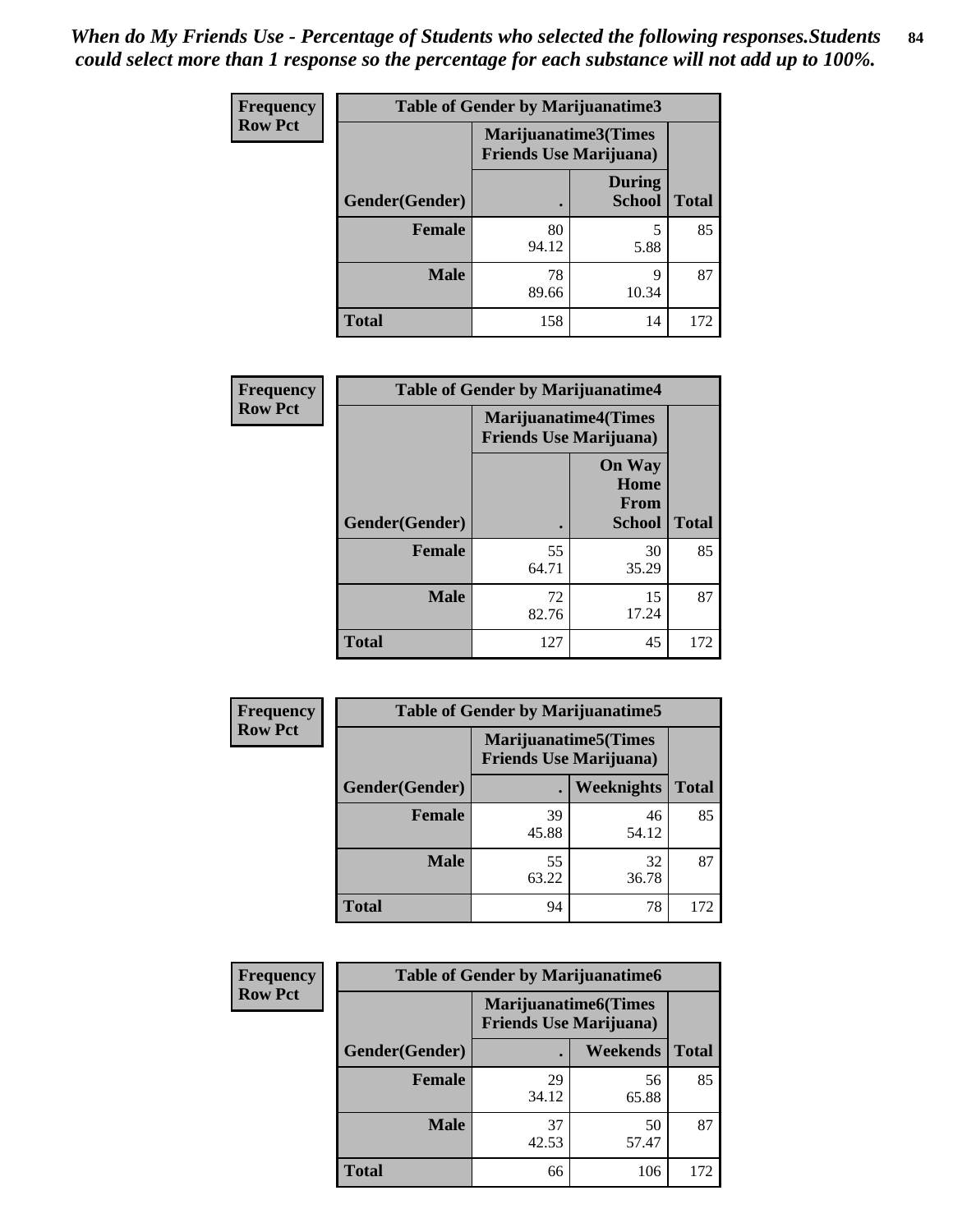| Frequency      | <b>Table of Gender by Marijuanatime3</b> |                                                        |                                |              |
|----------------|------------------------------------------|--------------------------------------------------------|--------------------------------|--------------|
| <b>Row Pct</b> |                                          | Marijuanatime3(Times<br><b>Friends Use Marijuana</b> ) |                                |              |
|                | Gender(Gender)                           |                                                        | <b>During</b><br><b>School</b> | <b>Total</b> |
|                | <b>Female</b>                            | 80<br>94.12                                            | 5<br>5.88                      | 85           |
|                | <b>Male</b>                              | 78<br>89.66                                            | 9<br>10.34                     | 87           |
|                | <b>Total</b>                             | 158                                                    | 14                             | 172          |

| Frequency      | <b>Table of Gender by Marijuanatime4</b> |                                                               |                                                |              |
|----------------|------------------------------------------|---------------------------------------------------------------|------------------------------------------------|--------------|
| <b>Row Pct</b> |                                          | <b>Marijuanatime4(Times</b><br><b>Friends Use Marijuana</b> ) |                                                |              |
|                | Gender(Gender)                           |                                                               | <b>On Way</b><br>Home<br>From<br><b>School</b> | <b>Total</b> |
|                | <b>Female</b>                            | 55<br>64.71                                                   | 30<br>35.29                                    | 85           |
|                | <b>Male</b>                              | 72<br>82.76                                                   | 15<br>17.24                                    | 87           |
|                | <b>Total</b>                             | 127                                                           | 45                                             | 172          |

| <b>Frequency</b> | <b>Table of Gender by Marijuanatime5</b> |             |                                                                |              |  |
|------------------|------------------------------------------|-------------|----------------------------------------------------------------|--------------|--|
| <b>Row Pct</b>   |                                          |             | <b>Marijuanatime5</b> (Times<br><b>Friends Use Marijuana</b> ) |              |  |
|                  | Gender(Gender)                           | ٠           | Weeknights                                                     | <b>Total</b> |  |
|                  | <b>Female</b>                            | 39<br>45.88 | 46<br>54.12                                                    | 85           |  |
|                  | <b>Male</b>                              | 55<br>63.22 | 32<br>36.78                                                    | 87           |  |
|                  | <b>Total</b>                             | 94          | 78                                                             | 172          |  |

| Frequency      | <b>Table of Gender by Marijuanatime6</b> |                                                                |                 |              |  |
|----------------|------------------------------------------|----------------------------------------------------------------|-----------------|--------------|--|
| <b>Row Pct</b> |                                          | <b>Marijuanatime6</b> (Times<br><b>Friends Use Marijuana</b> ) |                 |              |  |
|                | <b>Gender</b> (Gender)                   |                                                                | <b>Weekends</b> | <b>Total</b> |  |
|                | <b>Female</b>                            | 29<br>34.12                                                    | 56<br>65.88     | 85           |  |
|                | <b>Male</b>                              | 37<br>42.53                                                    | 50<br>57.47     | 87           |  |
|                | <b>Total</b>                             | 66                                                             | 106             | 172          |  |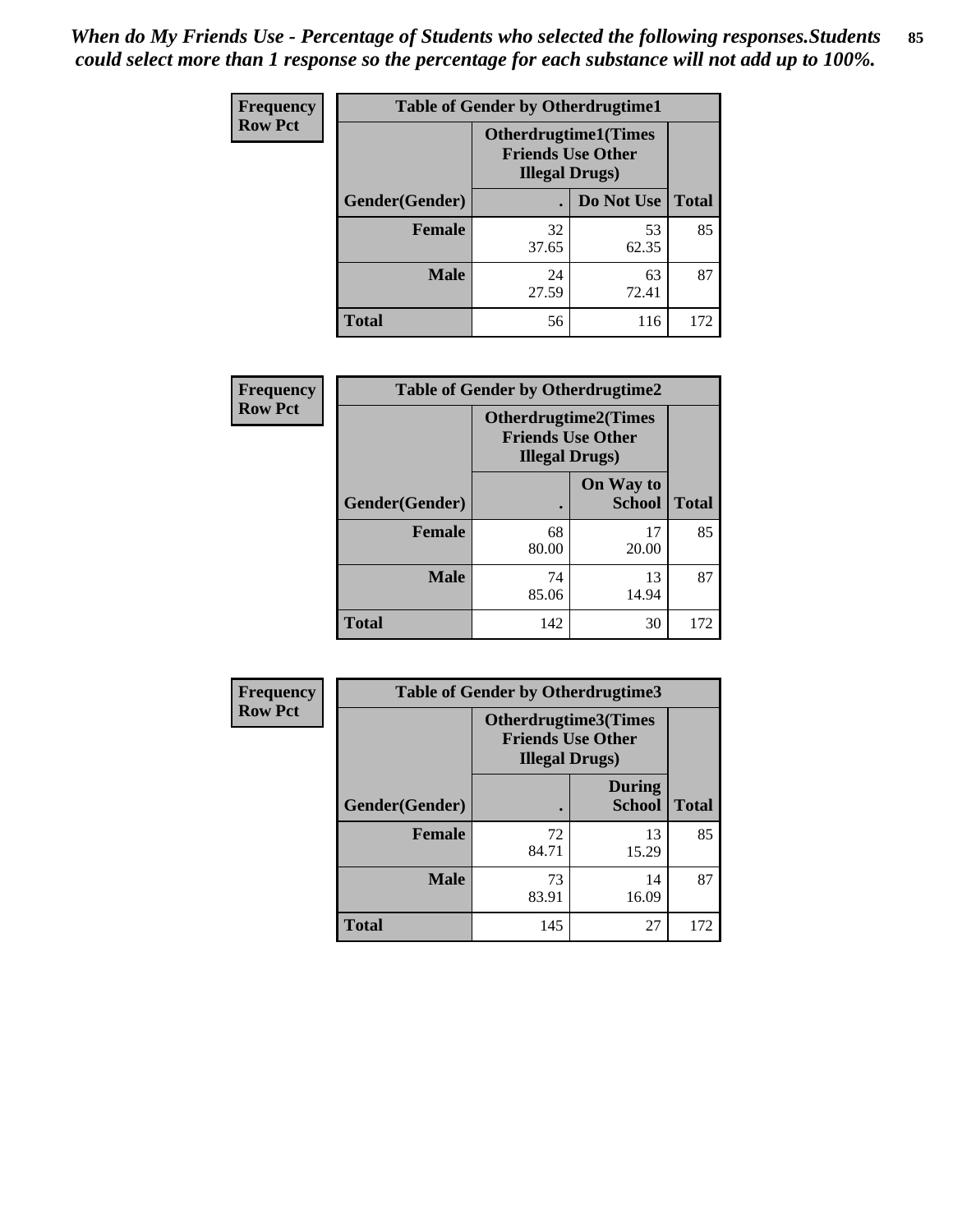*When do My Friends Use - Percentage of Students who selected the following responses.Students could select more than 1 response so the percentage for each substance will not add up to 100%.* **85**

| <b>Frequency</b> | <b>Table of Gender by Otherdrugtime1</b> |                                                                                    |                    |     |  |
|------------------|------------------------------------------|------------------------------------------------------------------------------------|--------------------|-----|--|
| <b>Row Pct</b>   |                                          | <b>Otherdrugtime1</b> (Times<br><b>Friends Use Other</b><br><b>Illegal Drugs</b> ) |                    |     |  |
|                  | Gender(Gender)                           |                                                                                    | Do Not Use   Total |     |  |
|                  | <b>Female</b>                            | 32<br>37.65                                                                        | 53<br>62.35        | 85  |  |
|                  | <b>Male</b>                              | 24<br>27.59                                                                        | 63<br>72.41        | 87  |  |
|                  | <b>Total</b>                             | 56                                                                                 | 116                | 172 |  |

| Frequency      | <b>Table of Gender by Otherdrugtime2</b> |                                                                                   |                            |              |
|----------------|------------------------------------------|-----------------------------------------------------------------------------------|----------------------------|--------------|
| <b>Row Pct</b> |                                          | <b>Otherdrugtime2(Times</b><br><b>Friends Use Other</b><br><b>Illegal Drugs</b> ) |                            |              |
|                | Gender(Gender)                           |                                                                                   | On Way to<br><b>School</b> | <b>Total</b> |
|                | <b>Female</b>                            | 68<br>80.00                                                                       | 17<br>20.00                | 85           |
|                | <b>Male</b>                              | 74<br>85.06                                                                       | 13<br>14.94                | 87           |
|                | <b>Total</b>                             | 142                                                                               | 30                         | 172          |

| <b>Frequency</b> | <b>Table of Gender by Otherdrugtime3</b> |                                                                                    |                                |              |
|------------------|------------------------------------------|------------------------------------------------------------------------------------|--------------------------------|--------------|
| <b>Row Pct</b>   |                                          | <b>Otherdrugtime3</b> (Times<br><b>Friends Use Other</b><br><b>Illegal Drugs</b> ) |                                |              |
|                  | Gender(Gender)                           |                                                                                    | <b>During</b><br><b>School</b> | <b>Total</b> |
|                  | <b>Female</b>                            | 72<br>84.71                                                                        | 13<br>15.29                    | 85           |
|                  | <b>Male</b>                              | 73<br>83.91                                                                        | 14<br>16.09                    | 87           |
|                  | <b>Total</b>                             | 145                                                                                | 27                             | 172          |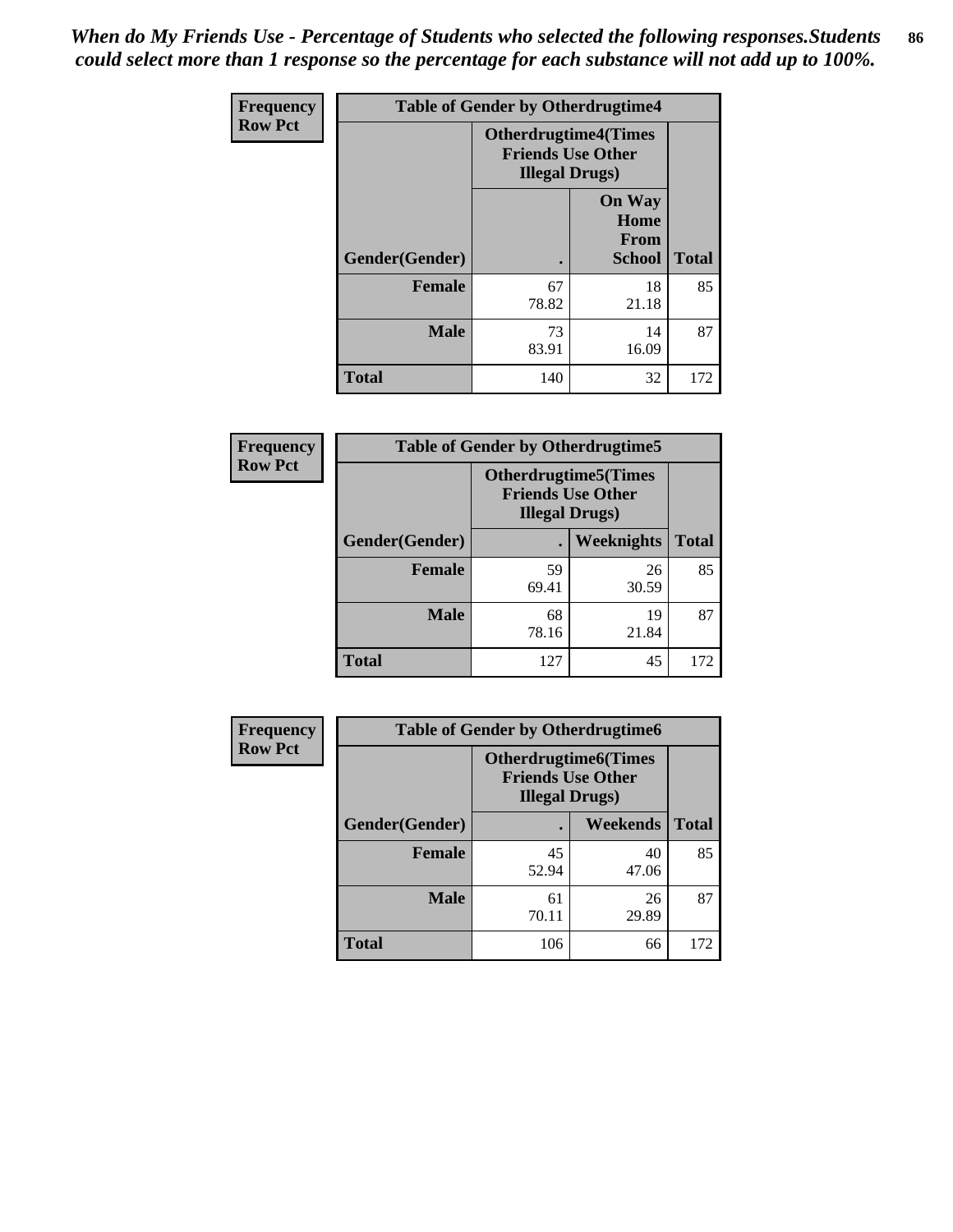*When do My Friends Use - Percentage of Students who selected the following responses.Students could select more than 1 response so the percentage for each substance will not add up to 100%.* **86**

| <b>Frequency</b> | <b>Table of Gender by Otherdrugtime4</b> |                                                                                   |                                                |              |
|------------------|------------------------------------------|-----------------------------------------------------------------------------------|------------------------------------------------|--------------|
| <b>Row Pct</b>   |                                          | <b>Otherdrugtime4(Times</b><br><b>Friends Use Other</b><br><b>Illegal Drugs</b> ) |                                                |              |
|                  | Gender(Gender)                           |                                                                                   | <b>On Way</b><br>Home<br>From<br><b>School</b> | <b>Total</b> |
|                  | Female                                   | 67<br>78.82                                                                       | 18<br>21.18                                    | 85           |
|                  | <b>Male</b>                              | 73<br>83.91                                                                       | 14<br>16.09                                    | 87           |
|                  | <b>Total</b>                             | 140                                                                               | 32                                             | 172          |

| Frequency      | <b>Table of Gender by Otherdrugtime5</b> |                                                                                    |             |              |
|----------------|------------------------------------------|------------------------------------------------------------------------------------|-------------|--------------|
| <b>Row Pct</b> |                                          | <b>Otherdrugtime5</b> (Times<br><b>Friends Use Other</b><br><b>Illegal Drugs</b> ) |             |              |
|                | Gender(Gender)                           |                                                                                    | Weeknights  | <b>Total</b> |
|                | <b>Female</b>                            | 59<br>69.41                                                                        | 26<br>30.59 | 85           |
|                | <b>Male</b>                              | 68<br>78.16                                                                        | 19<br>21.84 | 87           |
|                | <b>Total</b>                             | 127                                                                                | 45          | 172          |

| <b>Frequency</b> | <b>Table of Gender by Otherdrugtime6</b> |                                                                                   |             |              |
|------------------|------------------------------------------|-----------------------------------------------------------------------------------|-------------|--------------|
| <b>Row Pct</b>   |                                          | <b>Otherdrugtime6(Times</b><br><b>Friends Use Other</b><br><b>Illegal Drugs</b> ) |             |              |
|                  | Gender(Gender)                           |                                                                                   | Weekends    | <b>Total</b> |
|                  | <b>Female</b>                            | 45<br>52.94                                                                       | 40<br>47.06 | 85           |
|                  | <b>Male</b>                              | 61<br>70.11                                                                       | 26<br>29.89 | 87           |
|                  | <b>Total</b>                             | 106                                                                               | 66          | 172          |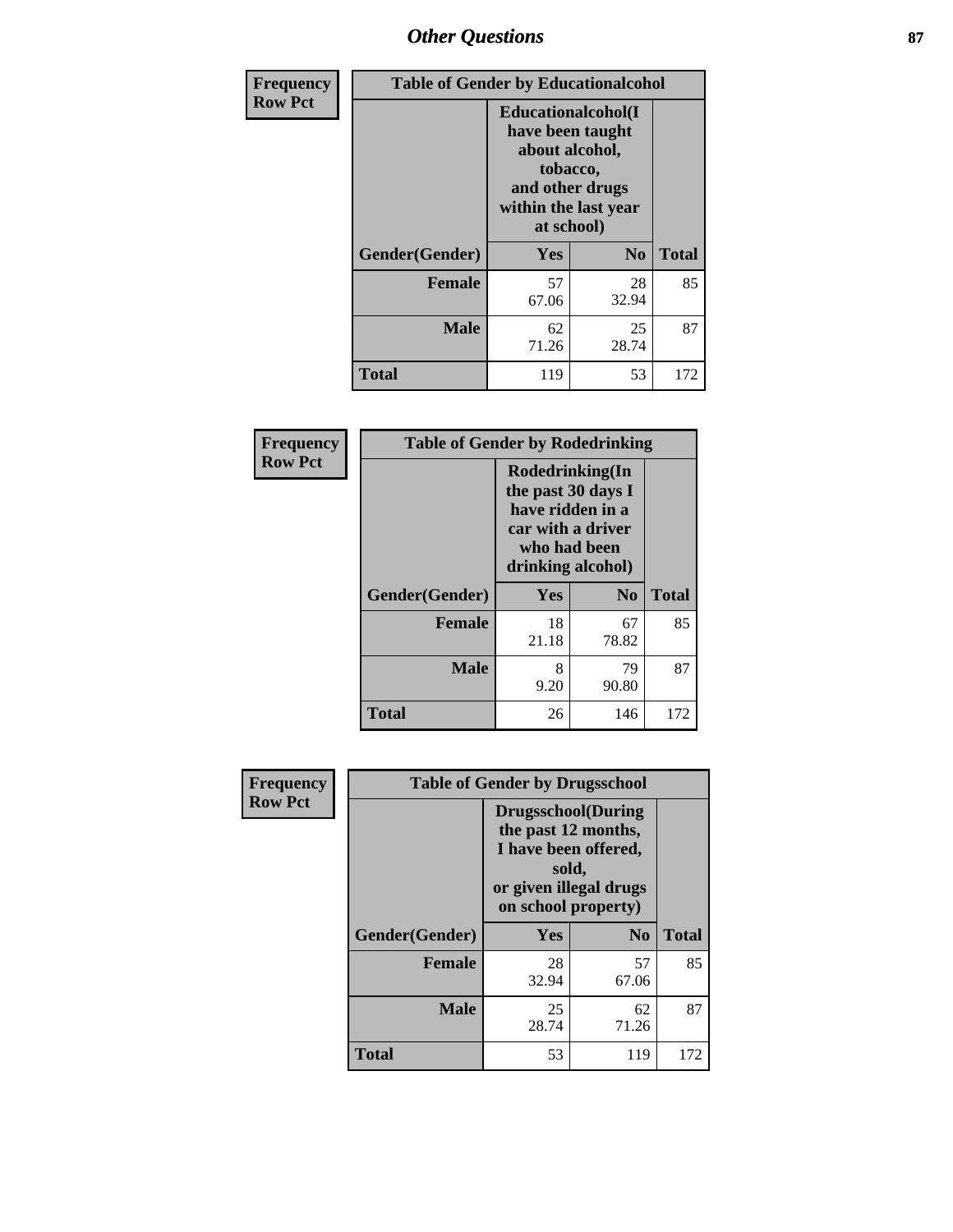## *Other Questions* **87**

| Frequency      | <b>Table of Gender by Educationalcohol</b> |                                                                                                                               |                |              |  |
|----------------|--------------------------------------------|-------------------------------------------------------------------------------------------------------------------------------|----------------|--------------|--|
| <b>Row Pct</b> |                                            | Educationalcohol(I<br>have been taught<br>about alcohol,<br>tobacco,<br>and other drugs<br>within the last year<br>at school) |                |              |  |
|                | Gender(Gender)                             | <b>Yes</b>                                                                                                                    | N <sub>0</sub> | <b>Total</b> |  |
|                | <b>Female</b>                              | 57<br>67.06                                                                                                                   | 28<br>32.94    | 85           |  |
|                | <b>Male</b>                                | 62<br>71.26                                                                                                                   | 25<br>28.74    | 87           |  |
|                | <b>Total</b>                               | 119                                                                                                                           | 53             | 172          |  |

| Frequency      | <b>Table of Gender by Rodedrinking</b> |                                                                                                                     |                |              |  |
|----------------|----------------------------------------|---------------------------------------------------------------------------------------------------------------------|----------------|--------------|--|
| <b>Row Pct</b> |                                        | Rodedrinking(In<br>the past 30 days I<br>have ridden in a<br>car with a driver<br>who had been<br>drinking alcohol) |                |              |  |
|                | Gender(Gender)                         | Yes                                                                                                                 | N <sub>0</sub> | <b>Total</b> |  |
|                | <b>Female</b>                          | 18<br>21.18                                                                                                         | 67<br>78.82    | 85           |  |
|                | <b>Male</b>                            | 8<br>9.20                                                                                                           | 79<br>90.80    | 87           |  |
|                | <b>Total</b>                           | 26                                                                                                                  | 146            | 172          |  |

| Frequency      | <b>Table of Gender by Drugsschool</b> |                                                                                                                                     |                |              |  |  |
|----------------|---------------------------------------|-------------------------------------------------------------------------------------------------------------------------------------|----------------|--------------|--|--|
| <b>Row Pct</b> |                                       | <b>Drugsschool</b> (During<br>the past 12 months,<br>I have been offered,<br>sold,<br>or given illegal drugs<br>on school property) |                |              |  |  |
|                | Gender(Gender)                        | Yes                                                                                                                                 | N <sub>0</sub> | <b>Total</b> |  |  |
|                | <b>Female</b>                         | 28<br>32.94                                                                                                                         | 57<br>67.06    | 85           |  |  |
|                | <b>Male</b>                           | 25<br>28.74                                                                                                                         | 62<br>71.26    | 87           |  |  |
|                | <b>Total</b>                          | 53                                                                                                                                  | 119            | 172          |  |  |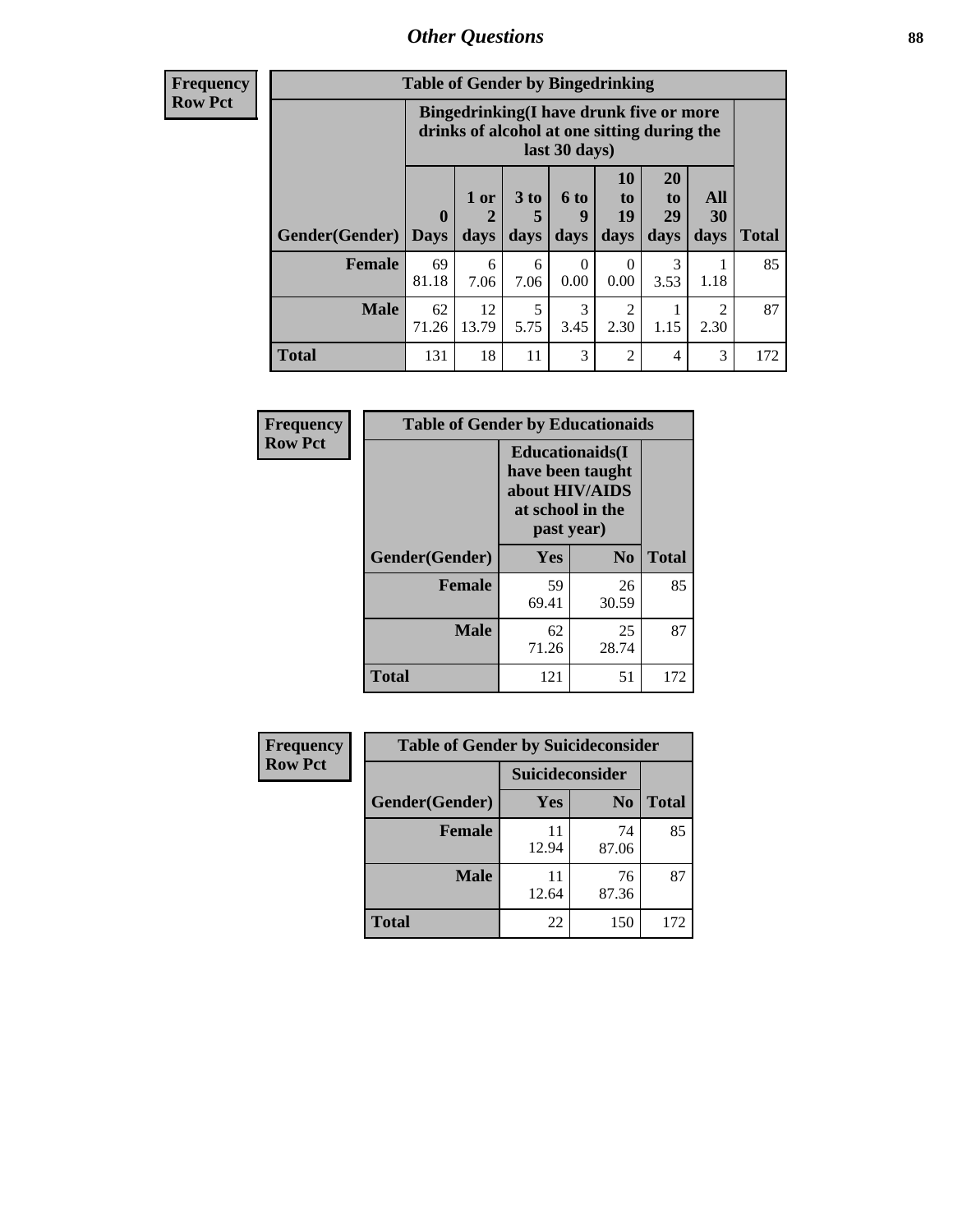### *Other Questions* **88**

**Frequency Row Pct**

| <b>Table of Gender by Bingedrinking</b> |              |                                                                                                         |                   |                   |                                                                     |                               |                        |              |
|-----------------------------------------|--------------|---------------------------------------------------------------------------------------------------------|-------------------|-------------------|---------------------------------------------------------------------|-------------------------------|------------------------|--------------|
|                                         |              | Bingedrinking(I have drunk five or more<br>drinks of alcohol at one sitting during the<br>last 30 days) |                   |                   |                                                                     |                               |                        |              |
| <b>Gender</b> (Gender)   Days           | $\mathbf{0}$ | 1 or<br>days                                                                                            | 3 to<br>5<br>days | 6 to<br>q<br>days | 10<br>$\mathbf{t}$ <sup><math>\mathbf{0}</math></sup><br>19<br>days | <b>20</b><br>to<br>29<br>days | All<br>30<br>days      | <b>Total</b> |
| <b>Female</b>                           | 69<br>81.18  | 6<br>7.06                                                                                               | 6<br>7.06         | 0<br>0.00         | 0<br>0.00                                                           | 3<br>3.53                     | 1.18                   | 85           |
| <b>Male</b>                             | 62<br>71.26  | 12<br>13.79                                                                                             | 5<br>5.75         | 3<br>3.45         | 2<br>2.30                                                           | 1.15                          | $\mathfrak{D}$<br>2.30 | 87           |
| <b>Total</b>                            |              |                                                                                                         |                   |                   |                                                                     |                               |                        |              |

| Frequency      | <b>Table of Gender by Educationaids</b> |                                                                                                 |             |              |  |  |
|----------------|-----------------------------------------|-------------------------------------------------------------------------------------------------|-------------|--------------|--|--|
| <b>Row Pct</b> |                                         | <b>Educationaids</b> (I<br>have been taught<br>about HIV/AIDS<br>at school in the<br>past year) |             |              |  |  |
|                | Gender(Gender)                          | Yes                                                                                             | $\bf N_0$   | <b>Total</b> |  |  |
|                | <b>Female</b>                           | 59<br>69.41                                                                                     | 26<br>30.59 | 85           |  |  |
|                | <b>Male</b>                             | 62<br>71.26                                                                                     | 25<br>28.74 | 87           |  |  |
|                | <b>Total</b>                            | 121                                                                                             | 51          | 172          |  |  |

| <b>Frequency</b> | <b>Table of Gender by Suicideconsider</b> |                 |                |              |  |
|------------------|-------------------------------------------|-----------------|----------------|--------------|--|
| <b>Row Pct</b>   |                                           | Suicideconsider |                |              |  |
|                  | Gender(Gender)                            | Yes             | N <sub>0</sub> | <b>Total</b> |  |
|                  | <b>Female</b>                             | 11<br>12.94     | 74<br>87.06    | 85           |  |
|                  | <b>Male</b>                               | 11<br>12.64     | 76<br>87.36    | 87           |  |
|                  | Total                                     | 22              | 150            | 172          |  |